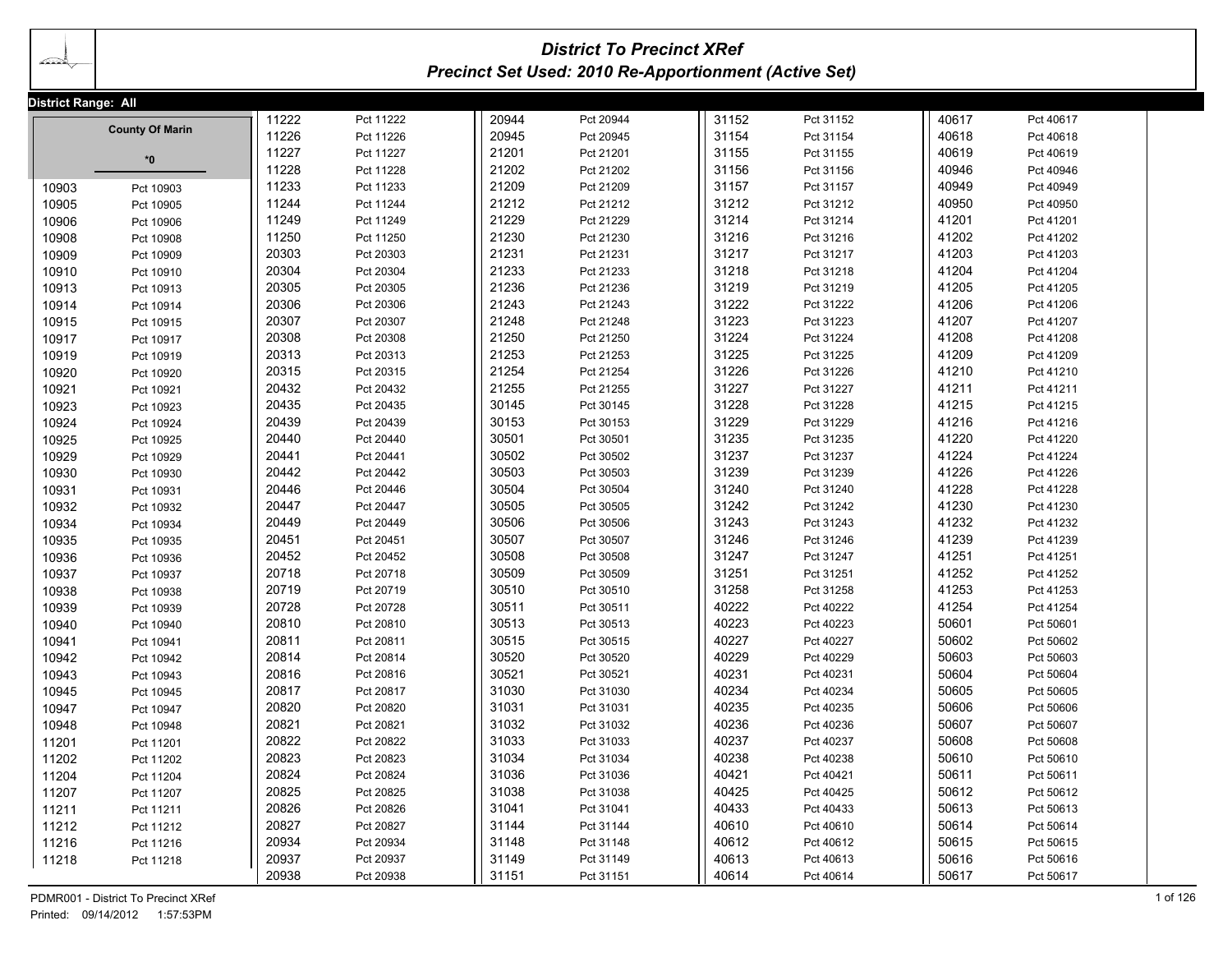# *District To Precinct XRef Precinct Set Used: 2010 Re-Apportionment (Active Set)*

|       | District Range: All                 |       |           |       |           |       |           |       |           |          |  |  |
|-------|-------------------------------------|-------|-----------|-------|-----------|-------|-----------|-------|-----------|----------|--|--|
|       | <b>County Of Marin</b>              | 11222 | Pct 11222 | 20944 | Pct 20944 | 31152 | Pct 31152 | 40617 | Pct 40617 |          |  |  |
|       |                                     | 11226 | Pct 11226 | 20945 | Pct 20945 | 31154 | Pct 31154 | 40618 | Pct 40618 |          |  |  |
|       | $*0$                                | 11227 | Pct 11227 | 21201 | Pct 21201 | 31155 | Pct 31155 | 40619 | Pct 40619 |          |  |  |
|       |                                     | 11228 | Pct 11228 | 21202 | Pct 21202 | 31156 | Pct 31156 | 40946 | Pct 40946 |          |  |  |
| 10903 | Pct 10903                           | 11233 | Pct 11233 | 21209 | Pct 21209 | 31157 | Pct 31157 | 40949 | Pct 40949 |          |  |  |
| 10905 | Pct 10905                           | 11244 | Pct 11244 | 21212 | Pct 21212 | 31212 | Pct 31212 | 40950 | Pct 40950 |          |  |  |
| 10906 | Pct 10906                           | 11249 | Pct 11249 | 21229 | Pct 21229 | 31214 | Pct 31214 | 41201 | Pct 41201 |          |  |  |
| 10908 | Pct 10908                           | 11250 | Pct 11250 | 21230 | Pct 21230 | 31216 | Pct 31216 | 41202 | Pct 41202 |          |  |  |
| 10909 | Pct 10909                           | 20303 | Pct 20303 | 21231 | Pct 21231 | 31217 | Pct 31217 | 41203 | Pct 41203 |          |  |  |
| 10910 | Pct 10910                           | 20304 | Pct 20304 | 21233 | Pct 21233 | 31218 | Pct 31218 | 41204 | Pct 41204 |          |  |  |
| 10913 | Pct 10913                           | 20305 | Pct 20305 | 21236 | Pct 21236 | 31219 | Pct 31219 | 41205 | Pct 41205 |          |  |  |
| 10914 | Pct 10914                           | 20306 | Pct 20306 | 21243 | Pct 21243 | 31222 | Pct 31222 | 41206 | Pct 41206 |          |  |  |
| 10915 | Pct 10915                           | 20307 | Pct 20307 | 21248 | Pct 21248 | 31223 | Pct 31223 | 41207 | Pct 41207 |          |  |  |
| 10917 | Pct 10917                           | 20308 | Pct 20308 | 21250 | Pct 21250 | 31224 | Pct 31224 | 41208 | Pct 41208 |          |  |  |
| 10919 | Pct 10919                           | 20313 | Pct 20313 | 21253 | Pct 21253 | 31225 | Pct 31225 | 41209 | Pct 41209 |          |  |  |
| 10920 | Pct 10920                           | 20315 | Pct 20315 | 21254 | Pct 21254 | 31226 | Pct 31226 | 41210 | Pct 41210 |          |  |  |
| 10921 | Pct 10921                           | 20432 | Pct 20432 | 21255 | Pct 21255 | 31227 | Pct 31227 | 41211 | Pct 41211 |          |  |  |
| 10923 | Pct 10923                           | 20435 | Pct 20435 | 30145 | Pct 30145 | 31228 | Pct 31228 | 41215 | Pct 41215 |          |  |  |
| 10924 | Pct 10924                           | 20439 | Pct 20439 | 30153 | Pct 30153 | 31229 | Pct 31229 | 41216 | Pct 41216 |          |  |  |
| 10925 | Pct 10925                           | 20440 | Pct 20440 | 30501 | Pct 30501 | 31235 | Pct 31235 | 41220 | Pct 41220 |          |  |  |
| 10929 | Pct 10929                           | 20441 | Pct 20441 | 30502 | Pct 30502 | 31237 | Pct 31237 | 41224 | Pct 41224 |          |  |  |
| 10930 | Pct 10930                           | 20442 | Pct 20442 | 30503 | Pct 30503 | 31239 | Pct 31239 | 41226 | Pct 41226 |          |  |  |
| 10931 | Pct 10931                           | 20446 | Pct 20446 | 30504 | Pct 30504 | 31240 | Pct 31240 | 41228 | Pct 41228 |          |  |  |
| 10932 | Pct 10932                           | 20447 | Pct 20447 | 30505 | Pct 30505 | 31242 | Pct 31242 | 41230 | Pct 41230 |          |  |  |
| 10934 | Pct 10934                           | 20449 | Pct 20449 | 30506 | Pct 30506 | 31243 | Pct 31243 | 41232 | Pct 41232 |          |  |  |
| 10935 | Pct 10935                           | 20451 | Pct 20451 | 30507 | Pct 30507 | 31246 | Pct 31246 | 41239 | Pct 41239 |          |  |  |
| 10936 | Pct 10936                           | 20452 | Pct 20452 | 30508 | Pct 30508 | 31247 | Pct 31247 | 41251 | Pct 41251 |          |  |  |
| 10937 | Pct 10937                           | 20718 | Pct 20718 | 30509 | Pct 30509 | 31251 | Pct 31251 | 41252 | Pct 41252 |          |  |  |
| 10938 | Pct 10938                           | 20719 | Pct 20719 | 30510 | Pct 30510 | 31258 | Pct 31258 | 41253 | Pct 41253 |          |  |  |
| 10939 | Pct 10939                           | 20728 | Pct 20728 | 30511 | Pct 30511 | 40222 | Pct 40222 | 41254 | Pct 41254 |          |  |  |
| 10940 | Pct 10940                           | 20810 | Pct 20810 | 30513 | Pct 30513 | 40223 | Pct 40223 | 50601 | Pct 50601 |          |  |  |
| 10941 | Pct 10941                           | 20811 | Pct 20811 | 30515 | Pct 30515 | 40227 | Pct 40227 | 50602 | Pct 50602 |          |  |  |
| 10942 | Pct 10942                           | 20814 | Pct 20814 | 30520 | Pct 30520 | 40229 | Pct 40229 | 50603 | Pct 50603 |          |  |  |
| 10943 | Pct 10943                           | 20816 | Pct 20816 | 30521 | Pct 30521 | 40231 | Pct 40231 | 50604 | Pct 50604 |          |  |  |
| 10945 | Pct 10945                           | 20817 | Pct 20817 | 31030 | Pct 31030 | 40234 | Pct 40234 | 50605 | Pct 50605 |          |  |  |
| 10947 | Pct 10947                           | 20820 | Pct 20820 | 31031 | Pct 31031 | 40235 | Pct 40235 | 50606 | Pct 50606 |          |  |  |
| 10948 | Pct 10948                           | 20821 | Pct 20821 | 31032 | Pct 31032 | 40236 | Pct 40236 | 50607 | Pct 50607 |          |  |  |
| 11201 | Pct 11201                           | 20822 | Pct 20822 | 31033 | Pct 31033 | 40237 | Pct 40237 | 50608 | Pct 50608 |          |  |  |
| 11202 | Pct 11202                           | 20823 | Pct 20823 | 31034 | Pct 31034 | 40238 | Pct 40238 | 50610 | Pct 50610 |          |  |  |
| 11204 | Pct 11204                           | 20824 | Pct 20824 | 31036 | Pct 31036 | 40421 | Pct 40421 | 50611 | Pct 50611 |          |  |  |
| 11207 | Pct 11207                           | 20825 | Pct 20825 | 31038 | Pct 31038 | 40425 | Pct 40425 | 50612 | Pct 50612 |          |  |  |
| 11211 | Pct 11211                           | 20826 | Pct 20826 | 31041 | Pct 31041 | 40433 | Pct 40433 | 50613 | Pct 50613 |          |  |  |
| 11212 | Pct 11212                           | 20827 | Pct 20827 | 31144 | Pct 31144 | 40610 | Pct 40610 | 50614 | Pct 50614 |          |  |  |
| 11216 | Pct 11216                           | 20934 | Pct 20934 | 31148 | Pct 31148 | 40612 | Pct 40612 | 50615 | Pct 50615 |          |  |  |
| 11218 | Pct 11218                           | 20937 | Pct 20937 | 31149 | Pct 31149 | 40613 | Pct 40613 | 50616 | Pct 50616 |          |  |  |
|       |                                     | 20938 | Pct 20938 | 31151 | Pct 31151 | 40614 | Pct 40614 | 50617 | Pct 50617 |          |  |  |
|       | PDMR001 - District To Precinct XRef |       |           |       |           |       |           |       |           | 1 of 126 |  |  |
|       |                                     |       |           |       |           |       |           |       |           |          |  |  |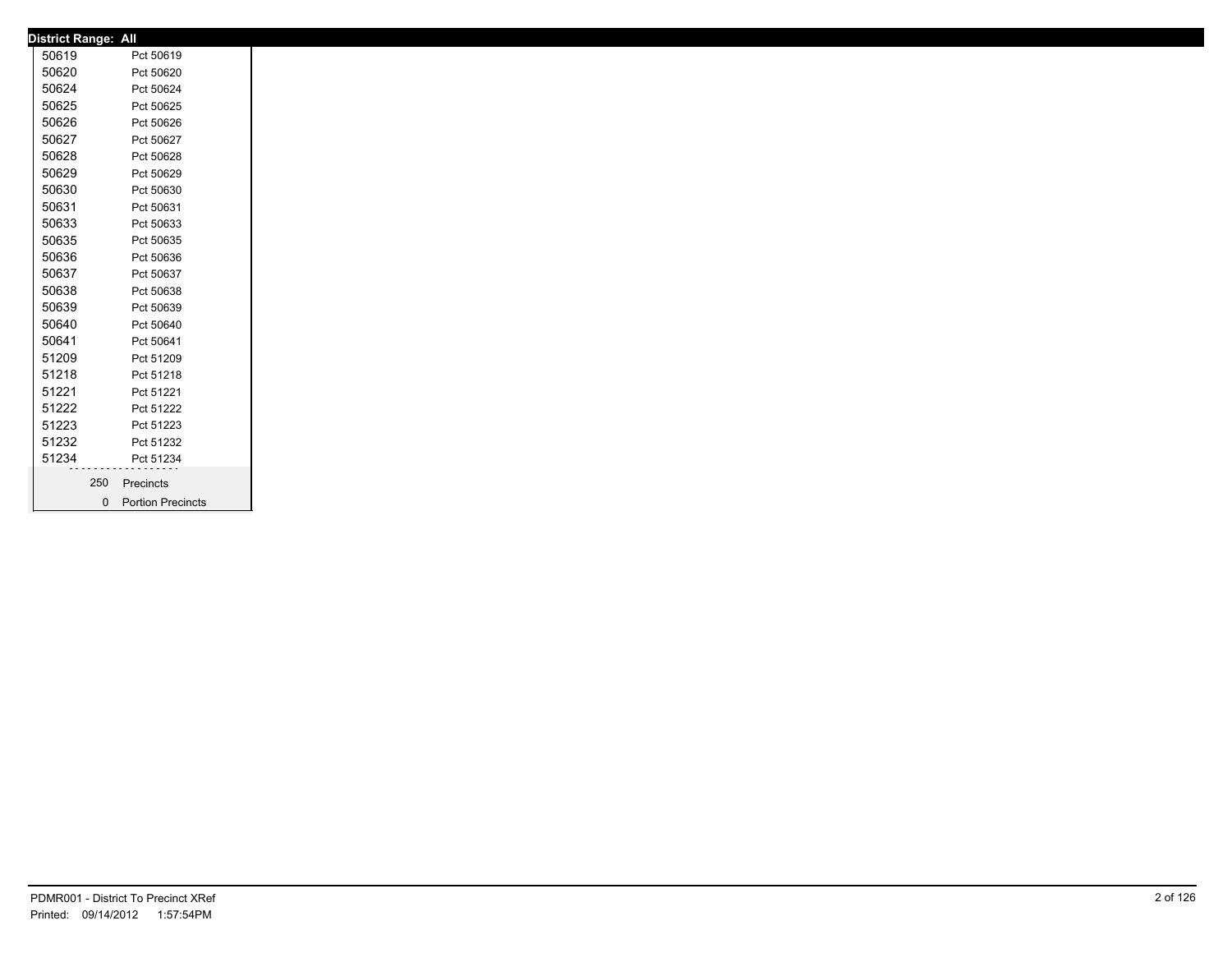| <b>District Range: All</b> |     |                     |  |
|----------------------------|-----|---------------------|--|
| 50619                      |     | Pct 50619           |  |
| 50620                      |     | Pct 50620           |  |
| 50624                      |     | Pct 50624           |  |
| 50625                      |     | Pct 50625           |  |
| 50626                      |     | Pct 50626           |  |
| 50627                      |     | Pct 50627           |  |
| 50628                      |     | Pct 50628           |  |
| 50629                      |     | Pct 50629           |  |
| 50630                      |     | Pct 50630           |  |
| 50631                      |     | Pct 50631           |  |
| 50633                      |     | Pct 50633           |  |
| 50635                      |     | Pct 50635           |  |
| 50636                      |     | Pct 50636           |  |
| 50637                      |     | Pct 50637           |  |
| 50638                      |     | Pct 50638           |  |
| 50639                      |     | Pct 50639           |  |
| 50640                      |     | Pct 50640           |  |
| 50641                      |     | Pct 50641           |  |
| 51209                      |     | Pct 51209           |  |
| 51218                      |     | Pct 51218           |  |
| 51221                      |     | Pct 51221           |  |
| 51222                      |     | Pct 51222           |  |
| 51223                      |     | Pct 51223           |  |
| 51232                      |     | Pct 51232           |  |
| 51234                      |     | Pct 51234           |  |
|                            | 250 | Precincts           |  |
|                            |     | 0 Portion Precincts |  |
|                            |     |                     |  |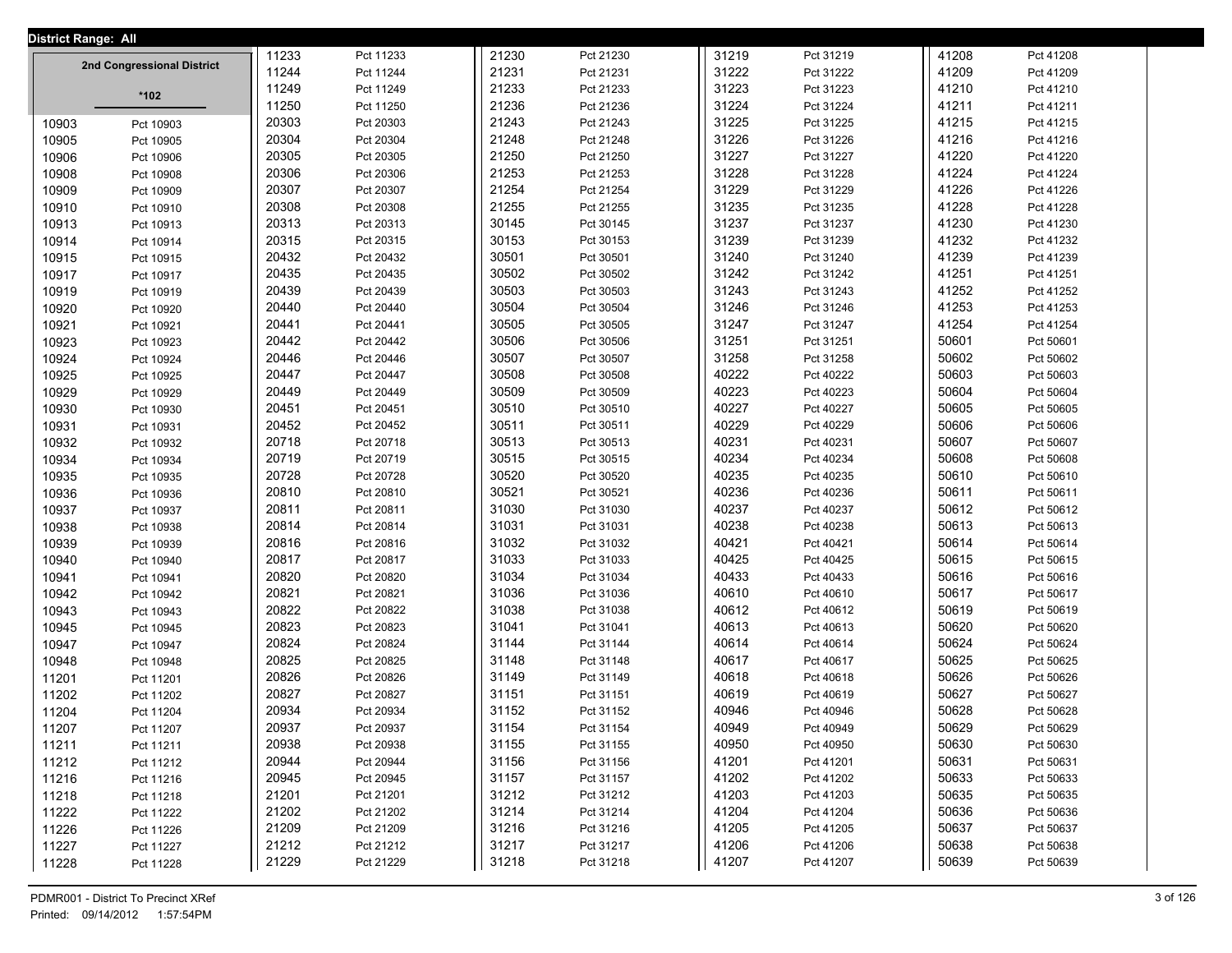| <b>District Range: All</b> |                            |       |           |       |           |       |           |       |           |  |
|----------------------------|----------------------------|-------|-----------|-------|-----------|-------|-----------|-------|-----------|--|
|                            |                            | 11233 | Pct 11233 | 21230 | Pct 21230 | 31219 | Pct 31219 | 41208 | Pct 41208 |  |
|                            | 2nd Congressional District | 11244 | Pct 11244 | 21231 | Pct 21231 | 31222 | Pct 31222 | 41209 | Pct 41209 |  |
|                            | *102                       | 11249 | Pct 11249 | 21233 | Pct 21233 | 31223 | Pct 31223 | 41210 | Pct 41210 |  |
|                            |                            | 11250 | Pct 11250 | 21236 | Pct 21236 | 31224 | Pct 31224 | 41211 | Pct 41211 |  |
| 10903                      | Pct 10903                  | 20303 | Pct 20303 | 21243 | Pct 21243 | 31225 | Pct 31225 | 41215 | Pct 41215 |  |
| 10905                      | Pct 10905                  | 20304 | Pct 20304 | 21248 | Pct 21248 | 31226 | Pct 31226 | 41216 | Pct 41216 |  |
| 10906                      | Pct 10906                  | 20305 | Pct 20305 | 21250 | Pct 21250 | 31227 | Pct 31227 | 41220 | Pct 41220 |  |
| 10908                      | Pct 10908                  | 20306 | Pct 20306 | 21253 | Pct 21253 | 31228 | Pct 31228 | 41224 | Pct 41224 |  |
| 10909                      | Pct 10909                  | 20307 | Pct 20307 | 21254 | Pct 21254 | 31229 | Pct 31229 | 41226 | Pct 41226 |  |
| 10910                      | Pct 10910                  | 20308 | Pct 20308 | 21255 | Pct 21255 | 31235 | Pct 31235 | 41228 | Pct 41228 |  |
| 10913                      | Pct 10913                  | 20313 | Pct 20313 | 30145 | Pct 30145 | 31237 | Pct 31237 | 41230 | Pct 41230 |  |
| 10914                      | Pct 10914                  | 20315 | Pct 20315 | 30153 | Pct 30153 | 31239 | Pct 31239 | 41232 | Pct 41232 |  |
| 10915                      | Pct 10915                  | 20432 | Pct 20432 | 30501 | Pct 30501 | 31240 | Pct 31240 | 41239 | Pct 41239 |  |
| 10917                      | Pct 10917                  | 20435 | Pct 20435 | 30502 | Pct 30502 | 31242 | Pct 31242 | 41251 | Pct 41251 |  |
| 10919                      | Pct 10919                  | 20439 | Pct 20439 | 30503 | Pct 30503 | 31243 | Pct 31243 | 41252 | Pct 41252 |  |
| 10920                      | Pct 10920                  | 20440 | Pct 20440 | 30504 | Pct 30504 | 31246 | Pct 31246 | 41253 | Pct 41253 |  |
| 10921                      | Pct 10921                  | 20441 | Pct 20441 | 30505 | Pct 30505 | 31247 | Pct 31247 | 41254 | Pct 41254 |  |
| 10923                      | Pct 10923                  | 20442 | Pct 20442 | 30506 | Pct 30506 | 31251 | Pct 31251 | 50601 | Pct 50601 |  |
| 10924                      | Pct 10924                  | 20446 | Pct 20446 | 30507 | Pct 30507 | 31258 | Pct 31258 | 50602 | Pct 50602 |  |
| 10925                      | Pct 10925                  | 20447 | Pct 20447 | 30508 | Pct 30508 | 40222 | Pct 40222 | 50603 | Pct 50603 |  |
| 10929                      | Pct 10929                  | 20449 | Pct 20449 | 30509 | Pct 30509 | 40223 | Pct 40223 | 50604 | Pct 50604 |  |
| 10930                      | Pct 10930                  | 20451 | Pct 20451 | 30510 | Pct 30510 | 40227 | Pct 40227 | 50605 | Pct 50605 |  |
| 10931                      | Pct 10931                  | 20452 | Pct 20452 | 30511 | Pct 30511 | 40229 | Pct 40229 | 50606 | Pct 50606 |  |
| 10932                      | Pct 10932                  | 20718 | Pct 20718 | 30513 | Pct 30513 | 40231 | Pct 40231 | 50607 | Pct 50607 |  |
| 10934                      | Pct 10934                  | 20719 | Pct 20719 | 30515 | Pct 30515 | 40234 | Pct 40234 | 50608 | Pct 50608 |  |
| 10935                      | Pct 10935                  | 20728 | Pct 20728 | 30520 | Pct 30520 | 40235 | Pct 40235 | 50610 | Pct 50610 |  |
| 10936                      | Pct 10936                  | 20810 | Pct 20810 | 30521 | Pct 30521 | 40236 | Pct 40236 | 50611 | Pct 50611 |  |
| 10937                      | Pct 10937                  | 20811 | Pct 20811 | 31030 | Pct 31030 | 40237 | Pct 40237 | 50612 | Pct 50612 |  |
| 10938                      | Pct 10938                  | 20814 | Pct 20814 | 31031 | Pct 31031 | 40238 | Pct 40238 | 50613 | Pct 50613 |  |
| 10939                      | Pct 10939                  | 20816 | Pct 20816 | 31032 | Pct 31032 | 40421 | Pct 40421 | 50614 | Pct 50614 |  |
| 10940                      | Pct 10940                  | 20817 | Pct 20817 | 31033 | Pct 31033 | 40425 | Pct 40425 | 50615 | Pct 50615 |  |
| 10941                      | Pct 10941                  | 20820 | Pct 20820 | 31034 | Pct 31034 | 40433 | Pct 40433 | 50616 | Pct 50616 |  |
| 10942                      | Pct 10942                  | 20821 | Pct 20821 | 31036 | Pct 31036 | 40610 | Pct 40610 | 50617 | Pct 50617 |  |
| 10943                      | Pct 10943                  | 20822 | Pct 20822 | 31038 | Pct 31038 | 40612 | Pct 40612 | 50619 | Pct 50619 |  |
| 10945                      | Pct 10945                  | 20823 | Pct 20823 | 31041 | Pct 31041 | 40613 | Pct 40613 | 50620 | Pct 50620 |  |
| 10947                      | Pct 10947                  | 20824 | Pct 20824 | 31144 | Pct 31144 | 40614 | Pct 40614 | 50624 | Pct 50624 |  |
| 10948                      | Pct 10948                  | 20825 | Pct 20825 | 31148 | Pct 31148 | 40617 | Pct 40617 | 50625 | Pct 50625 |  |
| 11201                      | Pct 11201                  | 20826 | Pct 20826 | 31149 | Pct 31149 | 40618 | Pct 40618 | 50626 | Pct 50626 |  |
| 11202                      | Pct 11202                  | 20827 | Pct 20827 | 31151 | Pct 31151 | 40619 | Pct 40619 | 50627 | Pct 50627 |  |
| 11204                      | Pct 11204                  | 20934 | Pct 20934 | 31152 | Pct 31152 | 40946 | Pct 40946 | 50628 | Pct 50628 |  |
| 11207                      | Pct 11207                  | 20937 | Pct 20937 | 31154 | Pct 31154 | 40949 | Pct 40949 | 50629 | Pct 50629 |  |
| 11211                      | Pct 11211                  | 20938 | Pct 20938 | 31155 | Pct 31155 | 40950 | Pct 40950 | 50630 | Pct 50630 |  |
| 11212                      | Pct 11212                  | 20944 | Pct 20944 | 31156 | Pct 31156 | 41201 | Pct 41201 | 50631 | Pct 50631 |  |
| 11216                      | Pct 11216                  | 20945 | Pct 20945 | 31157 | Pct 31157 | 41202 | Pct 41202 | 50633 | Pct 50633 |  |
| 11218                      | Pct 11218                  | 21201 | Pct 21201 | 31212 | Pct 31212 | 41203 | Pct 41203 | 50635 | Pct 50635 |  |
| 11222                      | Pct 11222                  | 21202 | Pct 21202 | 31214 | Pct 31214 | 41204 | Pct 41204 | 50636 | Pct 50636 |  |
| 11226                      | Pct 11226                  | 21209 | Pct 21209 | 31216 | Pct 31216 | 41205 | Pct 41205 | 50637 | Pct 50637 |  |
| 11227                      | Pct 11227                  | 21212 | Pct 21212 | 31217 | Pct 31217 | 41206 | Pct 41206 | 50638 | Pct 50638 |  |
| 11228                      | Pct 11228                  | 21229 | Pct 21229 | 31218 | Pct 31218 | 41207 | Pct 41207 | 50639 | Pct 50639 |  |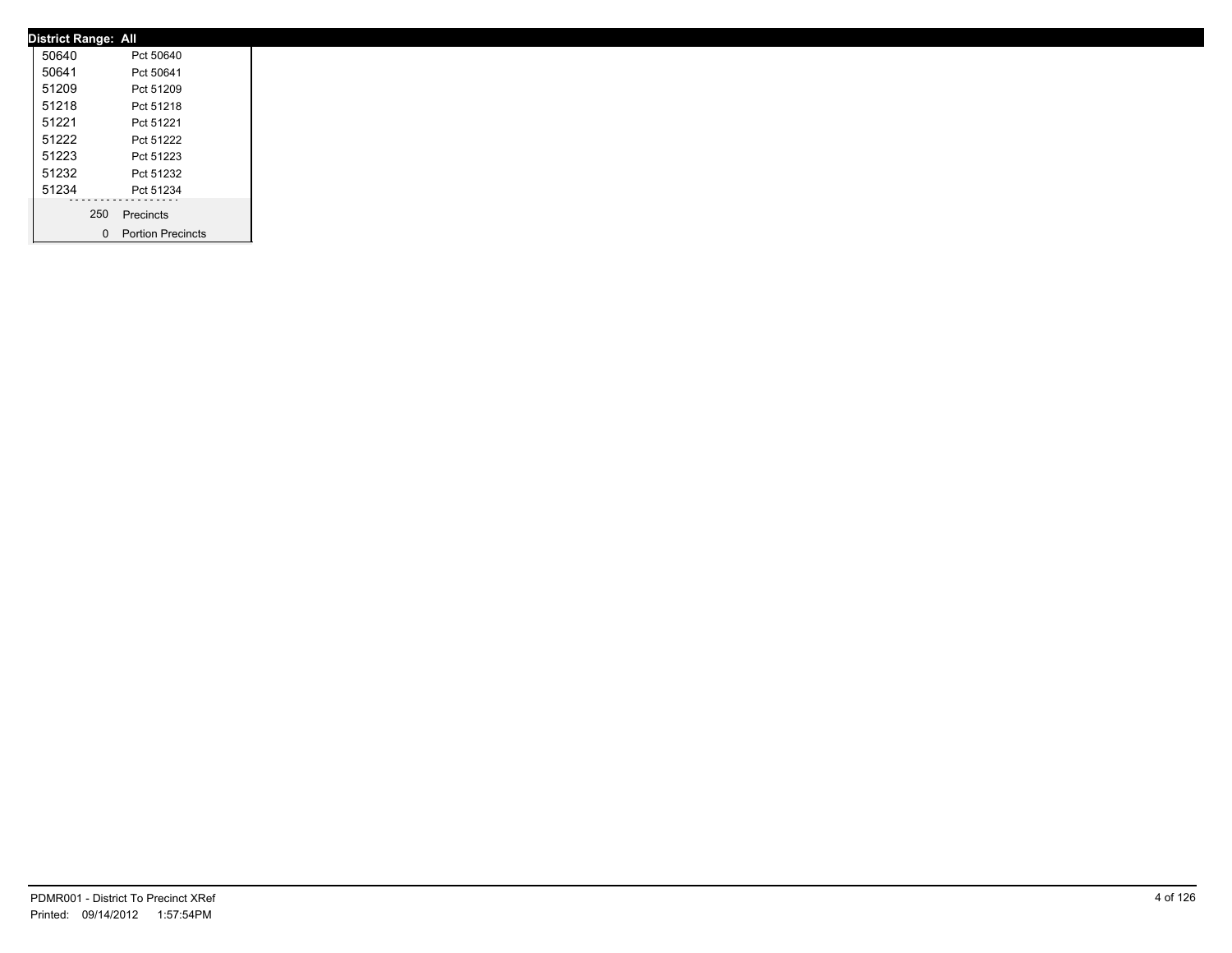|       | <b>District Range: All</b> |                     |
|-------|----------------------------|---------------------|
| 50640 |                            | Pct 50640           |
| 50641 |                            | Pct 50641           |
| 51209 |                            | Pct 51209           |
| 51218 |                            | Pct 51218           |
| 51221 |                            | Pct 51221           |
| 51222 |                            | Pct 51222           |
| 51223 |                            | Pct 51223           |
| 51232 |                            | Pct 51232           |
| 51234 |                            | Pct 51234           |
|       | 250                        | Precincts           |
|       |                            | 0 Portion Precincts |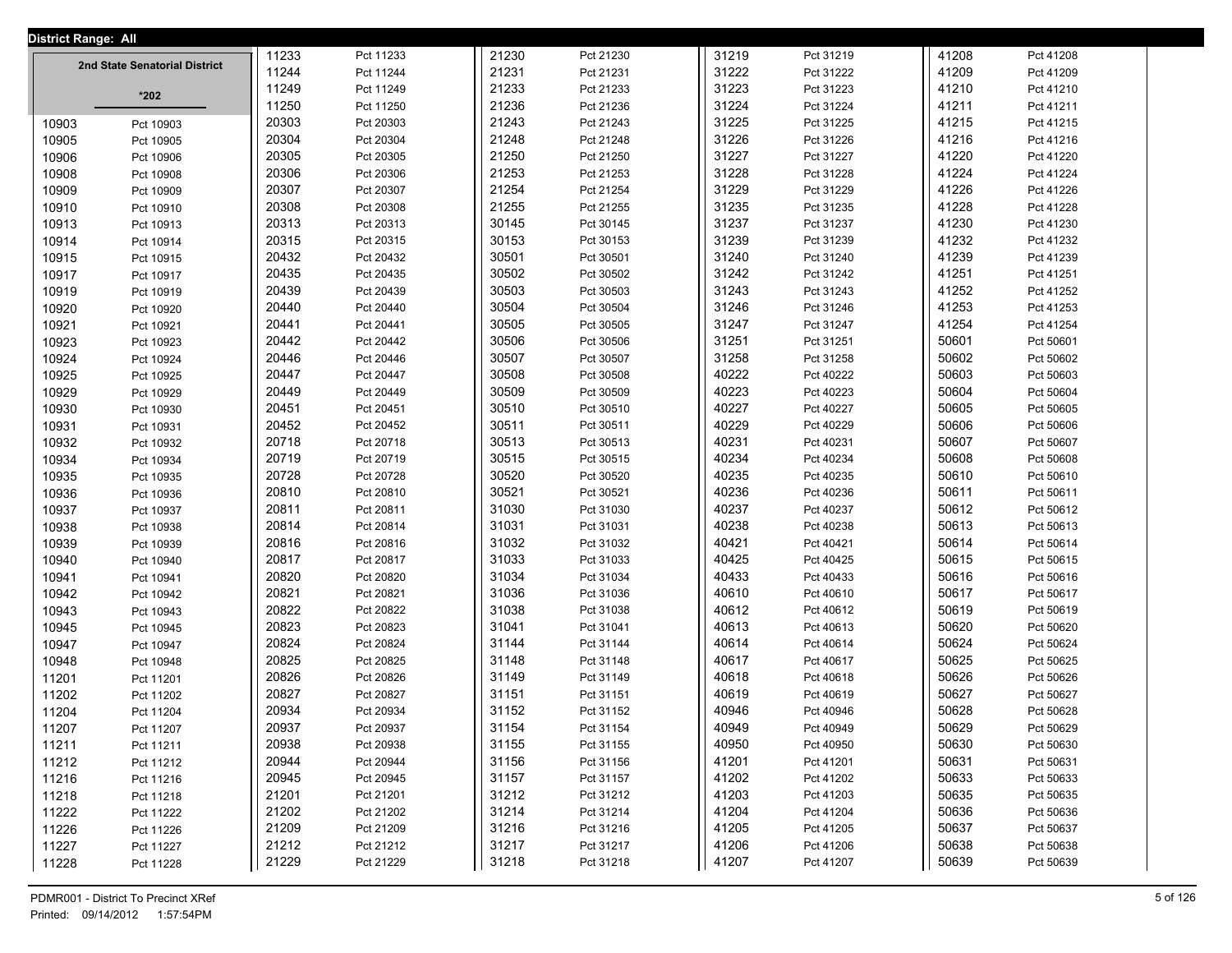| <b>District Range: All</b> |                               |       |           |       |           |       |           |       |           |  |
|----------------------------|-------------------------------|-------|-----------|-------|-----------|-------|-----------|-------|-----------|--|
|                            | 2nd State Senatorial District | 11233 | Pct 11233 | 21230 | Pct 21230 | 31219 | Pct 31219 | 41208 | Pct 41208 |  |
|                            |                               | 11244 | Pct 11244 | 21231 | Pct 21231 | 31222 | Pct 31222 | 41209 | Pct 41209 |  |
|                            | $*202$                        | 11249 | Pct 11249 | 21233 | Pct 21233 | 31223 | Pct 31223 | 41210 | Pct 41210 |  |
|                            |                               | 11250 | Pct 11250 | 21236 | Pct 21236 | 31224 | Pct 31224 | 41211 | Pct 41211 |  |
| 10903                      | Pct 10903                     | 20303 | Pct 20303 | 21243 | Pct 21243 | 31225 | Pct 31225 | 41215 | Pct 41215 |  |
| 10905                      | Pct 10905                     | 20304 | Pct 20304 | 21248 | Pct 21248 | 31226 | Pct 31226 | 41216 | Pct 41216 |  |
| 10906                      | Pct 10906                     | 20305 | Pct 20305 | 21250 | Pct 21250 | 31227 | Pct 31227 | 41220 | Pct 41220 |  |
| 10908                      | Pct 10908                     | 20306 | Pct 20306 | 21253 | Pct 21253 | 31228 | Pct 31228 | 41224 | Pct 41224 |  |
| 10909                      | Pct 10909                     | 20307 | Pct 20307 | 21254 | Pct 21254 | 31229 | Pct 31229 | 41226 | Pct 41226 |  |
| 10910                      | Pct 10910                     | 20308 | Pct 20308 | 21255 | Pct 21255 | 31235 | Pct 31235 | 41228 | Pct 41228 |  |
| 10913                      | Pct 10913                     | 20313 | Pct 20313 | 30145 | Pct 30145 | 31237 | Pct 31237 | 41230 | Pct 41230 |  |
| 10914                      | Pct 10914                     | 20315 | Pct 20315 | 30153 | Pct 30153 | 31239 | Pct 31239 | 41232 | Pct 41232 |  |
| 10915                      | Pct 10915                     | 20432 | Pct 20432 | 30501 | Pct 30501 | 31240 | Pct 31240 | 41239 | Pct 41239 |  |
| 10917                      | Pct 10917                     | 20435 | Pct 20435 | 30502 | Pct 30502 | 31242 | Pct 31242 | 41251 | Pct 41251 |  |
| 10919                      | Pct 10919                     | 20439 | Pct 20439 | 30503 | Pct 30503 | 31243 | Pct 31243 | 41252 | Pct 41252 |  |
| 10920                      | Pct 10920                     | 20440 | Pct 20440 | 30504 | Pct 30504 | 31246 | Pct 31246 | 41253 | Pct 41253 |  |
| 10921                      | Pct 10921                     | 20441 | Pct 20441 | 30505 | Pct 30505 | 31247 | Pct 31247 | 41254 | Pct 41254 |  |
| 10923                      | Pct 10923                     | 20442 | Pct 20442 | 30506 | Pct 30506 | 31251 | Pct 31251 | 50601 | Pct 50601 |  |
| 10924                      | Pct 10924                     | 20446 | Pct 20446 | 30507 | Pct 30507 | 31258 | Pct 31258 | 50602 | Pct 50602 |  |
| 10925                      | Pct 10925                     | 20447 | Pct 20447 | 30508 | Pct 30508 | 40222 | Pct 40222 | 50603 | Pct 50603 |  |
| 10929                      | Pct 10929                     | 20449 | Pct 20449 | 30509 | Pct 30509 | 40223 | Pct 40223 | 50604 | Pct 50604 |  |
| 10930                      | Pct 10930                     | 20451 | Pct 20451 | 30510 | Pct 30510 | 40227 | Pct 40227 | 50605 | Pct 50605 |  |
| 10931                      | Pct 10931                     | 20452 | Pct 20452 | 30511 | Pct 30511 | 40229 | Pct 40229 | 50606 | Pct 50606 |  |
| 10932                      | Pct 10932                     | 20718 | Pct 20718 | 30513 | Pct 30513 | 40231 | Pct 40231 | 50607 | Pct 50607 |  |
| 10934                      | Pct 10934                     | 20719 | Pct 20719 | 30515 | Pct 30515 | 40234 | Pct 40234 | 50608 | Pct 50608 |  |
| 10935                      | Pct 10935                     | 20728 | Pct 20728 | 30520 | Pct 30520 | 40235 | Pct 40235 | 50610 | Pct 50610 |  |
| 10936                      | Pct 10936                     | 20810 | Pct 20810 | 30521 | Pct 30521 | 40236 | Pct 40236 | 50611 | Pct 50611 |  |
| 10937                      | Pct 10937                     | 20811 | Pct 20811 | 31030 | Pct 31030 | 40237 | Pct 40237 | 50612 | Pct 50612 |  |
| 10938                      | Pct 10938                     | 20814 | Pct 20814 | 31031 | Pct 31031 | 40238 | Pct 40238 | 50613 | Pct 50613 |  |
| 10939                      | Pct 10939                     | 20816 | Pct 20816 | 31032 | Pct 31032 | 40421 | Pct 40421 | 50614 | Pct 50614 |  |
| 10940                      | Pct 10940                     | 20817 | Pct 20817 | 31033 | Pct 31033 | 40425 | Pct 40425 | 50615 | Pct 50615 |  |
| 10941                      | Pct 10941                     | 20820 | Pct 20820 | 31034 | Pct 31034 | 40433 | Pct 40433 | 50616 | Pct 50616 |  |
| 10942                      | Pct 10942                     | 20821 | Pct 20821 | 31036 | Pct 31036 | 40610 | Pct 40610 | 50617 | Pct 50617 |  |
| 10943                      | Pct 10943                     | 20822 | Pct 20822 | 31038 | Pct 31038 | 40612 | Pct 40612 | 50619 | Pct 50619 |  |
| 10945                      | Pct 10945                     | 20823 | Pct 20823 | 31041 | Pct 31041 | 40613 | Pct 40613 | 50620 | Pct 50620 |  |
| 10947                      | Pct 10947                     | 20824 | Pct 20824 | 31144 | Pct 31144 | 40614 | Pct 40614 | 50624 | Pct 50624 |  |
| 10948                      | Pct 10948                     | 20825 | Pct 20825 | 31148 | Pct 31148 | 40617 | Pct 40617 | 50625 | Pct 50625 |  |
| 11201                      | Pct 11201                     | 20826 | Pct 20826 | 31149 | Pct 31149 | 40618 | Pct 40618 | 50626 | Pct 50626 |  |
| 11202                      | Pct 11202                     | 20827 | Pct 20827 | 31151 | Pct 31151 | 40619 | Pct 40619 | 50627 | Pct 50627 |  |
| 11204                      | Pct 11204                     | 20934 | Pct 20934 | 31152 | Pct 31152 | 40946 | Pct 40946 | 50628 | Pct 50628 |  |
| 11207                      | Pct 11207                     | 20937 | Pct 20937 | 31154 | Pct 31154 | 40949 | Pct 40949 | 50629 | Pct 50629 |  |
| 11211                      | Pct 11211                     | 20938 | Pct 20938 | 31155 | Pct 31155 | 40950 | Pct 40950 | 50630 | Pct 50630 |  |
| 11212                      | Pct 11212                     | 20944 | Pct 20944 | 31156 | Pct 31156 | 41201 | Pct 41201 | 50631 | Pct 50631 |  |
| 11216                      | Pct 11216                     | 20945 | Pct 20945 | 31157 | Pct 31157 | 41202 | Pct 41202 | 50633 | Pct 50633 |  |
| 11218                      | Pct 11218                     | 21201 | Pct 21201 | 31212 | Pct 31212 | 41203 | Pct 41203 | 50635 | Pct 50635 |  |
| 11222                      | Pct 11222                     | 21202 | Pct 21202 | 31214 | Pct 31214 | 41204 | Pct 41204 | 50636 | Pct 50636 |  |
| 11226                      | Pct 11226                     | 21209 | Pct 21209 | 31216 | Pct 31216 | 41205 | Pct 41205 | 50637 | Pct 50637 |  |
| 11227                      | Pct 11227                     | 21212 | Pct 21212 | 31217 | Pct 31217 | 41206 | Pct 41206 | 50638 | Pct 50638 |  |
| 11228                      | Pct 11228                     | 21229 | Pct 21229 | 31218 | Pct 31218 | 41207 | Pct 41207 | 50639 | Pct 50639 |  |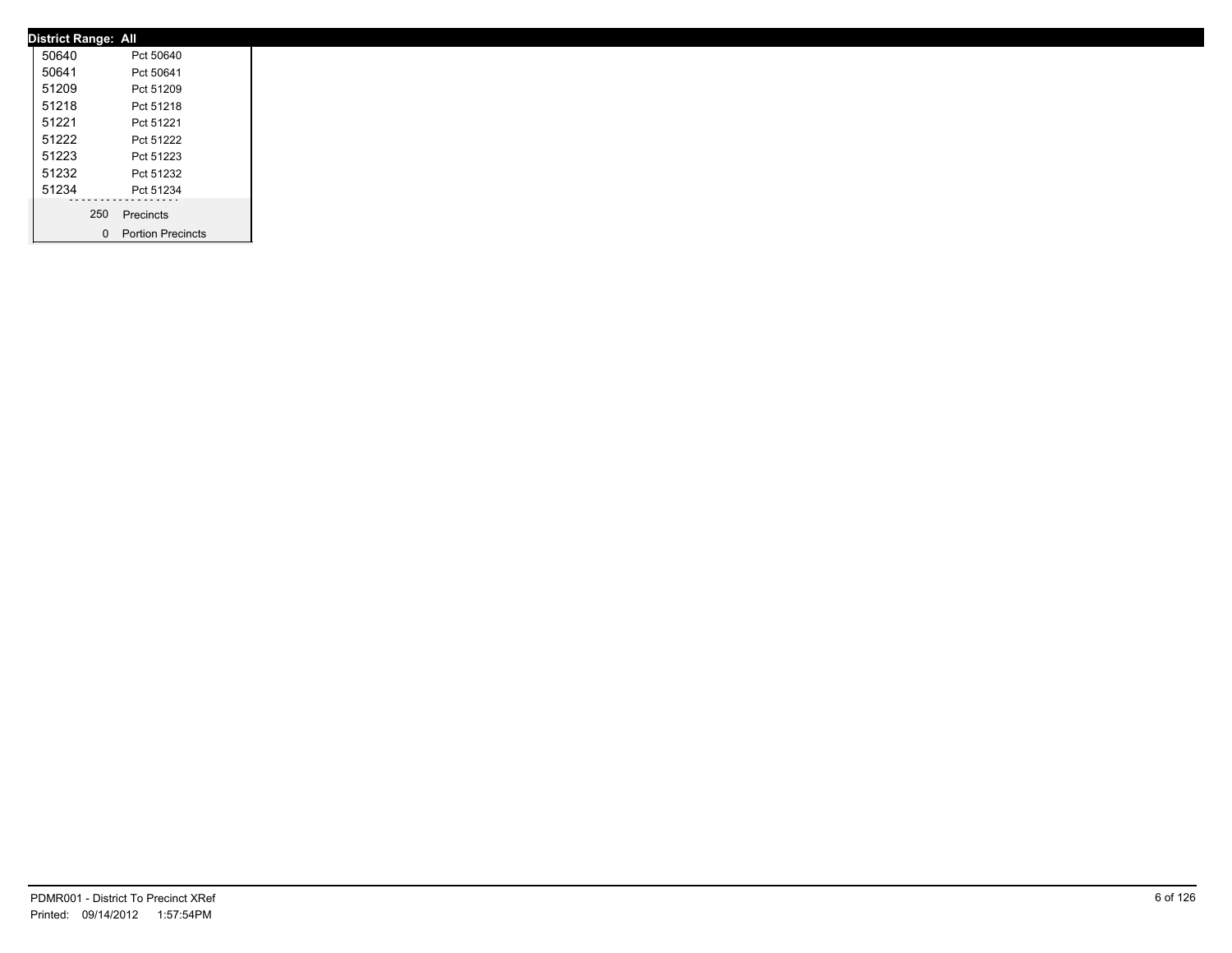| <b>District Range: All</b> |     |                     |
|----------------------------|-----|---------------------|
| 50640                      |     | Pct 50640           |
| 50641                      |     | Pct 50641           |
| 51209                      |     | Pct 51209           |
| 51218                      |     | Pct 51218           |
| 51221                      |     | Pct 51221           |
| 51222                      |     | Pct 51222           |
| 51223                      |     | Pct 51223           |
| 51232                      |     | Pct 51232           |
| 51234                      |     | Pct 51234           |
|                            | 250 | Precincts           |
|                            |     | 0 Portion Precincts |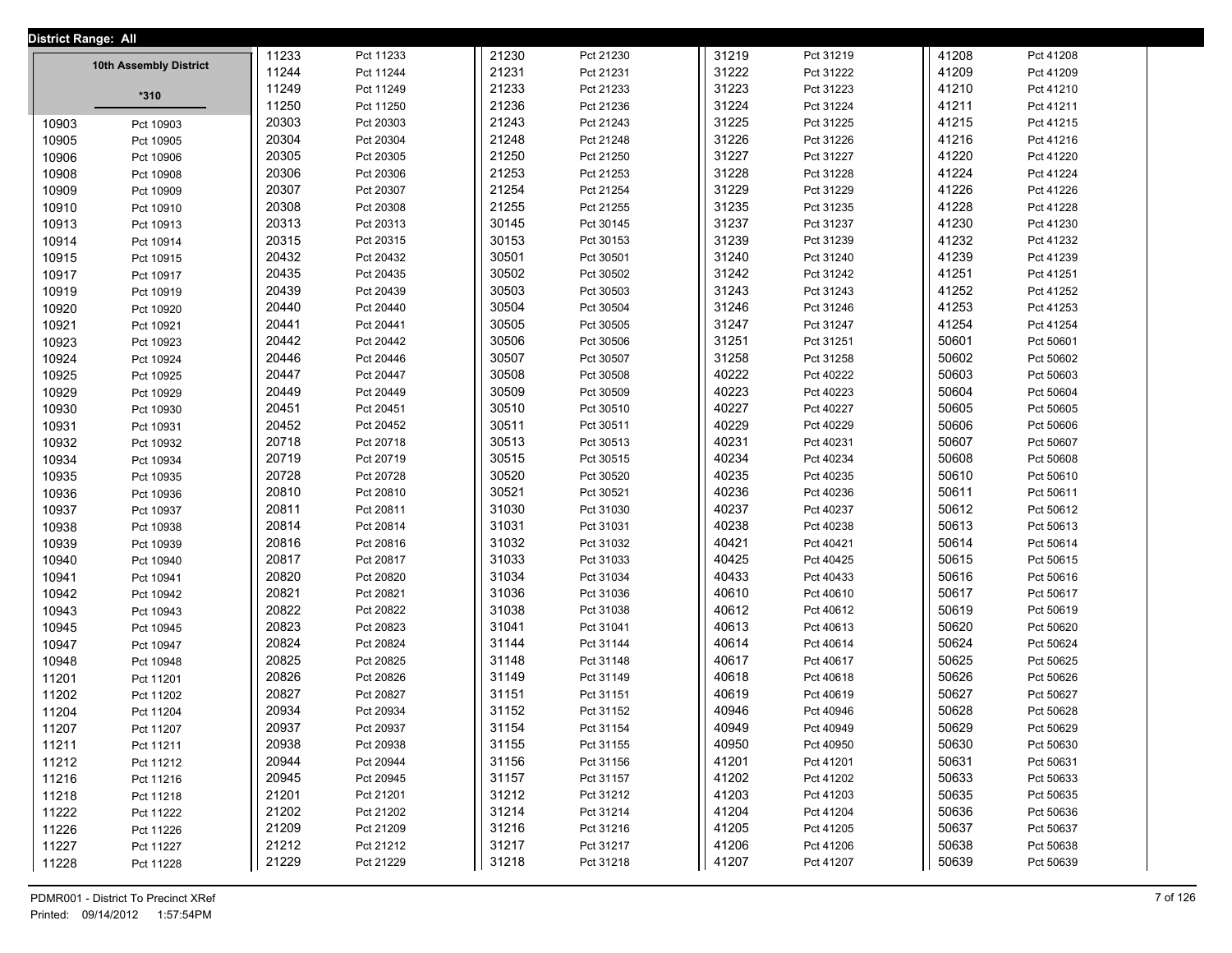| District Range: All |                        |       |           |       |           |       |           |       |           |  |
|---------------------|------------------------|-------|-----------|-------|-----------|-------|-----------|-------|-----------|--|
|                     |                        | 11233 | Pct 11233 | 21230 | Pct 21230 | 31219 | Pct 31219 | 41208 | Pct 41208 |  |
|                     | 10th Assembly District | 11244 | Pct 11244 | 21231 | Pct 21231 | 31222 | Pct 31222 | 41209 | Pct 41209 |  |
|                     | $*310$                 | 11249 | Pct 11249 | 21233 | Pct 21233 | 31223 | Pct 31223 | 41210 | Pct 41210 |  |
|                     |                        | 11250 | Pct 11250 | 21236 | Pct 21236 | 31224 | Pct 31224 | 41211 | Pct 41211 |  |
| 10903               | Pct 10903              | 20303 | Pct 20303 | 21243 | Pct 21243 | 31225 | Pct 31225 | 41215 | Pct 41215 |  |
| 10905               | Pct 10905              | 20304 | Pct 20304 | 21248 | Pct 21248 | 31226 | Pct 31226 | 41216 | Pct 41216 |  |
| 10906               | Pct 10906              | 20305 | Pct 20305 | 21250 | Pct 21250 | 31227 | Pct 31227 | 41220 | Pct 41220 |  |
| 10908               | Pct 10908              | 20306 | Pct 20306 | 21253 | Pct 21253 | 31228 | Pct 31228 | 41224 | Pct 41224 |  |
| 10909               | Pct 10909              | 20307 | Pct 20307 | 21254 | Pct 21254 | 31229 | Pct 31229 | 41226 | Pct 41226 |  |
| 10910               | Pct 10910              | 20308 | Pct 20308 | 21255 | Pct 21255 | 31235 | Pct 31235 | 41228 | Pct 41228 |  |
| 10913               | Pct 10913              | 20313 | Pct 20313 | 30145 | Pct 30145 | 31237 | Pct 31237 | 41230 | Pct 41230 |  |
| 10914               | Pct 10914              | 20315 | Pct 20315 | 30153 | Pct 30153 | 31239 | Pct 31239 | 41232 | Pct 41232 |  |
| 10915               | Pct 10915              | 20432 | Pct 20432 | 30501 | Pct 30501 | 31240 | Pct 31240 | 41239 | Pct 41239 |  |
| 10917               | Pct 10917              | 20435 | Pct 20435 | 30502 | Pct 30502 | 31242 | Pct 31242 | 41251 | Pct 41251 |  |
| 10919               | Pct 10919              | 20439 | Pct 20439 | 30503 | Pct 30503 | 31243 | Pct 31243 | 41252 | Pct 41252 |  |
| 10920               | Pct 10920              | 20440 | Pct 20440 | 30504 | Pct 30504 | 31246 | Pct 31246 | 41253 | Pct 41253 |  |
| 10921               | Pct 10921              | 20441 | Pct 20441 | 30505 | Pct 30505 | 31247 | Pct 31247 | 41254 | Pct 41254 |  |
| 10923               | Pct 10923              | 20442 | Pct 20442 | 30506 | Pct 30506 | 31251 | Pct 31251 | 50601 | Pct 50601 |  |
| 10924               | Pct 10924              | 20446 | Pct 20446 | 30507 | Pct 30507 | 31258 | Pct 31258 | 50602 | Pct 50602 |  |
| 10925               | Pct 10925              | 20447 | Pct 20447 | 30508 | Pct 30508 | 40222 | Pct 40222 | 50603 | Pct 50603 |  |
| 10929               | Pct 10929              | 20449 | Pct 20449 | 30509 | Pct 30509 | 40223 | Pct 40223 | 50604 | Pct 50604 |  |
| 10930               | Pct 10930              | 20451 | Pct 20451 | 30510 | Pct 30510 | 40227 | Pct 40227 | 50605 | Pct 50605 |  |
| 10931               | Pct 10931              | 20452 | Pct 20452 | 30511 | Pct 30511 | 40229 | Pct 40229 | 50606 | Pct 50606 |  |
| 10932               | Pct 10932              | 20718 | Pct 20718 | 30513 | Pct 30513 | 40231 | Pct 40231 | 50607 | Pct 50607 |  |
| 10934               | Pct 10934              | 20719 | Pct 20719 | 30515 | Pct 30515 | 40234 | Pct 40234 | 50608 | Pct 50608 |  |
| 10935               | Pct 10935              | 20728 | Pct 20728 | 30520 | Pct 30520 | 40235 | Pct 40235 | 50610 | Pct 50610 |  |
| 10936               | Pct 10936              | 20810 | Pct 20810 | 30521 | Pct 30521 | 40236 | Pct 40236 | 50611 | Pct 50611 |  |
| 10937               | Pct 10937              | 20811 | Pct 20811 | 31030 | Pct 31030 | 40237 | Pct 40237 | 50612 | Pct 50612 |  |
| 10938               | Pct 10938              | 20814 | Pct 20814 | 31031 | Pct 31031 | 40238 | Pct 40238 | 50613 | Pct 50613 |  |
| 10939               | Pct 10939              | 20816 | Pct 20816 | 31032 | Pct 31032 | 40421 | Pct 40421 | 50614 | Pct 50614 |  |
| 10940               | Pct 10940              | 20817 | Pct 20817 | 31033 | Pct 31033 | 40425 | Pct 40425 | 50615 | Pct 50615 |  |
| 10941               | Pct 10941              | 20820 | Pct 20820 | 31034 | Pct 31034 | 40433 | Pct 40433 | 50616 | Pct 50616 |  |
| 10942               | Pct 10942              | 20821 | Pct 20821 | 31036 | Pct 31036 | 40610 | Pct 40610 | 50617 | Pct 50617 |  |
| 10943               | Pct 10943              | 20822 | Pct 20822 | 31038 | Pct 31038 | 40612 | Pct 40612 | 50619 | Pct 50619 |  |
| 10945               | Pct 10945              | 20823 | Pct 20823 | 31041 | Pct 31041 | 40613 | Pct 40613 | 50620 | Pct 50620 |  |
| 10947               | Pct 10947              | 20824 | Pct 20824 | 31144 | Pct 31144 | 40614 | Pct 40614 | 50624 | Pct 50624 |  |
| 10948               | Pct 10948              | 20825 | Pct 20825 | 31148 | Pct 31148 | 40617 | Pct 40617 | 50625 | Pct 50625 |  |
| 11201               | Pct 11201              | 20826 | Pct 20826 | 31149 | Pct 31149 | 40618 | Pct 40618 | 50626 | Pct 50626 |  |
| 11202               | Pct 11202              | 20827 | Pct 20827 | 31151 | Pct 31151 | 40619 | Pct 40619 | 50627 | Pct 50627 |  |
| 11204               | Pct 11204              | 20934 | Pct 20934 | 31152 | Pct 31152 | 40946 | Pct 40946 | 50628 | Pct 50628 |  |
| 11207               | Pct 11207              | 20937 | Pct 20937 | 31154 | Pct 31154 | 40949 | Pct 40949 | 50629 | Pct 50629 |  |
| 11211               | Pct 11211              | 20938 | Pct 20938 | 31155 | Pct 31155 | 40950 | Pct 40950 | 50630 | Pct 50630 |  |
| 11212               | Pct 11212              | 20944 | Pct 20944 | 31156 | Pct 31156 | 41201 | Pct 41201 | 50631 | Pct 50631 |  |
| 11216               | Pct 11216              | 20945 | Pct 20945 | 31157 | Pct 31157 | 41202 | Pct 41202 | 50633 | Pct 50633 |  |
| 11218               | Pct 11218              | 21201 | Pct 21201 | 31212 | Pct 31212 | 41203 | Pct 41203 | 50635 | Pct 50635 |  |
| 11222               |                        | 21202 | Pct 21202 | 31214 | Pct 31214 | 41204 | Pct 41204 | 50636 | Pct 50636 |  |
| 11226               | Pct 11222<br>Pct 11226 | 21209 | Pct 21209 | 31216 | Pct 31216 | 41205 | Pct 41205 | 50637 | Pct 50637 |  |
| 11227               | Pct 11227              | 21212 | Pct 21212 | 31217 | Pct 31217 | 41206 | Pct 41206 | 50638 | Pct 50638 |  |
|                     |                        | 21229 | Pct 21229 | 31218 | Pct 31218 | 41207 | Pct 41207 | 50639 | Pct 50639 |  |
| 11228               | Pct 11228              |       |           |       |           |       |           |       |           |  |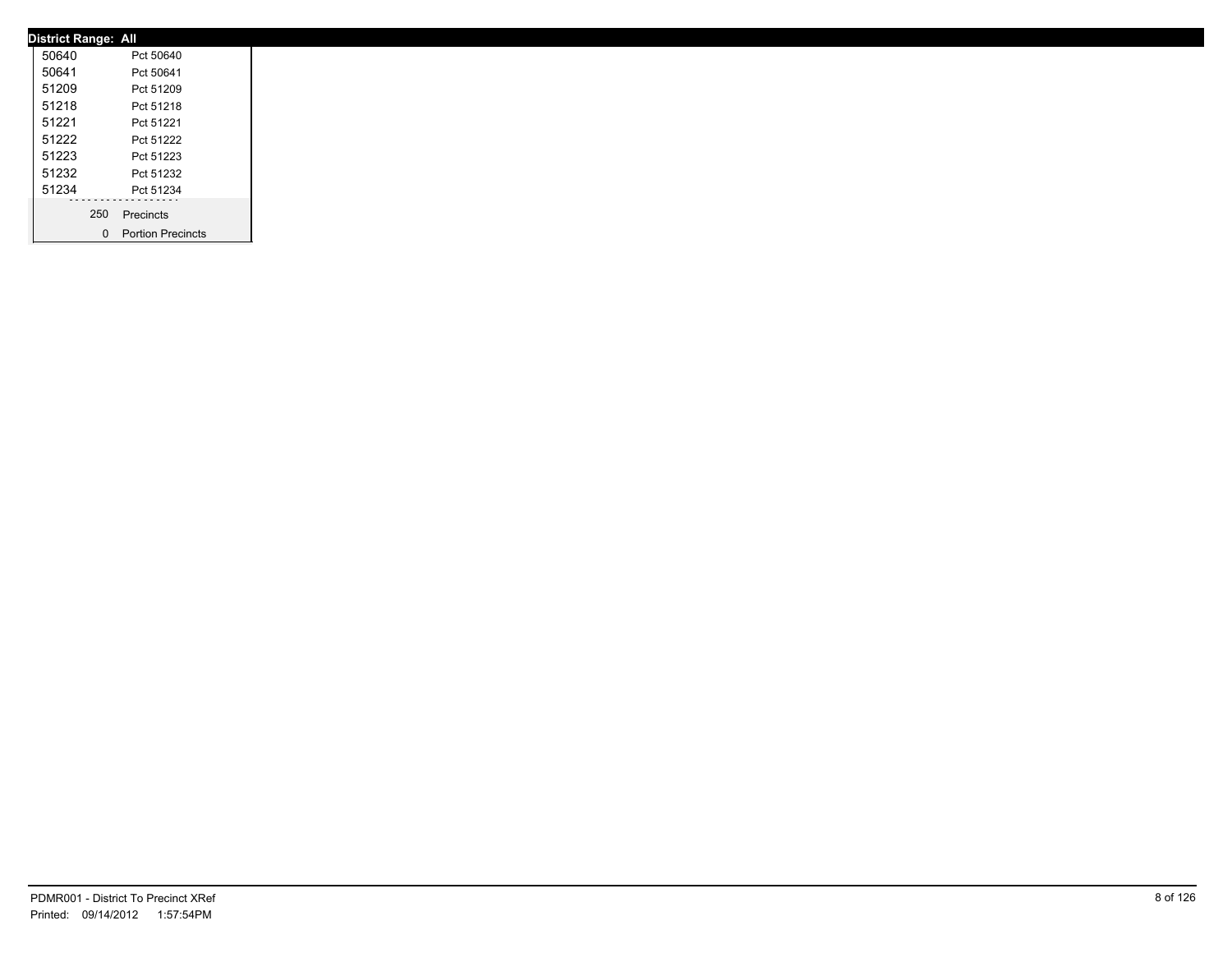| <b>District Range: All</b> |     |                     |
|----------------------------|-----|---------------------|
| 50640                      |     | Pct 50640           |
| 50641                      |     | Pct 50641           |
| 51209                      |     | Pct 51209           |
| 51218                      |     | Pct 51218           |
| 51221                      |     | Pct 51221           |
| 51222                      |     | Pct 51222           |
| 51223                      |     | Pct 51223           |
| 51232                      |     | Pct 51232           |
| 51234                      |     | Pct 51234           |
|                            | 250 | Precincts           |
|                            |     | 0 Portion Precincts |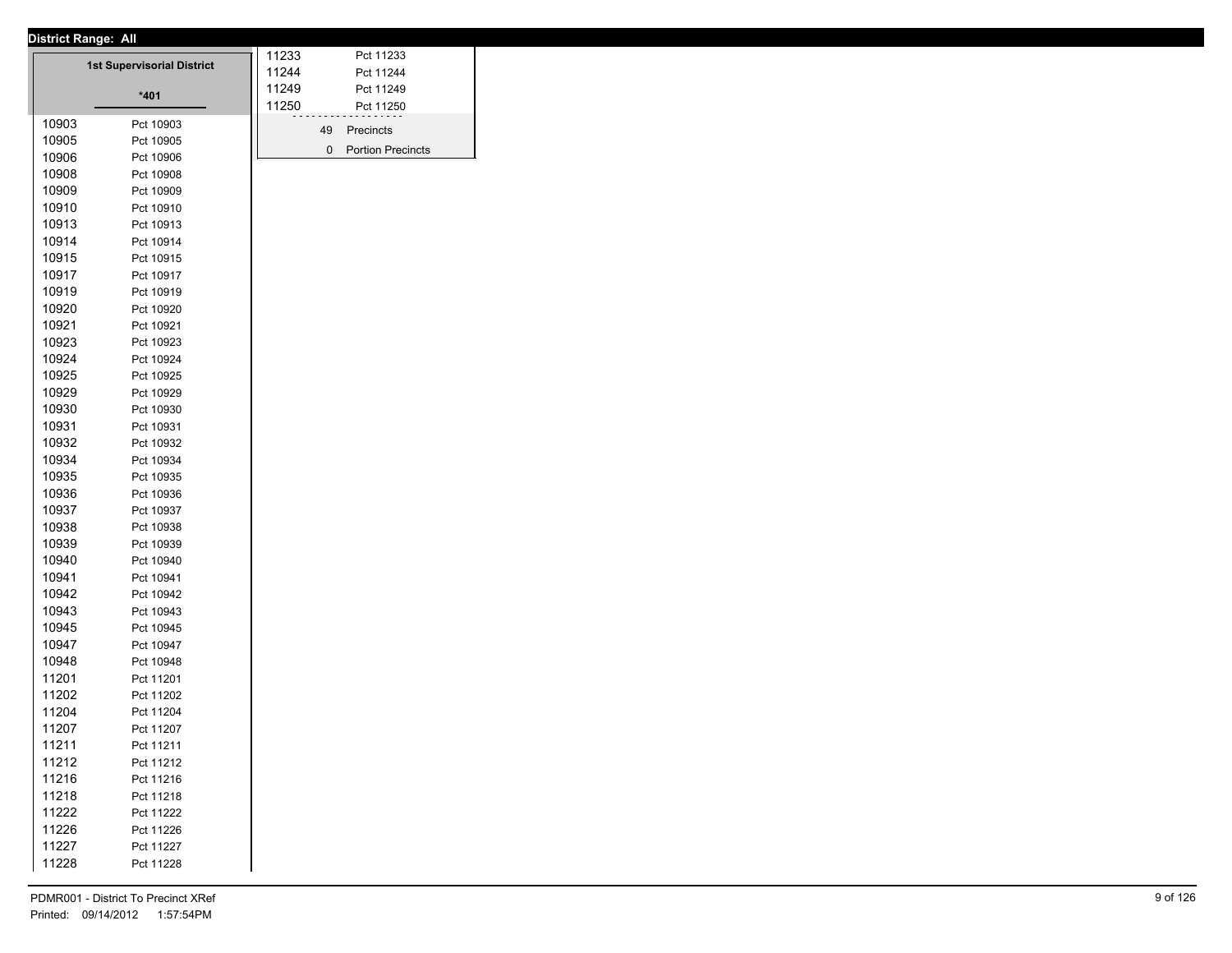|       | <u>District Range. All</u>        | 11233 |    | Pct 11233           |
|-------|-----------------------------------|-------|----|---------------------|
|       | <b>1st Supervisorial District</b> | 11244 |    | Pct 11244           |
|       |                                   | 11249 |    | Pct 11249           |
|       | $*401$                            | 11250 |    |                     |
|       |                                   |       |    | Pct 11250           |
| 10903 | Pct 10903                         |       | 49 | Precincts           |
| 10905 | Pct 10905                         |       |    | 0 Portion Precincts |
| 10906 | Pct 10906                         |       |    |                     |
| 10908 | Pct 10908                         |       |    |                     |
| 10909 | Pct 10909                         |       |    |                     |
| 10910 | Pct 10910                         |       |    |                     |
| 10913 | Pct 10913                         |       |    |                     |
| 10914 | Pct 10914                         |       |    |                     |
| 10915 | Pct 10915                         |       |    |                     |
| 10917 | Pct 10917                         |       |    |                     |
| 10919 | Pct 10919                         |       |    |                     |
| 10920 | Pct 10920                         |       |    |                     |
| 10921 | Pct 10921                         |       |    |                     |
| 10923 | Pct 10923                         |       |    |                     |
| 10924 | Pct 10924                         |       |    |                     |
| 10925 | Pct 10925                         |       |    |                     |
| 10929 | Pct 10929                         |       |    |                     |
| 10930 | Pct 10930                         |       |    |                     |
| 10931 | Pct 10931                         |       |    |                     |
| 10932 | Pct 10932                         |       |    |                     |
| 10934 | Pct 10934                         |       |    |                     |
| 10935 | Pct 10935                         |       |    |                     |
| 10936 | Pct 10936                         |       |    |                     |
| 10937 | Pct 10937                         |       |    |                     |
| 10938 |                                   |       |    |                     |
|       | Pct 10938                         |       |    |                     |
| 10939 | Pct 10939                         |       |    |                     |
| 10940 | Pct 10940                         |       |    |                     |
| 10941 | Pct 10941                         |       |    |                     |
| 10942 | Pct 10942                         |       |    |                     |
| 10943 | Pct 10943                         |       |    |                     |
| 10945 | Pct 10945                         |       |    |                     |
| 10947 | Pct 10947                         |       |    |                     |
| 10948 | Pct 10948                         |       |    |                     |
| 11201 | Pct 11201                         |       |    |                     |
| 11202 | Pct 11202                         |       |    |                     |
| 11204 | Pct 11204                         |       |    |                     |
| 11207 | Pct 11207                         |       |    |                     |
| 11211 | Pct 11211                         |       |    |                     |
| 11212 | Pct 11212                         |       |    |                     |
| 11216 | Pct 11216                         |       |    |                     |
|       |                                   |       |    |                     |
| 11218 | Pct 11218                         |       |    |                     |
| 11222 | Pct 11222                         |       |    |                     |
| 11226 | Pct 11226                         |       |    |                     |
| 11227 | Pct 11227                         |       |    |                     |
| 11228 | Pct 11228                         |       |    |                     |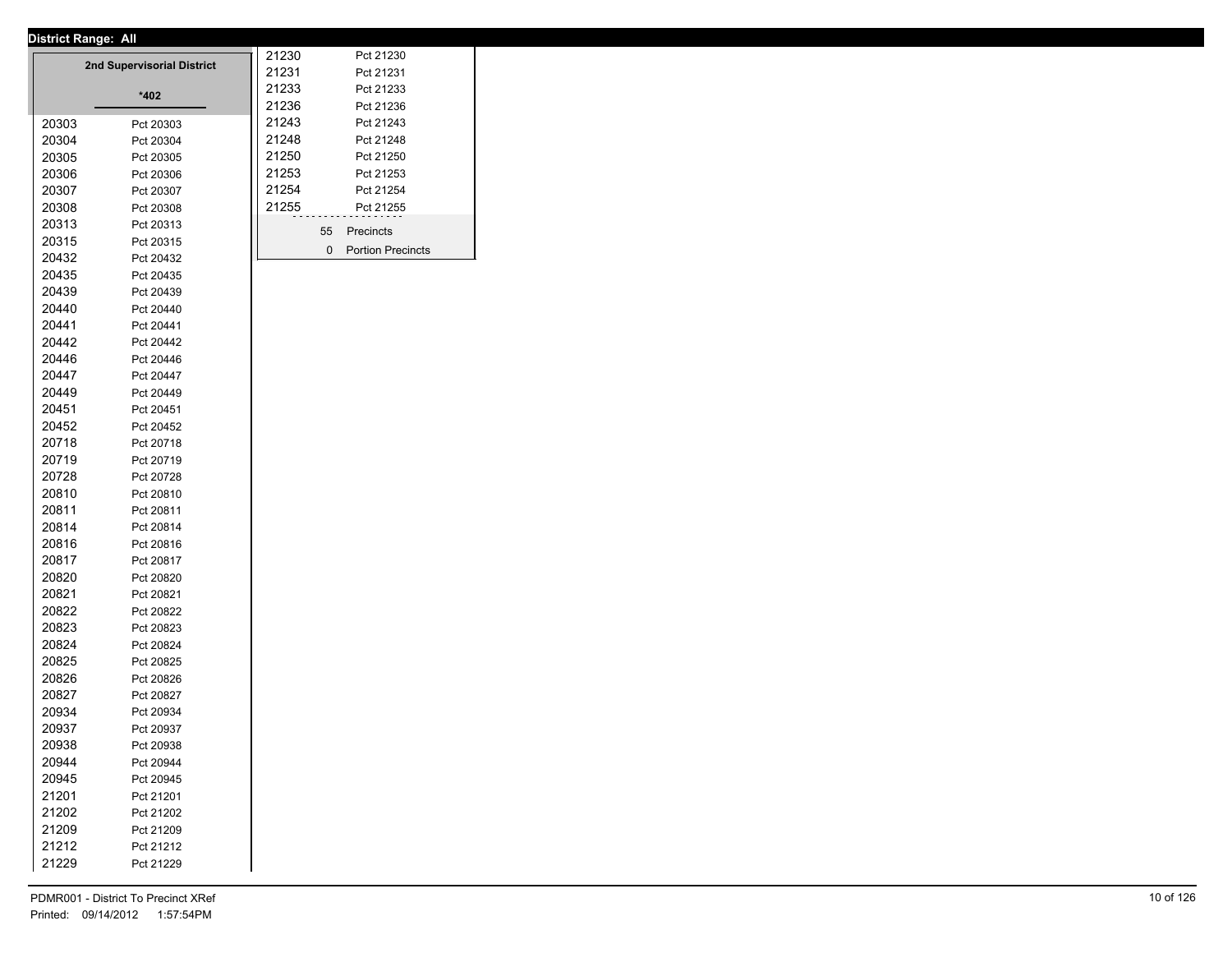|       | District Range: All        |       |    |                          |
|-------|----------------------------|-------|----|--------------------------|
|       | 2nd Supervisorial District | 21230 |    | Pct 21230                |
|       |                            | 21231 |    | Pct 21231                |
|       | *402                       | 21233 |    | Pct 21233                |
|       |                            | 21236 |    | Pct 21236                |
| 20303 | Pct 20303                  | 21243 |    | Pct 21243                |
| 20304 | Pct 20304                  | 21248 |    | Pct 21248                |
| 20305 | Pct 20305                  | 21250 |    | Pct 21250                |
| 20306 | Pct 20306                  | 21253 |    | Pct 21253                |
| 20307 | Pct 20307                  | 21254 |    | Pct 21254                |
| 20308 | Pct 20308                  | 21255 |    | Pct 21255                |
| 20313 | Pct 20313                  |       | 55 | Precincts                |
| 20315 | Pct 20315                  |       | 0  | <b>Portion Precincts</b> |
| 20432 | Pct 20432                  |       |    |                          |
| 20435 | Pct 20435                  |       |    |                          |
| 20439 | Pct 20439                  |       |    |                          |
| 20440 | Pct 20440                  |       |    |                          |
| 20441 | Pct 20441                  |       |    |                          |
| 20442 | Pct 20442                  |       |    |                          |
| 20446 | Pct 20446                  |       |    |                          |
| 20447 | Pct 20447                  |       |    |                          |
| 20449 | Pct 20449                  |       |    |                          |
| 20451 | Pct 20451                  |       |    |                          |
| 20452 | Pct 20452                  |       |    |                          |
| 20718 | Pct 20718                  |       |    |                          |
| 20719 | Pct 20719                  |       |    |                          |
| 20728 | Pct 20728                  |       |    |                          |
| 20810 | Pct 20810                  |       |    |                          |
| 20811 | Pct 20811                  |       |    |                          |
| 20814 | Pct 20814                  |       |    |                          |
| 20816 | Pct 20816                  |       |    |                          |
| 20817 | Pct 20817                  |       |    |                          |
| 20820 | Pct 20820                  |       |    |                          |
| 20821 | Pct 20821                  |       |    |                          |
| 20822 | Pct 20822                  |       |    |                          |
| 20823 | Pct 20823                  |       |    |                          |
| 20824 | Pct 20824                  |       |    |                          |
| 20825 | Pct 20825                  |       |    |                          |
| 20826 | Pct 20826                  |       |    |                          |
| 20827 | Pct 20827                  |       |    |                          |
| 20934 | Pct 20934                  |       |    |                          |
| 20937 | Pct 20937                  |       |    |                          |
| 20938 | Pct 20938                  |       |    |                          |
| 20944 | Pct 20944                  |       |    |                          |
| 20945 | Pct 20945                  |       |    |                          |
| 21201 | Pct 21201                  |       |    |                          |
| 21202 | Pct 21202                  |       |    |                          |
| 21209 | Pct 21209                  |       |    |                          |
| 21212 | Pct 21212                  |       |    |                          |
| 21229 | Pct 21229                  |       |    |                          |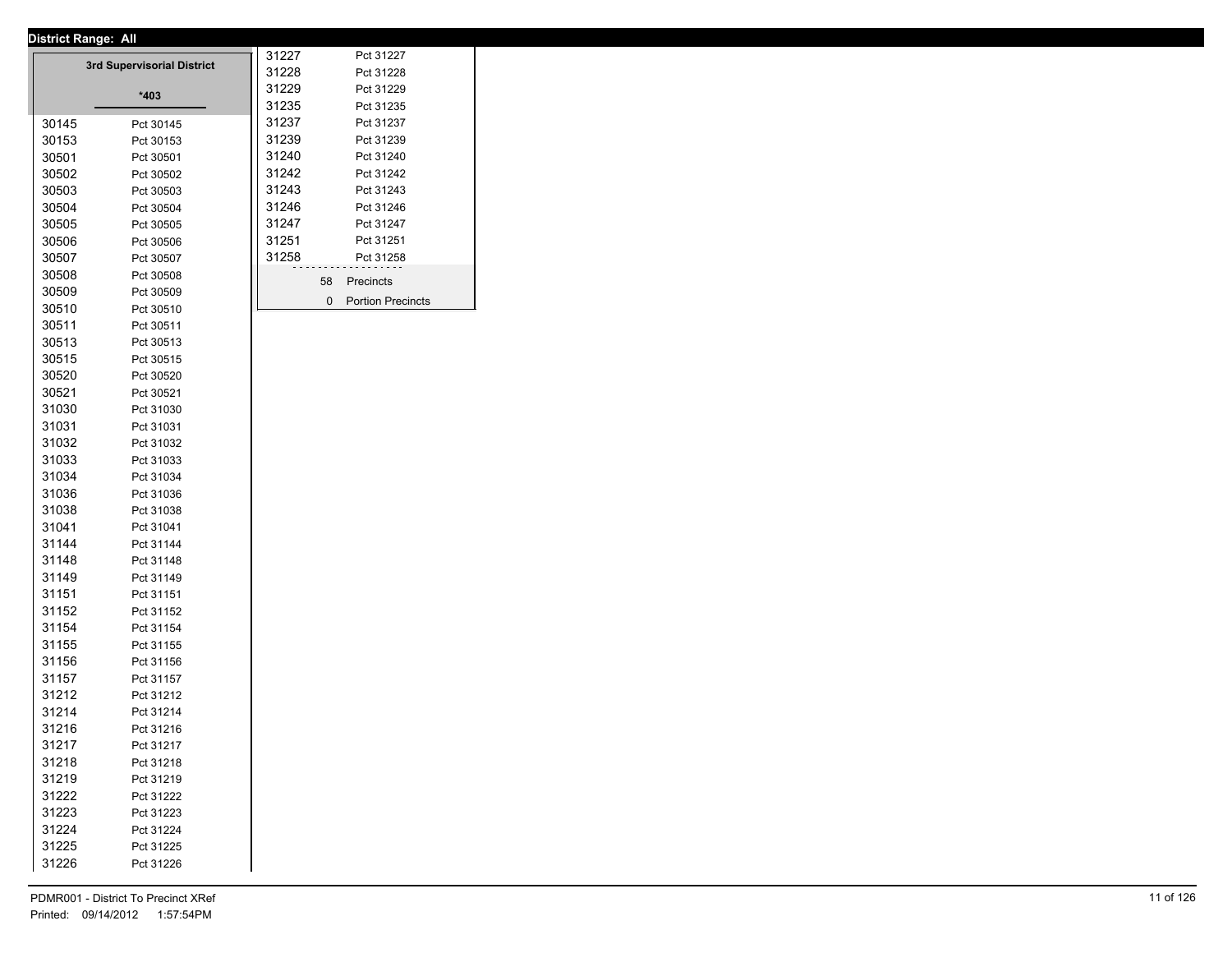| ווג: District Range: All |                            |                |    |                          |
|--------------------------|----------------------------|----------------|----|--------------------------|
|                          | 3rd Supervisorial District | 31227          |    | Pct 31227                |
|                          |                            | 31228<br>31229 |    | Pct 31228<br>Pct 31229   |
|                          | *403                       | 31235          |    | Pct 31235                |
| 30145                    |                            | 31237          |    | Pct 31237                |
|                          | Pct 30145                  | 31239          |    | Pct 31239                |
| 30153                    | Pct 30153                  | 31240          |    | Pct 31240                |
| 30501                    | Pct 30501                  | 31242          |    | Pct 31242                |
| 30502                    | Pct 30502                  | 31243          |    | Pct 31243                |
| 30503                    | Pct 30503                  | 31246          |    | Pct 31246                |
| 30504                    | Pct 30504                  | 31247          |    | Pct 31247                |
| 30505<br>30506           | Pct 30505<br>Pct 30506     | 31251          |    | Pct 31251                |
| 30507                    | Pct 30507                  | 31258          |    | Pct 31258                |
| 30508                    | Pct 30508                  |                |    |                          |
| 30509                    | Pct 30509                  |                | 58 | Precincts                |
| 30510                    |                            |                | 0  | <b>Portion Precincts</b> |
| 30511                    | Pct 30510<br>Pct 30511     |                |    |                          |
| 30513                    |                            |                |    |                          |
| 30515                    | Pct 30513                  |                |    |                          |
|                          | Pct 30515                  |                |    |                          |
| 30520                    | Pct 30520                  |                |    |                          |
| 30521<br>31030           | Pct 30521<br>Pct 31030     |                |    |                          |
| 31031                    |                            |                |    |                          |
| 31032                    | Pct 31031<br>Pct 31032     |                |    |                          |
| 31033                    | Pct 31033                  |                |    |                          |
| 31034                    | Pct 31034                  |                |    |                          |
| 31036                    | Pct 31036                  |                |    |                          |
| 31038                    | Pct 31038                  |                |    |                          |
| 31041                    | Pct 31041                  |                |    |                          |
| 31144                    | Pct 31144                  |                |    |                          |
| 31148                    | Pct 31148                  |                |    |                          |
| 31149                    | Pct 31149                  |                |    |                          |
| 31151                    | Pct 31151                  |                |    |                          |
| 31152                    | Pct 31152                  |                |    |                          |
| 31154                    | Pct 31154                  |                |    |                          |
| 31155                    | Pct 31155                  |                |    |                          |
| 31156                    | Pct 31156                  |                |    |                          |
| 31157                    | Pct 31157                  |                |    |                          |
| 31212                    | Pct 31212                  |                |    |                          |
| 31214                    | Pct 31214                  |                |    |                          |
| 31216                    | Pct 31216                  |                |    |                          |
| 31217                    | Pct 31217                  |                |    |                          |
| 31218                    | Pct 31218                  |                |    |                          |
| 31219                    | Pct 31219                  |                |    |                          |
| 31222                    | Pct 31222                  |                |    |                          |
| 31223                    | Pct 31223                  |                |    |                          |
| 31224                    | Pct 31224                  |                |    |                          |
| 31225                    | Pct 31225                  |                |    |                          |
| 31226                    | Pct 31226                  |                |    |                          |
|                          |                            |                |    |                          |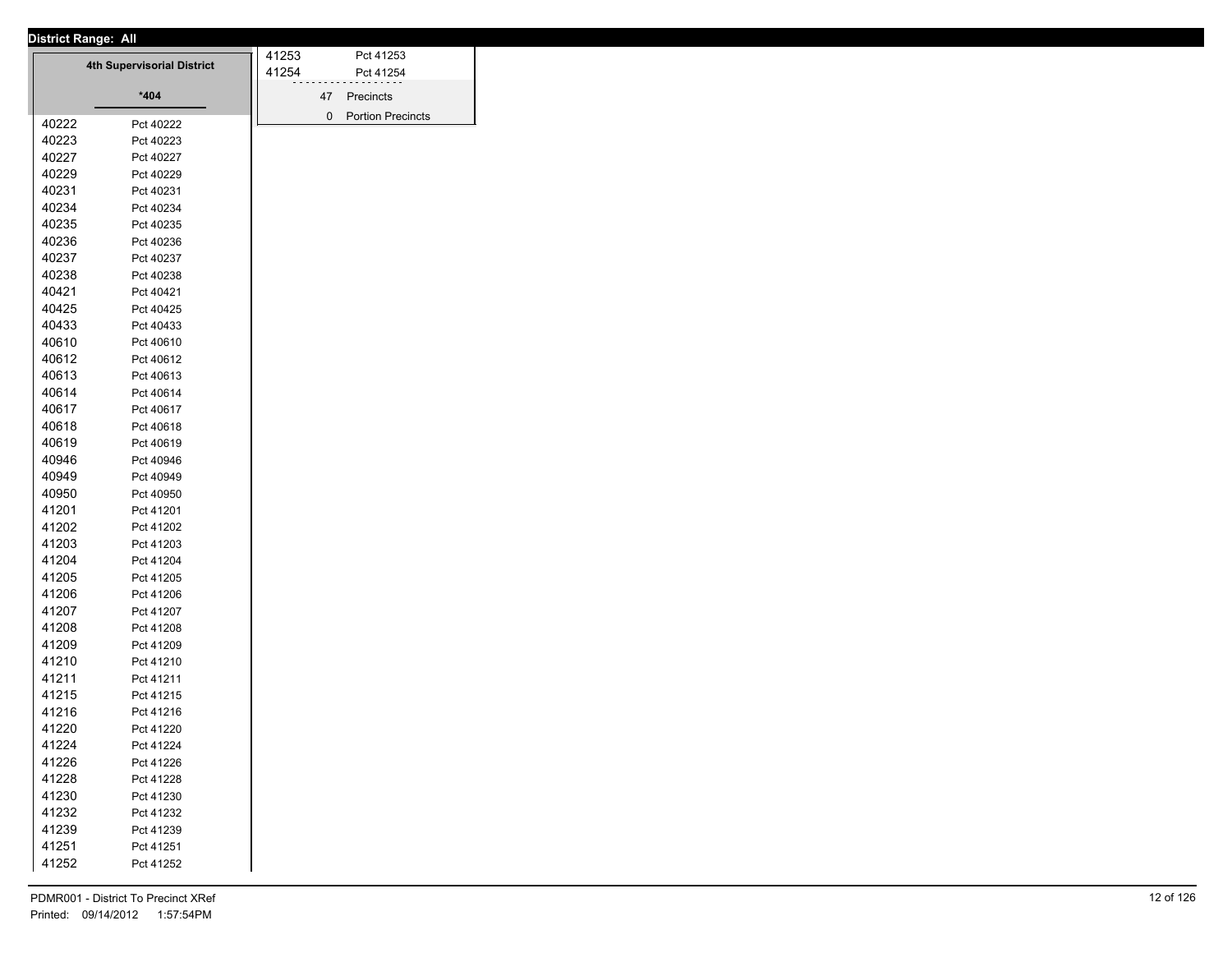| <b>District Range: All</b> |  |
|----------------------------|--|
|                            |  |

|       |                                   | 41253 |    | Pct 41253                |
|-------|-----------------------------------|-------|----|--------------------------|
|       | <b>4th Supervisorial District</b> | 41254 |    | Pct 41254                |
|       | $*404$                            |       | 47 | Precincts                |
|       |                                   |       | 0  | <b>Portion Precincts</b> |
| 40222 | Pct 40222                         |       |    |                          |
| 40223 | Pct 40223                         |       |    |                          |
| 40227 | Pct 40227                         |       |    |                          |
| 40229 | Pct 40229                         |       |    |                          |
| 40231 | Pct 40231                         |       |    |                          |
| 40234 | Pct 40234                         |       |    |                          |
| 40235 | Pct 40235                         |       |    |                          |
| 40236 | Pct 40236                         |       |    |                          |
| 40237 | Pct 40237                         |       |    |                          |
| 40238 | Pct 40238                         |       |    |                          |
| 40421 | Pct 40421                         |       |    |                          |
| 40425 | Pct 40425                         |       |    |                          |
| 40433 | Pct 40433                         |       |    |                          |
| 40610 | Pct 40610                         |       |    |                          |
| 40612 | Pct 40612                         |       |    |                          |
| 40613 | Pct 40613                         |       |    |                          |
| 40614 | Pct 40614                         |       |    |                          |
| 40617 | Pct 40617                         |       |    |                          |
| 40618 | Pct 40618                         |       |    |                          |
| 40619 | Pct 40619                         |       |    |                          |
| 40946 | Pct 40946                         |       |    |                          |
| 40949 | Pct 40949                         |       |    |                          |
| 40950 | Pct 40950                         |       |    |                          |
| 41201 | Pct 41201                         |       |    |                          |
| 41202 | Pct 41202                         |       |    |                          |
| 41203 | Pct 41203                         |       |    |                          |
| 41204 | Pct 41204                         |       |    |                          |
| 41205 | Pct 41205                         |       |    |                          |
| 41206 | Pct 41206                         |       |    |                          |
| 41207 | Pct 41207                         |       |    |                          |
| 41208 | Pct 41208                         |       |    |                          |
| 41209 | Pct 41209                         |       |    |                          |
| 41210 | Pct 41210                         |       |    |                          |
| 41211 | Pct 41211                         |       |    |                          |
| 41215 | Pct 41215                         |       |    |                          |
| 41216 | Pct 41216                         |       |    |                          |
| 41220 | Pct 41220                         |       |    |                          |
| 41224 | Pct 41224                         |       |    |                          |
| 41226 | Pct 41226                         |       |    |                          |
| 41228 | Pct 41228                         |       |    |                          |
| 41230 | Pct 41230                         |       |    |                          |
| 41232 | Pct 41232                         |       |    |                          |
| 41239 | Pct 41239                         |       |    |                          |
| 41251 | Pct 41251                         |       |    |                          |
| 41252 | Pct 41252                         |       |    |                          |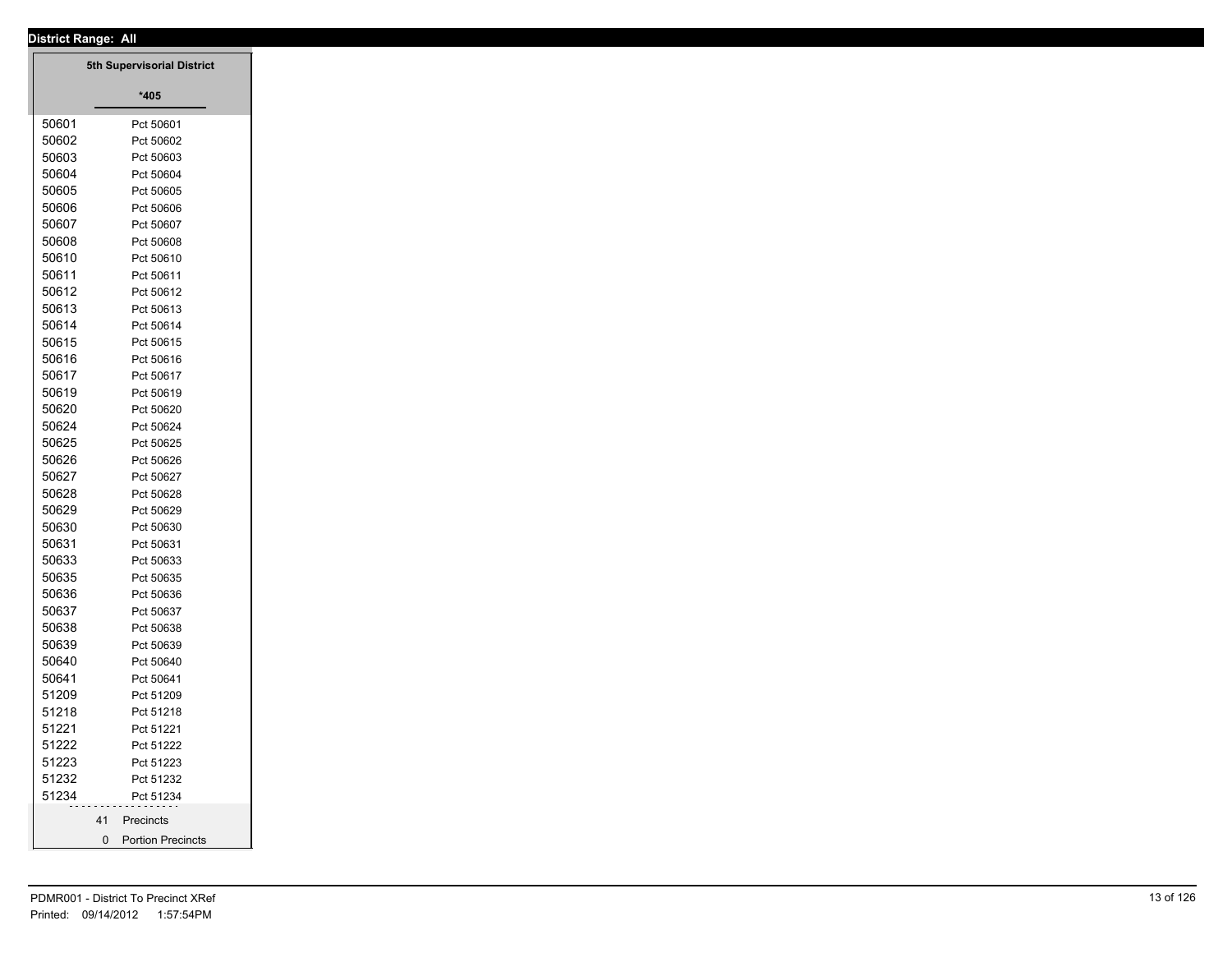|                | <b>District Range: All</b>              |
|----------------|-----------------------------------------|
|                | 5th Supervisorial District              |
|                |                                         |
|                | $*405$                                  |
| 50601          | Pct 50601                               |
| 50602          | Pct 50602                               |
| 50603          | Pct 50603                               |
| 50604          | Pct 50604                               |
| 50605          | Pct 50605                               |
| 50606          | Pct 50606                               |
| 50607          | Pct 50607                               |
| 50608          | Pct 50608                               |
| 50610          | Pct 50610                               |
| 50611          | Pct 50611                               |
| 50612          | Pct 50612                               |
| 50613          | Pct 50613                               |
| 50614          | Pct 50614                               |
| 50615          | Pct 50615                               |
| 50616          | Pct 50616                               |
| 50617          | Pct 50617                               |
| 50619          | Pct 50619                               |
| 50620          | Pct 50620                               |
| 50624          | Pct 50624                               |
| 50625          | Pct 50625                               |
| 50626          | Pct 50626                               |
| 50627<br>50628 | Pct 50627                               |
| 50629          | Pct 50628                               |
| 50630          | Pct 50629                               |
| 50631          | Pct 50630                               |
| 50633          | Pct 50631<br>Pct 50633                  |
| 50635          | Pct 50635                               |
| 50636          | Pct 50636                               |
| 50637          | Pct 50637                               |
| 50638          | Pct 50638                               |
| 50639          | Pct 50639                               |
| 50640          | Pct 50640                               |
| 50641          | Pct 50641                               |
| 51209          | Pct 51209                               |
| 51218          | Pct 51218                               |
| 51221          | Pct 51221                               |
| 51222          | Pct 51222                               |
| 51223          | Pct 51223                               |
| 51232          | Pct 51232                               |
| 51234          | Pct 51234                               |
|                | Precincts<br>41                         |
|                | $\mathbf 0$<br><b>Portion Precincts</b> |
|                |                                         |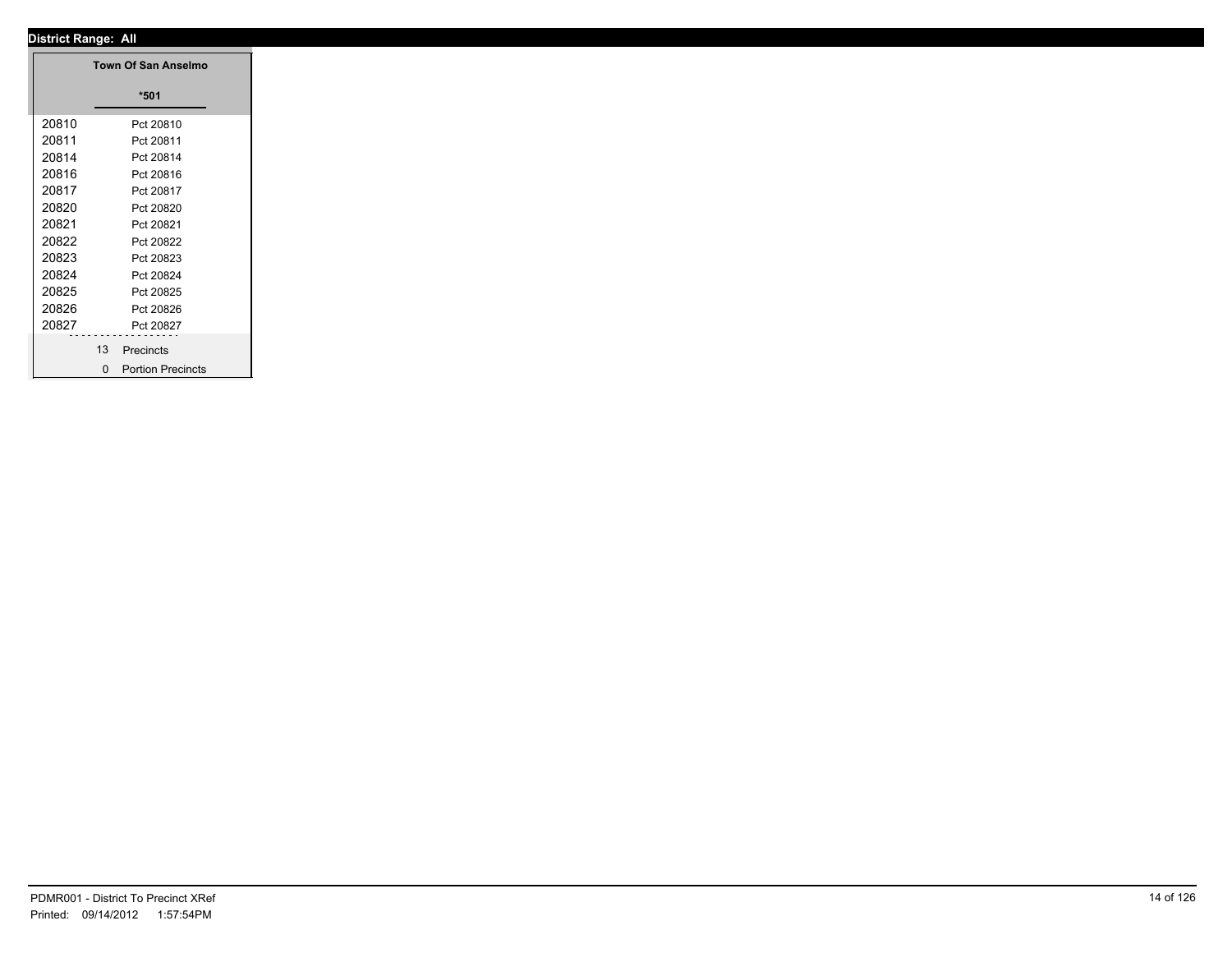|       | Town Of San Anselmo |
|-------|---------------------|
|       | $*501$              |
| 20810 | Pct 20810           |
| 20811 | Pct 20811           |
| 20814 | Pct 20814           |
| 20816 | Pct 20816           |
| 20817 | Pct 20817           |
| 20820 | Pct 20820           |
| 20821 | Pct 20821           |
| 20822 | Pct 20822           |
| 20823 | Pct 20823           |
| 20824 | Pct 20824           |
| 20825 | Pct 20825           |
| 20826 | Pct 20826           |
| 20827 | Pct 20827           |
|       | .<br>13             |
|       | Precincts           |
|       | 0 Portion Precincts |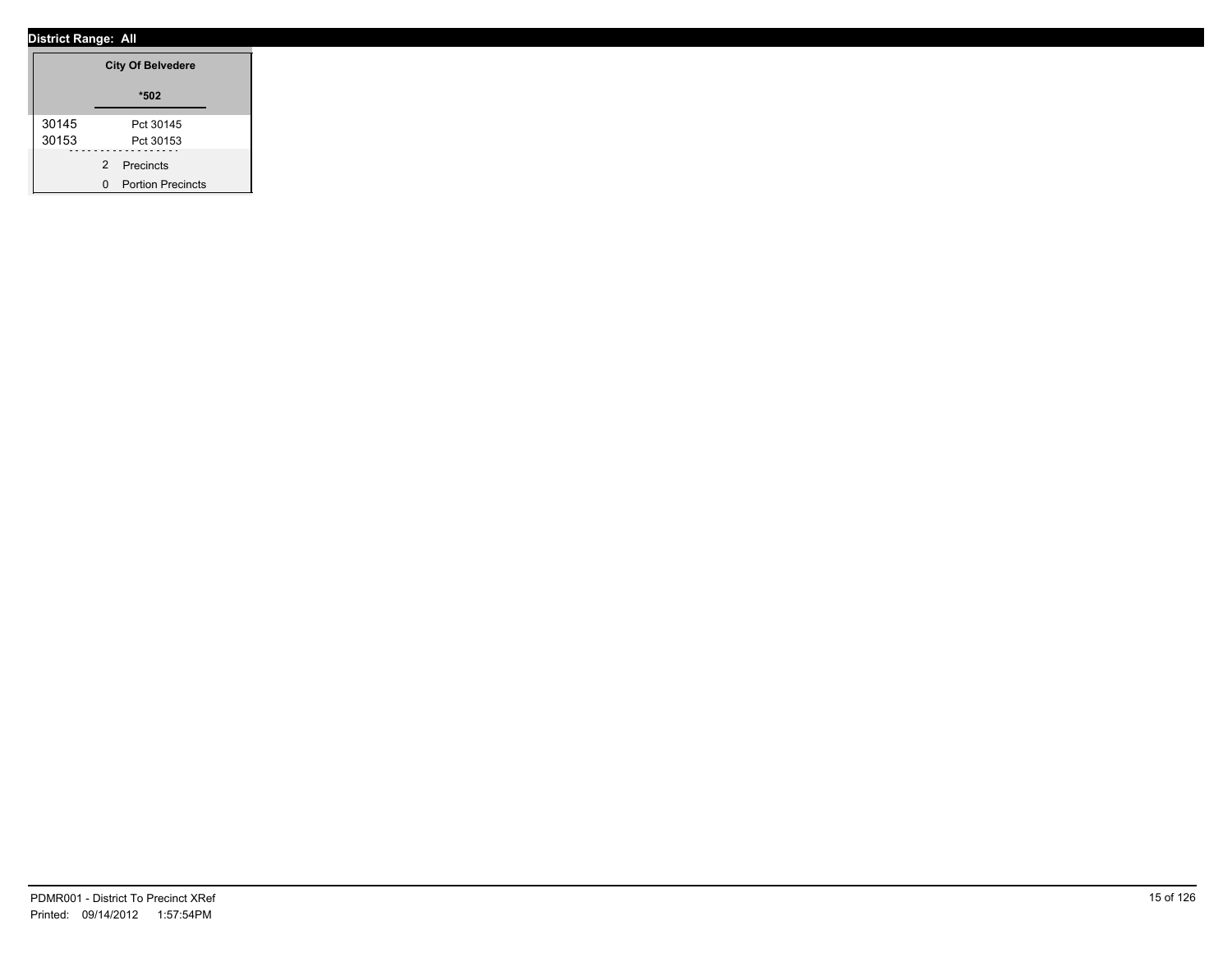|       | <b>City Of Belvedere</b> |
|-------|--------------------------|
|       | $*502$                   |
| 30145 | Pct 30145                |
| 30153 | Pct 30153                |
|       | 2 Precincts              |
|       | 0 Portion Precincts      |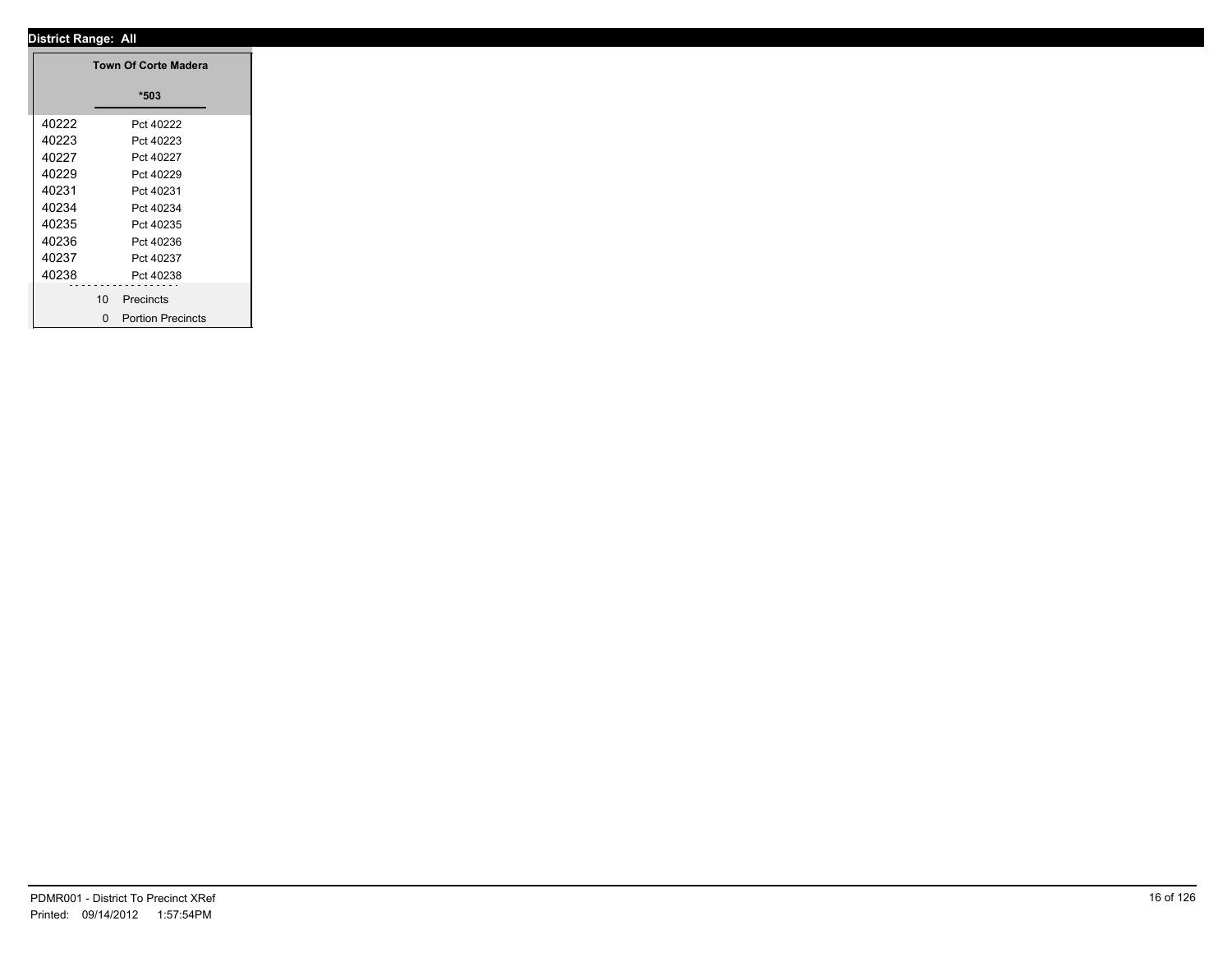|       |                             | <b>Town Of Corte Madera</b>      |  |
|-------|-----------------------------|----------------------------------|--|
|       |                             | $*503$                           |  |
| 40222 |                             | Pct 40222                        |  |
| 40223 |                             | Pct 40223                        |  |
| 40227 |                             | Pct 40227                        |  |
| 40229 |                             | Pct 40229                        |  |
| 40231 |                             | Pct 40231                        |  |
| 40234 |                             | Pct 40234                        |  |
| 40235 |                             | Pct 40235                        |  |
| 40236 |                             | Pct 40236                        |  |
| 40237 |                             | Pct 40237                        |  |
| 40238 |                             | Pct 40238                        |  |
|       | --------<br>10 <sup>1</sup> | - - - - - - - - - -<br>Precincts |  |
|       |                             |                                  |  |
|       |                             | 0 Portion Precincts              |  |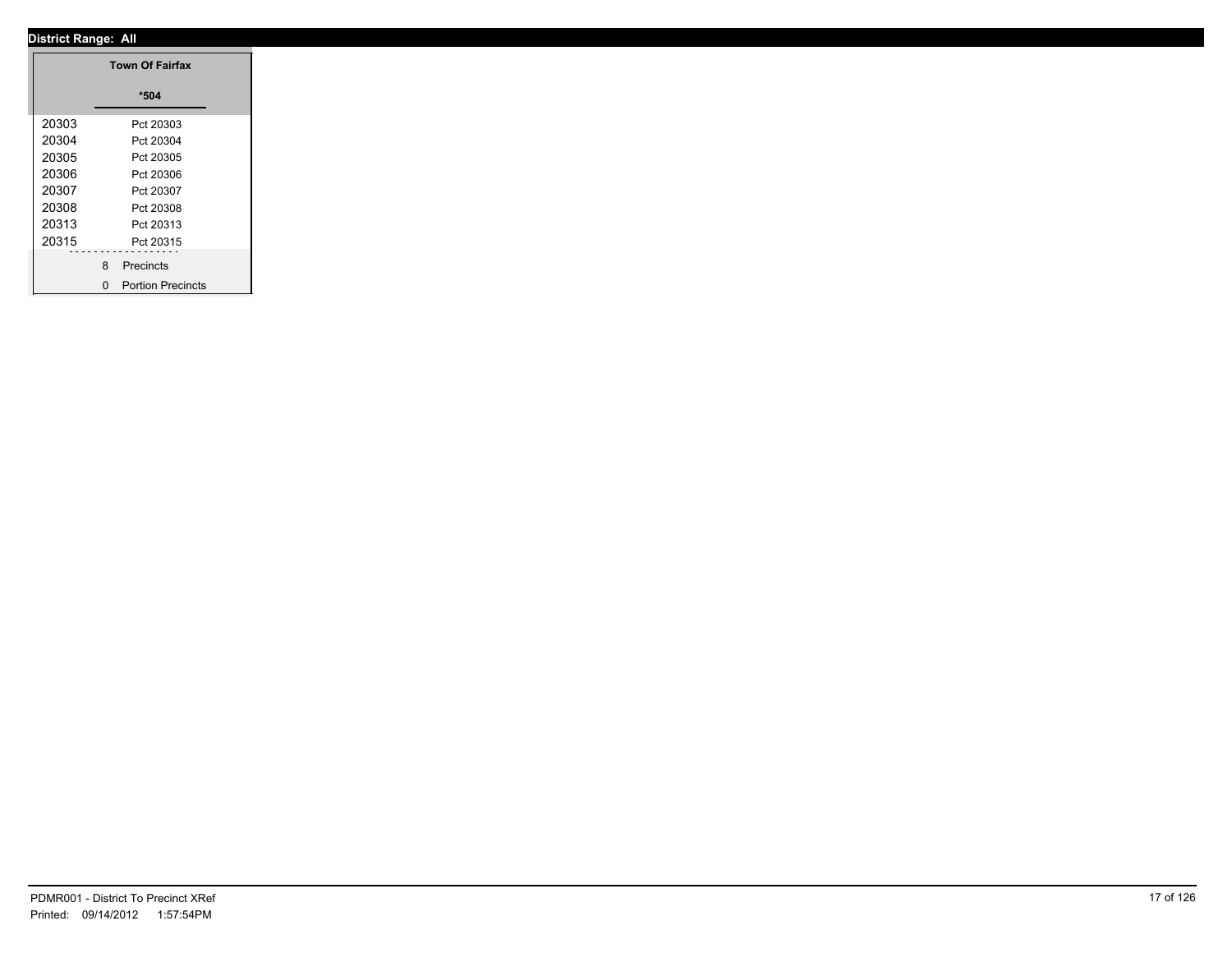|       | <b>Town Of Fairfax</b> |
|-------|------------------------|
|       | $*504$                 |
| 20303 | Pct 20303              |
| 20304 | Pct 20304              |
| 20305 | Pct 20305              |
| 20306 | Pct 20306              |
| 20307 | Pct 20307              |
| 20308 | Pct 20308              |
| 20313 | Pct 20313              |
| 20315 | Pct 20315              |
|       |                        |
|       | 8 Precincts            |
|       | 0 Portion Precincts    |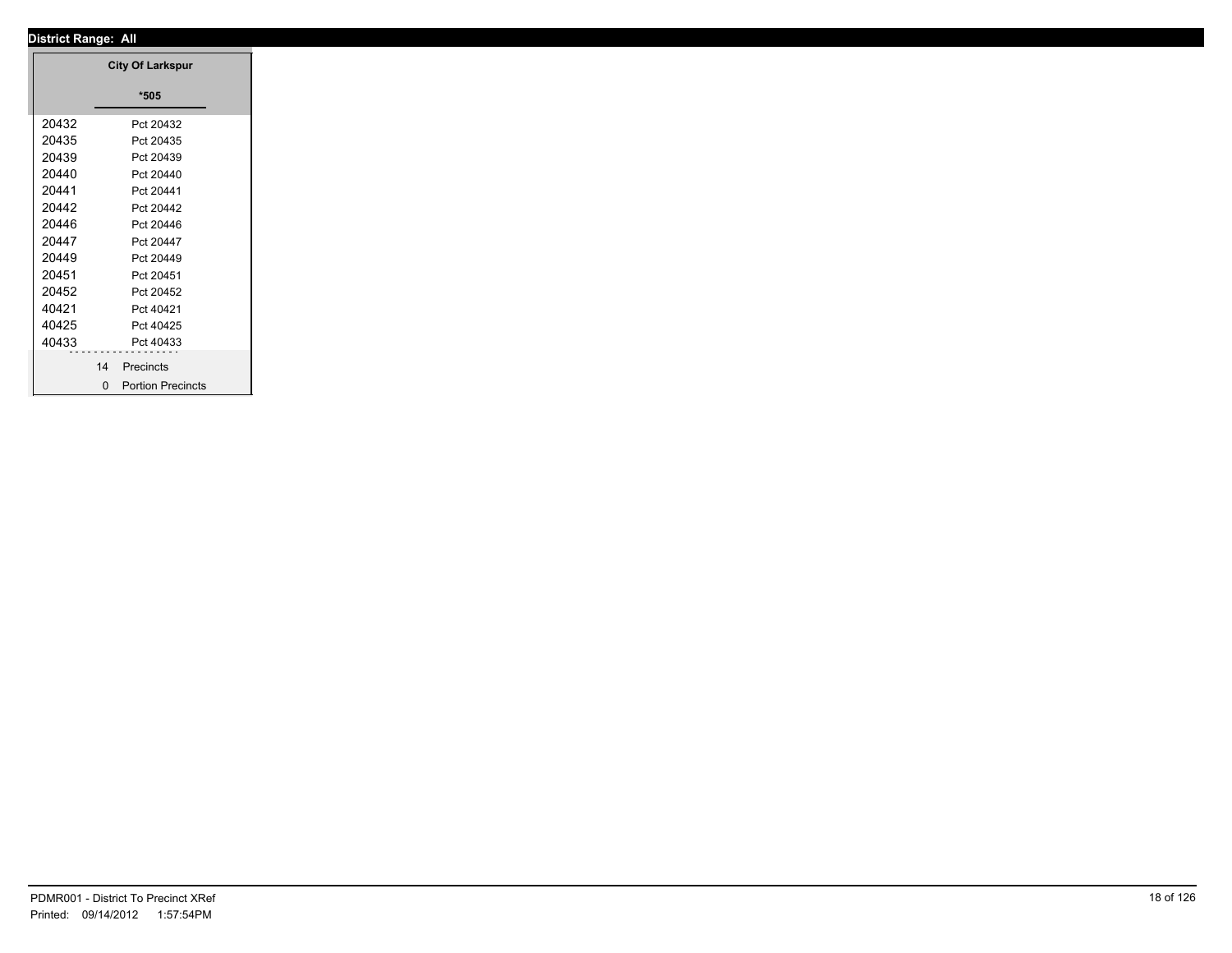|       | <b>City Of Larkspur</b> |
|-------|-------------------------|
|       | $*505$                  |
| 20432 | Pct 20432               |
| 20435 | Pct 20435               |
| 20439 | Pct 20439               |
| 20440 | Pct 20440               |
| 20441 | Pct 20441               |
| 20442 | Pct 20442               |
| 20446 | Pct 20446               |
| 20447 | Pct 20447               |
| 20449 | Pct 20449               |
| 20451 | Pct 20451               |
| 20452 | Pct 20452               |
| 40421 | Pct 40421               |
| 40425 | Pct 40425               |
| 40433 | Pct 40433               |
|       | 14<br>Precincts         |
|       |                         |
|       | 0 Portion Precincts     |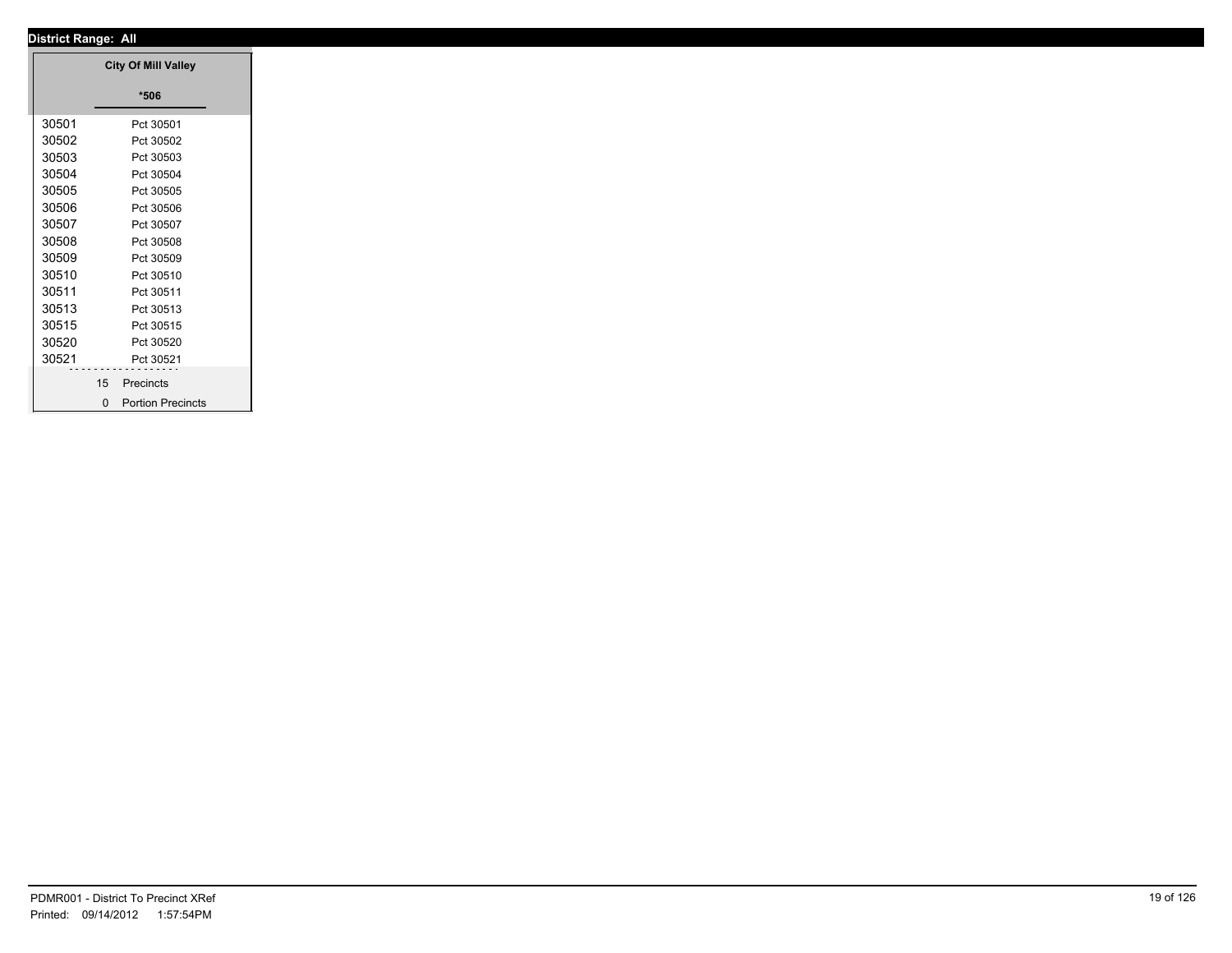|       |    | <b>City Of Mill Valley</b> |
|-------|----|----------------------------|
|       |    | $*506$                     |
|       |    |                            |
| 30501 |    | Pct 30501                  |
| 30502 |    | Pct 30502                  |
| 30503 |    | Pct 30503                  |
| 30504 |    | Pct 30504                  |
| 30505 |    | Pct 30505                  |
| 30506 |    | Pct 30506                  |
| 30507 |    | Pct 30507                  |
| 30508 |    | Pct 30508                  |
| 30509 |    | Pct 30509                  |
| 30510 |    | Pct 30510                  |
| 30511 |    | Pct 30511                  |
| 30513 |    | Pct 30513                  |
| 30515 |    | Pct 30515                  |
| 30520 |    | Pct 30520                  |
| 30521 | .  | Pct 30521                  |
|       | 15 | Precincts                  |
|       |    | 0 Portion Precincts        |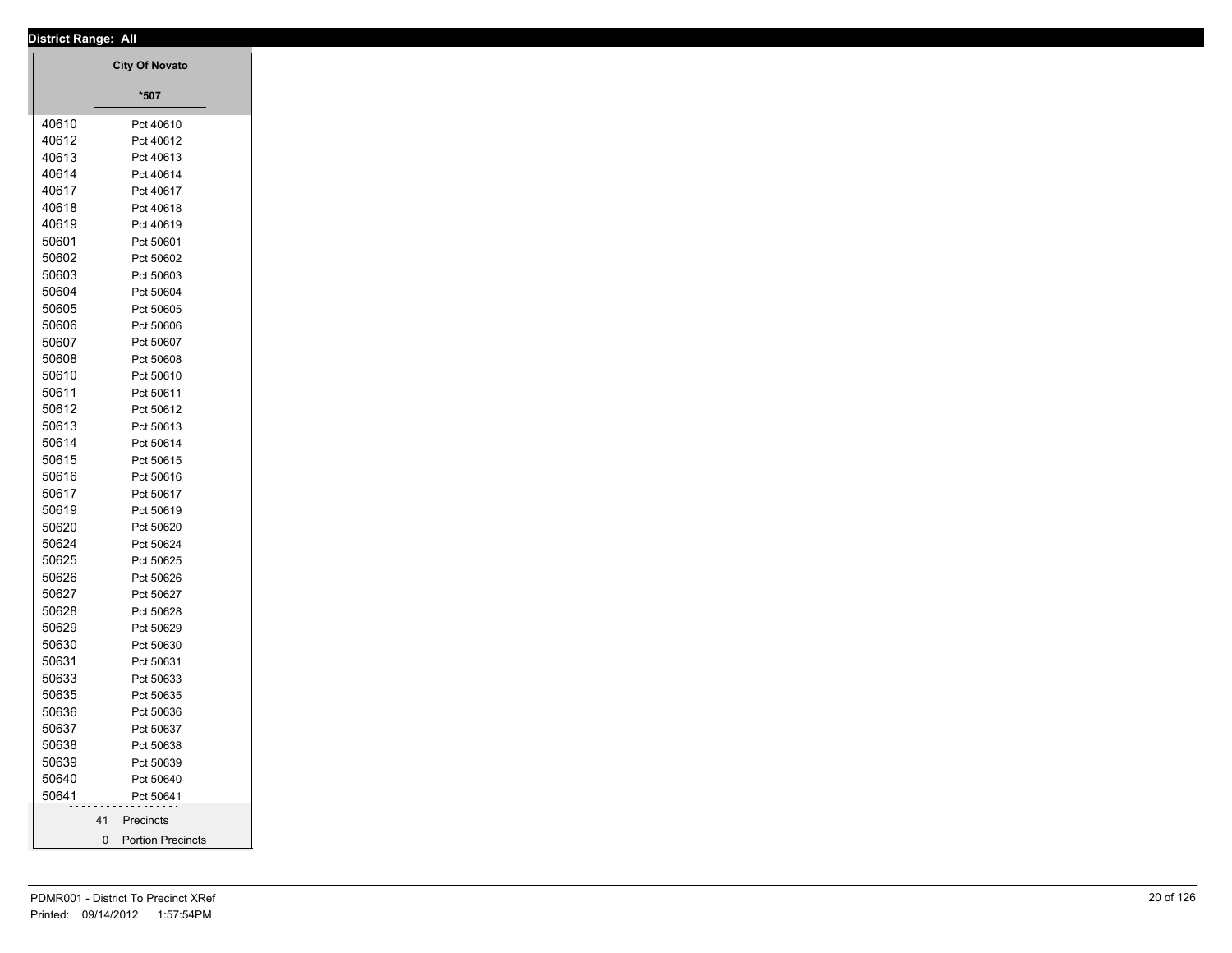| <b>District Range: All</b> |                        |
|----------------------------|------------------------|
|                            | <b>City Of Novato</b>  |
|                            |                        |
|                            | $^{\star}507$          |
| 40610                      | Pct 40610              |
| 40612                      | Pct 40612              |
| 40613                      | Pct 40613              |
| 40614                      | Pct 40614              |
| 40617                      | Pct 40617              |
| 40618                      | Pct 40618              |
| 40619                      | Pct 40619              |
| 50601                      | Pct 50601              |
| 50602                      | Pct 50602              |
| 50603                      | Pct 50603              |
| 50604                      | Pct 50604              |
| 50605                      | Pct 50605              |
| 50606                      | Pct 50606              |
| 50607                      | Pct 50607              |
| 50608<br>50610             | Pct 50608<br>Pct 50610 |
| 50611                      | Pct 50611              |
| 50612                      | Pct 50612              |
| 50613                      | Pct 50613              |
| 50614                      | Pct 50614              |
| 50615                      | Pct 50615              |
| 50616                      | Pct 50616              |
| 50617                      | Pct 50617              |
| 50619                      | Pct 50619              |
| 50620                      | Pct 50620              |
| 50624                      | Pct 50624              |
| 50625                      | Pct 50625              |
| 50626                      | Pct 50626              |
| 50627                      | Pct 50627              |
| 50628                      | Pct 50628              |
| 50629                      | Pct 50629              |
| 50630                      | Pct 50630              |
| 50631                      | Pct 50631              |
| 50633                      | Pct 50633              |
| 50635                      | Pct 50635              |
| 50636                      | Pct 50636              |
| 50637                      | Pct 50637              |
| 50638                      | Pct 50638              |
| 50639<br>50640             | Pct 50639              |
| 50641                      | Pct 50640<br>Pct 50641 |
|                            |                        |
|                            | 41 Precincts           |
|                            | 0 Portion Precincts    |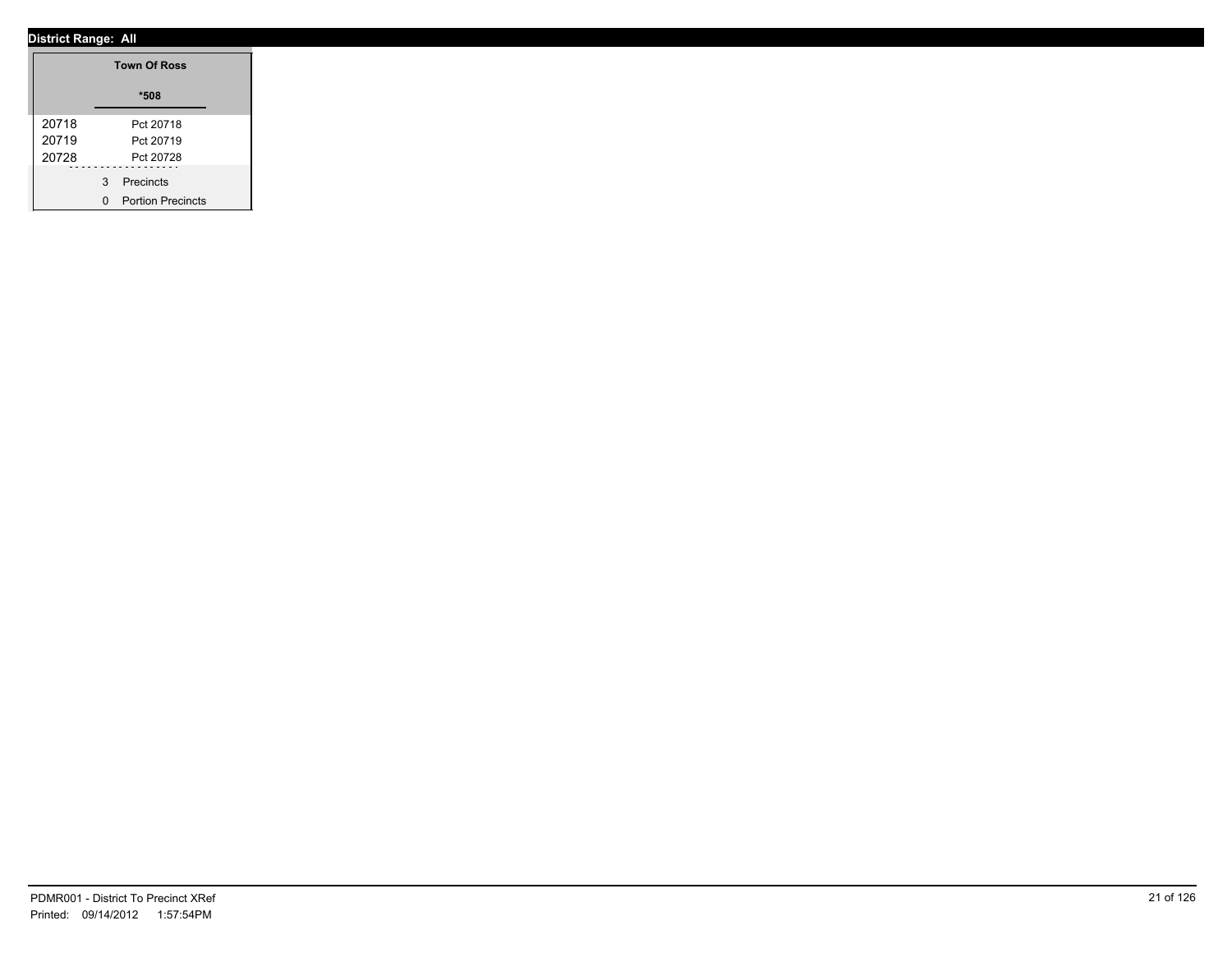|       | <b>Town Of Ross</b> |
|-------|---------------------|
|       | *508                |
| 20718 | Pct 20718           |
| 20719 | Pct 20719           |
| 20728 | Pct 20728           |
|       | 3 Precincts         |
|       | 0 Portion Precincts |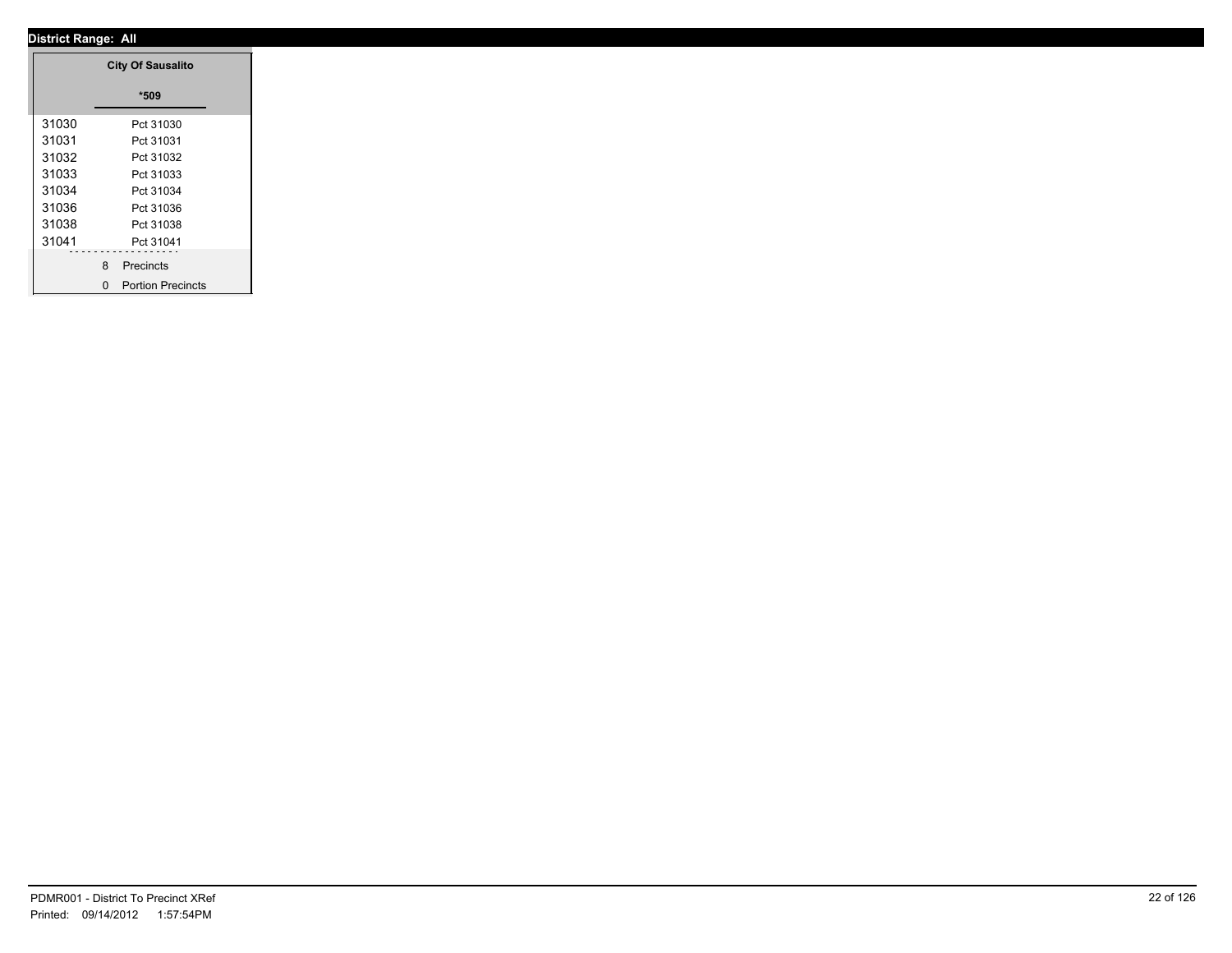|       | <b>City Of Sausalito</b> |
|-------|--------------------------|
|       | $*509$                   |
| 31030 | Pct 31030                |
| 31031 | Pct 31031                |
| 31032 | Pct 31032                |
| 31033 | Pct 31033                |
| 31034 | Pct 31034                |
| 31036 | Pct 31036                |
| 31038 | Pct 31038                |
| 31041 | Pct 31041                |
|       |                          |
|       | 8 Precincts              |
|       | 0 Portion Precincts      |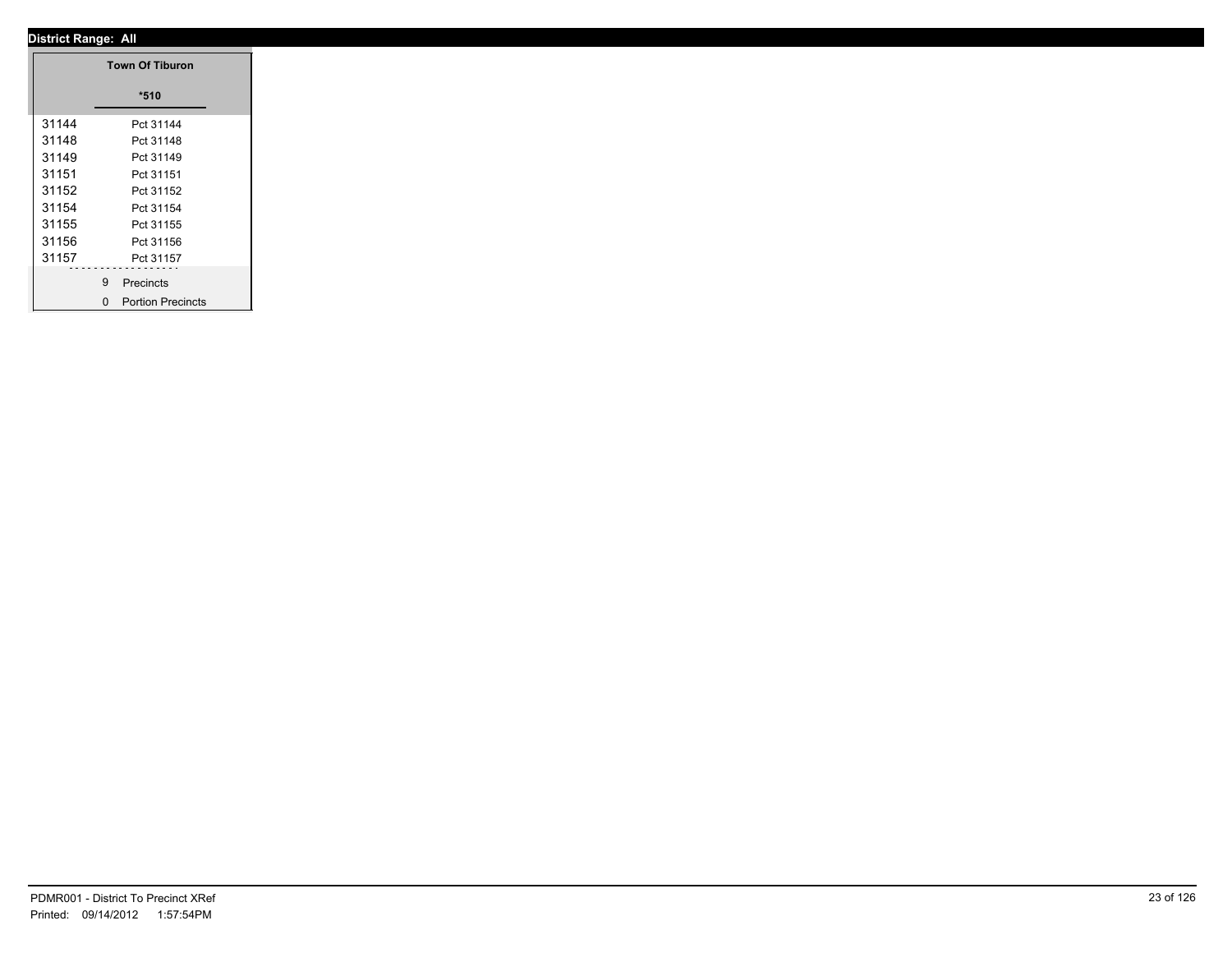|       | <b>Town Of Tiburon</b> |
|-------|------------------------|
|       | $*510$                 |
| 31144 | Pct 31144              |
| 31148 | Pct 31148              |
| 31149 | Pct 31149              |
| 31151 | Pct 31151              |
| 31152 | Pct 31152              |
| 31154 | Pct 31154              |
| 31155 | Pct 31155              |
| 31156 | Pct 31156              |
| 31157 | Pct 31157              |
|       | 9 Precincts            |
|       | 0 Portion Precincts    |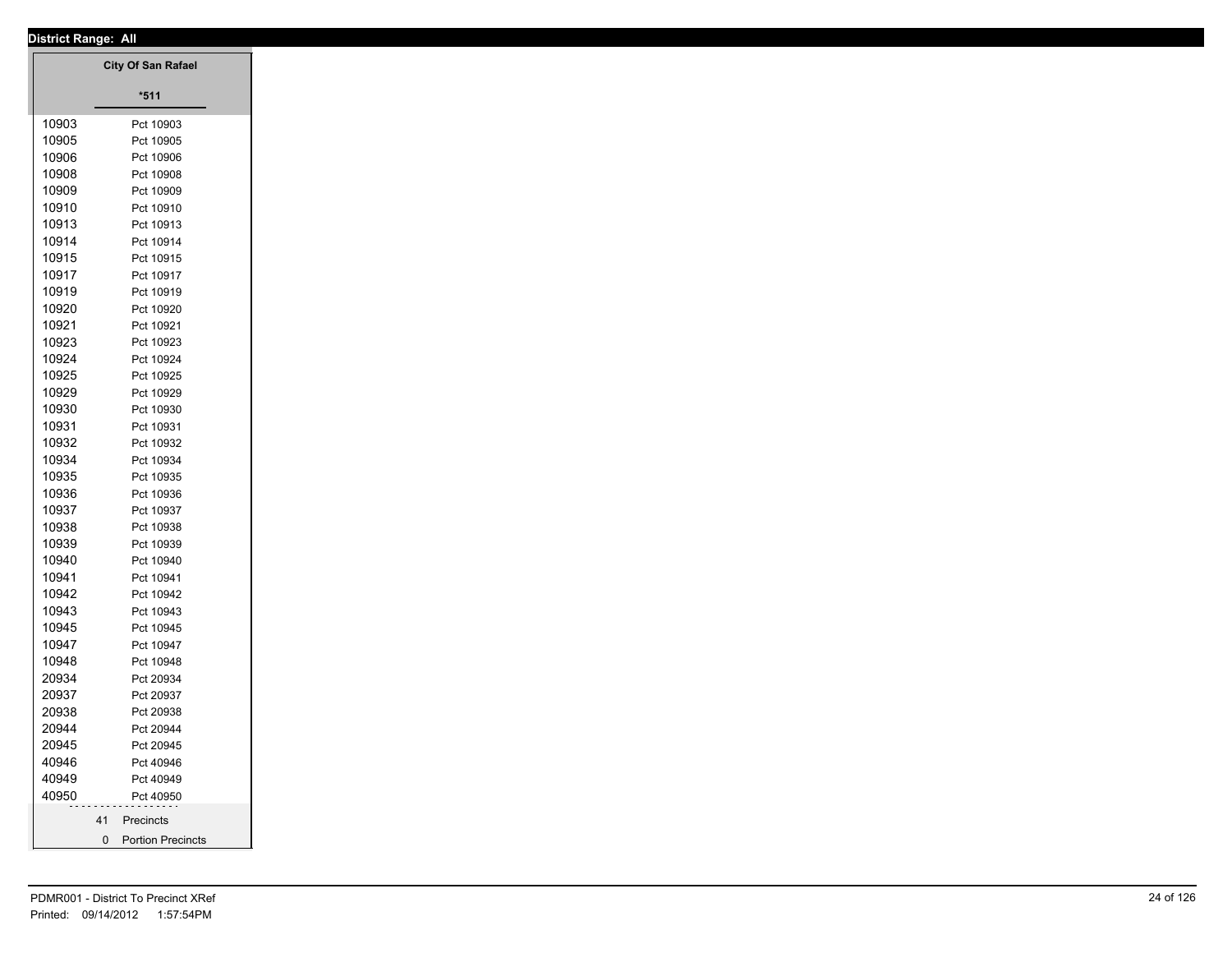|       | District Range: All       |
|-------|---------------------------|
|       | <b>City Of San Rafael</b> |
|       |                           |
|       | $*511$                    |
| 10903 | Pct 10903                 |
| 10905 | Pct 10905                 |
| 10906 | Pct 10906                 |
| 10908 | Pct 10908                 |
| 10909 | Pct 10909                 |
| 10910 | Pct 10910                 |
| 10913 | Pct 10913                 |
| 10914 | Pct 10914                 |
| 10915 | Pct 10915                 |
| 10917 | Pct 10917                 |
| 10919 | Pct 10919                 |
| 10920 | Pct 10920                 |
| 10921 | Pct 10921                 |
| 10923 | Pct 10923                 |
| 10924 | Pct 10924                 |
| 10925 | Pct 10925                 |
| 10929 | Pct 10929                 |
| 10930 | Pct 10930                 |
| 10931 | Pct 10931                 |
| 10932 | Pct 10932                 |
| 10934 | Pct 10934                 |
| 10935 | Pct 10935                 |
| 10936 | Pct 10936                 |
| 10937 | Pct 10937                 |
| 10938 | Pct 10938                 |
| 10939 | Pct 10939                 |
| 10940 | Pct 10940                 |
| 10941 | Pct 10941                 |
| 10942 | Pct 10942                 |
| 10943 |                           |
|       | Pct 10943                 |
| 10945 | Pct 10945                 |
| 10947 | Pct 10947                 |
| 10948 | Pct 10948                 |
| 20934 | Pct 20934                 |
| 20937 | Pct 20937                 |
| 20938 | Pct 20938                 |
| 20944 | Pct 20944                 |
| 20945 | Pct 20945                 |
| 40946 | Pct 40946                 |
| 40949 | Pct 40949                 |
| 40950 | Pct 40950                 |
|       | 41 Precincts              |
|       | 0 Portion Precincts       |
|       |                           |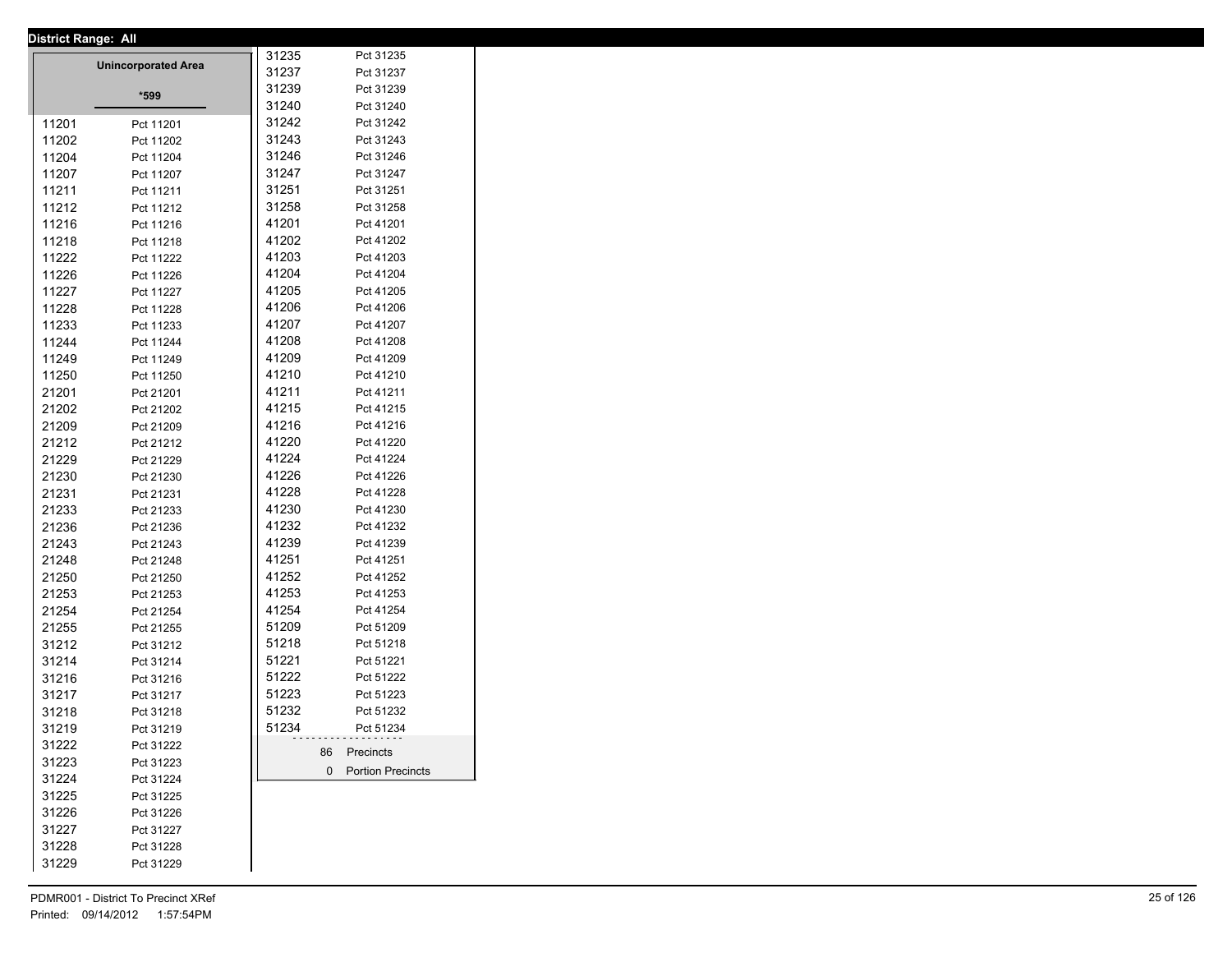| <b>District Range: All</b> |                            |       |                     |
|----------------------------|----------------------------|-------|---------------------|
|                            | <b>Unincorporated Area</b> | 31235 | Pct 31235           |
|                            |                            | 31237 | Pct 31237           |
|                            | *599                       | 31239 | Pct 31239           |
|                            |                            | 31240 | Pct 31240           |
| 11201                      | Pct 11201                  | 31242 | Pct 31242           |
| 11202                      | Pct 11202                  | 31243 | Pct 31243           |
| 11204                      | Pct 11204                  | 31246 | Pct 31246           |
| 11207                      | Pct 11207                  | 31247 | Pct 31247           |
| 11211                      | Pct 11211                  | 31251 | Pct 31251           |
| 11212                      | Pct 11212                  | 31258 | Pct 31258           |
| 11216                      | Pct 11216                  | 41201 | Pct 41201           |
| 11218                      | Pct 11218                  | 41202 | Pct 41202           |
| 11222                      | Pct 11222                  | 41203 | Pct 41203           |
| 11226                      | Pct 11226                  | 41204 | Pct 41204           |
| 11227                      | Pct 11227                  | 41205 | Pct 41205           |
| 11228                      | Pct 11228                  | 41206 | Pct 41206           |
| 11233                      | Pct 11233                  | 41207 | Pct 41207           |
| 11244                      | Pct 11244                  | 41208 | Pct 41208           |
| 11249                      | Pct 11249                  | 41209 | Pct 41209           |
| 11250                      | Pct 11250                  | 41210 | Pct 41210           |
| 21201                      | Pct 21201                  | 41211 | Pct 41211           |
| 21202                      | Pct 21202                  | 41215 | Pct 41215           |
| 21209                      | Pct 21209                  | 41216 | Pct 41216           |
| 21212                      | Pct 21212                  | 41220 | Pct 41220           |
| 21229                      | Pct 21229                  | 41224 | Pct 41224           |
| 21230                      | Pct 21230                  | 41226 | Pct 41226           |
| 21231                      | Pct 21231                  | 41228 | Pct 41228           |
| 21233                      | Pct 21233                  | 41230 | Pct 41230           |
| 21236                      | Pct 21236                  | 41232 | Pct 41232           |
| 21243                      | Pct 21243                  | 41239 | Pct 41239           |
| 21248                      | Pct 21248                  | 41251 | Pct 41251           |
| 21250                      | Pct 21250                  | 41252 | Pct 41252           |
| 21253                      | Pct 21253                  | 41253 | Pct 41253           |
| 21254                      | Pct 21254                  | 41254 | Pct 41254           |
| 21255                      | Pct 21255                  | 51209 | Pct 51209           |
| 31212                      | Pct 31212                  | 51218 | Pct 51218           |
| 31214                      | Pct 31214                  | 51221 | Pct 51221           |
| 31216                      | Pct 31216                  | 51222 | Pct 51222           |
| 31217                      | Pct 31217                  | 51223 | Pct 51223           |
| 31218                      | Pct 31218                  | 51232 | Pct 51232           |
| 31219                      | Pct 31219                  | 51234 | Pct 51234           |
| 31222                      | Pct 31222                  |       |                     |
| 31223                      | Pct 31223                  |       | 86 Precincts        |
| 31224                      | Pct 31224                  |       | 0 Portion Precincts |
| 31225                      | Pct 31225                  |       |                     |
| 31226                      | Pct 31226                  |       |                     |
| 31227                      | Pct 31227                  |       |                     |
| 31228                      | Pct 31228                  |       |                     |
| 31229                      | Pct 31229                  |       |                     |
|                            |                            |       |                     |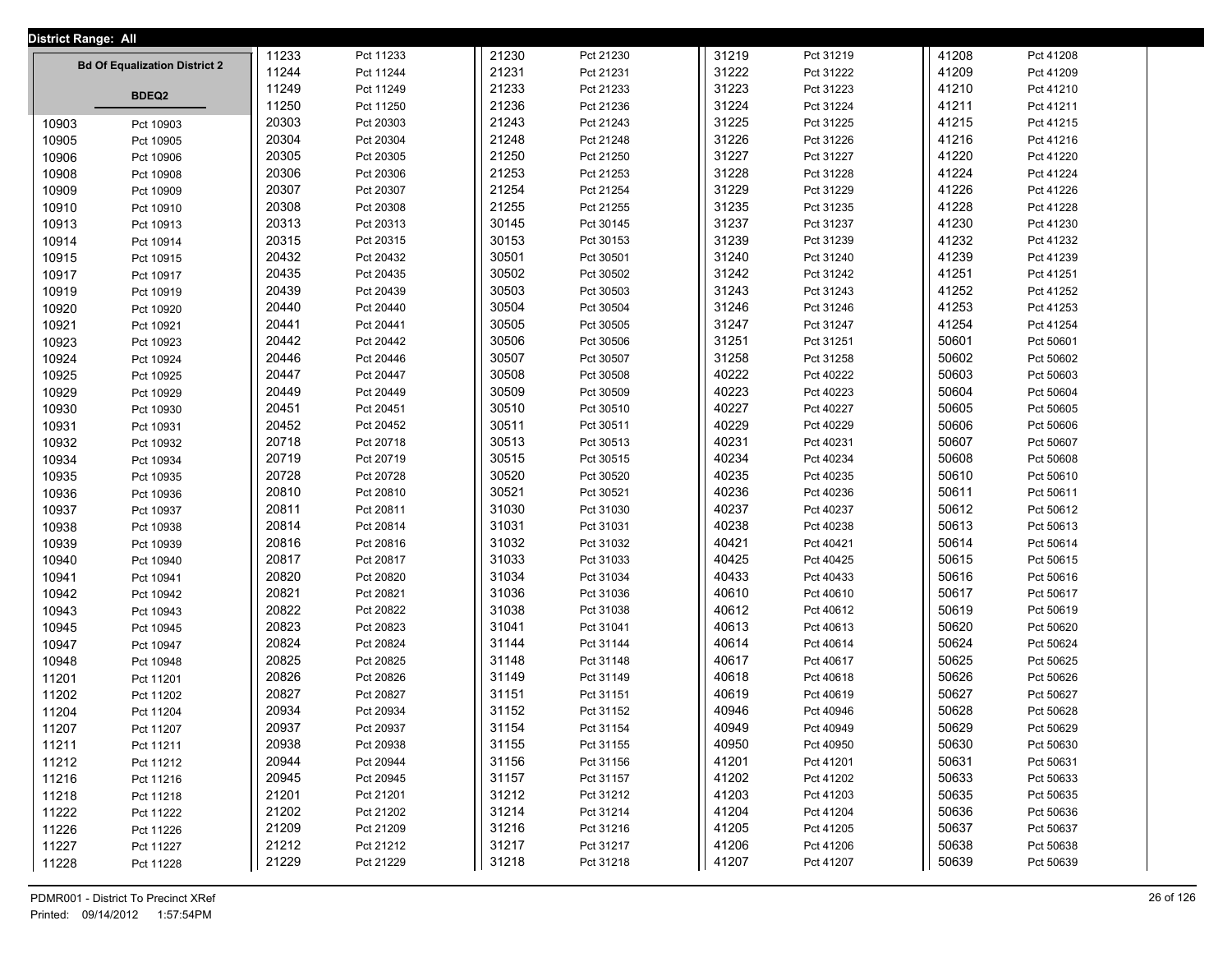| <b>District Range: All</b> |                                      |       |           |       |           |       |           |       |           |  |
|----------------------------|--------------------------------------|-------|-----------|-------|-----------|-------|-----------|-------|-----------|--|
|                            |                                      | 11233 | Pct 11233 | 21230 | Pct 21230 | 31219 | Pct 31219 | 41208 | Pct 41208 |  |
|                            | <b>Bd Of Equalization District 2</b> | 11244 | Pct 11244 | 21231 | Pct 21231 | 31222 | Pct 31222 | 41209 | Pct 41209 |  |
|                            | <b>BDEQ2</b>                         | 11249 | Pct 11249 | 21233 | Pct 21233 | 31223 | Pct 31223 | 41210 | Pct 41210 |  |
|                            |                                      | 11250 | Pct 11250 | 21236 | Pct 21236 | 31224 | Pct 31224 | 41211 | Pct 41211 |  |
| 10903                      | Pct 10903                            | 20303 | Pct 20303 | 21243 | Pct 21243 | 31225 | Pct 31225 | 41215 | Pct 41215 |  |
| 10905                      | Pct 10905                            | 20304 | Pct 20304 | 21248 | Pct 21248 | 31226 | Pct 31226 | 41216 | Pct 41216 |  |
| 10906                      | Pct 10906                            | 20305 | Pct 20305 | 21250 | Pct 21250 | 31227 | Pct 31227 | 41220 | Pct 41220 |  |
| 10908                      | Pct 10908                            | 20306 | Pct 20306 | 21253 | Pct 21253 | 31228 | Pct 31228 | 41224 | Pct 41224 |  |
| 10909                      | Pct 10909                            | 20307 | Pct 20307 | 21254 | Pct 21254 | 31229 | Pct 31229 | 41226 | Pct 41226 |  |
| 10910                      | Pct 10910                            | 20308 | Pct 20308 | 21255 | Pct 21255 | 31235 | Pct 31235 | 41228 | Pct 41228 |  |
| 10913                      | Pct 10913                            | 20313 | Pct 20313 | 30145 | Pct 30145 | 31237 | Pct 31237 | 41230 | Pct 41230 |  |
| 10914                      | Pct 10914                            | 20315 | Pct 20315 | 30153 | Pct 30153 | 31239 | Pct 31239 | 41232 | Pct 41232 |  |
| 10915                      | Pct 10915                            | 20432 | Pct 20432 | 30501 | Pct 30501 | 31240 | Pct 31240 | 41239 | Pct 41239 |  |
| 10917                      | Pct 10917                            | 20435 | Pct 20435 | 30502 | Pct 30502 | 31242 | Pct 31242 | 41251 | Pct 41251 |  |
| 10919                      | Pct 10919                            | 20439 | Pct 20439 | 30503 | Pct 30503 | 31243 | Pct 31243 | 41252 | Pct 41252 |  |
| 10920                      | Pct 10920                            | 20440 | Pct 20440 | 30504 | Pct 30504 | 31246 | Pct 31246 | 41253 | Pct 41253 |  |
| 10921                      | Pct 10921                            | 20441 | Pct 20441 | 30505 | Pct 30505 | 31247 | Pct 31247 | 41254 | Pct 41254 |  |
| 10923                      | Pct 10923                            | 20442 | Pct 20442 | 30506 | Pct 30506 | 31251 | Pct 31251 | 50601 | Pct 50601 |  |
| 10924                      | Pct 10924                            | 20446 | Pct 20446 | 30507 | Pct 30507 | 31258 | Pct 31258 | 50602 | Pct 50602 |  |
| 10925                      | Pct 10925                            | 20447 | Pct 20447 | 30508 | Pct 30508 | 40222 | Pct 40222 | 50603 | Pct 50603 |  |
| 10929                      | Pct 10929                            | 20449 | Pct 20449 | 30509 | Pct 30509 | 40223 | Pct 40223 | 50604 | Pct 50604 |  |
| 10930                      | Pct 10930                            | 20451 | Pct 20451 | 30510 | Pct 30510 | 40227 | Pct 40227 | 50605 | Pct 50605 |  |
| 10931                      | Pct 10931                            | 20452 | Pct 20452 | 30511 | Pct 30511 | 40229 | Pct 40229 | 50606 | Pct 50606 |  |
| 10932                      | Pct 10932                            | 20718 | Pct 20718 | 30513 | Pct 30513 | 40231 | Pct 40231 | 50607 | Pct 50607 |  |
| 10934                      | Pct 10934                            | 20719 | Pct 20719 | 30515 | Pct 30515 | 40234 | Pct 40234 | 50608 | Pct 50608 |  |
| 10935                      | Pct 10935                            | 20728 | Pct 20728 | 30520 | Pct 30520 | 40235 | Pct 40235 | 50610 | Pct 50610 |  |
| 10936                      | Pct 10936                            | 20810 | Pct 20810 | 30521 | Pct 30521 | 40236 | Pct 40236 | 50611 | Pct 50611 |  |
| 10937                      | Pct 10937                            | 20811 | Pct 20811 | 31030 | Pct 31030 | 40237 | Pct 40237 | 50612 | Pct 50612 |  |
| 10938                      | Pct 10938                            | 20814 | Pct 20814 | 31031 | Pct 31031 | 40238 | Pct 40238 | 50613 | Pct 50613 |  |
| 10939                      | Pct 10939                            | 20816 | Pct 20816 | 31032 | Pct 31032 | 40421 | Pct 40421 | 50614 | Pct 50614 |  |
| 10940                      | Pct 10940                            | 20817 | Pct 20817 | 31033 | Pct 31033 | 40425 | Pct 40425 | 50615 | Pct 50615 |  |
| 10941                      | Pct 10941                            | 20820 | Pct 20820 | 31034 | Pct 31034 | 40433 | Pct 40433 | 50616 | Pct 50616 |  |
| 10942                      | Pct 10942                            | 20821 | Pct 20821 | 31036 | Pct 31036 | 40610 | Pct 40610 | 50617 | Pct 50617 |  |
| 10943                      | Pct 10943                            | 20822 | Pct 20822 | 31038 | Pct 31038 | 40612 | Pct 40612 | 50619 | Pct 50619 |  |
| 10945                      | Pct 10945                            | 20823 | Pct 20823 | 31041 | Pct 31041 | 40613 | Pct 40613 | 50620 | Pct 50620 |  |
| 10947                      | Pct 10947                            | 20824 | Pct 20824 | 31144 | Pct 31144 | 40614 | Pct 40614 | 50624 | Pct 50624 |  |
| 10948                      | Pct 10948                            | 20825 | Pct 20825 | 31148 | Pct 31148 | 40617 | Pct 40617 | 50625 | Pct 50625 |  |
| 11201                      | Pct 11201                            | 20826 | Pct 20826 | 31149 | Pct 31149 | 40618 | Pct 40618 | 50626 | Pct 50626 |  |
| 11202                      | Pct 11202                            | 20827 | Pct 20827 | 31151 | Pct 31151 | 40619 | Pct 40619 | 50627 | Pct 50627 |  |
| 11204                      | Pct 11204                            | 20934 | Pct 20934 | 31152 | Pct 31152 | 40946 | Pct 40946 | 50628 | Pct 50628 |  |
| 11207                      | Pct 11207                            | 20937 | Pct 20937 | 31154 | Pct 31154 | 40949 | Pct 40949 | 50629 | Pct 50629 |  |
| 11211                      | Pct 11211                            | 20938 | Pct 20938 | 31155 | Pct 31155 | 40950 | Pct 40950 | 50630 | Pct 50630 |  |
| 11212                      | Pct 11212                            | 20944 | Pct 20944 | 31156 | Pct 31156 | 41201 | Pct 41201 | 50631 | Pct 50631 |  |
| 11216                      | Pct 11216                            | 20945 | Pct 20945 | 31157 | Pct 31157 | 41202 | Pct 41202 | 50633 | Pct 50633 |  |
| 11218                      | Pct 11218                            | 21201 | Pct 21201 | 31212 | Pct 31212 | 41203 | Pct 41203 | 50635 | Pct 50635 |  |
| 11222                      | Pct 11222                            | 21202 | Pct 21202 | 31214 | Pct 31214 | 41204 | Pct 41204 | 50636 | Pct 50636 |  |
| 11226                      | Pct 11226                            | 21209 | Pct 21209 | 31216 | Pct 31216 | 41205 | Pct 41205 | 50637 | Pct 50637 |  |
| 11227                      | Pct 11227                            | 21212 | Pct 21212 | 31217 | Pct 31217 | 41206 | Pct 41206 | 50638 | Pct 50638 |  |
| 11228                      | Pct 11228                            | 21229 | Pct 21229 | 31218 | Pct 31218 | 41207 | Pct 41207 | 50639 | Pct 50639 |  |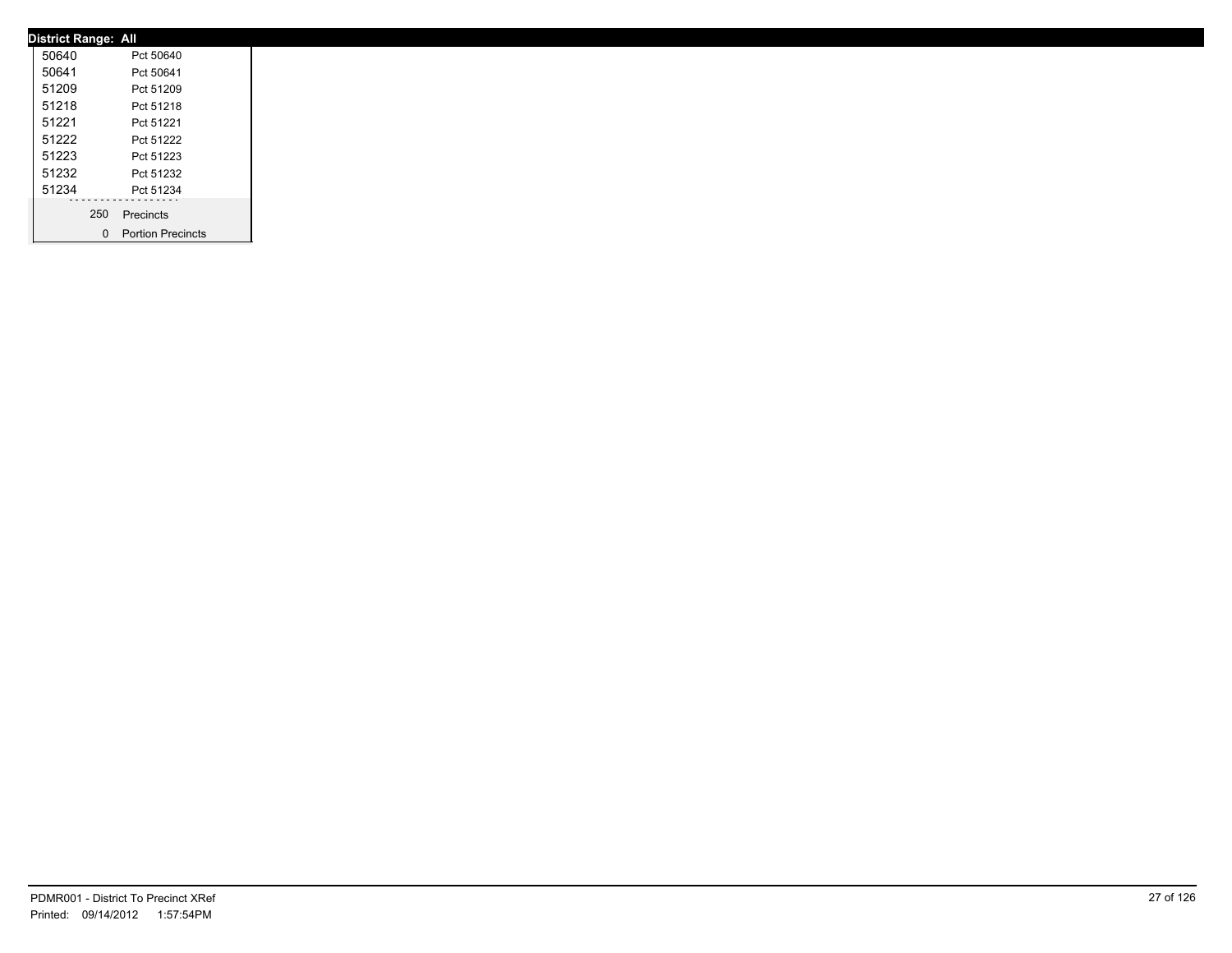| <b>District Range: All</b> |     |                     |
|----------------------------|-----|---------------------|
| 50640                      |     | Pct 50640           |
| 50641                      |     | Pct 50641           |
| 51209                      |     | Pct 51209           |
| 51218                      |     | Pct 51218           |
| 51221                      |     | Pct 51221           |
| 51222                      |     | Pct 51222           |
| 51223                      |     | Pct 51223           |
| 51232                      |     | Pct 51232           |
| 51234                      |     | Pct 51234           |
|                            | 250 | Precincts           |
|                            |     | 0 Portion Precincts |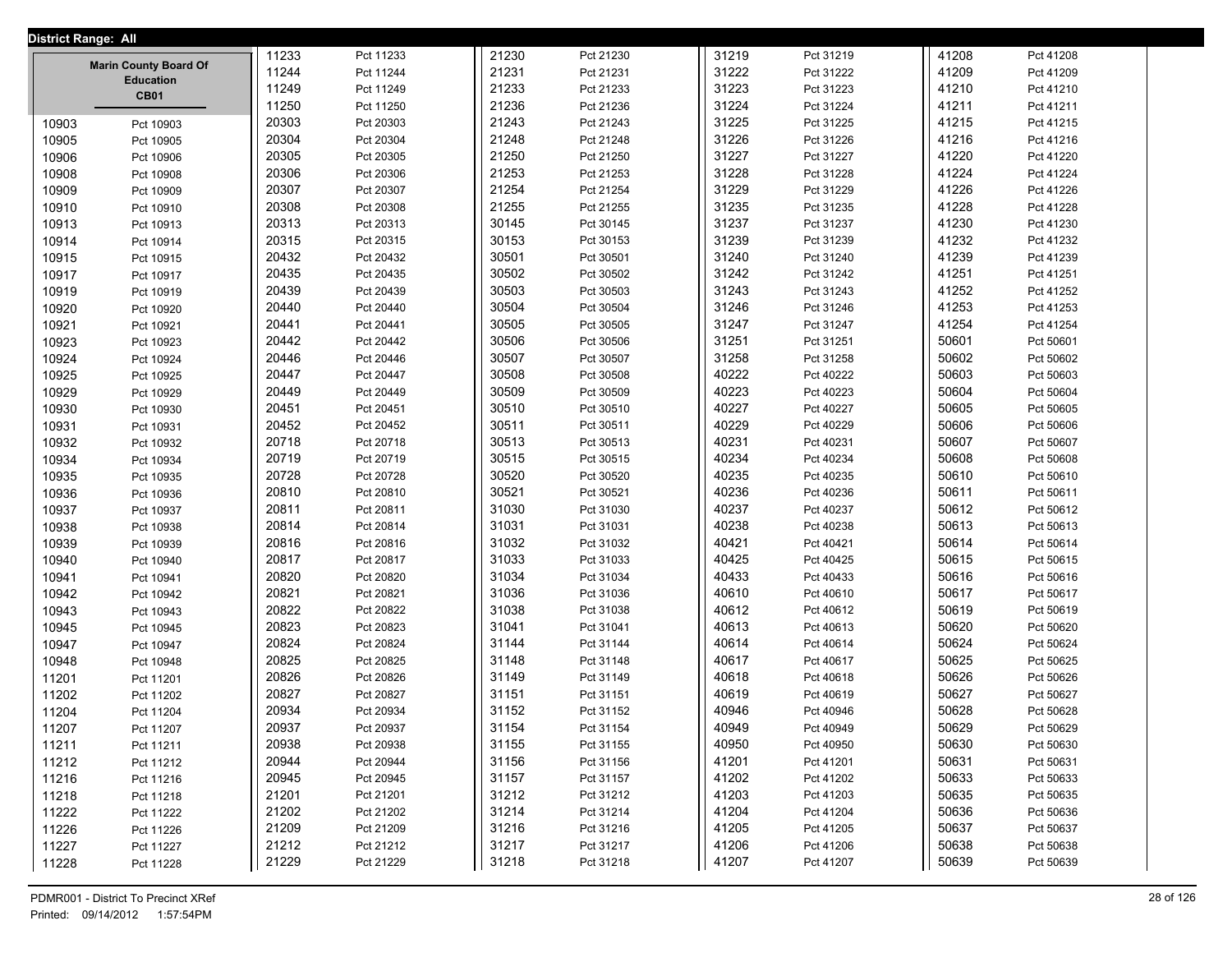|       | District Range: All                              |       |           |       |           |       |                    |       |           |  |
|-------|--------------------------------------------------|-------|-----------|-------|-----------|-------|--------------------|-------|-----------|--|
|       |                                                  | 11233 | Pct 11233 | 21230 | Pct 21230 |       | 31219<br>Pct 31219 | 41208 | Pct 41208 |  |
|       | <b>Marin County Board Of</b><br><b>Education</b> | 11244 | Pct 11244 | 21231 | Pct 21231 |       | 31222<br>Pct 31222 | 41209 | Pct 41209 |  |
|       | <b>CB01</b>                                      | 11249 | Pct 11249 | 21233 | Pct 21233 | 31223 | Pct 31223          | 41210 | Pct 41210 |  |
|       |                                                  | 11250 | Pct 11250 | 21236 | Pct 21236 | 31224 | Pct 31224          | 41211 | Pct 41211 |  |
| 10903 | Pct 10903                                        | 20303 | Pct 20303 | 21243 | Pct 21243 | 31225 | Pct 31225          | 41215 | Pct 41215 |  |
| 10905 | Pct 10905                                        | 20304 | Pct 20304 | 21248 | Pct 21248 | 31226 | Pct 31226          | 41216 | Pct 41216 |  |
| 10906 | Pct 10906                                        | 20305 | Pct 20305 | 21250 | Pct 21250 | 31227 | Pct 31227          | 41220 | Pct 41220 |  |
| 10908 | Pct 10908                                        | 20306 | Pct 20306 | 21253 | Pct 21253 | 31228 | Pct 31228          | 41224 | Pct 41224 |  |
| 10909 | Pct 10909                                        | 20307 | Pct 20307 | 21254 | Pct 21254 | 31229 | Pct 31229          | 41226 | Pct 41226 |  |
| 10910 | Pct 10910                                        | 20308 | Pct 20308 | 21255 | Pct 21255 | 31235 | Pct 31235          | 41228 | Pct 41228 |  |
| 10913 | Pct 10913                                        | 20313 | Pct 20313 | 30145 | Pct 30145 | 31237 | Pct 31237          | 41230 | Pct 41230 |  |
| 10914 | Pct 10914                                        | 20315 | Pct 20315 | 30153 | Pct 30153 | 31239 | Pct 31239          | 41232 | Pct 41232 |  |
| 10915 | Pct 10915                                        | 20432 | Pct 20432 | 30501 | Pct 30501 | 31240 | Pct 31240          | 41239 | Pct 41239 |  |
| 10917 | Pct 10917                                        | 20435 | Pct 20435 | 30502 | Pct 30502 |       | 31242<br>Pct 31242 | 41251 | Pct 41251 |  |
| 10919 | Pct 10919                                        | 20439 | Pct 20439 | 30503 | Pct 30503 | 31243 | Pct 31243          | 41252 | Pct 41252 |  |
| 10920 | Pct 10920                                        | 20440 | Pct 20440 | 30504 | Pct 30504 | 31246 | Pct 31246          | 41253 | Pct 41253 |  |
| 10921 | Pct 10921                                        | 20441 | Pct 20441 | 30505 | Pct 30505 | 31247 | Pct 31247          | 41254 | Pct 41254 |  |
| 10923 | Pct 10923                                        | 20442 | Pct 20442 | 30506 | Pct 30506 | 31251 | Pct 31251          | 50601 | Pct 50601 |  |
| 10924 | Pct 10924                                        | 20446 | Pct 20446 | 30507 | Pct 30507 | 31258 | Pct 31258          | 50602 | Pct 50602 |  |
| 10925 | Pct 10925                                        | 20447 | Pct 20447 | 30508 | Pct 30508 |       | 40222<br>Pct 40222 | 50603 | Pct 50603 |  |
| 10929 | Pct 10929                                        | 20449 | Pct 20449 | 30509 | Pct 30509 |       | 40223<br>Pct 40223 | 50604 | Pct 50604 |  |
| 10930 | Pct 10930                                        | 20451 | Pct 20451 | 30510 | Pct 30510 |       | 40227<br>Pct 40227 | 50605 | Pct 50605 |  |
| 10931 | Pct 10931                                        | 20452 | Pct 20452 | 30511 | Pct 30511 |       | 40229<br>Pct 40229 | 50606 | Pct 50606 |  |
| 10932 | Pct 10932                                        | 20718 | Pct 20718 | 30513 | Pct 30513 |       | 40231<br>Pct 40231 | 50607 | Pct 50607 |  |
| 10934 | Pct 10934                                        | 20719 | Pct 20719 | 30515 | Pct 30515 |       | 40234<br>Pct 40234 | 50608 | Pct 50608 |  |
| 10935 | Pct 10935                                        | 20728 | Pct 20728 | 30520 | Pct 30520 |       | 40235<br>Pct 40235 | 50610 | Pct 50610 |  |
| 10936 | Pct 10936                                        | 20810 | Pct 20810 | 30521 | Pct 30521 |       | 40236<br>Pct 40236 | 50611 | Pct 50611 |  |
| 10937 | Pct 10937                                        | 20811 | Pct 20811 | 31030 | Pct 31030 |       | 40237<br>Pct 40237 | 50612 | Pct 50612 |  |
| 10938 | Pct 10938                                        | 20814 | Pct 20814 | 31031 | Pct 31031 |       | 40238<br>Pct 40238 | 50613 | Pct 50613 |  |
| 10939 | Pct 10939                                        | 20816 | Pct 20816 | 31032 | Pct 31032 |       | 40421<br>Pct 40421 | 50614 | Pct 50614 |  |
| 10940 | Pct 10940                                        | 20817 | Pct 20817 | 31033 | Pct 31033 |       | 40425<br>Pct 40425 | 50615 | Pct 50615 |  |
| 10941 | Pct 10941                                        | 20820 | Pct 20820 | 31034 | Pct 31034 |       | 40433<br>Pct 40433 | 50616 | Pct 50616 |  |
| 10942 | Pct 10942                                        | 20821 | Pct 20821 | 31036 | Pct 31036 |       | 40610<br>Pct 40610 | 50617 | Pct 50617 |  |
| 10943 | Pct 10943                                        | 20822 | Pct 20822 | 31038 | Pct 31038 |       | 40612<br>Pct 40612 | 50619 | Pct 50619 |  |
| 10945 | Pct 10945                                        | 20823 | Pct 20823 | 31041 | Pct 31041 |       | 40613<br>Pct 40613 | 50620 | Pct 50620 |  |
| 10947 | Pct 10947                                        | 20824 | Pct 20824 | 31144 | Pct 31144 |       | 40614<br>Pct 40614 | 50624 | Pct 50624 |  |
| 10948 | Pct 10948                                        | 20825 | Pct 20825 | 31148 | Pct 31148 |       | 40617<br>Pct 40617 | 50625 | Pct 50625 |  |
| 11201 | Pct 11201                                        | 20826 | Pct 20826 | 31149 | Pct 31149 |       | 40618<br>Pct 40618 | 50626 | Pct 50626 |  |
| 11202 | Pct 11202                                        | 20827 | Pct 20827 | 31151 | Pct 31151 |       | 40619<br>Pct 40619 | 50627 | Pct 50627 |  |
| 11204 | Pct 11204                                        | 20934 | Pct 20934 | 31152 | Pct 31152 |       | 40946<br>Pct 40946 | 50628 | Pct 50628 |  |
| 11207 | Pct 11207                                        | 20937 | Pct 20937 | 31154 | Pct 31154 |       | 40949<br>Pct 40949 | 50629 | Pct 50629 |  |
| 11211 | Pct 11211                                        | 20938 | Pct 20938 | 31155 | Pct 31155 | 40950 | Pct 40950          | 50630 | Pct 50630 |  |
| 11212 | Pct 11212                                        | 20944 | Pct 20944 | 31156 | Pct 31156 | 41201 | Pct 41201          | 50631 | Pct 50631 |  |
| 11216 | Pct 11216                                        | 20945 | Pct 20945 | 31157 | Pct 31157 |       | 41202<br>Pct 41202 | 50633 | Pct 50633 |  |
| 11218 | Pct 11218                                        | 21201 | Pct 21201 | 31212 | Pct 31212 | 41203 | Pct 41203          | 50635 | Pct 50635 |  |
| 11222 | Pct 11222                                        | 21202 | Pct 21202 | 31214 | Pct 31214 | 41204 | Pct 41204          | 50636 | Pct 50636 |  |
| 11226 | Pct 11226                                        | 21209 | Pct 21209 | 31216 | Pct 31216 |       | 41205<br>Pct 41205 | 50637 | Pct 50637 |  |
| 11227 | Pct 11227                                        | 21212 | Pct 21212 | 31217 | Pct 31217 | 41206 | Pct 41206          | 50638 | Pct 50638 |  |
| 11228 | Pct 11228                                        | 21229 | Pct 21229 | 31218 | Pct 31218 | 41207 | Pct 41207          | 50639 | Pct 50639 |  |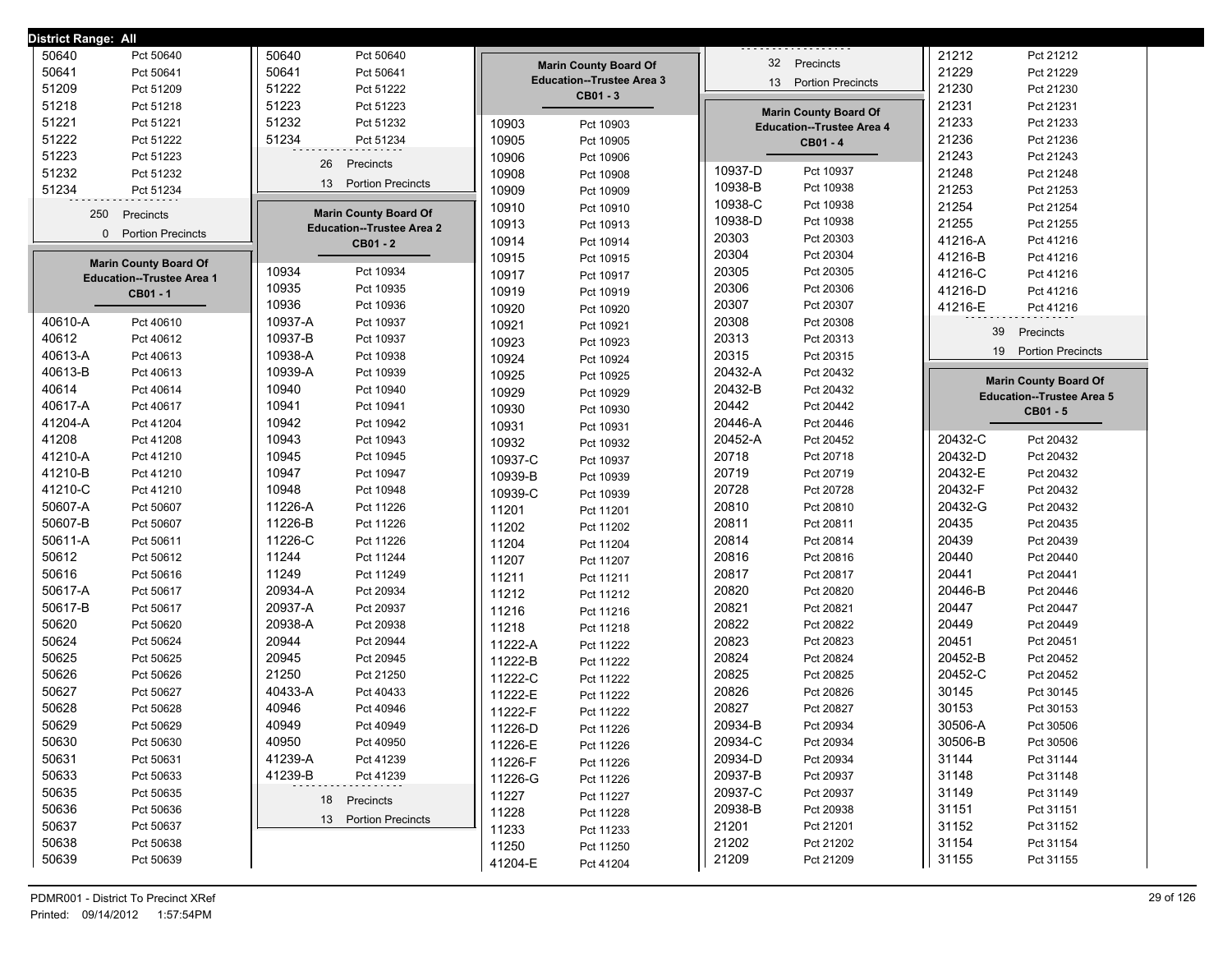| District Range: All |                                  |                                            |         |                                                                  |                |                                  |                  |                                  |
|---------------------|----------------------------------|--------------------------------------------|---------|------------------------------------------------------------------|----------------|----------------------------------|------------------|----------------------------------|
| 50640               | Pct 50640                        | 50640<br>Pct 50640                         |         |                                                                  |                | 32 Precincts                     | 21212            | Pct 21212                        |
| 50641               | Pct 50641                        | 50641<br>Pct 50641                         |         | <b>Marin County Board Of</b><br><b>Education--Trustee Area 3</b> |                |                                  | 21229            | Pct 21229                        |
| 51209               | Pct 51209                        | 51222<br>Pct 51222                         |         | CB01 - 3                                                         | 13             | <b>Portion Precincts</b>         | 21230            | Pct 21230                        |
| 51218               | Pct 51218                        | 51223<br>Pct 51223                         |         |                                                                  |                | <b>Marin County Board Of</b>     | 21231            | Pct 21231                        |
| 51221               | Pct 51221                        | 51232<br>Pct 51232                         | 10903   | Pct 10903                                                        |                | <b>Education--Trustee Area 4</b> | 21233            | Pct 21233                        |
| 51222               | Pct 51222                        | 51234<br>Pct 51234                         | 10905   | Pct 10905                                                        |                | CB01 - 4                         | 21236            | Pct 21236                        |
| 51223               | Pct 51223                        | 26<br>Precincts                            | 10906   | Pct 10906                                                        |                |                                  | 21243            | Pct 21243                        |
| 51232               | Pct 51232                        |                                            | 10908   | Pct 10908                                                        | 10937-D        | Pct 10937                        | 21248            | Pct 21248                        |
| 51234               | Pct 51234                        | 13<br><b>Portion Precincts</b>             | 10909   | Pct 10909                                                        | 10938-B        | Pct 10938                        | 21253            | Pct 21253                        |
| 250                 | Precincts                        | <b>Marin County Board Of</b>               | 10910   | Pct 10910                                                        | 10938-C        | Pct 10938                        | 21254            | Pct 21254                        |
| 0                   | <b>Portion Precincts</b>         | <b>Education--Trustee Area 2</b>           | 10913   | Pct 10913                                                        | 10938-D        | Pct 10938                        | 21255            | Pct 21255                        |
|                     |                                  | CB01 - 2                                   | 10914   | Pct 10914                                                        | 20303          | Pct 20303                        | 41216-A          | Pct 41216                        |
|                     | <b>Marin County Board Of</b>     |                                            | 10915   | Pct 10915                                                        | 20304          | Pct 20304                        | 41216-B          | Pct 41216                        |
|                     | <b>Education--Trustee Area 1</b> | 10934<br>Pct 10934                         | 10917   | Pct 10917                                                        | 20305          | Pct 20305                        | 41216-C          | Pct 41216                        |
|                     | CB01-1                           | 10935<br>Pct 10935                         | 10919   | Pct 10919                                                        | 20306          | Pct 20306                        | 41216-D          | Pct 41216                        |
|                     |                                  | 10936<br>Pct 10936                         | 10920   | Pct 10920                                                        | 20307          | Pct 20307                        | 41216-E          | Pct 41216                        |
| 40610-A             | Pct 40610                        | 10937-A<br>Pct 10937                       | 10921   | Pct 10921                                                        | 20308          | Pct 20308                        | 39               | Precincts                        |
| 40612               | Pct 40612                        | 10937-B<br>Pct 10937                       | 10923   | Pct 10923                                                        | 20313          | Pct 20313                        | 19               | <b>Portion Precincts</b>         |
| 40613-A             | Pct 40613                        | 10938-A<br>Pct 10938                       | 10924   | Pct 10924                                                        | 20315          | Pct 20315                        |                  |                                  |
| 40613-B             | Pct 40613                        | 10939-A<br>Pct 10939                       | 10925   | Pct 10925                                                        | 20432-A        | Pct 20432                        |                  | <b>Marin County Board Of</b>     |
| 40614               | Pct 40614                        | 10940<br>Pct 10940                         | 10929   | Pct 10929                                                        | 20432-B        | Pct 20432                        |                  | <b>Education--Trustee Area 5</b> |
| 40617-A             | Pct 40617                        | 10941<br>Pct 10941                         | 10930   | Pct 10930                                                        | 20442          | Pct 20442                        |                  | CB01 - 5                         |
| 41204-A             | Pct 41204                        | 10942<br>Pct 10942                         | 10931   | Pct 10931                                                        | 20446-A        | Pct 20446                        |                  |                                  |
| 41208               | Pct 41208                        | 10943<br>Pct 10943                         | 10932   | Pct 10932                                                        | 20452-A        | Pct 20452                        | 20432-C          | Pct 20432                        |
| 41210-A             | Pct 41210                        | 10945<br>Pct 10945                         | 10937-C | Pct 10937                                                        | 20718          | Pct 20718                        | 20432-D          | Pct 20432                        |
| 41210-B             | Pct 41210                        | 10947<br>Pct 10947                         | 10939-B | Pct 10939                                                        | 20719          | Pct 20719                        | 20432-E          | Pct 20432                        |
| 41210-C             | Pct 41210                        | 10948<br>Pct 10948                         | 10939-C | Pct 10939                                                        | 20728          | Pct 20728                        | 20432-F          | Pct 20432                        |
| 50607-A             | Pct 50607                        | 11226-A<br>Pct 11226                       | 11201   | Pct 11201                                                        | 20810          | Pct 20810                        | 20432-G          | Pct 20432                        |
| 50607-B             | Pct 50607                        | 11226-B<br>Pct 11226                       | 11202   | Pct 11202                                                        | 20811          | Pct 20811                        | 20435            | Pct 20435                        |
| 50611-A             | Pct 50611                        | 11226-C<br>Pct 11226                       | 11204   | Pct 11204                                                        | 20814          | Pct 20814                        | 20439            | Pct 20439                        |
| 50612               | Pct 50612                        | 11244<br>Pct 11244                         | 11207   | Pct 11207                                                        | 20816          | Pct 20816                        | 20440            | Pct 20440                        |
| 50616               | Pct 50616                        | 11249<br>Pct 11249                         | 11211   | Pct 11211                                                        | 20817          | Pct 20817                        | 20441            | Pct 20441                        |
| 50617-A             | Pct 50617                        | 20934-A<br>Pct 20934                       | 11212   | Pct 11212                                                        | 20820          | Pct 20820                        | 20446-B          | Pct 20446                        |
| 50617-B             | Pct 50617                        | 20937-A<br>Pct 20937                       | 11216   | Pct 11216                                                        | 20821          | Pct 20821                        | 20447            | Pct 20447                        |
| 50620               | Pct 50620                        | 20938-A<br>Pct 20938                       | 11218   | Pct 11218                                                        | 20822          | Pct 20822                        | 20449            | Pct 20449                        |
| 50624<br>50625      | Pct 50624                        | 20944<br>Pct 20944<br>20945<br>Pct 20945   | 11222-A | Pct 11222                                                        | 20823<br>20824 | Pct 20823<br>Pct 20824           | 20451<br>20452-B | Pct 20451                        |
| 50626               | Pct 50625                        |                                            | 11222-B | Pct 11222                                                        |                |                                  |                  | Pct 20452                        |
| 50627               | Pct 50626<br>Pct 50627           | 21250<br>Pct 21250<br>40433-A<br>Pct 40433 | 11222-C | Pct 11222                                                        | 20825<br>20826 | Pct 20825<br>Pct 20826           | 20452-C<br>30145 | Pct 20452<br>Pct 30145           |
| 50628               | Pct 50628                        | 40946<br>Pct 40946                         | 11222-E | Pct 11222                                                        | 20827          | Pct 20827                        | 30153            | Pct 30153                        |
| 50629               |                                  | 40949                                      | 11222-F | Pct 11222                                                        | 20934-B        |                                  | 30506-A          |                                  |
|                     | Pct 50629                        | Pct 40949                                  | 11226-D | Pct 11226                                                        | 20934-C        | Pct 20934                        |                  | Pct 30506                        |
| 50630<br>50631      | Pct 50630<br>Pct 50631           | 40950<br>Pct 40950<br>41239-A<br>Pct 41239 | 11226-E | Pct 11226                                                        | 20934-D        | Pct 20934<br>Pct 20934           | 30506-B<br>31144 | Pct 30506<br>Pct 31144           |
| 50633               | Pct 50633                        | 41239-B<br>Pct 41239                       | 11226-F | Pct 11226                                                        | 20937-B        | Pct 20937                        | 31148            | Pct 31148                        |
| 50635               | Pct 50635                        |                                            | 11226-G | Pct 11226                                                        | 20937-C        | Pct 20937                        | 31149            | Pct 31149                        |
| 50636               |                                  | 18 Precincts                               | 11227   | Pct 11227                                                        | 20938-B        |                                  | 31151            |                                  |
| 50637               | Pct 50636<br>Pct 50637           | 13 Portion Precincts                       | 11228   | Pct 11228                                                        | 21201          | Pct 20938<br>Pct 21201           | 31152            | Pct 31151<br>Pct 31152           |
| 50638               | Pct 50638                        |                                            | 11233   | Pct 11233                                                        | 21202          | Pct 21202                        | 31154            | Pct 31154                        |
| 50639               |                                  |                                            | 11250   | Pct 11250                                                        | 21209          |                                  |                  |                                  |
|                     | Pct 50639                        |                                            | 41204-E | Pct 41204                                                        |                | Pct 21209                        | 31155            | Pct 31155                        |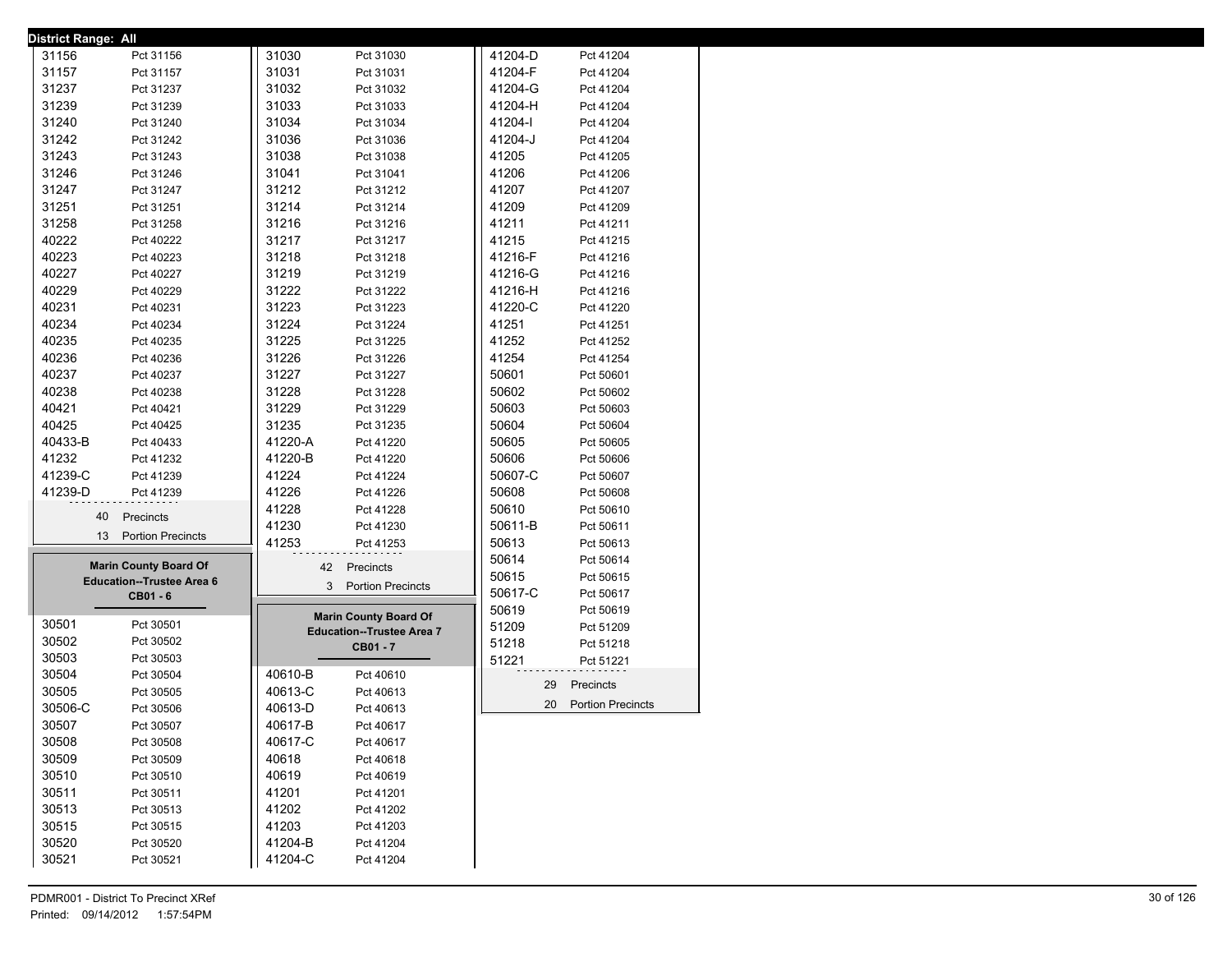| <b>District Range: All</b>       |         |                                  |         |                          |
|----------------------------------|---------|----------------------------------|---------|--------------------------|
| 31156<br>Pct 31156               | 31030   | Pct 31030                        | 41204-D | Pct 41204                |
| 31157<br>Pct 31157               | 31031   | Pct 31031                        | 41204-F | Pct 41204                |
| 31237<br>Pct 31237               | 31032   | Pct 31032                        | 41204-G | Pct 41204                |
| 31239<br>Pct 31239               | 31033   | Pct 31033                        | 41204-H | Pct 41204                |
| 31240<br>Pct 31240               | 31034   | Pct 31034                        | 41204-l | Pct 41204                |
| 31242<br>Pct 31242               | 31036   | Pct 31036                        | 41204-J | Pct 41204                |
| 31243<br>Pct 31243               | 31038   | Pct 31038                        | 41205   | Pct 41205                |
| 31246<br>Pct 31246               | 31041   | Pct 31041                        | 41206   | Pct 41206                |
| 31247<br>Pct 31247               | 31212   | Pct 31212                        | 41207   | Pct 41207                |
| 31251<br>Pct 31251               | 31214   | Pct 31214                        | 41209   | Pct 41209                |
| 31258<br>Pct 31258               | 31216   | Pct 31216                        | 41211   | Pct 41211                |
| 40222<br>Pct 40222               | 31217   | Pct 31217                        | 41215   | Pct 41215                |
| 40223<br>Pct 40223               | 31218   | Pct 31218                        | 41216-F | Pct 41216                |
| 40227<br>Pct 40227               | 31219   | Pct 31219                        | 41216-G | Pct 41216                |
| 40229<br>Pct 40229               | 31222   | Pct 31222                        | 41216-H | Pct 41216                |
| 40231<br>Pct 40231               | 31223   | Pct 31223                        | 41220-C | Pct 41220                |
| 40234<br>Pct 40234               | 31224   | Pct 31224                        | 41251   | Pct 41251                |
| 40235<br>Pct 40235               | 31225   | Pct 31225                        | 41252   | Pct 41252                |
| 40236<br>Pct 40236               | 31226   | Pct 31226                        | 41254   | Pct 41254                |
| 40237<br>Pct 40237               | 31227   | Pct 31227                        | 50601   | Pct 50601                |
| 40238<br>Pct 40238               | 31228   | Pct 31228                        | 50602   | Pct 50602                |
| 40421<br>Pct 40421               |         |                                  |         |                          |
| 40425                            | 31229   | Pct 31229                        | 50603   | Pct 50603                |
| Pct 40425                        | 31235   | Pct 31235                        | 50604   | Pct 50604                |
| 40433-B<br>Pct 40433             | 41220-A | Pct 41220                        | 50605   | Pct 50605                |
| 41232<br>Pct 41232               | 41220-B | Pct 41220                        | 50606   | Pct 50606                |
| 41239-C<br>Pct 41239             | 41224   | Pct 41224                        | 50607-C | Pct 50607                |
| 41239-D<br>Pct 41239             | 41226   | Pct 41226                        | 50608   | Pct 50608                |
| 40<br>Precincts                  | 41228   | Pct 41228                        | 50610   | Pct 50610                |
| 13 Portion Precincts             | 41230   | Pct 41230                        | 50611-B | Pct 50611                |
|                                  | 41253   | Pct 41253                        | 50613   | Pct 50613                |
| <b>Marin County Board Of</b>     |         | Precincts<br>42                  | 50614   | Pct 50614                |
| <b>Education--Trustee Area 6</b> |         |                                  | 50615   | Pct 50615                |
| CB01 - 6                         |         | 3 Portion Precincts              | 50617-C | Pct 50617                |
|                                  |         | <b>Marin County Board Of</b>     | 50619   | Pct 50619                |
| 30501<br>Pct 30501               |         | <b>Education--Trustee Area 7</b> | 51209   | Pct 51209                |
| 30502<br>Pct 30502               |         | CB01 - 7                         | 51218   | Pct 51218                |
| 30503<br>Pct 30503               |         |                                  | 51221   | Pct 51221                |
| 30504<br>Pct 30504               | 40610-B | Pct 40610                        |         |                          |
| 30505<br>Pct 30505               | 40613-C | Pct 40613                        | 29      | Precincts                |
| 30506-C<br>Pct 30506             | 40613-D | Pct 40613                        | 20      | <b>Portion Precincts</b> |
| 30507<br>Pct 30507               | 40617-B | Pct 40617                        |         |                          |
| 30508<br>Pct 30508               | 40617-C | Pct 40617                        |         |                          |
| 30509<br>Pct 30509               | 40618   | Pct 40618                        |         |                          |
| 30510<br>Pct 30510               | 40619   | Pct 40619                        |         |                          |
| 30511<br>Pct 30511               | 41201   | Pct 41201                        |         |                          |
| 30513<br>Pct 30513               | 41202   | Pct 41202                        |         |                          |
| 30515<br>Pct 30515               | 41203   | Pct 41203                        |         |                          |
|                                  |         |                                  |         |                          |
| 30520<br>Pct 30520               | 41204-B | Pct 41204                        |         |                          |
| 30521<br>Pct 30521               | 41204-C | Pct 41204                        |         |                          |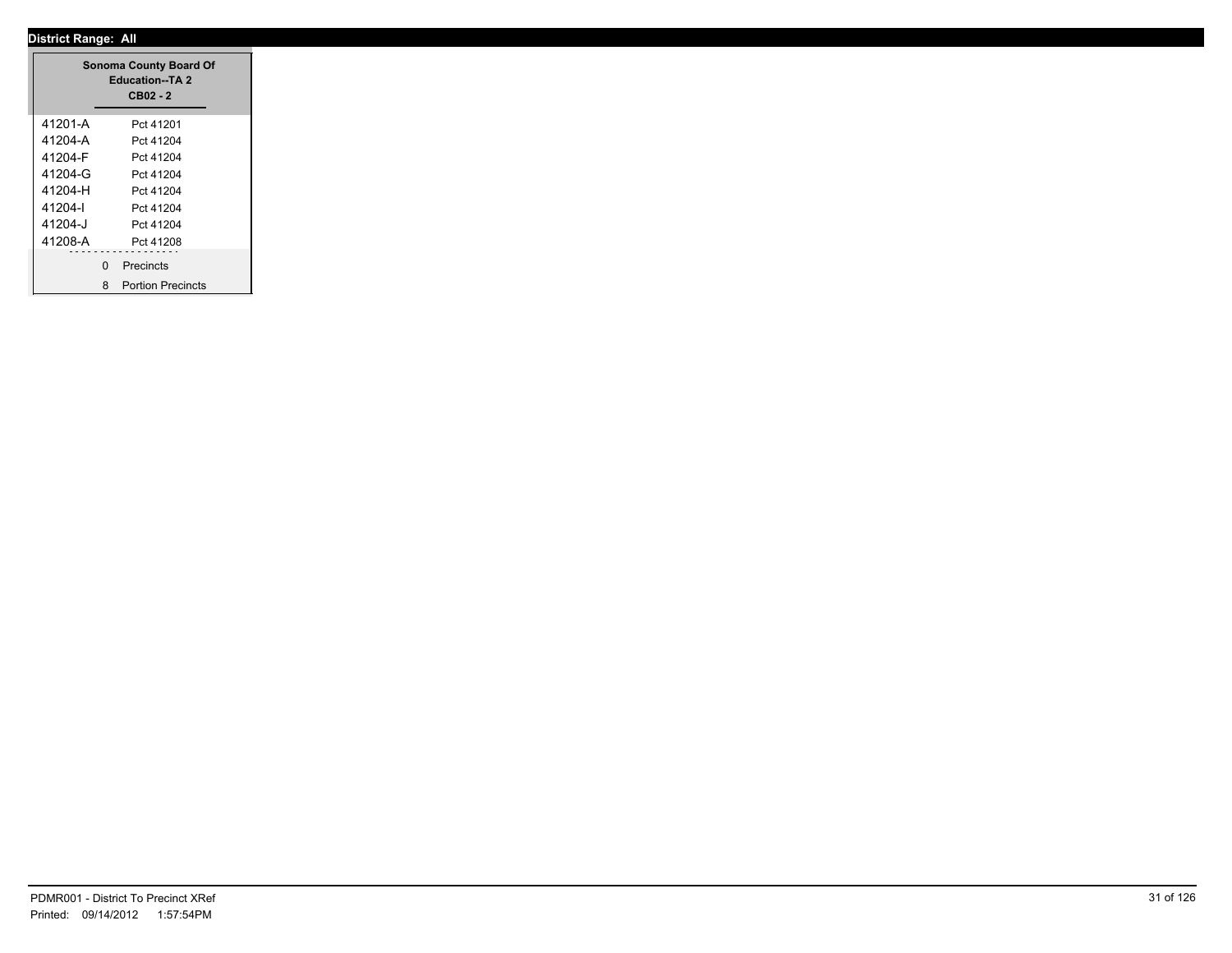|         |   | <b>Sonoma County Board Of</b><br><b>Education--TA 2</b><br>$CB02 - 2$ |  |
|---------|---|-----------------------------------------------------------------------|--|
| 41201-A |   | Pct 41201                                                             |  |
| 41204-A |   | Pct 41204                                                             |  |
| 41204-F |   | Pct 41204                                                             |  |
| 41204-G |   | Pct 41204                                                             |  |
| 41204-H |   | Pct 41204                                                             |  |
| 41204-l |   | Pct 41204                                                             |  |
| 41204-J |   | Pct 41204                                                             |  |
| 41208-A |   | Pct 41208                                                             |  |
|         | 0 | Precincts                                                             |  |
|         | 8 | <b>Portion Precincts</b>                                              |  |

÷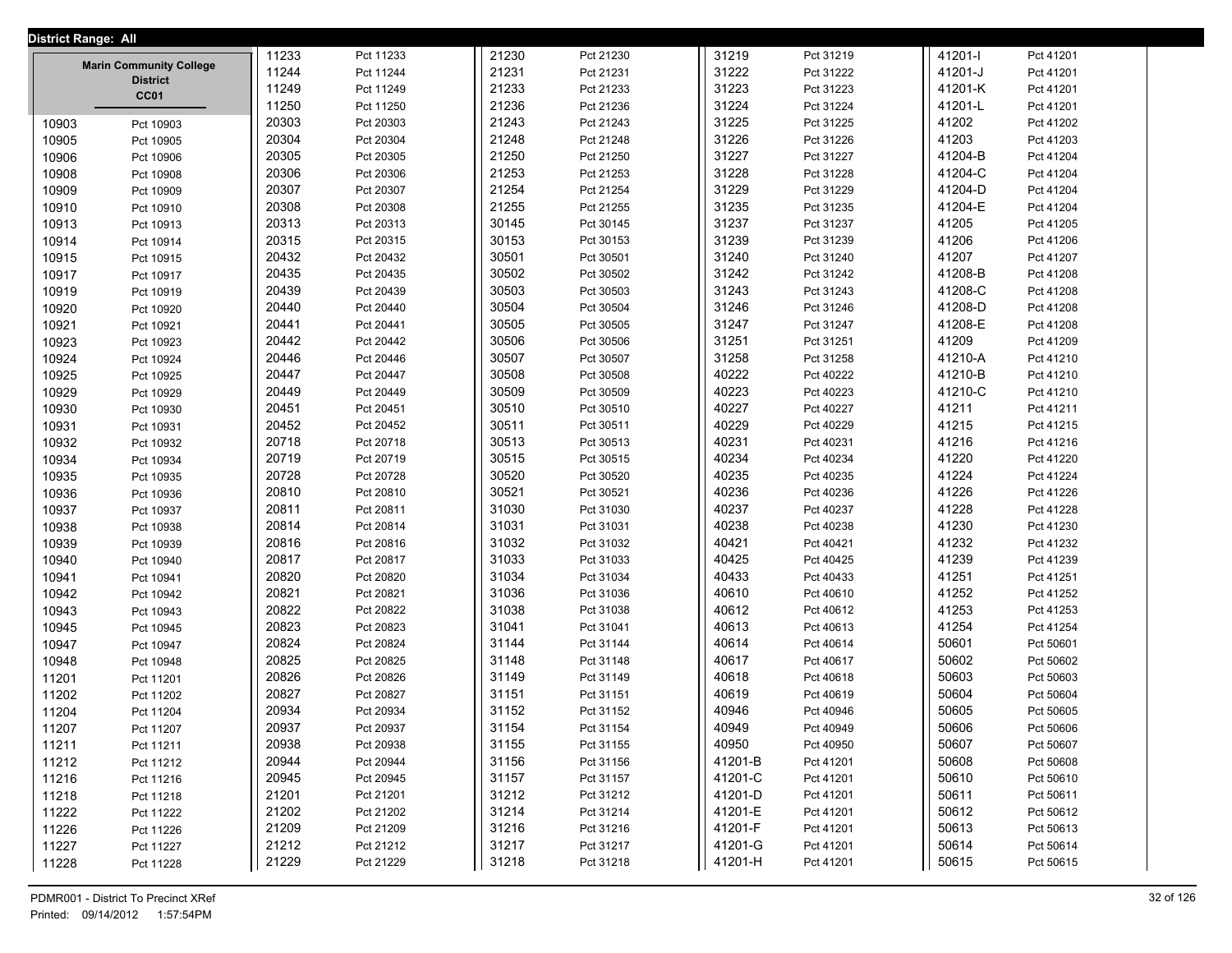| District Range: All |                                |       |                        |       |                        |                |                        |                |                        |  |
|---------------------|--------------------------------|-------|------------------------|-------|------------------------|----------------|------------------------|----------------|------------------------|--|
|                     |                                | 11233 | Pct 11233              | 21230 | Pct 21230              | 31219          | Pct 31219              | 41201-l        | Pct 41201              |  |
|                     | <b>Marin Community College</b> | 11244 | Pct 11244              | 21231 | Pct 21231              | 31222          | Pct 31222              | 41201-J        | Pct 41201              |  |
|                     | <b>District</b><br>CC01        | 11249 | Pct 11249              | 21233 | Pct 21233              | 31223          | Pct 31223              | 41201-K        | Pct 41201              |  |
|                     |                                | 11250 | Pct 11250              | 21236 | Pct 21236              | 31224          | Pct 31224              | 41201-L        | Pct 41201              |  |
| 10903               | Pct 10903                      | 20303 | Pct 20303              | 21243 | Pct 21243              | 31225          | Pct 31225              | 41202          | Pct 41202              |  |
| 10905               | Pct 10905                      | 20304 | Pct 20304              | 21248 | Pct 21248              | 31226          | Pct 31226              | 41203          | Pct 41203              |  |
| 10906               | Pct 10906                      | 20305 | Pct 20305              | 21250 | Pct 21250              | 31227          | Pct 31227              | 41204-B        | Pct 41204              |  |
| 10908               | Pct 10908                      | 20306 | Pct 20306              | 21253 | Pct 21253              | 31228          | Pct 31228              | 41204-C        | Pct 41204              |  |
| 10909               | Pct 10909                      | 20307 | Pct 20307              | 21254 | Pct 21254              | 31229          | Pct 31229              | 41204-D        | Pct 41204              |  |
| 10910               | Pct 10910                      | 20308 | Pct 20308              | 21255 | Pct 21255              | 31235          | Pct 31235              | 41204-E        | Pct 41204              |  |
| 10913               | Pct 10913                      | 20313 | Pct 20313              | 30145 | Pct 30145              | 31237          | Pct 31237              | 41205          | Pct 41205              |  |
| 10914               | Pct 10914                      | 20315 | Pct 20315              | 30153 | Pct 30153              | 31239          | Pct 31239              | 41206          | Pct 41206              |  |
| 10915               | Pct 10915                      | 20432 | Pct 20432              | 30501 | Pct 30501              | 31240          | Pct 31240              | 41207          | Pct 41207              |  |
| 10917               | Pct 10917                      | 20435 | Pct 20435              | 30502 | Pct 30502              | 31242          | Pct 31242              | 41208-B        | Pct 41208              |  |
| 10919               | Pct 10919                      | 20439 | Pct 20439              | 30503 | Pct 30503              | 31243          | Pct 31243              | 41208-C        | Pct 41208              |  |
| 10920               | Pct 10920                      | 20440 | Pct 20440              | 30504 | Pct 30504              | 31246          | Pct 31246              | 41208-D        | Pct 41208              |  |
| 10921               | Pct 10921                      | 20441 | Pct 20441              | 30505 | Pct 30505              | 31247          | Pct 31247              | 41208-E        | Pct 41208              |  |
| 10923               | Pct 10923                      | 20442 | Pct 20442              | 30506 | Pct 30506              | 31251          | Pct 31251              | 41209          | Pct 41209              |  |
| 10924               | Pct 10924                      | 20446 | Pct 20446              | 30507 | Pct 30507              | 31258          | Pct 31258              | 41210-A        | Pct 41210              |  |
| 10925               | Pct 10925                      | 20447 | Pct 20447              | 30508 | Pct 30508              | 40222          | Pct 40222              | 41210-B        | Pct 41210              |  |
| 10929               | Pct 10929                      | 20449 | Pct 20449              | 30509 | Pct 30509              | 40223          | Pct 40223              | 41210-C        | Pct 41210              |  |
| 10930               | Pct 10930                      | 20451 | Pct 20451              | 30510 | Pct 30510              | 40227          | Pct 40227              | 41211          | Pct 41211              |  |
| 10931               | Pct 10931                      | 20452 | Pct 20452              | 30511 | Pct 30511              | 40229          | Pct 40229              | 41215          | Pct 41215              |  |
| 10932               | Pct 10932                      | 20718 | Pct 20718              | 30513 | Pct 30513              | 40231          | Pct 40231              | 41216          | Pct 41216              |  |
| 10934               |                                | 20719 | Pct 20719              | 30515 | Pct 30515              | 40234          | Pct 40234              | 41220          | Pct 41220              |  |
|                     | Pct 10934                      | 20728 | Pct 20728              | 30520 | Pct 30520              | 40235          | Pct 40235              | 41224          | Pct 41224              |  |
| 10935               | Pct 10935                      | 20810 | Pct 20810              | 30521 | Pct 30521              | 40236          | Pct 40236              | 41226          | Pct 41226              |  |
| 10936               | Pct 10936                      | 20811 | Pct 20811              | 31030 | Pct 31030              | 40237          | Pct 40237              | 41228          | Pct 41228              |  |
| 10937<br>10938      | Pct 10937                      | 20814 | Pct 20814              | 31031 | Pct 31031              | 40238          | Pct 40238              | 41230          | Pct 41230              |  |
|                     | Pct 10938                      | 20816 |                        | 31032 | Pct 31032              | 40421          | Pct 40421              | 41232          | Pct 41232              |  |
| 10939               | Pct 10939                      | 20817 | Pct 20816<br>Pct 20817 | 31033 | Pct 31033              | 40425          | Pct 40425              | 41239          | Pct 41239              |  |
| 10940<br>10941      | Pct 10940                      | 20820 | Pct 20820              | 31034 | Pct 31034              | 40433          | Pct 40433              | 41251          | Pct 41251              |  |
|                     | Pct 10941                      | 20821 | Pct 20821              | 31036 | Pct 31036              | 40610          | Pct 40610              | 41252          | Pct 41252              |  |
| 10942               | Pct 10942                      | 20822 | Pct 20822              | 31038 | Pct 31038              | 40612          | Pct 40612              | 41253          | Pct 41253              |  |
| 10943               | Pct 10943                      | 20823 | Pct 20823              | 31041 | Pct 31041              | 40613          | Pct 40613              | 41254          |                        |  |
| 10945               | Pct 10945                      | 20824 |                        | 31144 |                        |                |                        |                | Pct 41254              |  |
| 10947               | Pct 10947                      | 20825 | Pct 20824<br>Pct 20825 | 31148 | Pct 31144<br>Pct 31148 | 40614<br>40617 | Pct 40614<br>Pct 40617 | 50601<br>50602 | Pct 50601<br>Pct 50602 |  |
| 10948               | Pct 10948                      | 20826 |                        | 31149 |                        | 40618          |                        | 50603          |                        |  |
| 11201               | Pct 11201                      |       | Pct 20826              |       | Pct 31149              |                | Pct 40618              |                | Pct 50603              |  |
| 11202               | Pct 11202                      | 20827 | Pct 20827              | 31151 | Pct 31151              | 40619          | Pct 40619              | 50604          | Pct 50604              |  |
| 11204               | Pct 11204                      | 20934 | Pct 20934              | 31152 | Pct 31152              | 40946          | Pct 40946              | 50605          | Pct 50605              |  |
| 11207               | Pct 11207                      | 20937 | Pct 20937              | 31154 | Pct 31154              | 40949          | Pct 40949              | 50606          | Pct 50606              |  |
| 11211               | Pct 11211                      | 20938 | Pct 20938              | 31155 | Pct 31155              | 40950          | Pct 40950              | 50607          | Pct 50607              |  |
| 11212               | Pct 11212                      | 20944 | Pct 20944              | 31156 | Pct 31156              | 41201-B        | Pct 41201              | 50608          | Pct 50608              |  |
| 11216               | Pct 11216                      | 20945 | Pct 20945              | 31157 | Pct 31157              | 41201-C        | Pct 41201              | 50610          | Pct 50610              |  |
| 11218               | Pct 11218                      | 21201 | Pct 21201              | 31212 | Pct 31212              | 41201-D        | Pct 41201              | 50611          | Pct 50611              |  |
| 11222               | Pct 11222                      | 21202 | Pct 21202              | 31214 | Pct 31214              | 41201-E        | Pct 41201              | 50612          | Pct 50612              |  |
| 11226               | Pct 11226                      | 21209 | Pct 21209              | 31216 | Pct 31216              | 41201-F        | Pct 41201              | 50613          | Pct 50613              |  |
| 11227               | Pct 11227                      | 21212 | Pct 21212              | 31217 | Pct 31217              | 41201-G        | Pct 41201              | 50614          | Pct 50614              |  |
| 11228               | Pct 11228                      | 21229 | Pct 21229              | 31218 | Pct 31218              | 41201-H        | Pct 41201              | 50615          | Pct 50615              |  |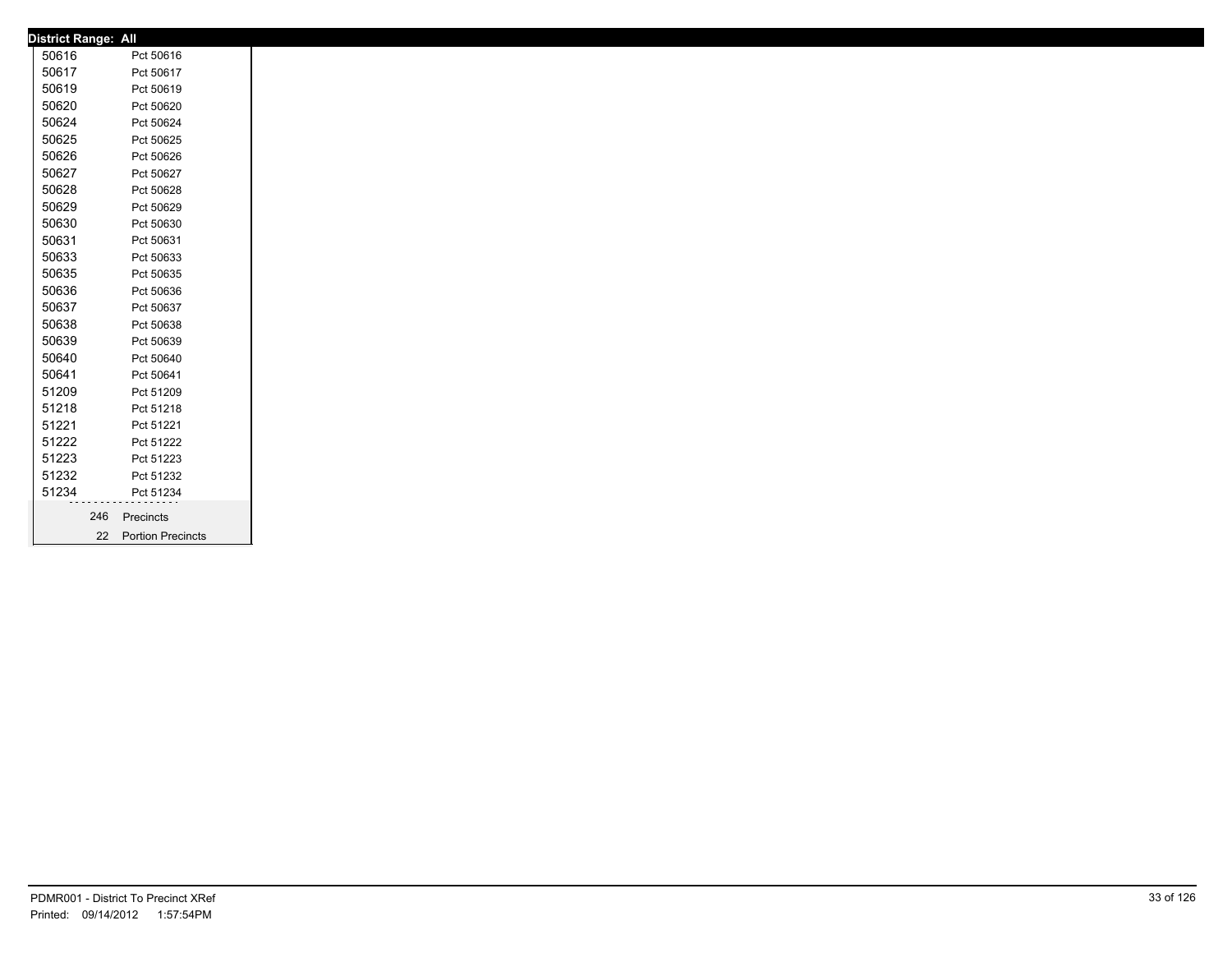|       | <b>District Range: All</b> |                      |
|-------|----------------------------|----------------------|
| 50616 |                            | Pct 50616            |
| 50617 |                            | Pct 50617            |
| 50619 |                            | Pct 50619            |
| 50620 |                            | Pct 50620            |
| 50624 |                            | Pct 50624            |
| 50625 |                            | Pct 50625            |
| 50626 |                            | Pct 50626            |
| 50627 |                            | Pct 50627            |
| 50628 |                            | Pct 50628            |
| 50629 |                            | Pct 50629            |
| 50630 |                            | Pct 50630            |
| 50631 |                            | Pct 50631            |
| 50633 |                            | Pct 50633            |
| 50635 |                            | Pct 50635            |
| 50636 |                            | Pct 50636            |
| 50637 |                            | Pct 50637            |
| 50638 |                            | Pct 50638            |
| 50639 |                            | Pct 50639            |
| 50640 |                            | Pct 50640            |
| 50641 |                            | Pct 50641            |
| 51209 |                            | Pct 51209            |
| 51218 |                            | Pct 51218            |
| 51221 |                            | Pct 51221            |
| 51222 |                            | Pct 51222            |
| 51223 |                            | Pct 51223            |
| 51232 |                            | Pct 51232            |
| 51234 |                            | Pct 51234            |
|       | 246                        | Precincts            |
|       |                            | 22 Portion Precincts |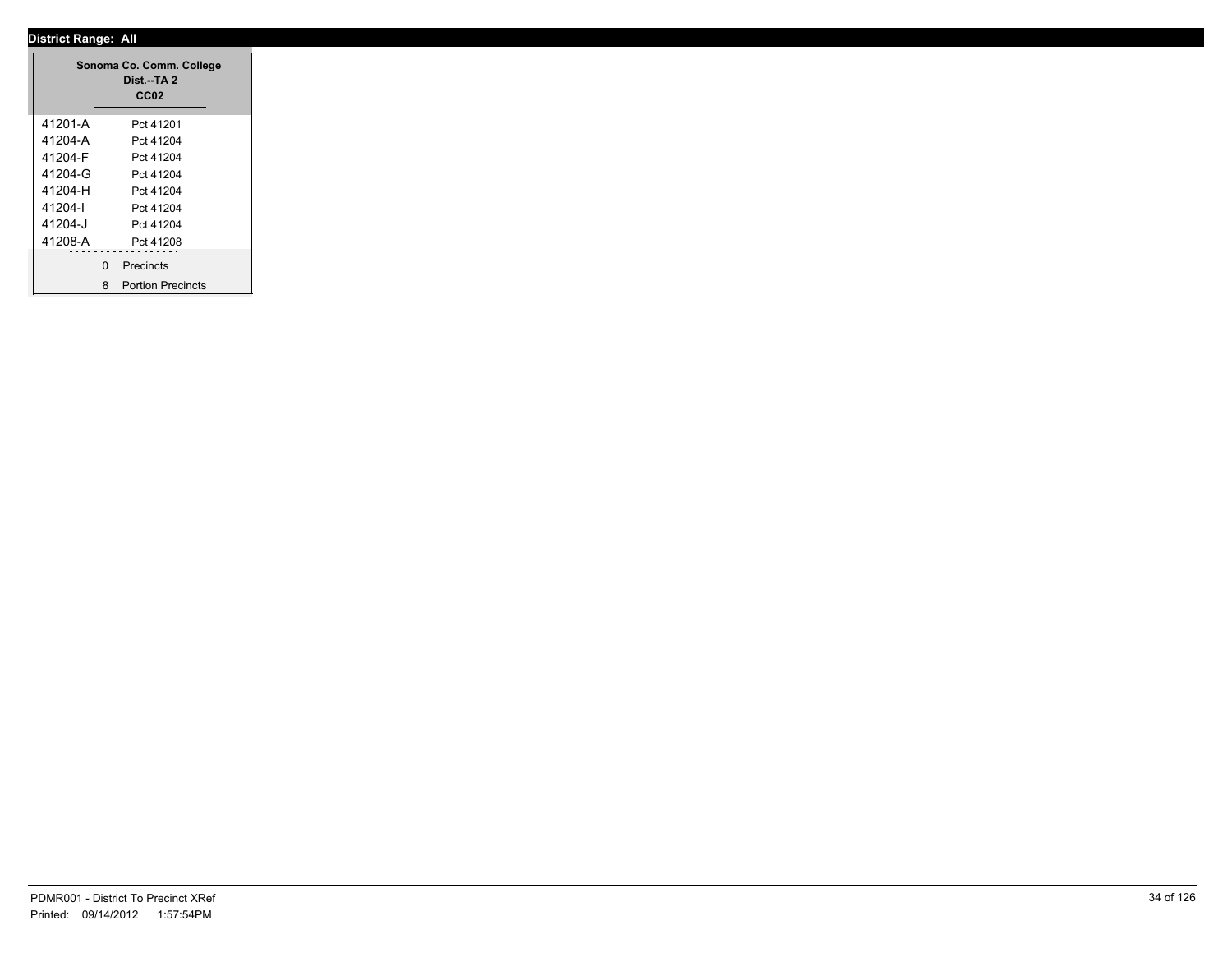|         |              | Sonoma Co. Comm. College<br>Dist.--TA 2<br>CC <sub>02</sub> |
|---------|--------------|-------------------------------------------------------------|
| 41201-A |              | Pct 41201                                                   |
| 41204-A |              | Pct 41204                                                   |
| 41204-F |              | Pct 41204                                                   |
| 41204-G |              | Pct 41204                                                   |
| 41204-H |              | Pct 41204                                                   |
| 41204-l |              | Pct 41204                                                   |
| 41204-J |              | Pct 41204                                                   |
| 41208-A |              | Pct 41208                                                   |
|         | $\mathbf{0}$ | $\sim$ $\sim$                                               |
|         |              | Precincts                                                   |
|         | 8            | <b>Portion Precincts</b>                                    |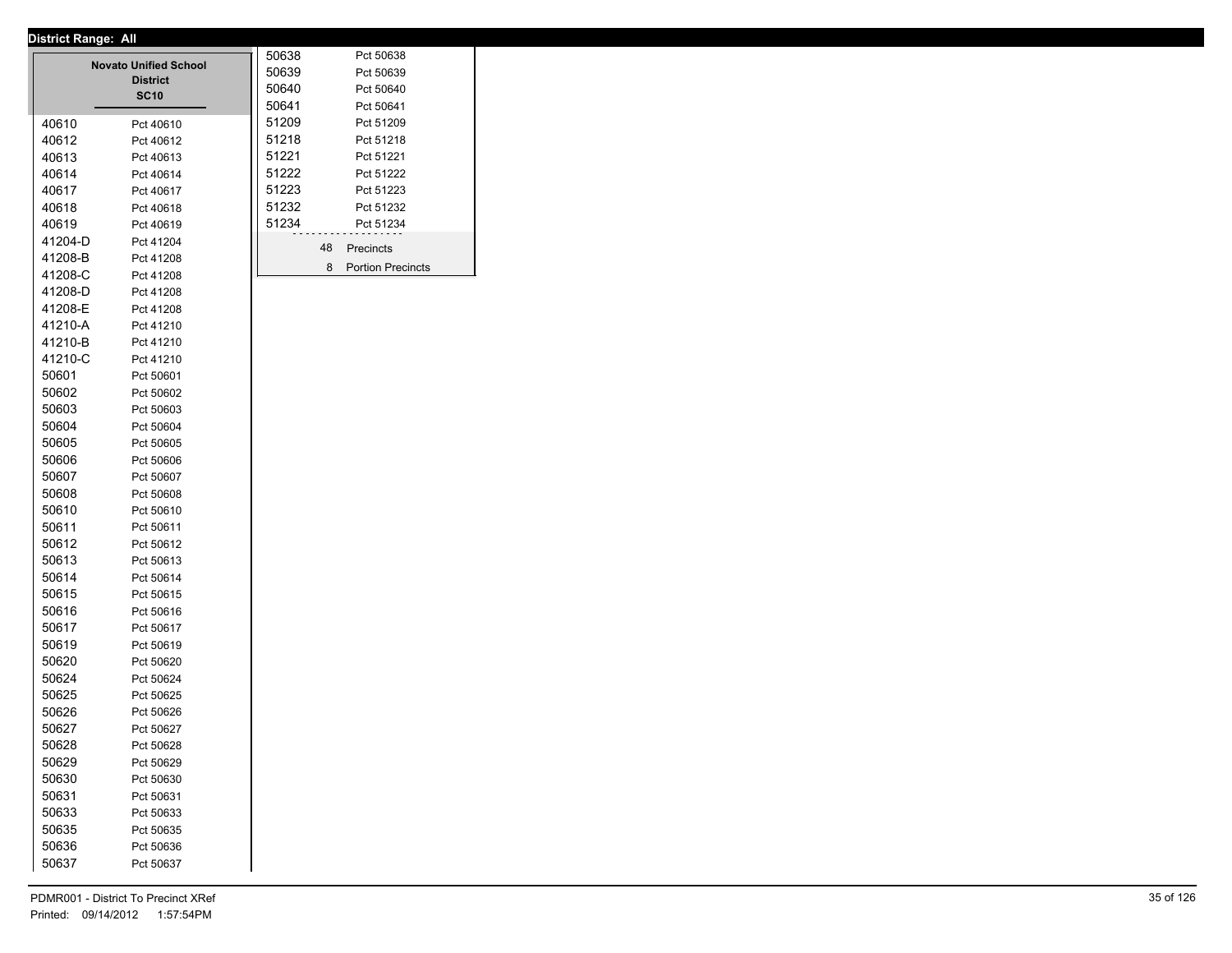|         | <b>Novato Unified School</b> | 50638 |    | Pct 50638                |
|---------|------------------------------|-------|----|--------------------------|
|         | <b>District</b>              | 50639 |    | Pct 50639                |
|         | <b>SC10</b>                  | 50640 |    | Pct 50640                |
|         |                              | 50641 |    | Pct 50641                |
| 40610   | Pct 40610                    | 51209 |    | Pct 51209                |
| 40612   | Pct 40612                    | 51218 |    | Pct 51218                |
| 40613   | Pct 40613                    | 51221 |    | Pct 51221                |
| 40614   | Pct 40614                    | 51222 |    | Pct 51222                |
| 40617   | Pct 40617                    | 51223 |    | Pct 51223                |
| 40618   | Pct 40618                    | 51232 |    | Pct 51232                |
| 40619   | Pct 40619                    | 51234 |    | Pct 51234                |
| 41204-D | Pct 41204                    |       | 48 | Precincts                |
| 41208-B | Pct 41208                    |       |    |                          |
| 41208-C | Pct 41208                    |       | 8  | <b>Portion Precincts</b> |
| 41208-D | Pct 41208                    |       |    |                          |
| 41208-E | Pct 41208                    |       |    |                          |
| 41210-A | Pct 41210                    |       |    |                          |
| 41210-B | Pct 41210                    |       |    |                          |
| 41210-C | Pct 41210                    |       |    |                          |
| 50601   | Pct 50601                    |       |    |                          |
| 50602   | Pct 50602                    |       |    |                          |
| 50603   | Pct 50603                    |       |    |                          |
| 50604   | Pct 50604                    |       |    |                          |
| 50605   | Pct 50605                    |       |    |                          |
| 50606   | Pct 50606                    |       |    |                          |
| 50607   | Pct 50607                    |       |    |                          |
| 50608   | Pct 50608                    |       |    |                          |
| 50610   | Pct 50610                    |       |    |                          |
| 50611   | Pct 50611                    |       |    |                          |
| 50612   | Pct 50612                    |       |    |                          |
| 50613   | Pct 50613                    |       |    |                          |
| 50614   | Pct 50614                    |       |    |                          |
| 50615   | Pct 50615                    |       |    |                          |
| 50616   | Pct 50616                    |       |    |                          |
| 50617   | Pct 50617                    |       |    |                          |
| 50619   | Pct 50619                    |       |    |                          |
| 50620   | Pct 50620                    |       |    |                          |
| 50624   | Pct 50624                    |       |    |                          |
| 50625   | Pct 50625                    |       |    |                          |
| 50626   | Pct 50626                    |       |    |                          |
| 50627   | Pct 50627                    |       |    |                          |
| 50628   | Pct 50628                    |       |    |                          |
| 50629   | Pct 50629                    |       |    |                          |
| 50630   | Pct 50630                    |       |    |                          |
| 50631   | Pct 50631                    |       |    |                          |
| 50633   | Pct 50633                    |       |    |                          |
| 50635   | Pct 50635                    |       |    |                          |
| 50636   | Pct 50636                    |       |    |                          |
| 50637   | Pct 50637                    |       |    |                          |
|         |                              |       |    |                          |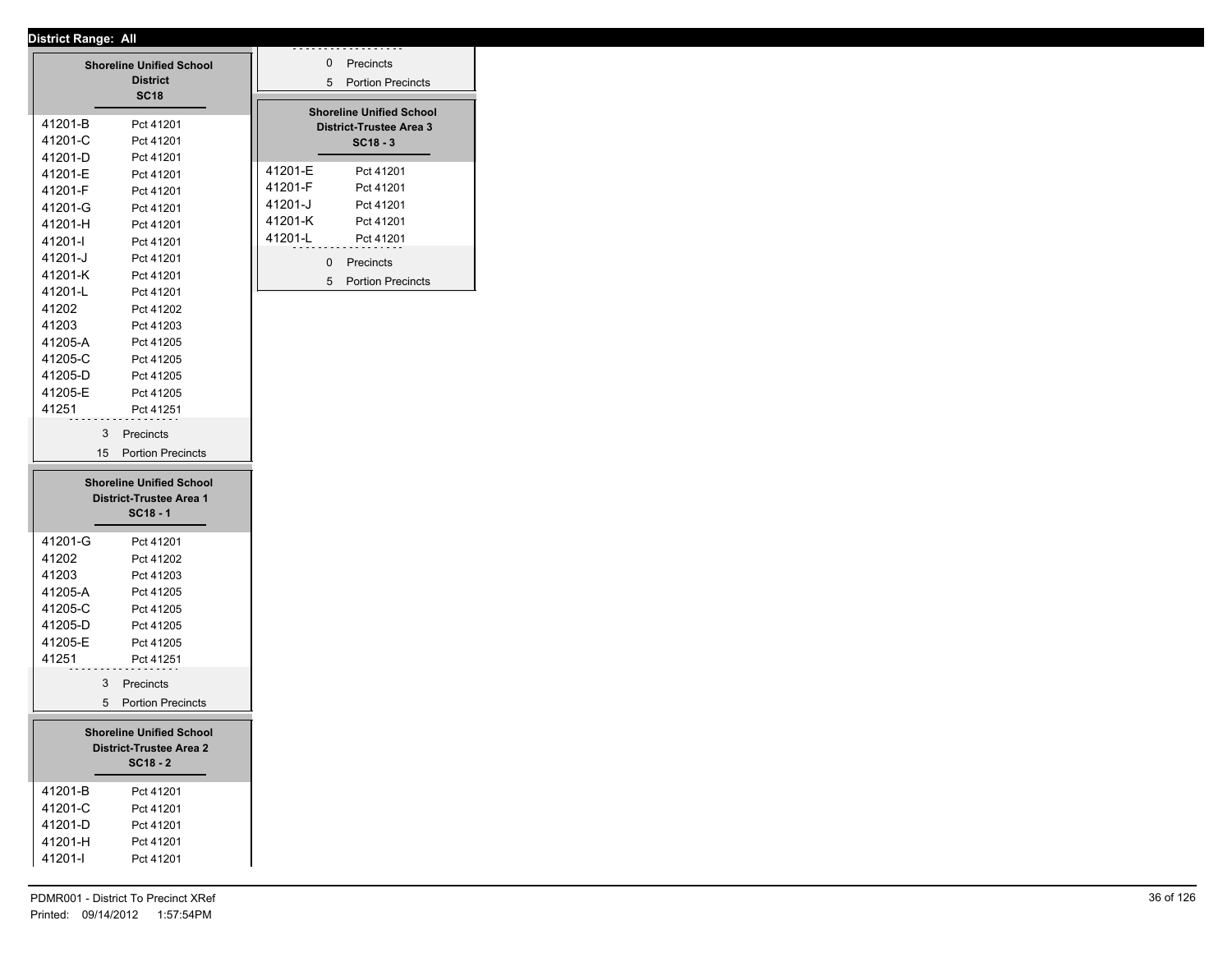|                                                                   | <b>Shoreline Unified School</b><br><b>District</b><br><b>SC18</b> |  |         | 0<br>5 | Precincts<br><b>Portion Precincts</b>                             |  |
|-------------------------------------------------------------------|-------------------------------------------------------------------|--|---------|--------|-------------------------------------------------------------------|--|
| 41201-B                                                           | Pct 41201                                                         |  |         |        | <b>Shoreline Unified School</b><br><b>District-Trustee Area 3</b> |  |
| 41201-C                                                           | Pct 41201                                                         |  |         |        | $SC18 - 3$                                                        |  |
| 41201-D                                                           | Pct 41201                                                         |  |         |        |                                                                   |  |
| 41201-E                                                           | Pct 41201                                                         |  | 41201-E |        | Pct 41201                                                         |  |
| 41201-F                                                           | Pct 41201                                                         |  | 41201-F |        | Pct 41201                                                         |  |
| 41201-G                                                           | Pct 41201                                                         |  | 41201-J |        | Pct 41201                                                         |  |
| 41201-H                                                           | Pct 41201                                                         |  | 41201-K |        | Pct 41201                                                         |  |
| 41201-l                                                           | Pct 41201                                                         |  | 41201-L |        | Pct 41201                                                         |  |
| 41201-J                                                           | Pct 41201                                                         |  |         |        | 0 Precincts                                                       |  |
| 41201-K                                                           | Pct 41201                                                         |  |         | 5      | <b>Portion Precincts</b>                                          |  |
| 41201-L                                                           | Pct 41201                                                         |  |         |        |                                                                   |  |
| 41202                                                             | Pct 41202                                                         |  |         |        |                                                                   |  |
| 41203                                                             | Pct 41203                                                         |  |         |        |                                                                   |  |
| 41205-A                                                           | Pct 41205                                                         |  |         |        |                                                                   |  |
| 41205-C                                                           | Pct 41205                                                         |  |         |        |                                                                   |  |
| 41205-D                                                           | Pct 41205                                                         |  |         |        |                                                                   |  |
| 41205-E                                                           | Pct 41205                                                         |  |         |        |                                                                   |  |
| 41251                                                             | Pct 41251                                                         |  |         |        |                                                                   |  |
| 3                                                                 | Precincts                                                         |  |         |        |                                                                   |  |
| 15                                                                | <b>Portion Precincts</b>                                          |  |         |        |                                                                   |  |
|                                                                   |                                                                   |  |         |        |                                                                   |  |
| <b>Shoreline Unified School</b><br><b>District-Trustee Area 1</b> |                                                                   |  |         |        |                                                                   |  |
|                                                                   | $SC18 - 1$                                                        |  |         |        |                                                                   |  |
| 41201-G                                                           | Pct 41201                                                         |  |         |        |                                                                   |  |
| 41202                                                             | Pct 41202                                                         |  |         |        |                                                                   |  |
| 41203                                                             | Pct 41203                                                         |  |         |        |                                                                   |  |
| 41205-A                                                           | Pct 41205                                                         |  |         |        |                                                                   |  |
| 41205-C                                                           | Pct 41205                                                         |  |         |        |                                                                   |  |
| 41205-D                                                           | Pct 41205                                                         |  |         |        |                                                                   |  |
| 41205-E                                                           | Pct 41205                                                         |  |         |        |                                                                   |  |
| 41251                                                             | Pct 41251                                                         |  |         |        |                                                                   |  |
|                                                                   | 3 Precincts                                                       |  |         |        |                                                                   |  |
| 5                                                                 | <b>Portion Precincts</b>                                          |  |         |        |                                                                   |  |
|                                                                   | <b>Shoreline Unified School</b>                                   |  |         |        |                                                                   |  |
| <b>District-Trustee Area 2</b>                                    |                                                                   |  |         |        |                                                                   |  |
|                                                                   | $SC18 - 2$                                                        |  |         |        |                                                                   |  |
|                                                                   |                                                                   |  |         |        |                                                                   |  |
| 41201-B                                                           | Pct 41201                                                         |  |         |        |                                                                   |  |
| 41201-C                                                           | Pct 41201                                                         |  |         |        |                                                                   |  |
| 41201-D                                                           | Pct 41201                                                         |  |         |        |                                                                   |  |
| 41201-H                                                           | Pct 41201                                                         |  |         |        |                                                                   |  |
| 41201-l                                                           | Pct 41201                                                         |  |         |        |                                                                   |  |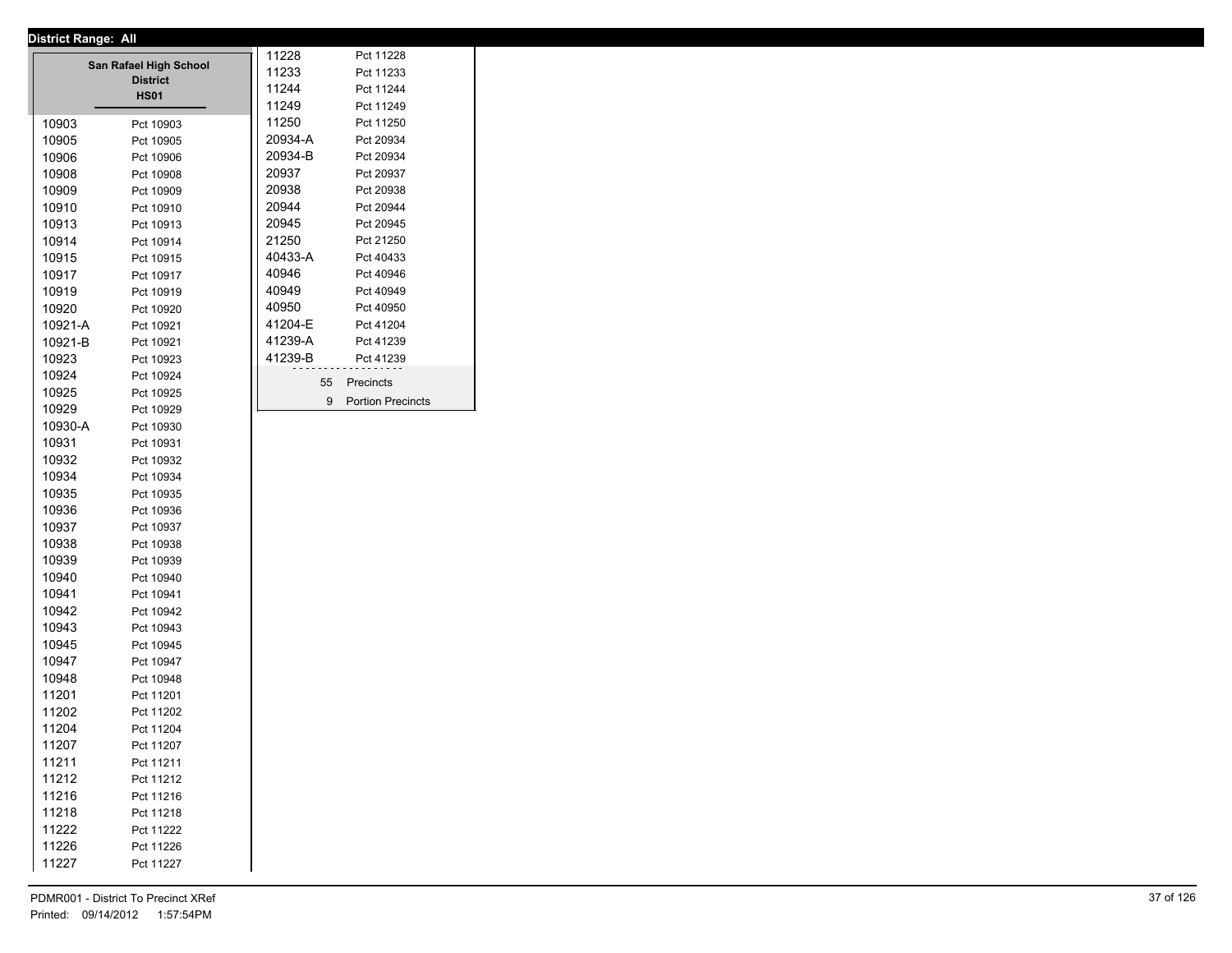|         | <b>District Range: All</b> |         |                          |
|---------|----------------------------|---------|--------------------------|
|         | San Rafael High School     | 11228   | Pct 11228                |
|         | <b>District</b>            | 11233   | Pct 11233                |
|         | <b>HS01</b>                | 11244   | Pct 11244                |
|         |                            | 11249   | Pct 11249                |
| 10903   | Pct 10903                  | 11250   | Pct 11250                |
| 10905   | Pct 10905                  | 20934-A | Pct 20934                |
| 10906   | Pct 10906                  | 20934-B | Pct 20934                |
| 10908   | Pct 10908                  | 20937   | Pct 20937                |
| 10909   | Pct 10909                  | 20938   | Pct 20938                |
| 10910   | Pct 10910                  | 20944   | Pct 20944                |
| 10913   | Pct 10913                  | 20945   | Pct 20945                |
| 10914   | Pct 10914                  | 21250   | Pct 21250                |
| 10915   | Pct 10915                  | 40433-A | Pct 40433                |
| 10917   | Pct 10917                  | 40946   | Pct 40946                |
| 10919   | Pct 10919                  | 40949   | Pct 40949                |
| 10920   | Pct 10920                  | 40950   | Pct 40950                |
| 10921-A | Pct 10921                  | 41204-E | Pct 41204                |
| 10921-B | Pct 10921                  | 41239-A | Pct 41239                |
| 10923   | Pct 10923                  | 41239-B | Pct 41239                |
| 10924   | Pct 10924                  | 55      | Precincts                |
| 10925   | Pct 10925                  |         |                          |
| 10929   | Pct 10929                  | 9       | <b>Portion Precincts</b> |
| 10930-A | Pct 10930                  |         |                          |
| 10931   | Pct 10931                  |         |                          |
| 10932   | Pct 10932                  |         |                          |
| 10934   | Pct 10934                  |         |                          |
| 10935   | Pct 10935                  |         |                          |
| 10936   | Pct 10936                  |         |                          |
| 10937   | Pct 10937                  |         |                          |
| 10938   | Pct 10938                  |         |                          |
| 10939   | Pct 10939                  |         |                          |
| 10940   | Pct 10940                  |         |                          |
| 10941   | Pct 10941                  |         |                          |
| 10942   | Pct 10942                  |         |                          |
| 10943   | Pct 10943                  |         |                          |
| 10945   | Pct 10945                  |         |                          |
| 10947   | Pct 10947                  |         |                          |
| 10948   | Pct 10948                  |         |                          |
| 11201   | Pct 11201                  |         |                          |
| 11202   | Pct 11202                  |         |                          |
| 11204   | Pct 11204                  |         |                          |
| 11207   | Pct 11207                  |         |                          |
| 11211   | Pct 11211                  |         |                          |
| 11212   | Pct 11212                  |         |                          |
| 11216   | Pct 11216                  |         |                          |
| 11218   | Pct 11218                  |         |                          |
| 11222   | Pct 11222                  |         |                          |
| 11226   | Pct 11226                  |         |                          |
| 11227   | Pct 11227                  |         |                          |
|         |                            |         |                          |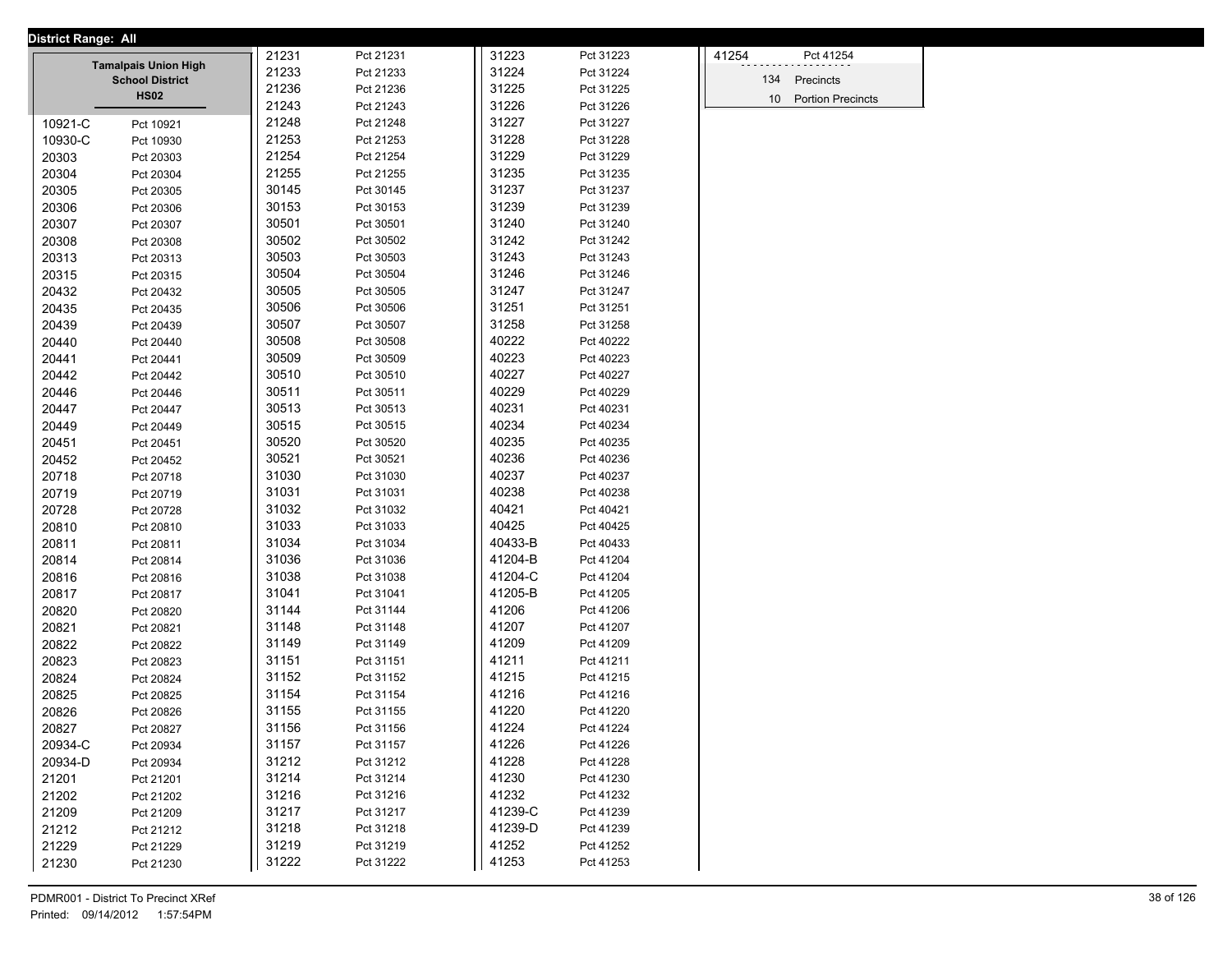| <b>District Range: All</b> |                             |       |           |         |           |                 |                          |
|----------------------------|-----------------------------|-------|-----------|---------|-----------|-----------------|--------------------------|
|                            | <b>Tamalpais Union High</b> | 21231 | Pct 21231 | 31223   | Pct 31223 | 41254           | Pct 41254                |
|                            | <b>School District</b>      | 21233 | Pct 21233 | 31224   | Pct 31224 | 134             | Precincts                |
|                            | <b>HS02</b>                 | 21236 | Pct 21236 | 31225   | Pct 31225 | 10 <sup>1</sup> | <b>Portion Precincts</b> |
|                            |                             | 21243 | Pct 21243 | 31226   | Pct 31226 |                 |                          |
| 10921-C                    | Pct 10921                   | 21248 | Pct 21248 | 31227   | Pct 31227 |                 |                          |
| 10930-C                    | Pct 10930                   | 21253 | Pct 21253 | 31228   | Pct 31228 |                 |                          |
| 20303                      | Pct 20303                   | 21254 | Pct 21254 | 31229   | Pct 31229 |                 |                          |
| 20304                      | Pct 20304                   | 21255 | Pct 21255 | 31235   | Pct 31235 |                 |                          |
| 20305                      | Pct 20305                   | 30145 | Pct 30145 | 31237   | Pct 31237 |                 |                          |
| 20306                      | Pct 20306                   | 30153 | Pct 30153 | 31239   | Pct 31239 |                 |                          |
| 20307                      | Pct 20307                   | 30501 | Pct 30501 | 31240   | Pct 31240 |                 |                          |
| 20308                      | Pct 20308                   | 30502 | Pct 30502 | 31242   | Pct 31242 |                 |                          |
| 20313                      | Pct 20313                   | 30503 | Pct 30503 | 31243   | Pct 31243 |                 |                          |
| 20315                      | Pct 20315                   | 30504 | Pct 30504 | 31246   | Pct 31246 |                 |                          |
| 20432                      | Pct 20432                   | 30505 | Pct 30505 | 31247   | Pct 31247 |                 |                          |
| 20435                      | Pct 20435                   | 30506 | Pct 30506 | 31251   | Pct 31251 |                 |                          |
| 20439                      | Pct 20439                   | 30507 | Pct 30507 | 31258   | Pct 31258 |                 |                          |
| 20440                      | Pct 20440                   | 30508 | Pct 30508 | 40222   | Pct 40222 |                 |                          |
| 20441                      | Pct 20441                   | 30509 | Pct 30509 | 40223   | Pct 40223 |                 |                          |
| 20442                      | Pct 20442                   | 30510 | Pct 30510 | 40227   | Pct 40227 |                 |                          |
| 20446                      | Pct 20446                   | 30511 | Pct 30511 | 40229   | Pct 40229 |                 |                          |
| 20447                      | Pct 20447                   | 30513 | Pct 30513 | 40231   | Pct 40231 |                 |                          |
| 20449                      | Pct 20449                   | 30515 | Pct 30515 | 40234   | Pct 40234 |                 |                          |
| 20451                      | Pct 20451                   | 30520 | Pct 30520 | 40235   | Pct 40235 |                 |                          |
| 20452                      | Pct 20452                   | 30521 | Pct 30521 | 40236   | Pct 40236 |                 |                          |
| 20718                      | Pct 20718                   | 31030 | Pct 31030 | 40237   | Pct 40237 |                 |                          |
| 20719                      | Pct 20719                   | 31031 | Pct 31031 | 40238   | Pct 40238 |                 |                          |
| 20728                      | Pct 20728                   | 31032 | Pct 31032 | 40421   | Pct 40421 |                 |                          |
| 20810                      | Pct 20810                   | 31033 | Pct 31033 | 40425   | Pct 40425 |                 |                          |
| 20811                      | Pct 20811                   | 31034 | Pct 31034 | 40433-B | Pct 40433 |                 |                          |
| 20814                      | Pct 20814                   | 31036 | Pct 31036 | 41204-B | Pct 41204 |                 |                          |
| 20816                      | Pct 20816                   | 31038 | Pct 31038 | 41204-C | Pct 41204 |                 |                          |
| 20817                      | Pct 20817                   | 31041 | Pct 31041 | 41205-B | Pct 41205 |                 |                          |
| 20820                      | Pct 20820                   | 31144 | Pct 31144 | 41206   | Pct 41206 |                 |                          |
| 20821                      | Pct 20821                   | 31148 | Pct 31148 | 41207   | Pct 41207 |                 |                          |
| 20822                      | Pct 20822                   | 31149 | Pct 31149 | 41209   | Pct 41209 |                 |                          |
| 20823                      | Pct 20823                   | 31151 | Pct 31151 | 41211   | Pct 41211 |                 |                          |
| 20824                      | Pct 20824                   | 31152 | Pct 31152 | 41215   | Pct 41215 |                 |                          |
| 20825                      | Pct 20825                   | 31154 | Pct 31154 | 41216   | Pct 41216 |                 |                          |
| 20826                      | Pct 20826                   | 31155 | Pct 31155 | 41220   | Pct 41220 |                 |                          |
| 20827                      | Pct 20827                   | 31156 | Pct 31156 | 41224   | Pct 41224 |                 |                          |
| 20934-C                    | Pct 20934                   | 31157 | Pct 31157 | 41226   | Pct 41226 |                 |                          |
| 20934-D                    | Pct 20934                   | 31212 | Pct 31212 | 41228   | Pct 41228 |                 |                          |
| 21201                      | Pct 21201                   | 31214 | Pct 31214 | 41230   | Pct 41230 |                 |                          |
| 21202                      | Pct 21202                   | 31216 | Pct 31216 | 41232   | Pct 41232 |                 |                          |
| 21209                      | Pct 21209                   | 31217 | Pct 31217 | 41239-C | Pct 41239 |                 |                          |
| 21212                      | Pct 21212                   | 31218 | Pct 31218 | 41239-D | Pct 41239 |                 |                          |
| 21229                      | Pct 21229                   | 31219 | Pct 31219 | 41252   | Pct 41252 |                 |                          |
| 21230                      | Pct 21230                   | 31222 | Pct 31222 | 41253   | Pct 41253 |                 |                          |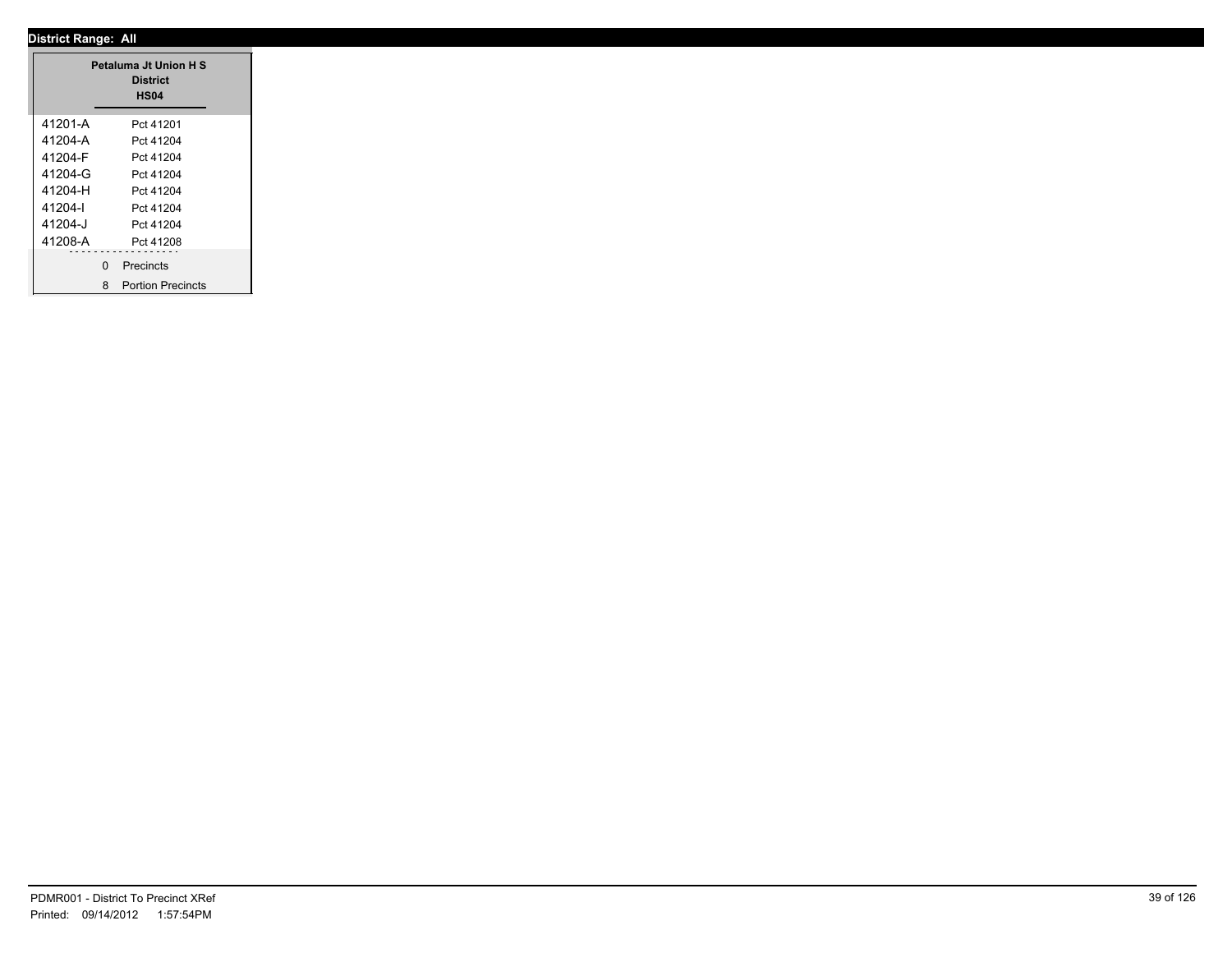|         |               | Petaluma Jt Union H S<br><b>District</b><br><b>HS04</b> |
|---------|---------------|---------------------------------------------------------|
| 41201-A |               | Pct 41201                                               |
| 41204-A |               | Pct 41204                                               |
| 41204-F |               | Pct 41204                                               |
| 41204-G |               | Pct 41204                                               |
| 41204-H |               | Pct 41204                                               |
| 41204-l |               | Pct 41204                                               |
| 41204-J |               | Pct 41204                                               |
| 41208-A |               | Pct 41208                                               |
|         | --------<br>0 | .<br>Precincts                                          |
|         |               | 8 Portion Precincts                                     |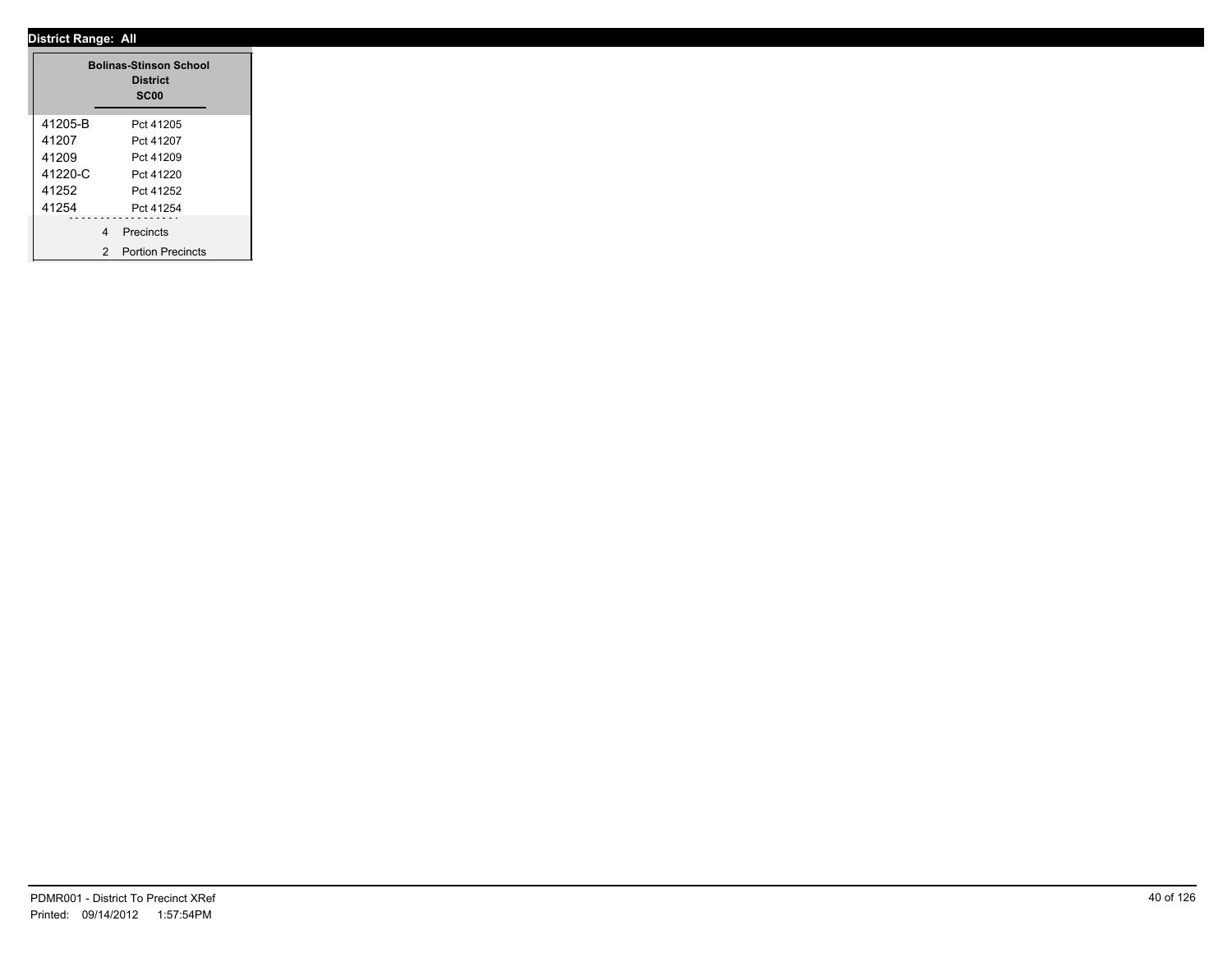|         |                | <b>Bolinas-Stinson School</b><br><b>District</b><br>SC <sub>00</sub> |  |
|---------|----------------|----------------------------------------------------------------------|--|
| 41205-B |                | Pct 41205                                                            |  |
| 41207   |                | Pct 41207                                                            |  |
| 41209   |                | Pct 41209                                                            |  |
| 41220-C |                | Pct 41220                                                            |  |
| 41252   |                | Pct 41252                                                            |  |
| 41254   |                | Pct 41254                                                            |  |
|         | $\overline{4}$ | Precincts                                                            |  |
|         | 2              | <b>Portion Precincts</b>                                             |  |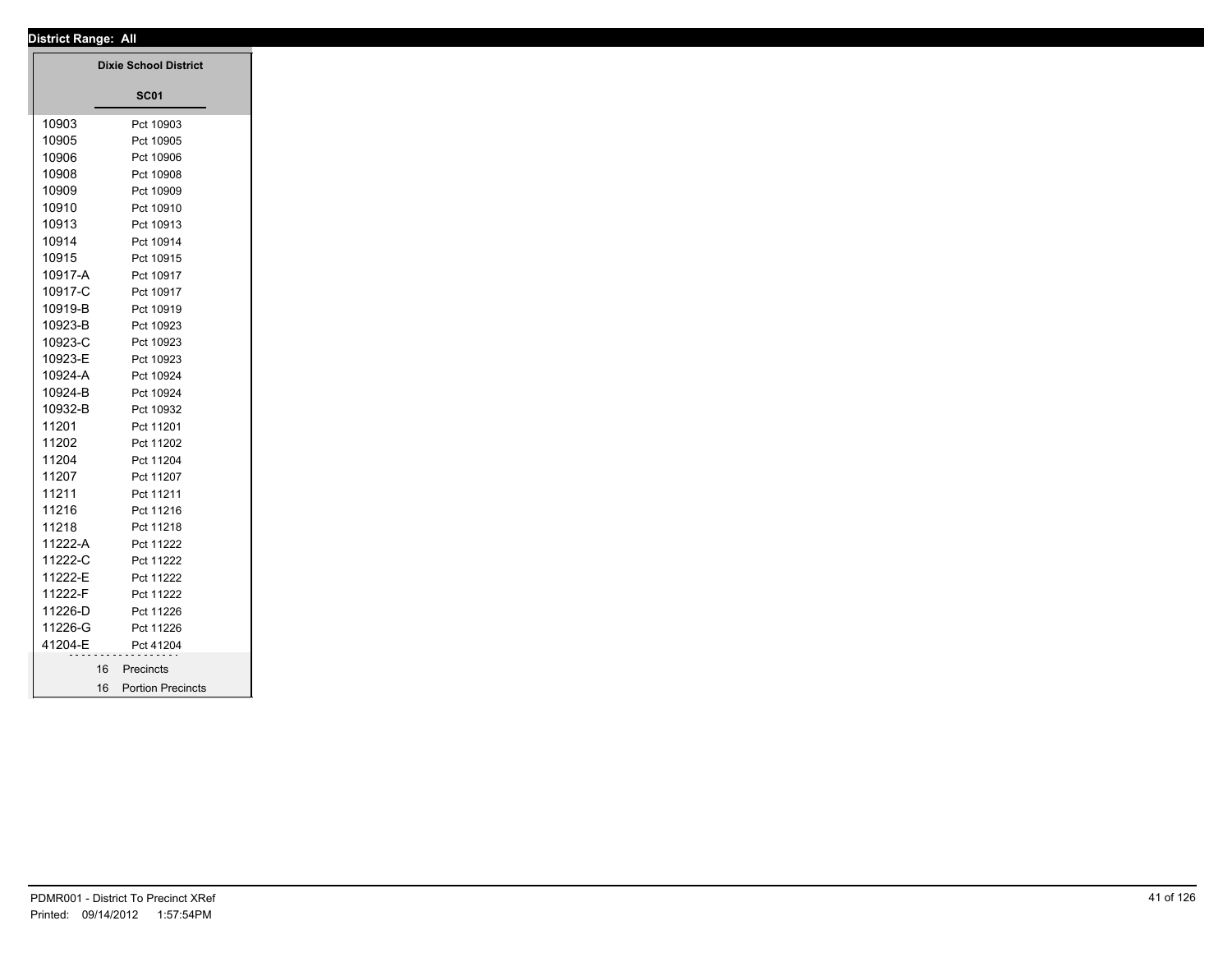|         | <b>Dixie School District</b> |
|---------|------------------------------|
|         | <b>SC01</b>                  |
| 10903   | Pct 10903                    |
| 10905   | Pct 10905                    |
| 10906   | Pct 10906                    |
| 10908   | Pct 10908                    |
| 10909   | Pct 10909                    |
| 10910   | Pct 10910                    |
| 10913   | Pct 10913                    |
| 10914   | Pct 10914                    |
| 10915   | Pct 10915                    |
| 10917-A | Pct 10917                    |
| 10917-C | Pct 10917                    |
| 10919-B | Pct 10919                    |
| 10923-B | Pct 10923                    |
| 10923-C | Pct 10923                    |
| 10923-E | Pct 10923                    |
| 10924-A | Pct 10924                    |
| 10924-B | Pct 10924                    |
| 10932-B | Pct 10932                    |
| 11201   | Pct 11201                    |
| 11202   | Pct 11202                    |
| 11204   | Pct 11204                    |
| 11207   | Pct 11207                    |
| 11211   | Pct 11211                    |
| 11216   | Pct 11216                    |
| 11218   | Pct 11218                    |
| 11222-A | Pct 11222                    |
| 11222-C | Pct 11222                    |
| 11222-E | Pct 11222                    |
| 11222-F | Pct 11222                    |
| 11226-D | Pct 11226                    |
| 11226-G | Pct 11226                    |
| 41204-E | Pct 41204                    |
| 16      | Precincts                    |
|         | 16 Portion Precincts         |
|         |                              |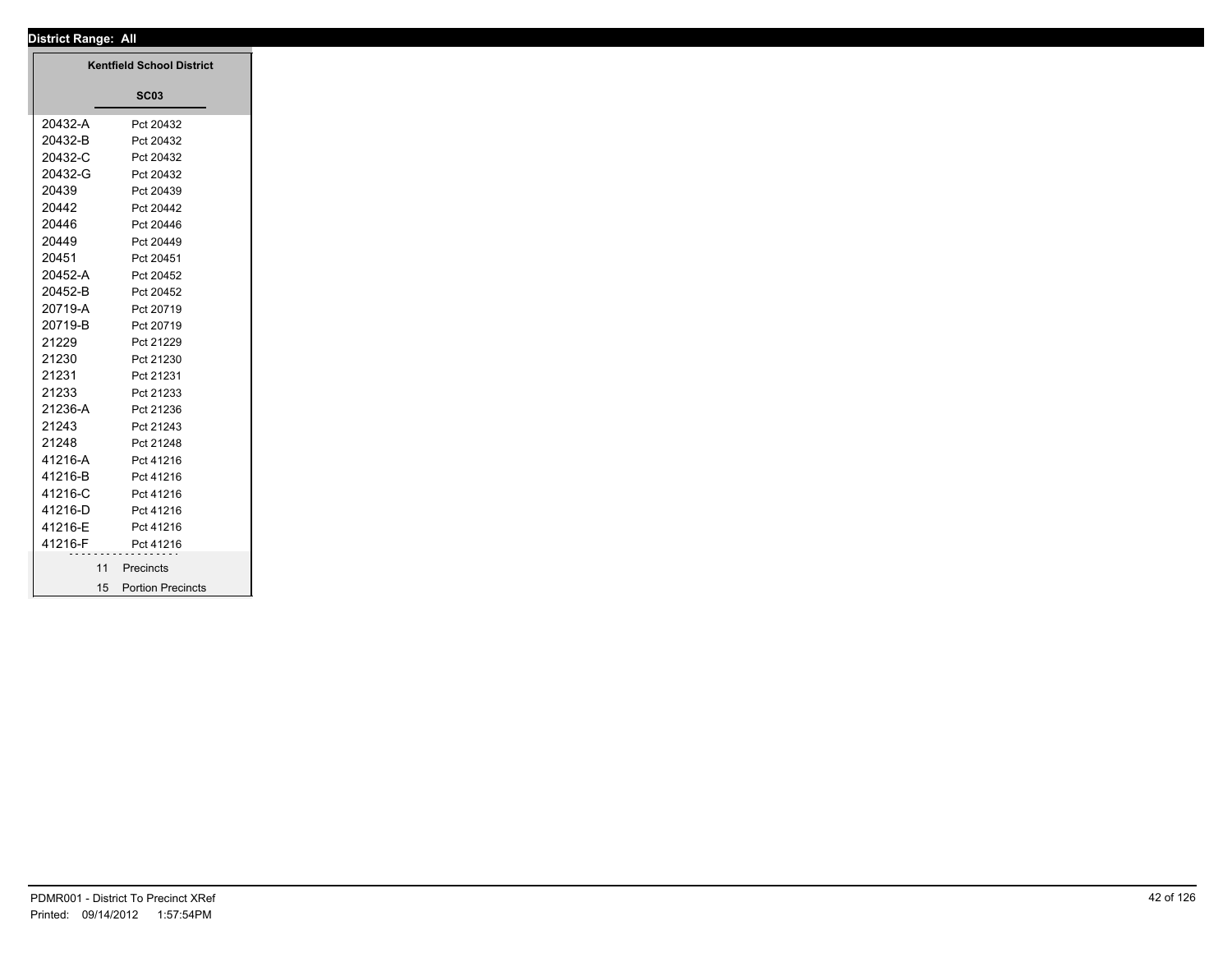# **District Range: All SC03 Kentfield School District** 20432-A Pct 20432 20432-B Pct 20432 20432-C Pct 20432 20432-G Pct 20432 20439 Pct 20439 20442 Pct 20442 20446 Pct 20446 20449 Pct 20449 20451 Pct 20451 20452-A Pct 20452 20452-B Pct 20452 20719-A Pct 20719 20719-B Pct 20719 21229 Pct 21229 21230 Pct 21230 21231 Pct 21231 21233 Pct 21233 21236-A Pct 21236 21243 Pct 21243 21248 Pct 21248 41216-A Pct 41216 41216-B Pct 41216 41216-C Pct 41216 41216-D Pct 41216 41216-E Pct 41216 41216-F Pct 41216 11 Precincts 15 Portion Precincts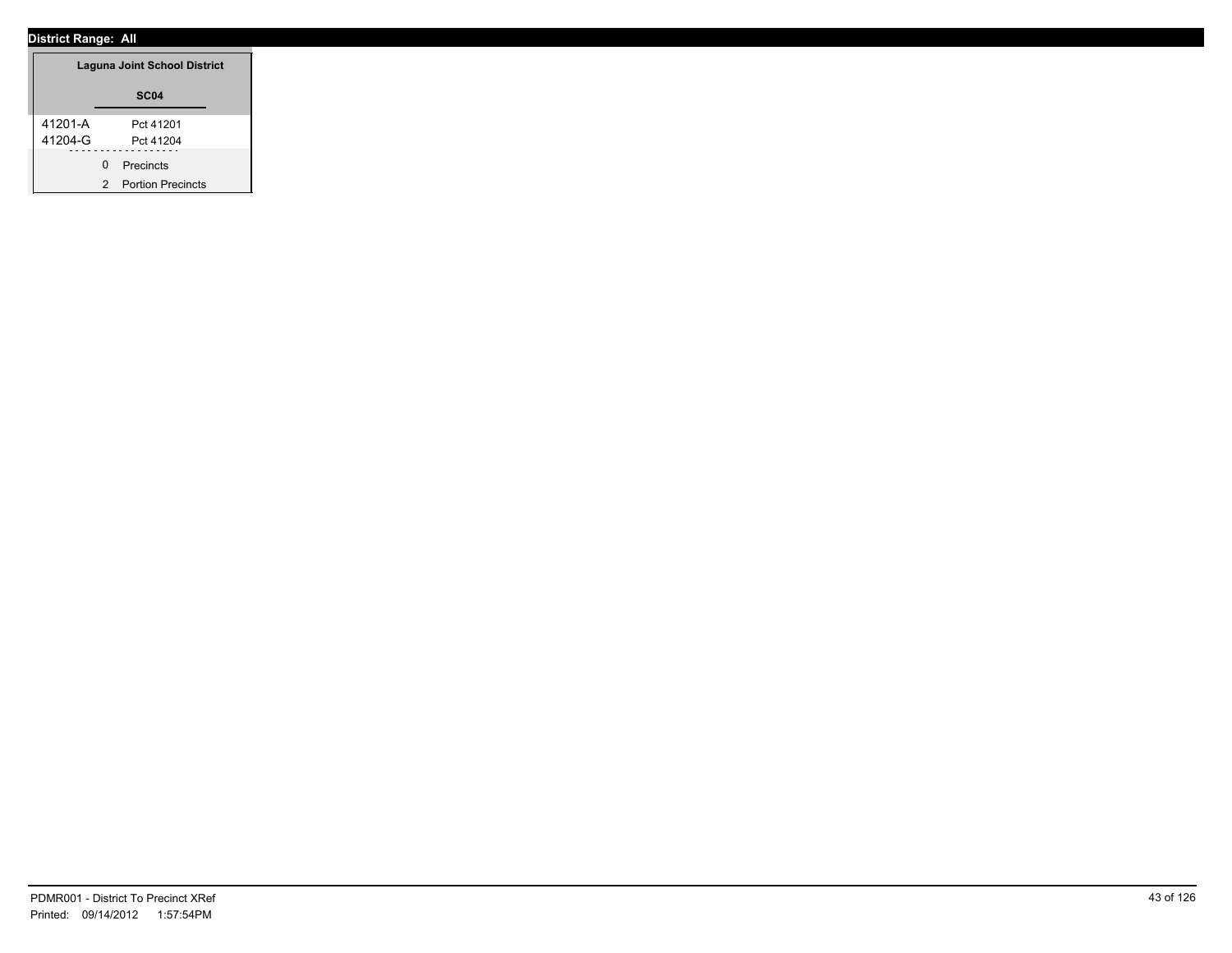|         | Laguna Joint School District |
|---------|------------------------------|
|         | SC <sub>04</sub>             |
| 41201-A | Pct 41201                    |
| 41204-G | Pct 41204                    |
| 0       | Precincts                    |
| 2       | <b>Portion Precincts</b>     |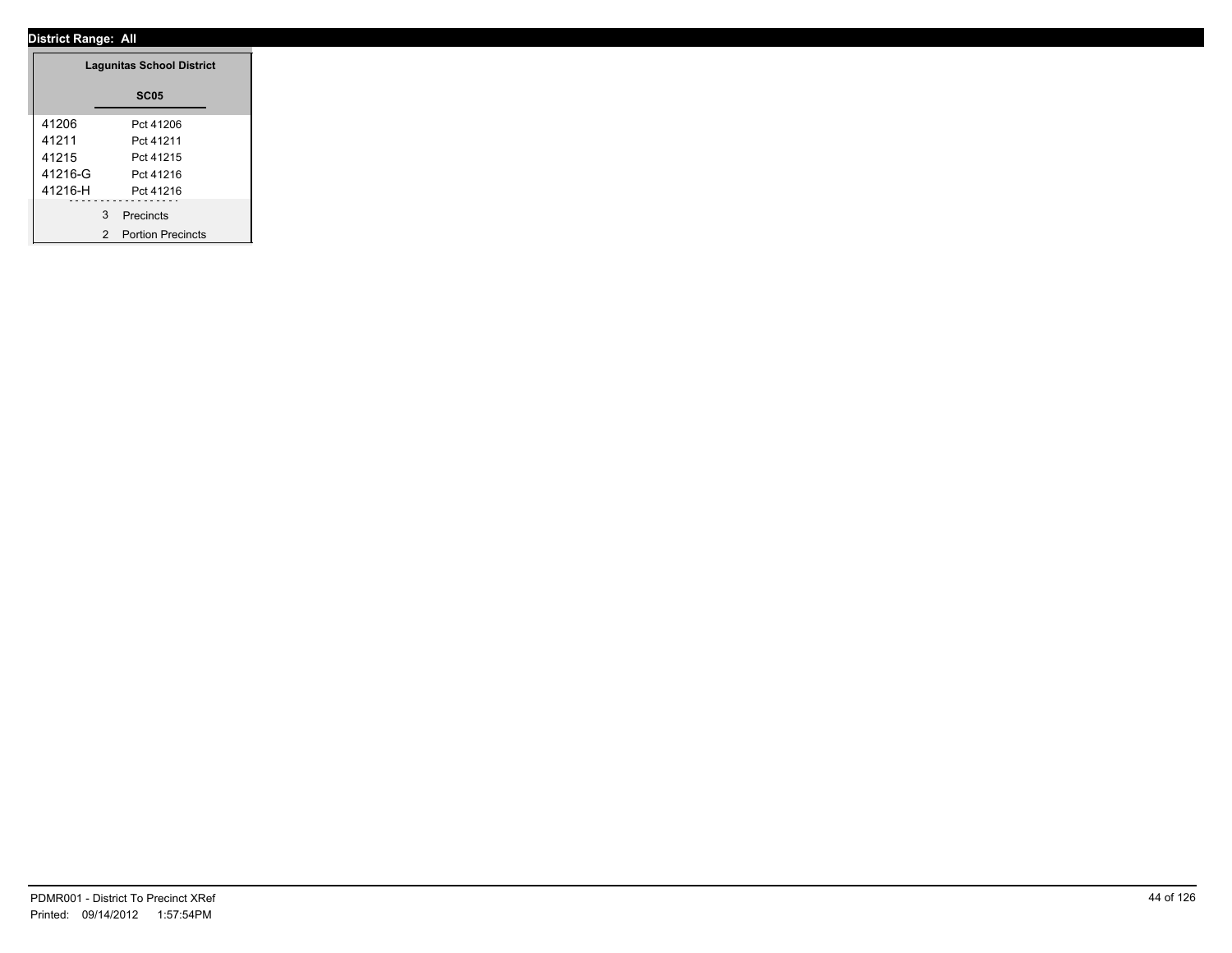|         | <b>Lagunitas School District</b> |
|---------|----------------------------------|
|         | <b>SC05</b>                      |
| 41206   | Pct 41206                        |
| 41211   | Pct 41211                        |
| 41215   | Pct 41215                        |
| 41216-G | Pct 41216                        |
| 41216-H | Pct 41216                        |
|         | 3 Precincts                      |
|         | 2 Portion Precincts              |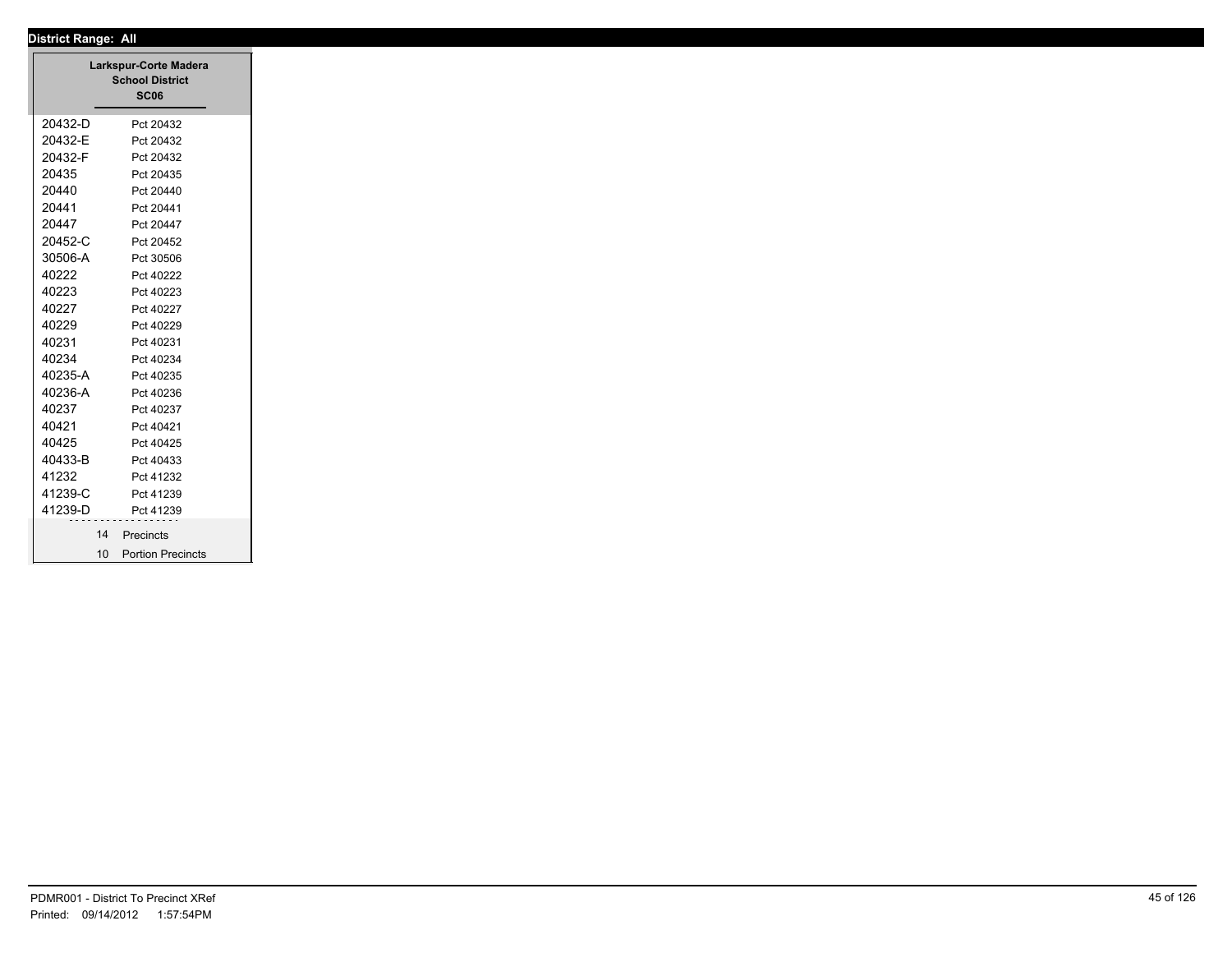| 20432-D<br>20432-E<br>20432-F<br>20435<br>20440<br>20441<br>20447<br>20452-C<br>30506-A<br>40222<br>40223<br>40227<br>40229<br>40231<br>40234<br>40235-A<br>40236-A | Pct 20432<br>Pct 20432<br>Pct 20432<br>Pct 20435<br>Pct 20440<br>Pct 20441<br>Pct 20447<br>Pct 20452<br>Pct 30506<br>Pct 40222<br>Pct 40223<br>Pct 40227<br>Pct 40229 |
|---------------------------------------------------------------------------------------------------------------------------------------------------------------------|-----------------------------------------------------------------------------------------------------------------------------------------------------------------------|
|                                                                                                                                                                     |                                                                                                                                                                       |
|                                                                                                                                                                     |                                                                                                                                                                       |
|                                                                                                                                                                     |                                                                                                                                                                       |
|                                                                                                                                                                     |                                                                                                                                                                       |
|                                                                                                                                                                     |                                                                                                                                                                       |
|                                                                                                                                                                     |                                                                                                                                                                       |
|                                                                                                                                                                     |                                                                                                                                                                       |
|                                                                                                                                                                     |                                                                                                                                                                       |
|                                                                                                                                                                     |                                                                                                                                                                       |
|                                                                                                                                                                     |                                                                                                                                                                       |
|                                                                                                                                                                     |                                                                                                                                                                       |
|                                                                                                                                                                     |                                                                                                                                                                       |
|                                                                                                                                                                     |                                                                                                                                                                       |
|                                                                                                                                                                     | Pct 40231                                                                                                                                                             |
|                                                                                                                                                                     | Pct 40234                                                                                                                                                             |
|                                                                                                                                                                     | Pct 40235                                                                                                                                                             |
|                                                                                                                                                                     | Pct 40236                                                                                                                                                             |
| 40237                                                                                                                                                               | Pct 40237                                                                                                                                                             |
| 40421                                                                                                                                                               | Pct 40421                                                                                                                                                             |
| 40425                                                                                                                                                               | Pct 40425                                                                                                                                                             |
| 40433-B                                                                                                                                                             | Pct 40433                                                                                                                                                             |
| 41232                                                                                                                                                               | Pct 41232                                                                                                                                                             |
| 41239-C                                                                                                                                                             | Pct 41239                                                                                                                                                             |
| 41239-D                                                                                                                                                             | Pct 41239                                                                                                                                                             |
| 14                                                                                                                                                                  | Precincts                                                                                                                                                             |
| 10                                                                                                                                                                  | <b>Portion Precincts</b>                                                                                                                                              |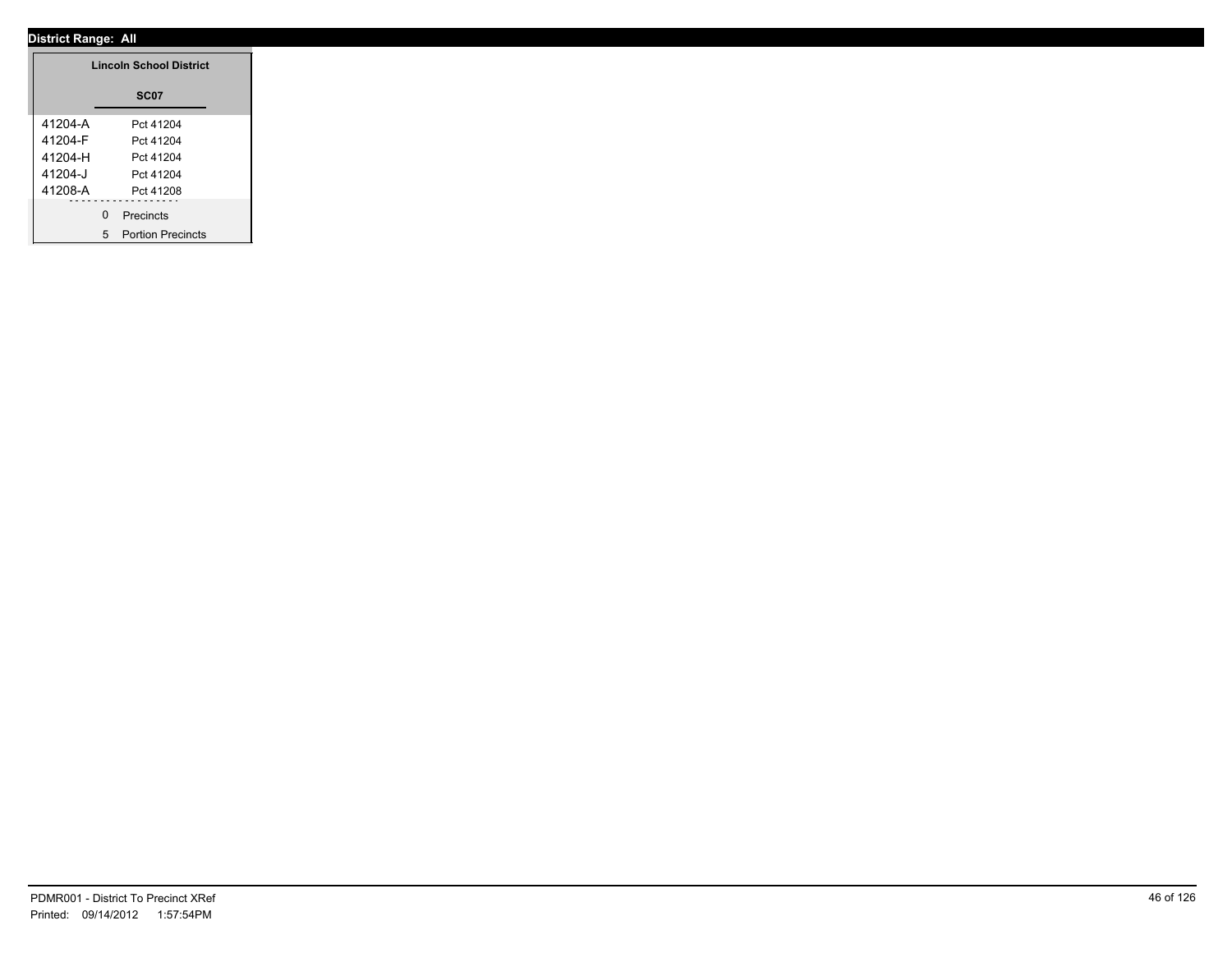|         | <b>Lincoln School District</b> |
|---------|--------------------------------|
|         | <b>SC07</b>                    |
| 41204-A | Pct 41204                      |
| 41204-F | Pct 41204                      |
| 41204-H | Pct 41204                      |
| 41204-J | Pct 41204                      |
| 41208-A | Pct 41208                      |
|         | 0 Precincts                    |
|         | 5 Portion Precincts            |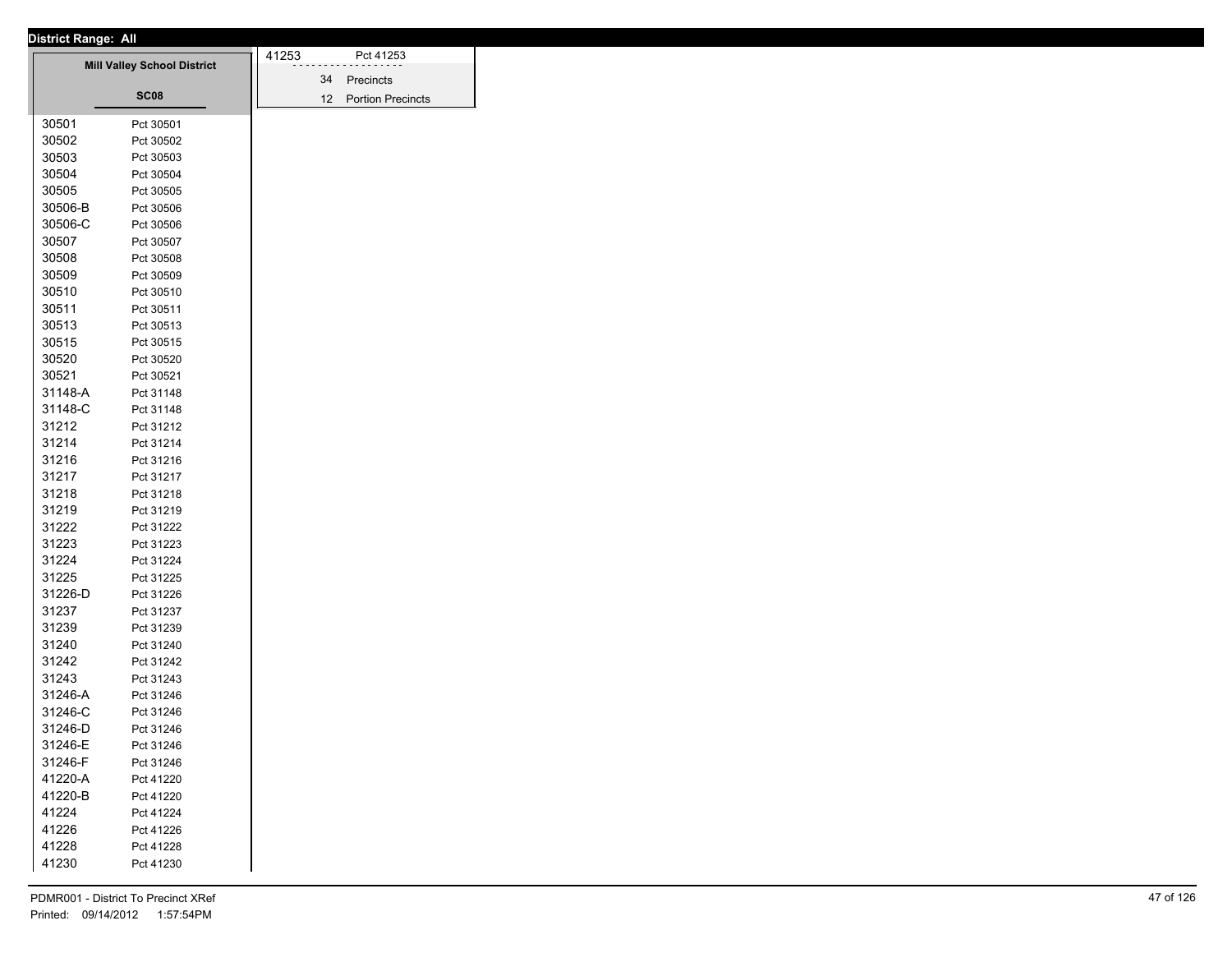| <b>District Range: All</b> |                                    |       |                      |
|----------------------------|------------------------------------|-------|----------------------|
|                            | <b>Mill Valley School District</b> | 41253 | Pct 41253            |
|                            |                                    |       | 34 Precincts         |
|                            | SC08                               |       | 12 Portion Precincts |
|                            |                                    |       |                      |
| 30501                      | Pct 30501                          |       |                      |
| 30502<br>30503             | Pct 30502                          |       |                      |
| 30504                      | Pct 30503                          |       |                      |
|                            | Pct 30504                          |       |                      |
| 30505                      | Pct 30505                          |       |                      |
| 30506-B                    | Pct 30506                          |       |                      |
| 30506-C                    | Pct 30506                          |       |                      |
| 30507                      | Pct 30507                          |       |                      |
| 30508                      | Pct 30508                          |       |                      |
| 30509                      | Pct 30509                          |       |                      |
| 30510                      | Pct 30510                          |       |                      |
| 30511                      | Pct 30511                          |       |                      |
| 30513                      | Pct 30513                          |       |                      |
| 30515                      | Pct 30515                          |       |                      |
| 30520                      | Pct 30520                          |       |                      |
| 30521                      | Pct 30521                          |       |                      |
| 31148-A                    | Pct 31148                          |       |                      |
| 31148-C                    | Pct 31148                          |       |                      |
| 31212                      | Pct 31212                          |       |                      |
| 31214                      | Pct 31214                          |       |                      |
| 31216                      | Pct 31216                          |       |                      |
| 31217                      | Pct 31217                          |       |                      |
| 31218                      | Pct 31218                          |       |                      |
| 31219                      | Pct 31219                          |       |                      |
| 31222                      | Pct 31222                          |       |                      |
| 31223                      | Pct 31223                          |       |                      |
| 31224                      | Pct 31224                          |       |                      |
| 31225                      | Pct 31225                          |       |                      |
| 31226-D                    | Pct 31226                          |       |                      |
| 31237                      | Pct 31237                          |       |                      |
| 31239                      | Pct 31239                          |       |                      |
| 31240                      | Pct 31240                          |       |                      |
| 31242                      | Pct 31242                          |       |                      |
| 31243                      | Pct 31243                          |       |                      |
| 31246-A                    | Pct 31246                          |       |                      |
| 31246-C                    | Pct 31246                          |       |                      |
| 31246-D                    | Pct 31246                          |       |                      |
| 31246-E                    | Pct 31246                          |       |                      |
| 31246-F                    | Pct 31246                          |       |                      |
| 41220-A                    | Pct 41220                          |       |                      |
| 41220-B                    | Pct 41220                          |       |                      |
| 41224                      | Pct 41224                          |       |                      |
| 41226                      | Pct 41226                          |       |                      |
| 41228                      | Pct 41228                          |       |                      |
|                            |                                    |       |                      |
| 41230                      | Pct 41230                          |       |                      |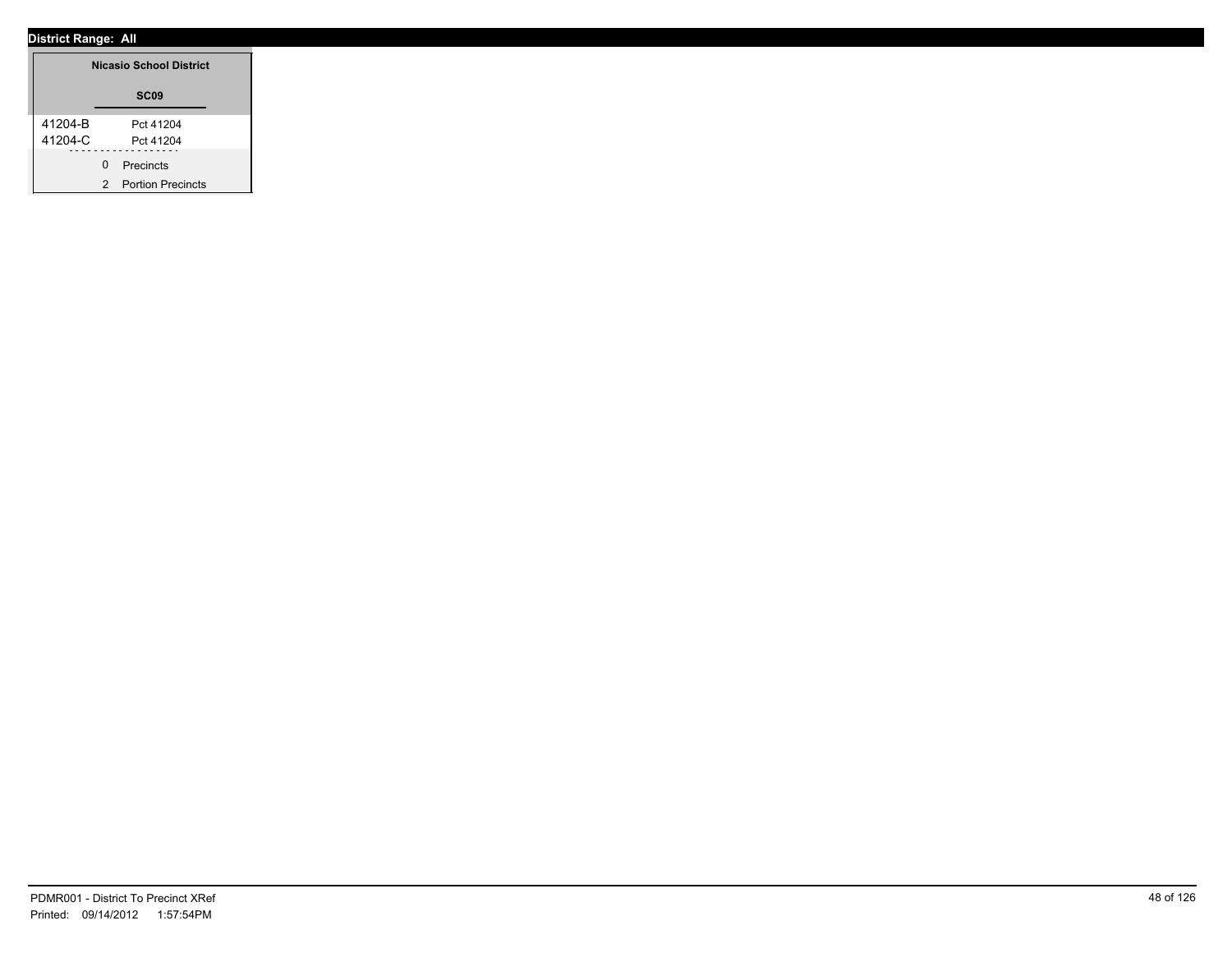|                    | <b>Nicasio School District</b>     |
|--------------------|------------------------------------|
|                    | SC <sub>09</sub>                   |
| 41204-B<br>41204-C | Pct 41204<br>Pct 41204             |
|                    | 0 Precincts<br>2 Portion Precincts |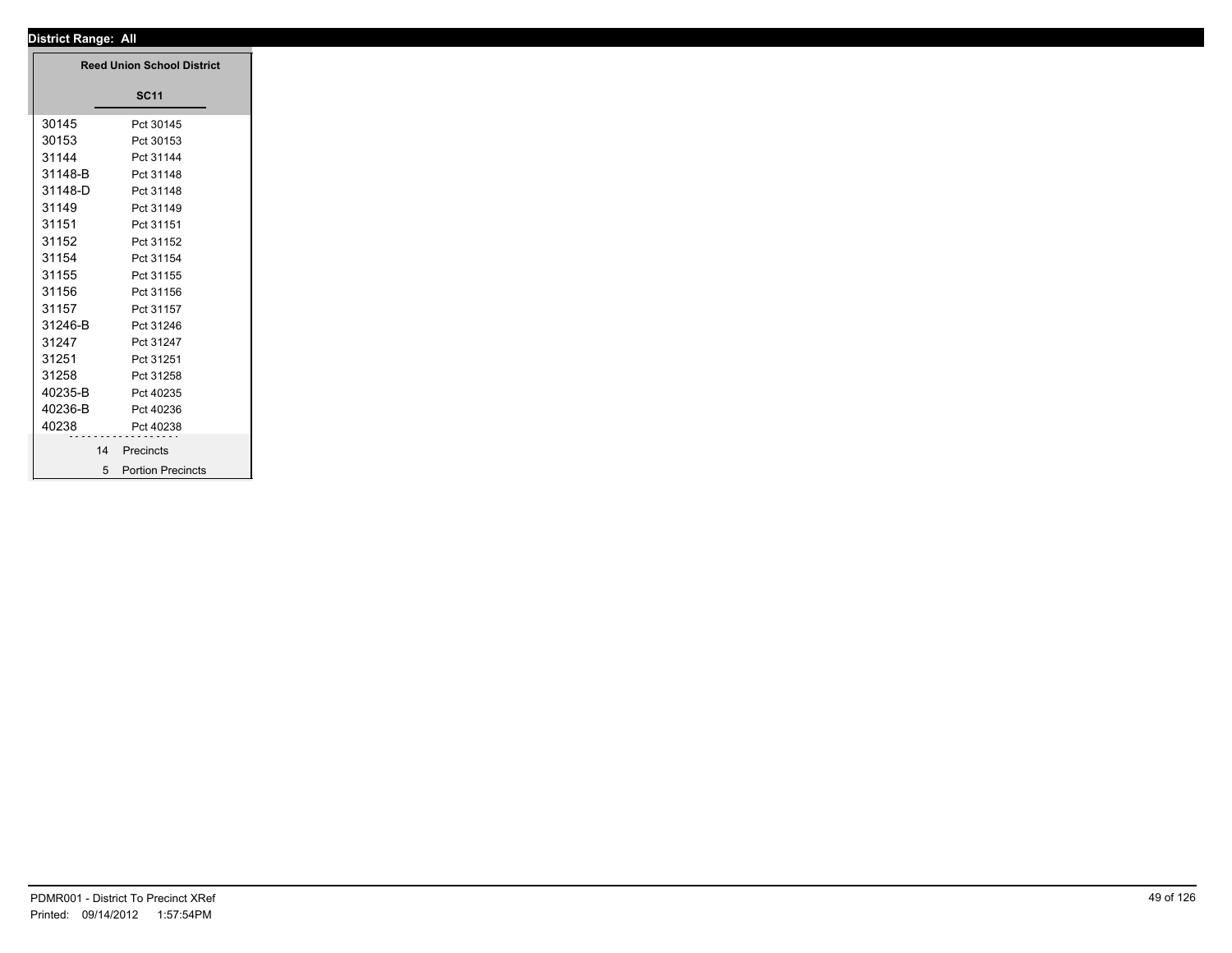|         | <b>Reed Union School District</b> |
|---------|-----------------------------------|
|         | <b>SC11</b>                       |
| 30145   | Pct 30145                         |
| 30153   | Pct 30153                         |
| 31144   | Pct 31144                         |
| 31148-B | Pct 31148                         |
| 31148-D | Pct 31148                         |
| 31149   | Pct 31149                         |
| 31151   | Pct 31151                         |
| 31152   | Pct 31152                         |
| 31154   | Pct 31154                         |
| 31155   | Pct 31155                         |
| 31156   | Pct 31156                         |
| 31157   | Pct 31157                         |
| 31246-B | Pct 31246                         |
| 31247   | Pct 31247                         |
| 31251   | Pct 31251                         |
| 31258   | Pct 31258                         |
| 40235-B | Pct 40235                         |
| 40236-B | Pct 40236                         |
| 40238   | Pct 40238                         |
| 14      | Precincts                         |
|         |                                   |
|         | 5 Portion Precincts               |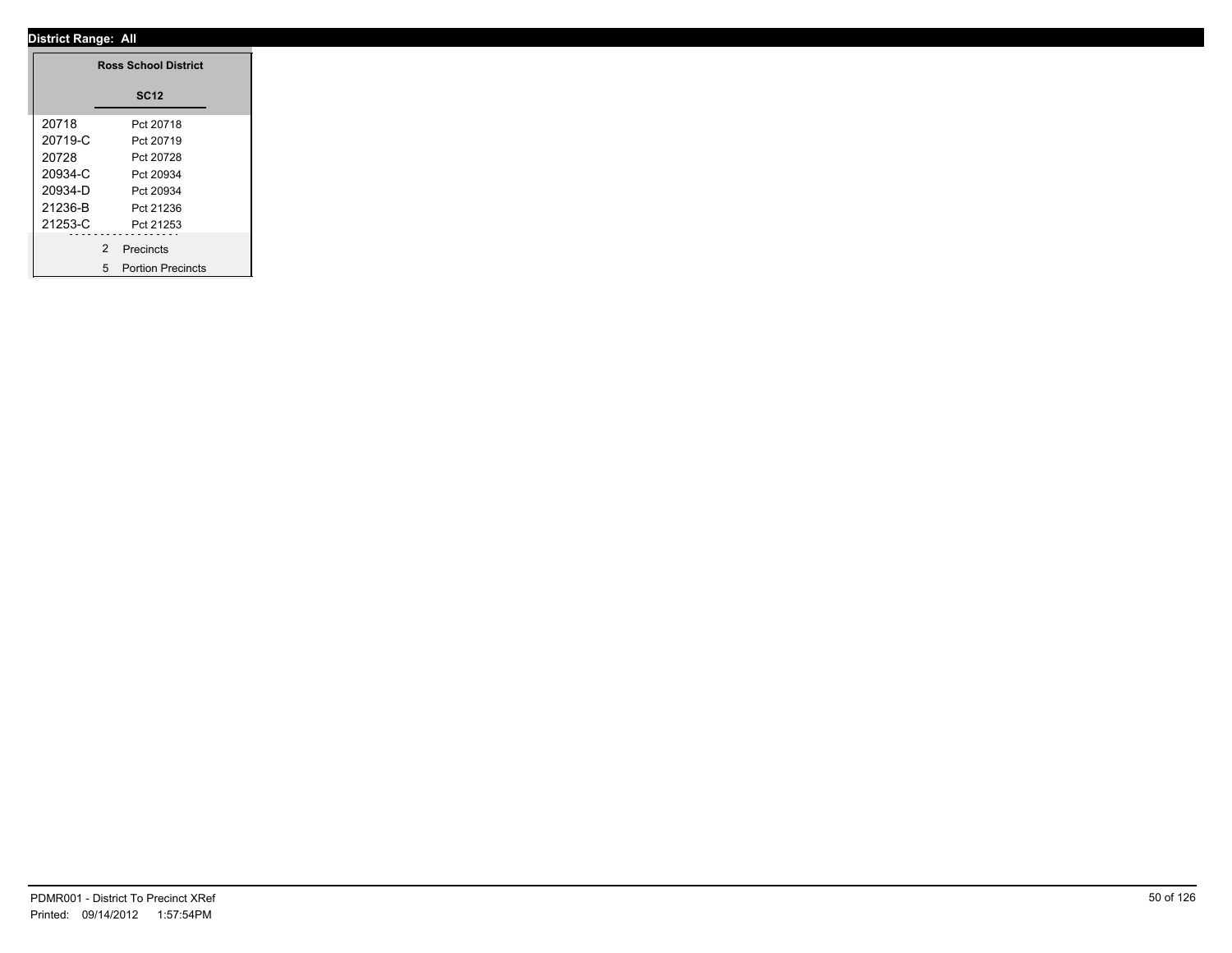|         | <b>Ross School District</b> |
|---------|-----------------------------|
|         | <b>SC12</b>                 |
| 20718   | Pct 20718                   |
| 20719-C | Pct 20719                   |
| 20728   | Pct 20728                   |
| 20934-C | Pct 20934                   |
| 20934-D | Pct 20934                   |
| 21236-B | Pct 21236                   |
| 21253-C | Pct 21253                   |
|         | .<br>2 Precincts            |
|         | 5 Portion Precincts         |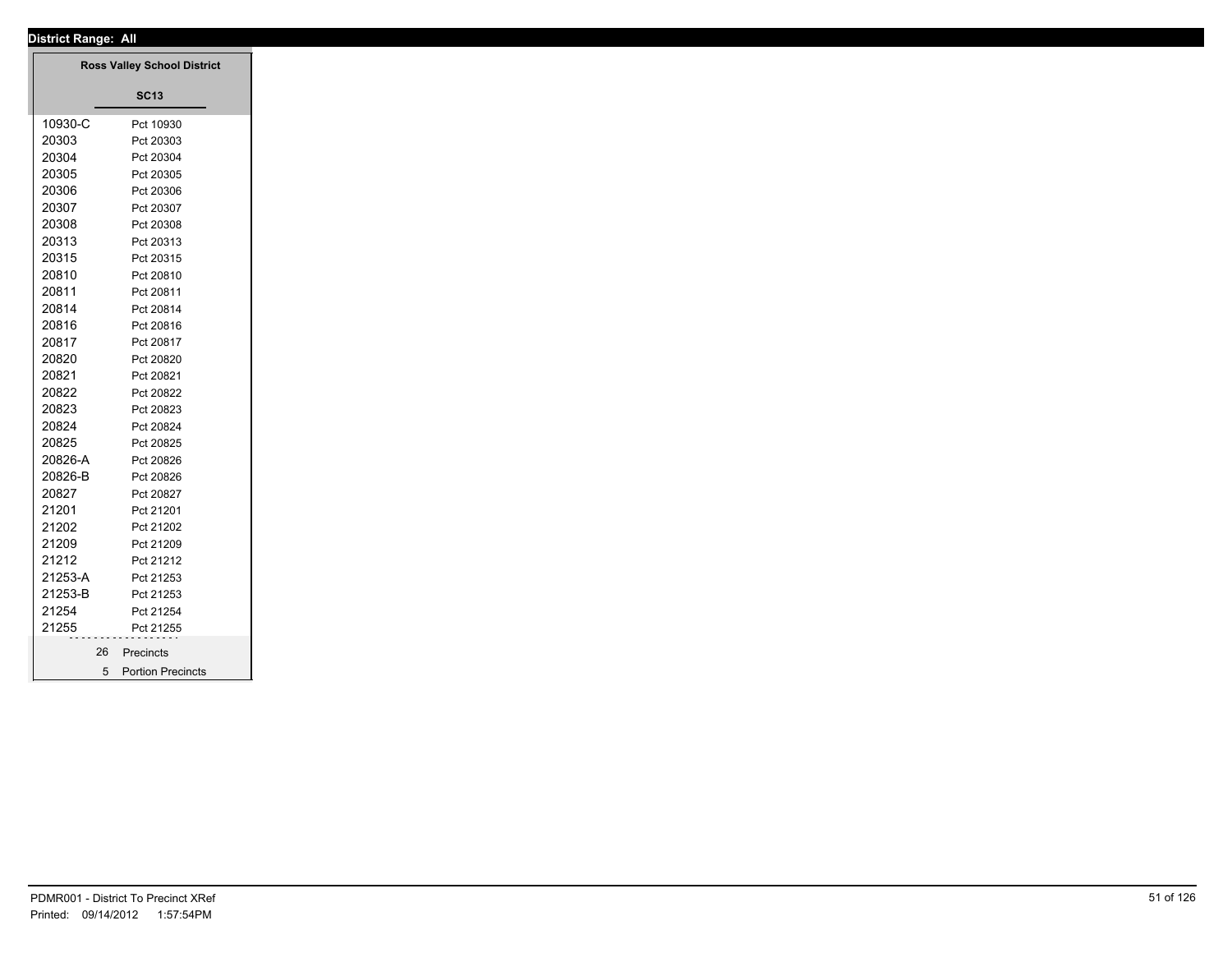| District Range: All |                                    |
|---------------------|------------------------------------|
|                     | <b>Ross Valley School District</b> |
|                     | <b>SC13</b>                        |
|                     |                                    |
| 10930-C             | Pct 10930                          |
| 20303               | Pct 20303                          |
| 20304               | Pct 20304                          |
| 20305               | Pct 20305                          |
| 20306               | Pct 20306                          |
| 20307               | Pct 20307                          |
| 20308               | Pct 20308                          |
| 20313               | Pct 20313                          |
| 20315               | Pct 20315                          |
| 20810               | Pct 20810                          |
| 20811               | Pct 20811                          |
| 20814               | Pct 20814                          |
| 20816               | Pct 20816                          |
| 20817               | Pct 20817                          |
| 20820               | Pct 20820                          |
| 20821               | Pct 20821                          |
| 20822               | Pct 20822                          |
| 20823               | Pct 20823                          |
| 20824               | Pct 20824                          |
| 20825               | Pct 20825                          |
| 20826-A             | Pct 20826                          |
| 20826-B             | Pct 20826                          |
| 20827               | Pct 20827                          |
| 21201               | Pct 21201                          |
| 21202               | Pct 21202                          |
| 21209               | Pct 21209                          |
| 21212               | Pct 21212                          |
| 21253-A             | Pct 21253                          |
| 21253-B             | Pct 21253                          |
| 21254               | Pct 21254                          |
| 21255               | Pct 21255                          |
|                     | 26 Precincts                       |
|                     | 5 Portion Precincts                |
|                     |                                    |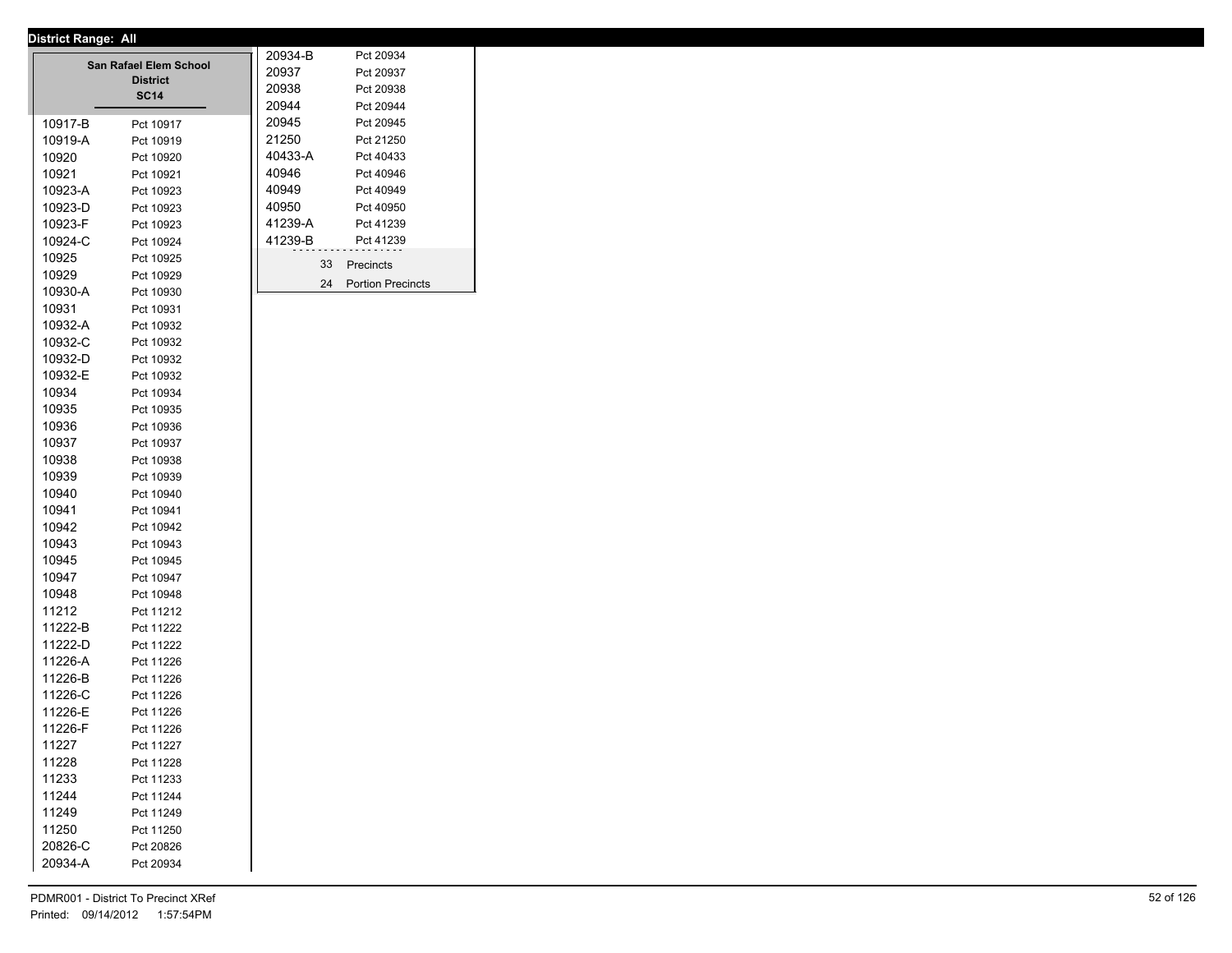|         | San Rafael Elem School<br><b>District</b><br><b>SC14</b> | 20934-B<br>20937<br>20938 |    | Pct 20934<br>Pct 20937<br>Pct 20938 |
|---------|----------------------------------------------------------|---------------------------|----|-------------------------------------|
|         |                                                          | 20944                     |    | Pct 20944                           |
| 10917-B | Pct 10917                                                | 20945                     |    | Pct 20945                           |
| 10919-A | Pct 10919                                                | 21250                     |    | Pct 21250                           |
| 10920   | Pct 10920                                                | 40433-A                   |    | Pct 40433                           |
| 10921   | Pct 10921                                                | 40946                     |    | Pct 40946                           |
| 10923-A | Pct 10923                                                | 40949                     |    | Pct 40949                           |
| 10923-D | Pct 10923                                                | 40950                     |    | Pct 40950                           |
| 10923-F | Pct 10923                                                | 41239-A                   |    | Pct 41239                           |
| 10924-C | Pct 10924                                                | 41239-B                   |    | Pct 41239                           |
| 10925   | Pct 10925                                                |                           | 33 | Precincts                           |
| 10929   | Pct 10929                                                |                           | 24 | <b>Portion Precincts</b>            |
| 10930-A | Pct 10930                                                |                           |    |                                     |
| 10931   | Pct 10931                                                |                           |    |                                     |
| 10932-A | Pct 10932                                                |                           |    |                                     |
| 10932-C | Pct 10932                                                |                           |    |                                     |
| 10932-D | Pct 10932                                                |                           |    |                                     |
| 10932-E | Pct 10932                                                |                           |    |                                     |
| 10934   | Pct 10934                                                |                           |    |                                     |
| 10935   | Pct 10935                                                |                           |    |                                     |
| 10936   | Pct 10936                                                |                           |    |                                     |
| 10937   | Pct 10937                                                |                           |    |                                     |
| 10938   | Pct 10938                                                |                           |    |                                     |
| 10939   | Pct 10939                                                |                           |    |                                     |
| 10940   | Pct 10940                                                |                           |    |                                     |
| 10941   | Pct 10941                                                |                           |    |                                     |
| 10942   | Pct 10942                                                |                           |    |                                     |
| 10943   | Pct 10943                                                |                           |    |                                     |
| 10945   | Pct 10945                                                |                           |    |                                     |
| 10947   | Pct 10947                                                |                           |    |                                     |
| 10948   | Pct 10948                                                |                           |    |                                     |
| 11212   | Pct 11212                                                |                           |    |                                     |
| 11222-B | Pct 11222                                                |                           |    |                                     |
| 11222-D | Pct 11222                                                |                           |    |                                     |
| 11226-A | Pct 11226                                                |                           |    |                                     |
| 11226-B | Pct 11226                                                |                           |    |                                     |
| 11226-C | Pct 11226                                                |                           |    |                                     |
| 11226-E | Pct 11226                                                |                           |    |                                     |
| 11226-F | Pct 11226                                                |                           |    |                                     |
| 11227   | Pct 11227                                                |                           |    |                                     |
| 11228   | Pct 11228                                                |                           |    |                                     |
| 11233   | Pct 11233                                                |                           |    |                                     |
| 11244   | Pct 11244                                                |                           |    |                                     |
| 11249   | Pct 11249                                                |                           |    |                                     |
| 11250   | Pct 11250                                                |                           |    |                                     |
| 20826-C | Pct 20826                                                |                           |    |                                     |
| 20934-A | Pct 20934                                                |                           |    |                                     |
|         |                                                          |                           |    |                                     |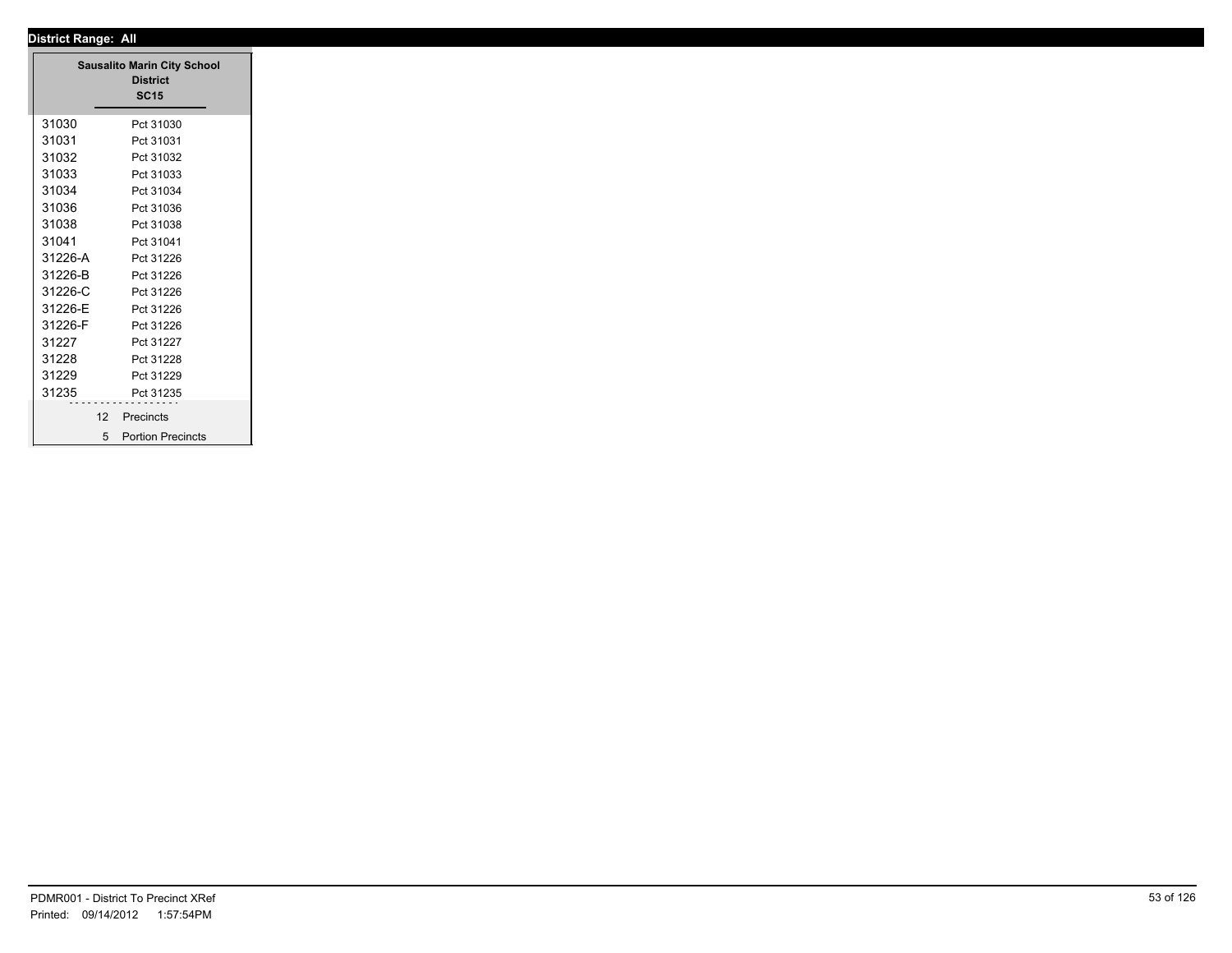| <b>District Range: All</b>                 |
|--------------------------------------------|
| <b>Sausalito Marin City School</b>         |
| <b>District</b>                            |
| <b>SC15</b>                                |
| 31030<br>Pct 31030                         |
| 31031<br>Pct 31031                         |
| 31032<br>Pct 31032                         |
| 31033<br>Pct 31033                         |
| 31034<br>Pct 31034                         |
| 31036<br>Pct 31036                         |
| 31038<br>Pct 31038                         |
| 31041<br>Pct 31041                         |
| 31226-A<br>Pct 31226                       |
| 31226-B<br>Pct 31226                       |
| 31226-C<br>Pct 31226                       |
| 31226-E<br>Pct 31226                       |
| 31226-F<br>Pct 31226                       |
| 31227<br>Pct 31227                         |
| 31228<br>Pct 31228                         |
| 31229<br>Pct 31229                         |
| 31235<br>Pct 31235                         |
| 12<br>Precincts                            |
| <b>Portion Precincts</b><br>5 <sup>5</sup> |
|                                            |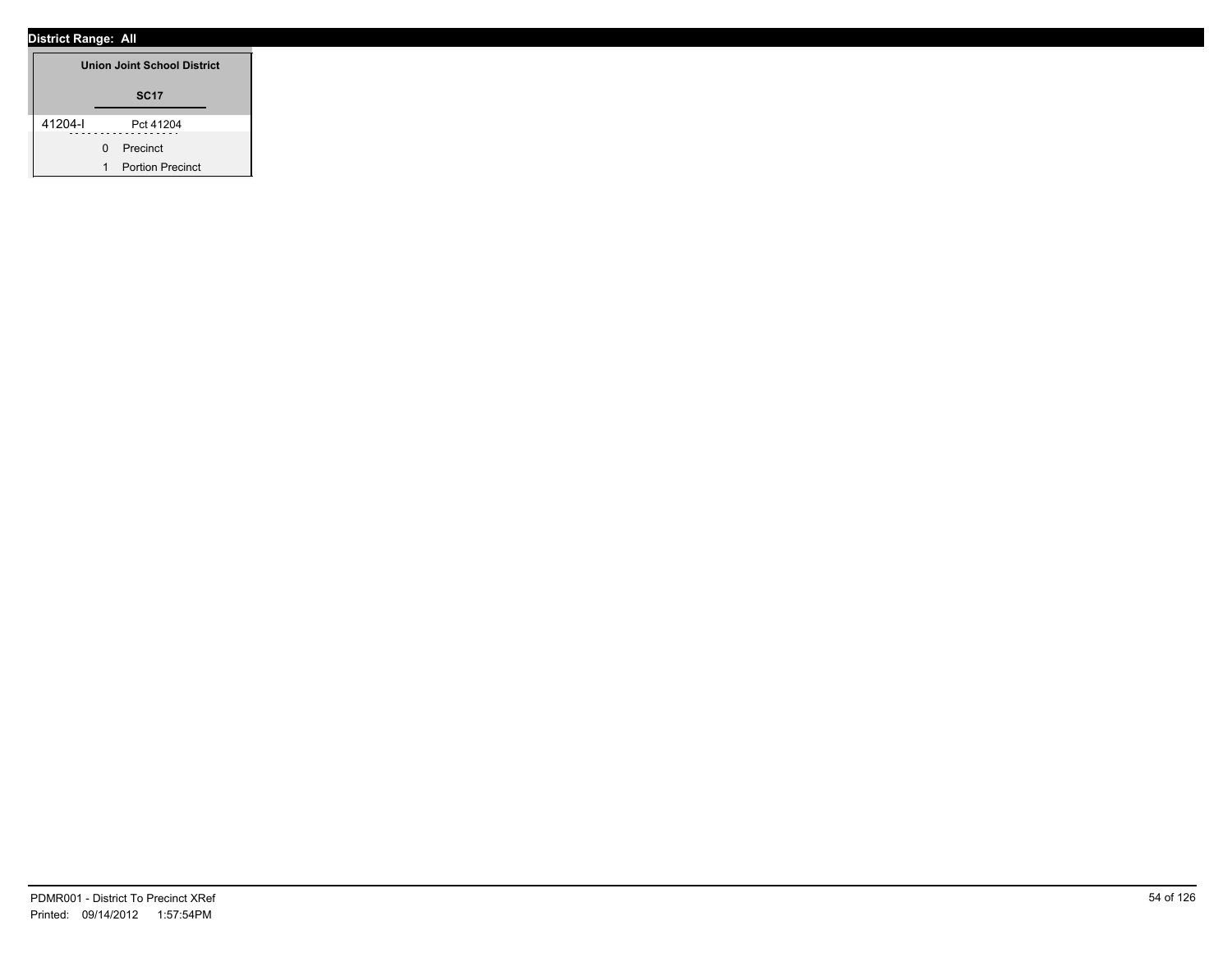|         |   | <b>Union Joint School District</b> |
|---------|---|------------------------------------|
|         |   | <b>SC17</b>                        |
| 41204-l |   | Pct 41204                          |
|         | O | Precinct                           |
|         | 1 | <b>Portion Precinct</b>            |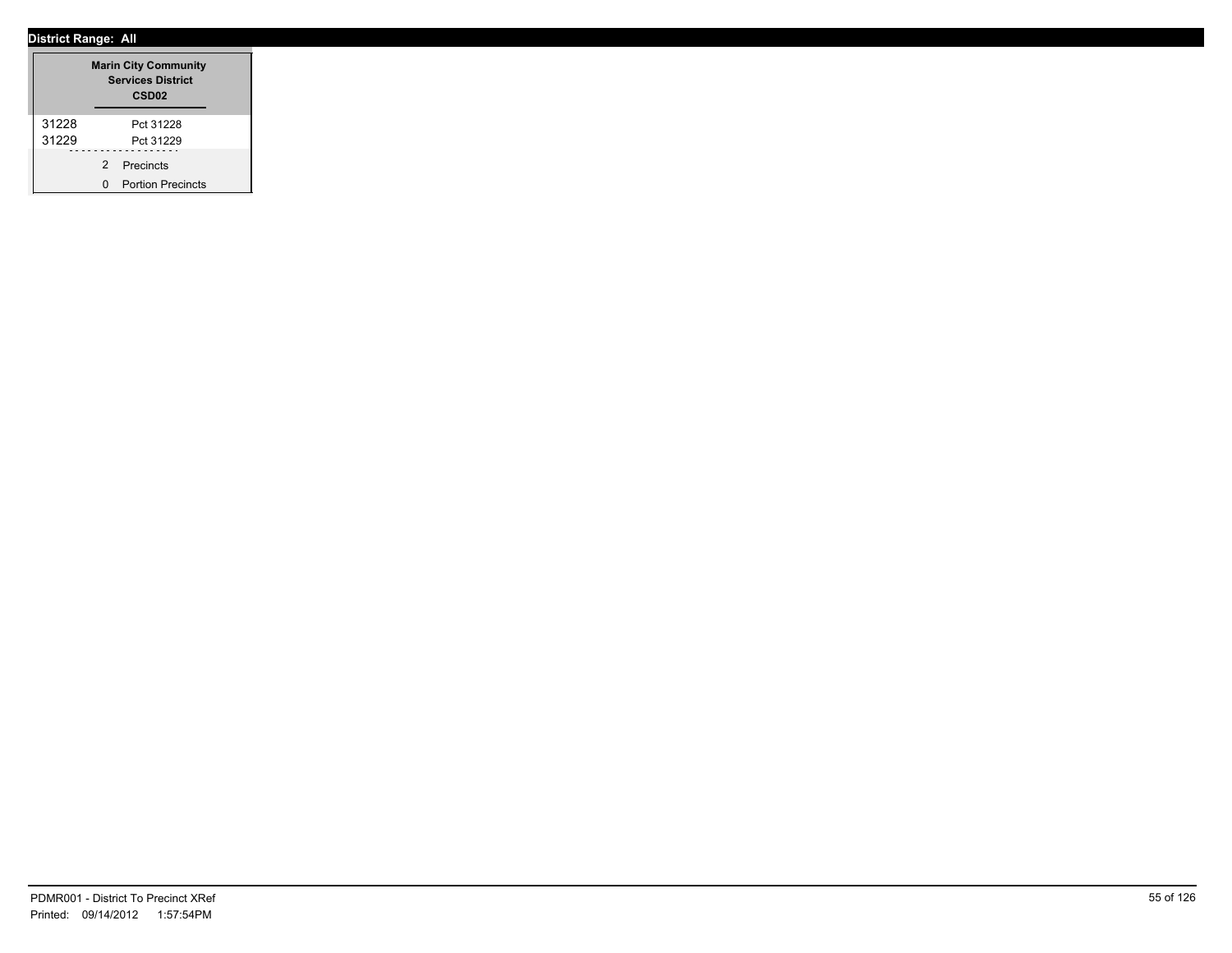|       |               | <b>Marin City Community</b><br><b>Services District</b><br>CSD <sub>02</sub> |
|-------|---------------|------------------------------------------------------------------------------|
| 31228 |               | Pct 31228                                                                    |
| 31229 |               | Pct 31229                                                                    |
|       | $\mathcal{P}$ | Precincts                                                                    |
|       | n             | <b>Portion Precincts</b>                                                     |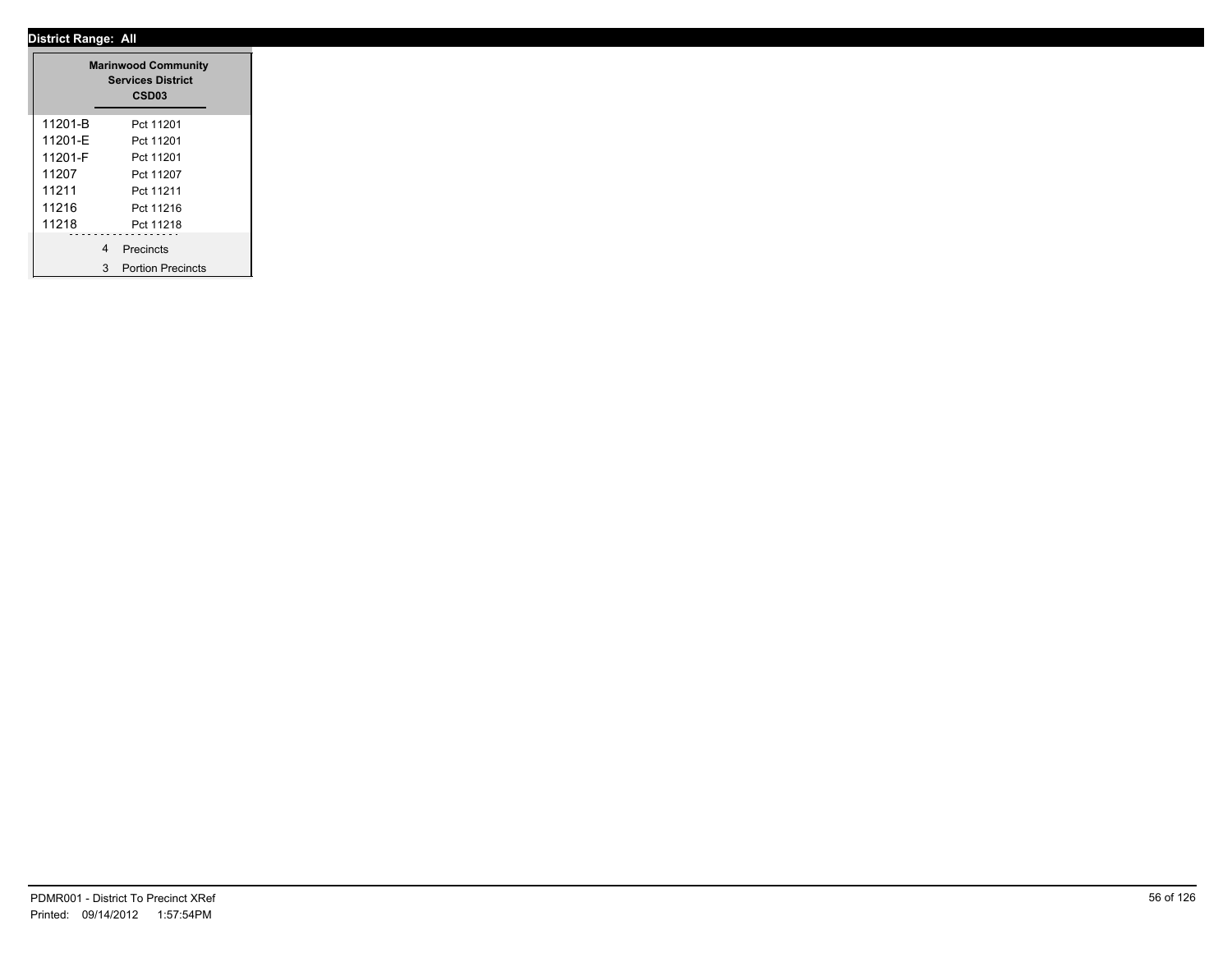|         |   | <b>Marinwood Community</b><br><b>Services District</b><br>CSD03 |
|---------|---|-----------------------------------------------------------------|
| 11201-B |   | Pct 11201                                                       |
| 11201-E |   | Pct 11201                                                       |
| 11201-F |   | Pct 11201                                                       |
| 11207   |   | Pct 11207                                                       |
| 11211   |   | Pct 11211                                                       |
| 11216   |   | Pct 11216                                                       |
| 11218   |   | Pct 11218                                                       |
|         | 4 | Precincts                                                       |
|         | 3 | <b>Portion Precincts</b>                                        |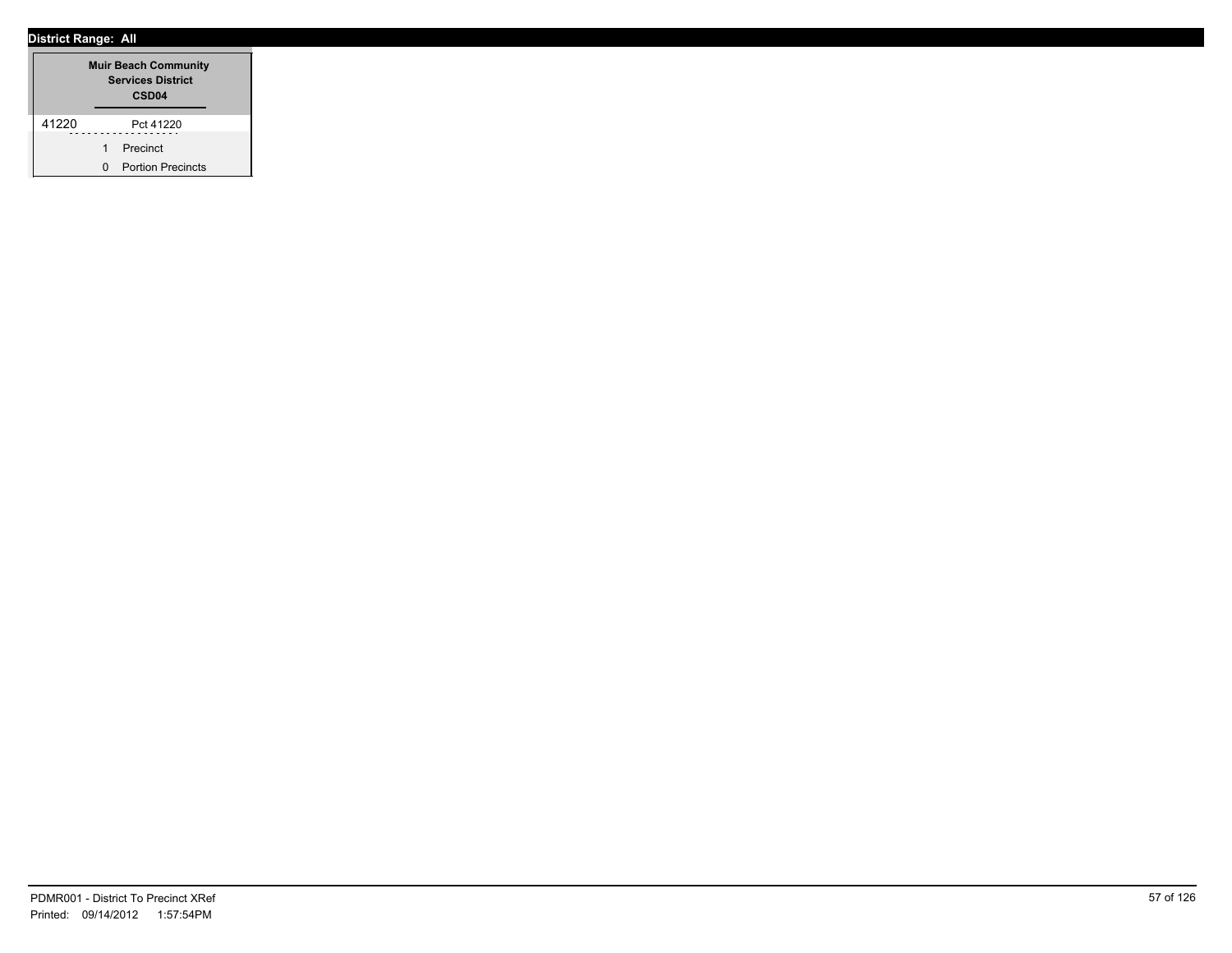|       |   | <b>Muir Beach Community</b><br><b>Services District</b><br>CSD <sub>04</sub> |
|-------|---|------------------------------------------------------------------------------|
| 41220 |   | Pct 41220                                                                    |
|       |   | Precinct                                                                     |
|       | n | <b>Portion Precincts</b>                                                     |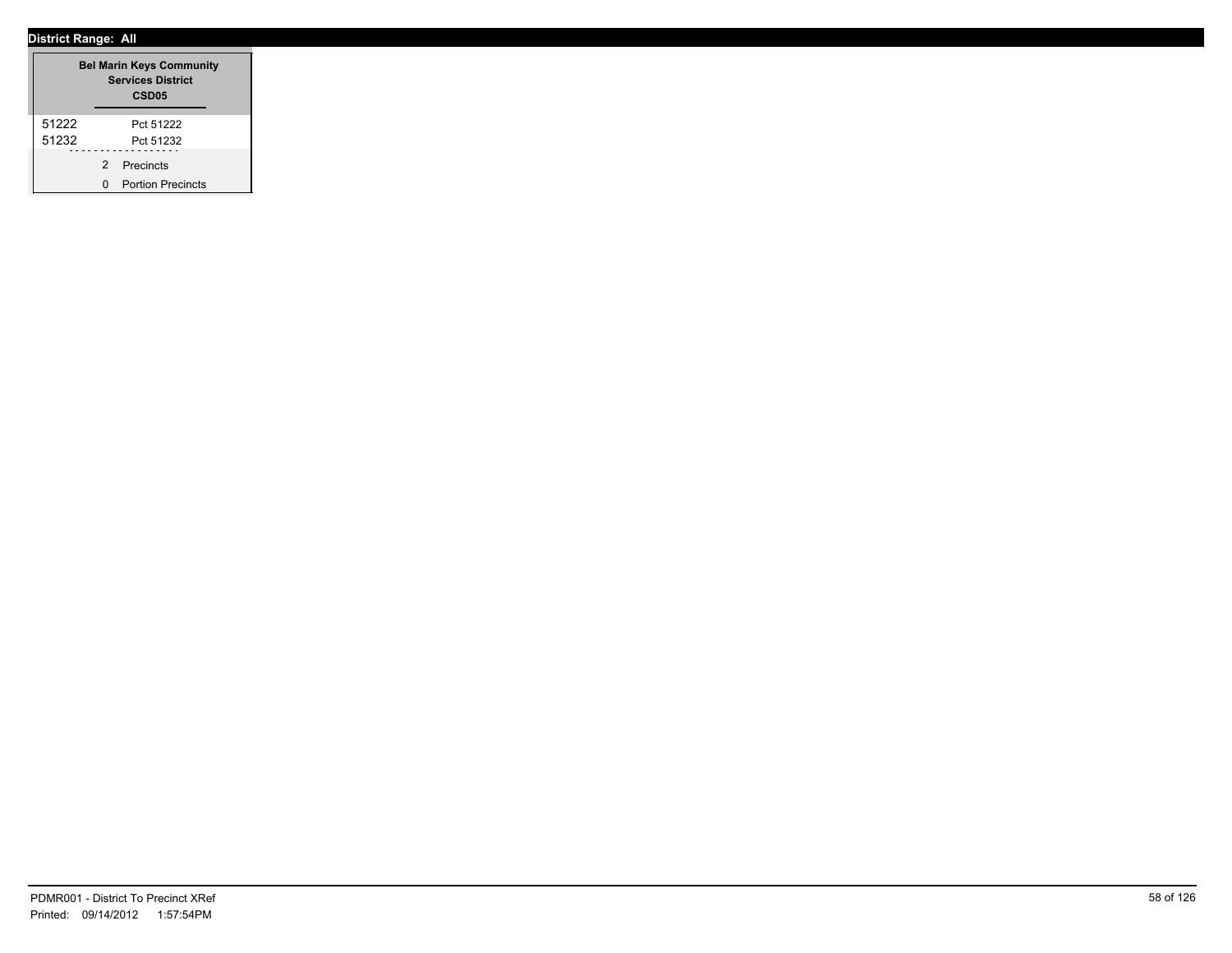|       |   | <b>Bel Marin Keys Community</b><br><b>Services District</b><br>CSD <sub>05</sub> |
|-------|---|----------------------------------------------------------------------------------|
| 51222 |   | Pct 51222                                                                        |
| 51232 |   | Pct 51232                                                                        |
|       | 2 | Precincts                                                                        |
|       |   | <b>Portion Precincts</b>                                                         |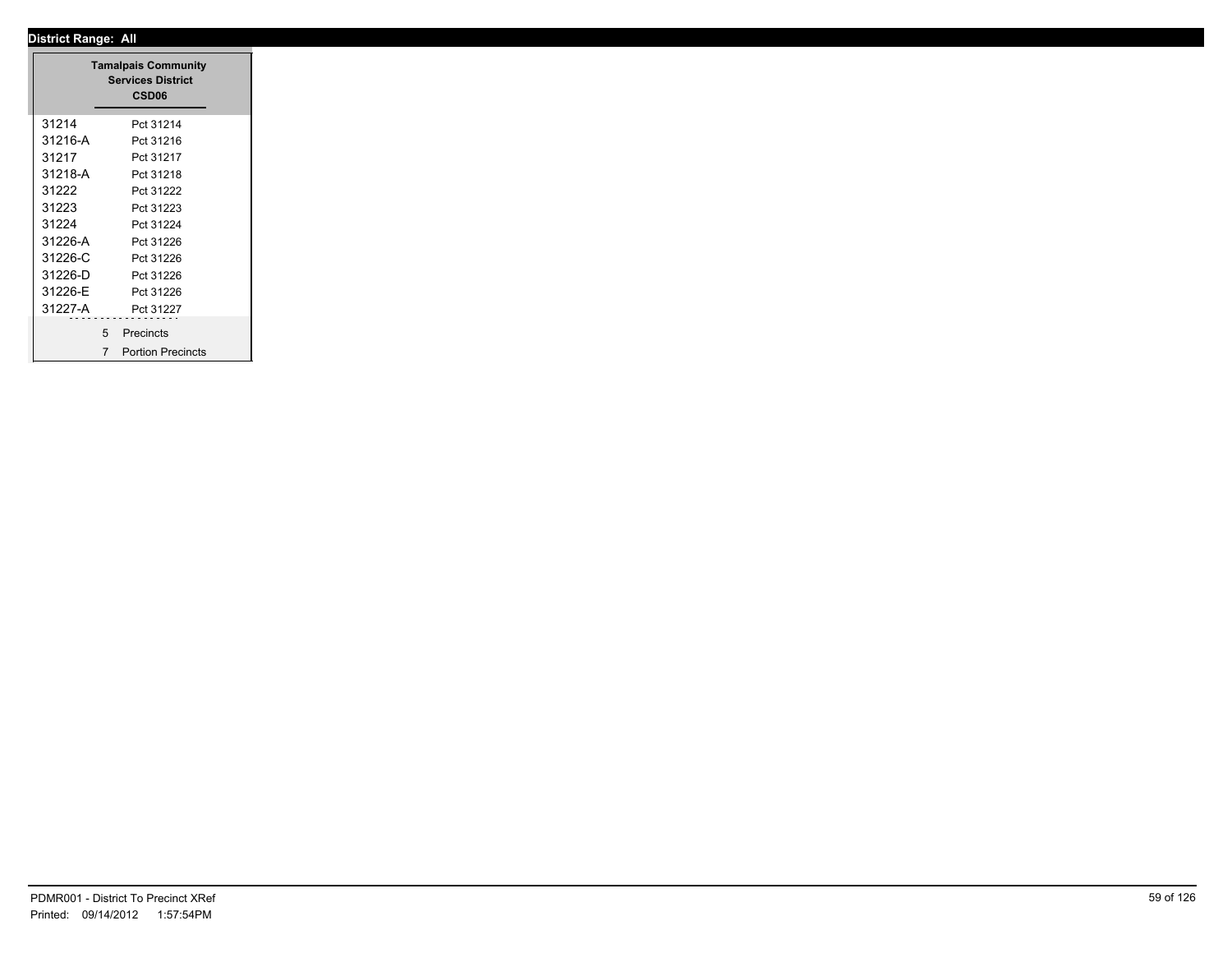|         | <b>Tamalpais Community</b><br><b>Services District</b><br>CSD06 |
|---------|-----------------------------------------------------------------|
|         |                                                                 |
| 31214   | Pct 31214                                                       |
| 31216-A | Pct 31216                                                       |
| 31217   | Pct 31217                                                       |
| 31218-A | Pct 31218                                                       |
| 31222   | Pct 31222                                                       |
| 31223   | Pct 31223                                                       |
| 31224   | Pct 31224                                                       |
| 31226-A | Pct 31226                                                       |
| 31226-C | Pct 31226                                                       |
| 31226-D | Pct 31226                                                       |
| 31226-E | Pct 31226                                                       |
| 31227-A | Pct 31227                                                       |
|         | .<br>---------                                                  |
|         | 5 Precincts                                                     |
|         | <b>Portion Precincts</b><br>$\overline{7}$                      |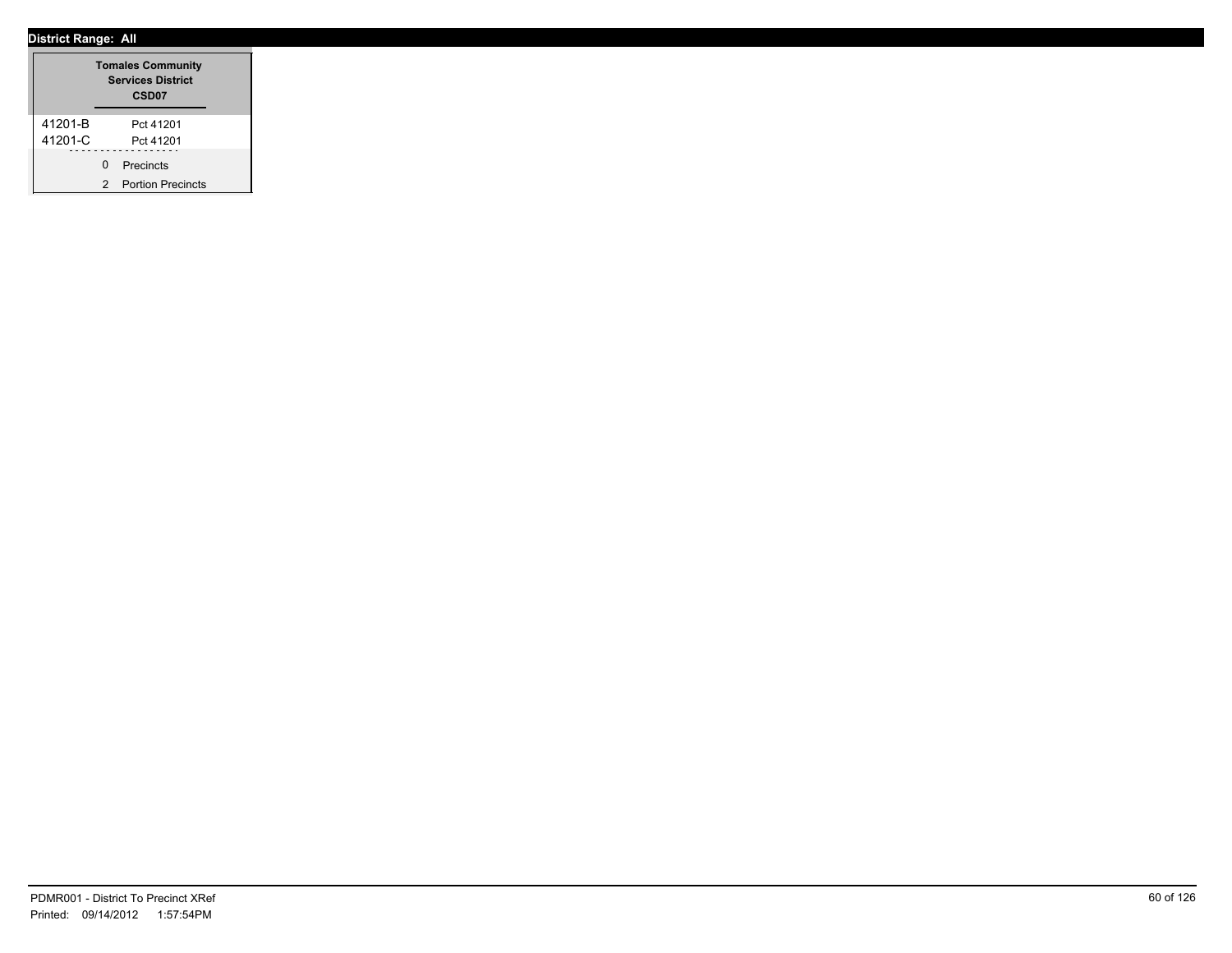|         |   | <b>Tomales Community</b><br><b>Services District</b><br>CSD <sub>07</sub> |
|---------|---|---------------------------------------------------------------------------|
| 41201-B |   | Pct 41201                                                                 |
| 41201-C |   | Pct 41201                                                                 |
|         | U | Precincts                                                                 |
|         | 2 | <b>Portion Precincts</b>                                                  |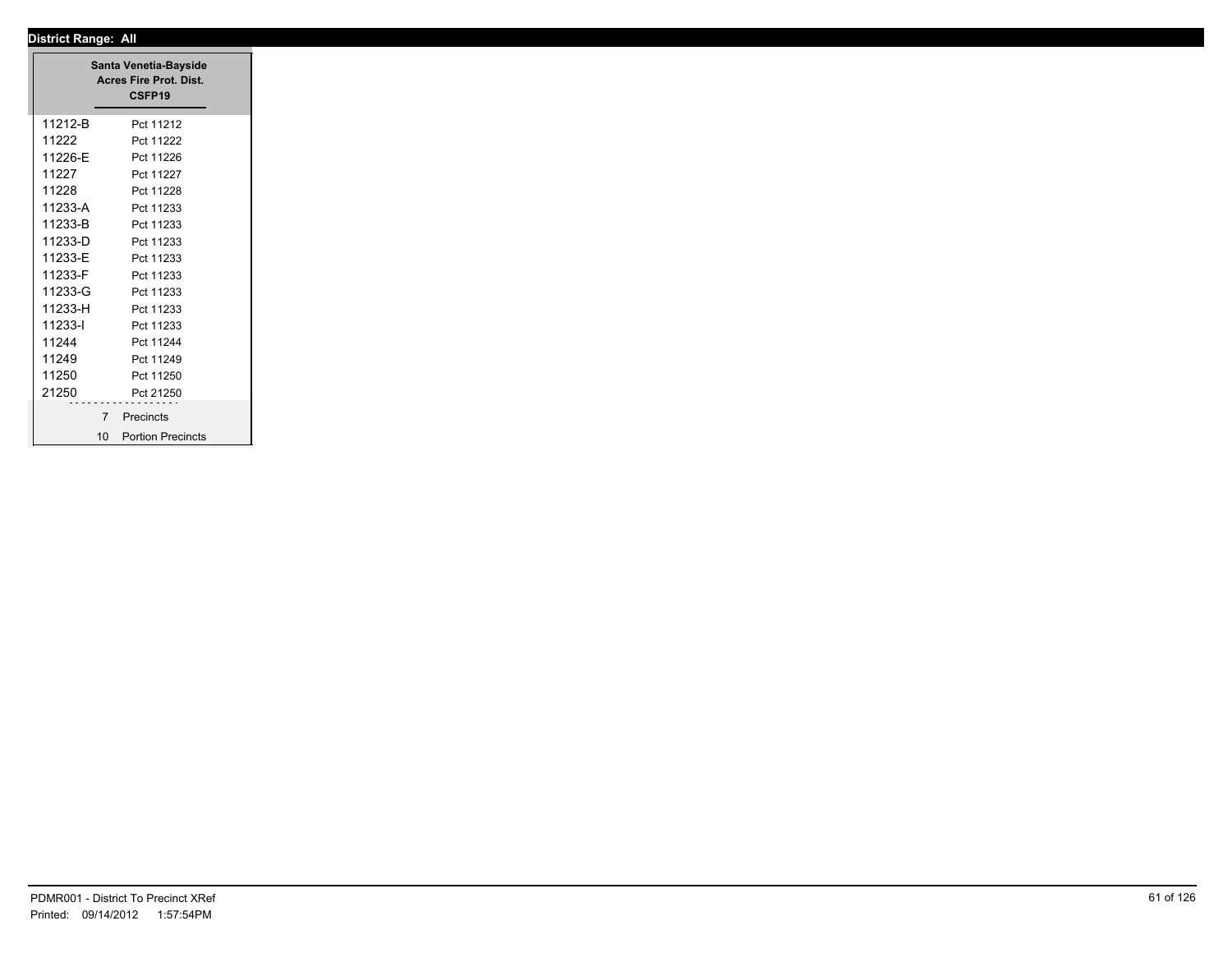|                | Santa Venetia-Bayside<br>Acres Fire Prot. Dist.<br>CSFP19 |
|----------------|-----------------------------------------------------------|
| 11212-B        | Pct 11212                                                 |
| 11222          | Pct 11222                                                 |
| 11226-E        | Pct 11226                                                 |
| 11227          | Pct 11227                                                 |
| 11228          | Pct 11228                                                 |
| 11233-A        | Pct 11233                                                 |
| 11233-B        | Pct 11233                                                 |
| 11233-D        | Pct 11233                                                 |
| 11233-E        | Pct 11233                                                 |
| 11233-F        | Pct 11233                                                 |
| 11233-G        | Pct 11233                                                 |
| 11233-H        | Pct 11233                                                 |
| 11233-l        | Pct 11233                                                 |
| 11244          | Pct 11244                                                 |
| 11249          | Pct 11249                                                 |
| 11250          | Pct 11250                                                 |
| 21250          | Pct 21250                                                 |
| $\overline{7}$ | Precincts                                                 |
| 10             | <b>Portion Precincts</b>                                  |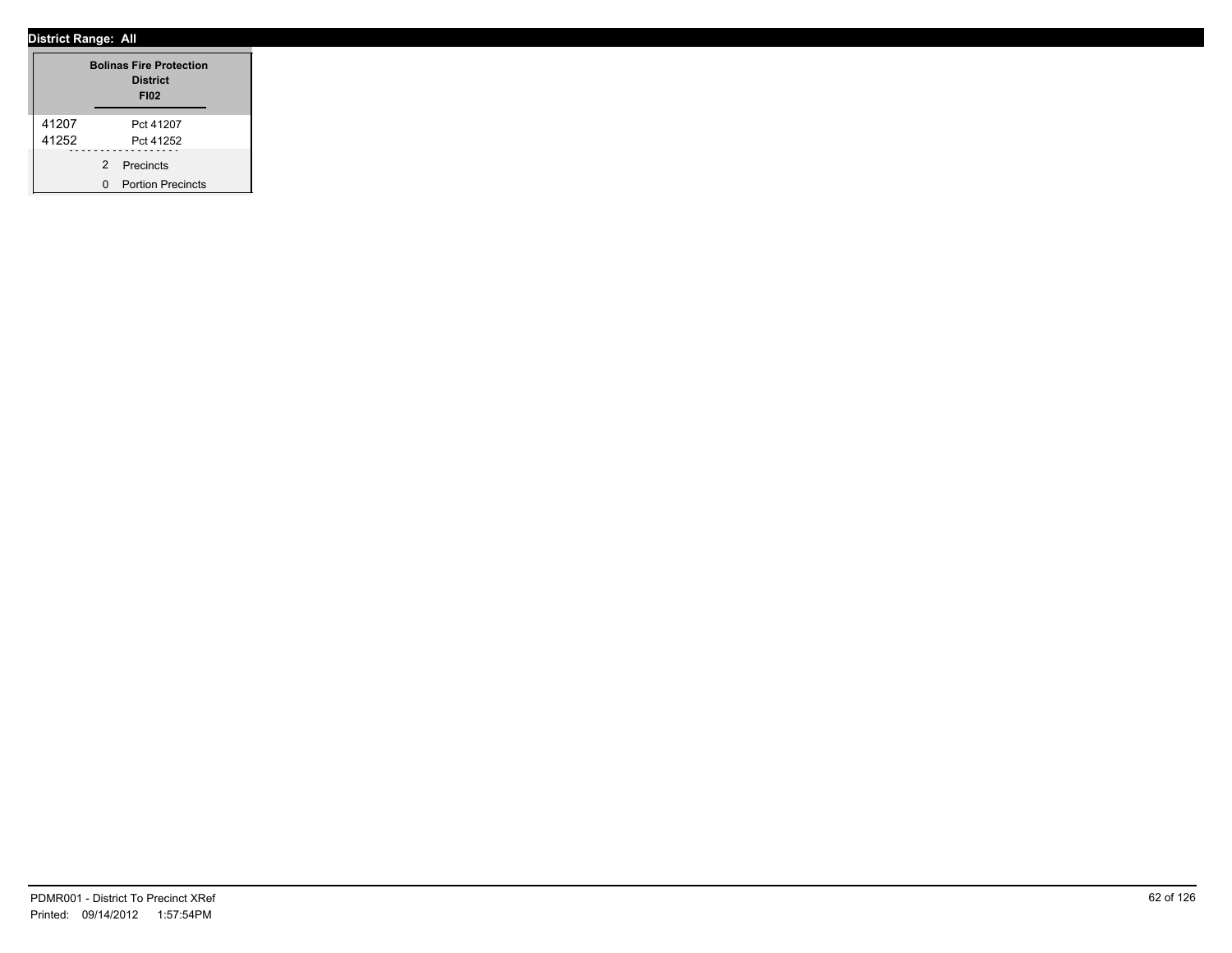|       |               | <b>Bolinas Fire Protection</b><br><b>District</b><br><b>FI02</b> |
|-------|---------------|------------------------------------------------------------------|
| 41207 |               | Pct 41207                                                        |
| 41252 |               | Pct 41252                                                        |
|       | $\mathcal{P}$ | Precincts                                                        |
|       |               | <b>Portion Precincts</b>                                         |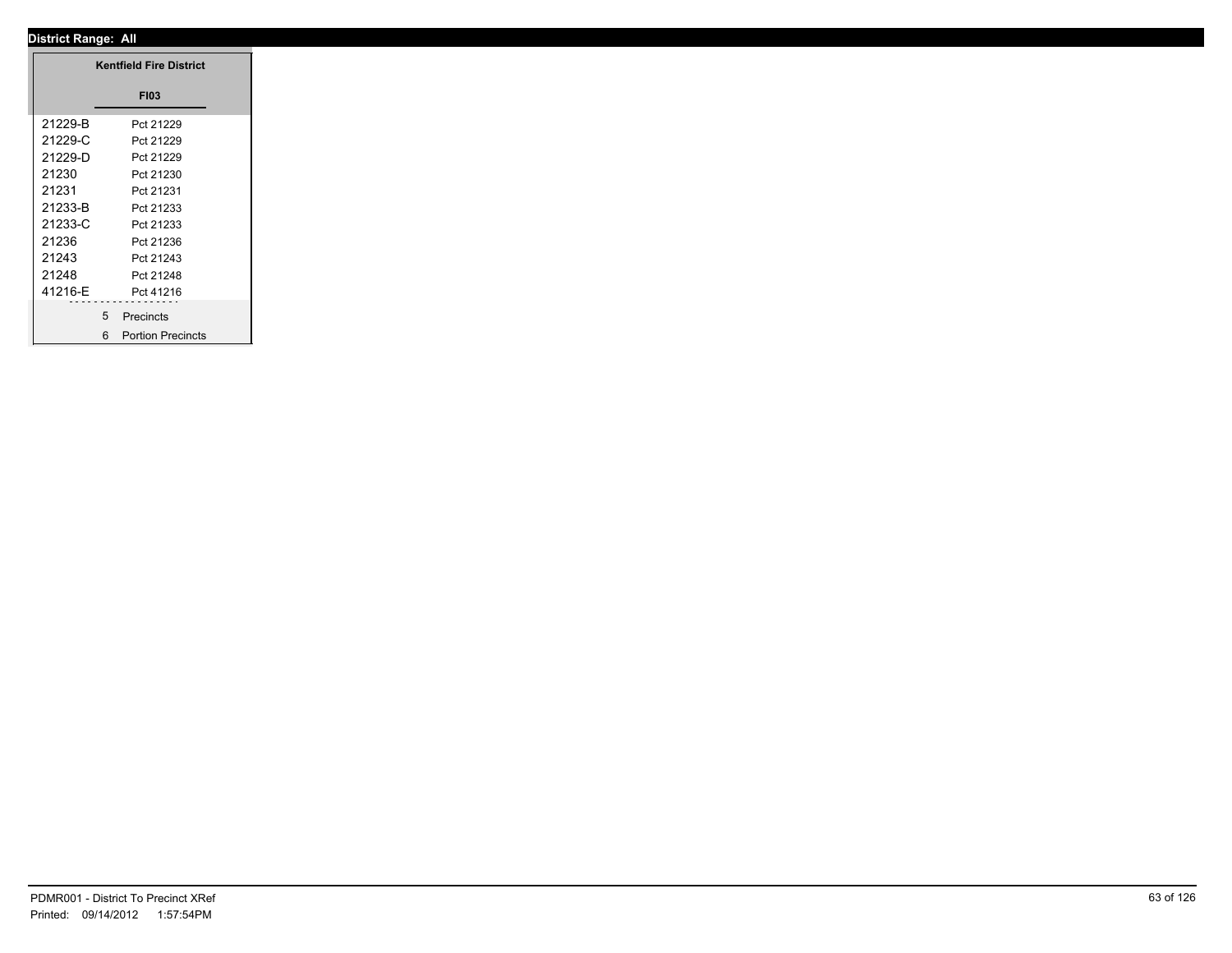|          | <b>Kentfield Fire District</b> |
|----------|--------------------------------|
|          | <b>FI03</b>                    |
| 21229-B  | Pct 21229                      |
| 21229-C  | Pct 21229                      |
| 21229-D  | Pct 21229                      |
| 21230    | Pct 21230                      |
| 21231    | Pct 21231                      |
| 21233-B  | Pct 21233                      |
| 21233-C  | Pct 21233                      |
| 21236    | Pct 21236                      |
| 21243    | Pct 21243                      |
| 21248    | Pct 21248                      |
| 41216-E  | Pct 41216                      |
| -------- | .                              |
|          | 5 <sup>5</sup><br>Precincts    |
|          | 6 Portion Precincts            |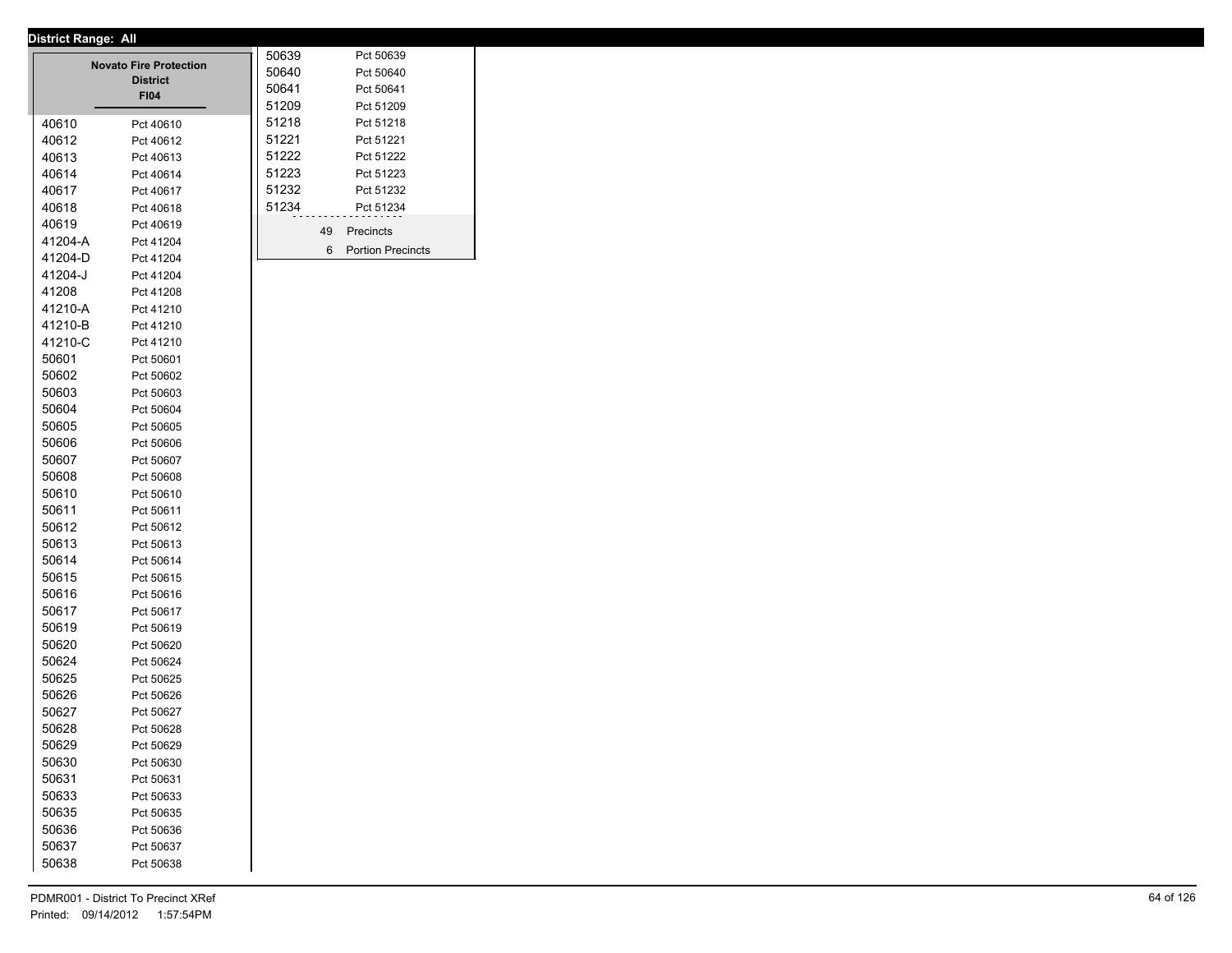|                | <b>Novato Fire Protection</b><br><b>District</b><br><b>FI04</b> | 50639<br>50640<br>50641<br>51209 |    | Pct 50639<br>Pct 50640<br>Pct 50641<br>Pct 51209 |
|----------------|-----------------------------------------------------------------|----------------------------------|----|--------------------------------------------------|
| 40610          | Pct 40610                                                       | 51218                            |    | Pct 51218                                        |
| 40612          | Pct 40612                                                       | 51221                            |    | Pct 51221                                        |
| 40613          | Pct 40613                                                       | 51222                            |    | Pct 51222                                        |
| 40614          | Pct 40614                                                       | 51223                            |    | Pct 51223                                        |
| 40617          | Pct 40617                                                       | 51232                            |    | Pct 51232                                        |
| 40618          | Pct 40618                                                       | 51234                            |    | Pct 51234                                        |
| 40619          | Pct 40619                                                       |                                  | 49 | Precincts                                        |
| 41204-A        | Pct 41204                                                       |                                  | 6  | <b>Portion Precincts</b>                         |
| 41204-D        | Pct 41204                                                       |                                  |    |                                                  |
| 41204-J        | Pct 41204                                                       |                                  |    |                                                  |
| 41208          | Pct 41208                                                       |                                  |    |                                                  |
| 41210-A        | Pct 41210                                                       |                                  |    |                                                  |
| 41210-B        | Pct 41210                                                       |                                  |    |                                                  |
| 41210-C        | Pct 41210                                                       |                                  |    |                                                  |
| 50601          | Pct 50601                                                       |                                  |    |                                                  |
| 50602          | Pct 50602                                                       |                                  |    |                                                  |
| 50603          | Pct 50603                                                       |                                  |    |                                                  |
| 50604          | Pct 50604                                                       |                                  |    |                                                  |
| 50605          | Pct 50605                                                       |                                  |    |                                                  |
| 50606          | Pct 50606                                                       |                                  |    |                                                  |
| 50607          | Pct 50607                                                       |                                  |    |                                                  |
| 50608          | Pct 50608                                                       |                                  |    |                                                  |
| 50610          | Pct 50610                                                       |                                  |    |                                                  |
| 50611          | Pct 50611                                                       |                                  |    |                                                  |
| 50612          | Pct 50612                                                       |                                  |    |                                                  |
| 50613          | Pct 50613                                                       |                                  |    |                                                  |
| 50614<br>50615 | Pct 50614<br>Pct 50615                                          |                                  |    |                                                  |
| 50616          | Pct 50616                                                       |                                  |    |                                                  |
| 50617          | Pct 50617                                                       |                                  |    |                                                  |
| 50619          | Pct 50619                                                       |                                  |    |                                                  |
| 50620          | Pct 50620                                                       |                                  |    |                                                  |
| 50624          | Pct 50624                                                       |                                  |    |                                                  |
| 50625          | Pct 50625                                                       |                                  |    |                                                  |
| 50626          | Pct 50626                                                       |                                  |    |                                                  |
| 50627          | Pct 50627                                                       |                                  |    |                                                  |
| 50628          | Pct 50628                                                       |                                  |    |                                                  |
| 50629          | Pct 50629                                                       |                                  |    |                                                  |
| 50630          | Pct 50630                                                       |                                  |    |                                                  |
| 50631          | Pct 50631                                                       |                                  |    |                                                  |
| 50633          | Pct 50633                                                       |                                  |    |                                                  |
| 50635          | Pct 50635                                                       |                                  |    |                                                  |
| 50636          | Pct 50636                                                       |                                  |    |                                                  |
| 50637          | Pct 50637                                                       |                                  |    |                                                  |
| 50638          | Pct 50638                                                       |                                  |    |                                                  |
|                |                                                                 |                                  |    |                                                  |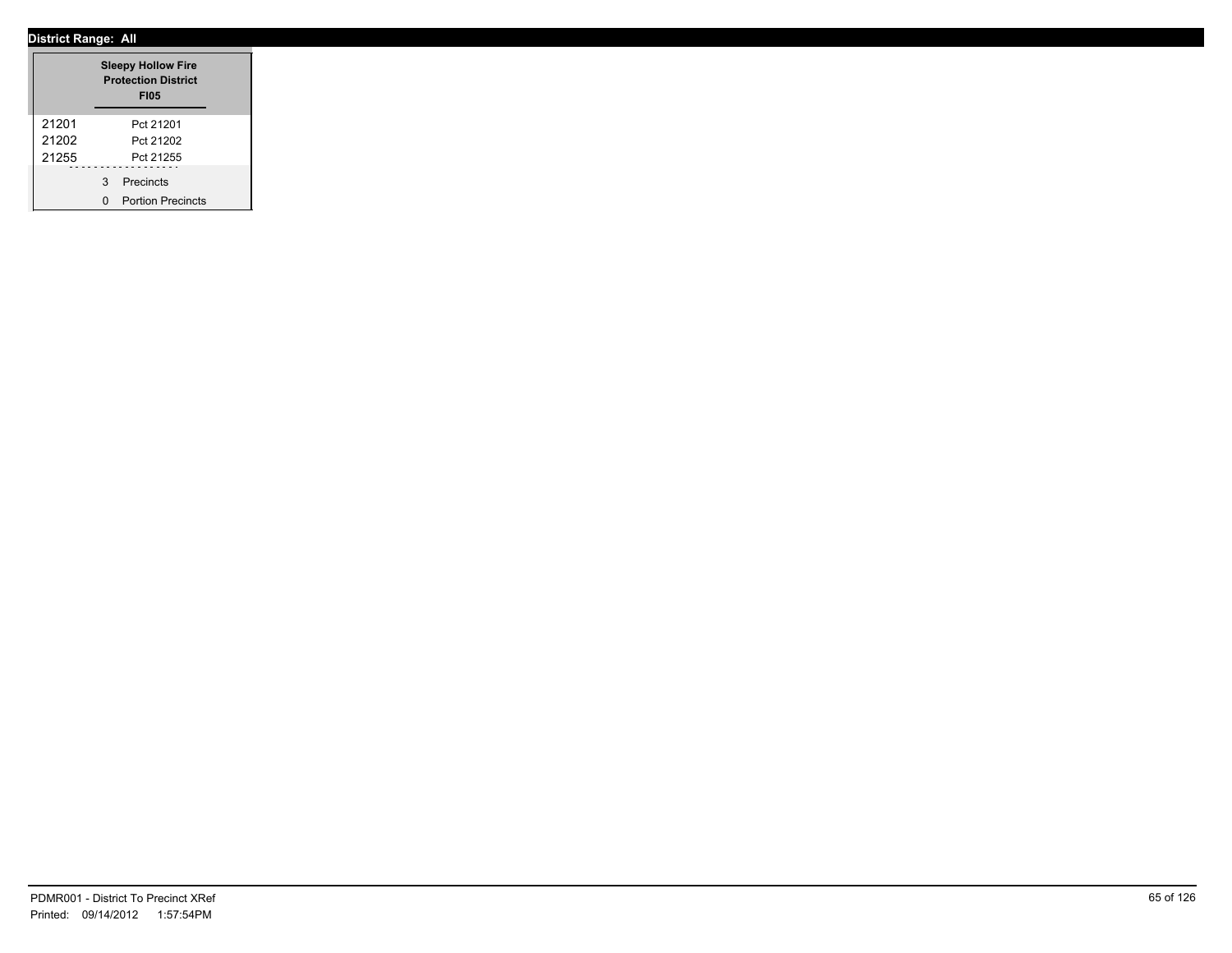|       |   | <b>Sleepy Hollow Fire</b><br><b>Protection District</b><br><b>FI05</b> |  |
|-------|---|------------------------------------------------------------------------|--|
| 21201 |   | Pct 21201                                                              |  |
| 21202 |   | Pct 21202                                                              |  |
| 21255 |   | Pct 21255                                                              |  |
|       | 3 | Precincts                                                              |  |
|       | n | <b>Portion Precincts</b>                                               |  |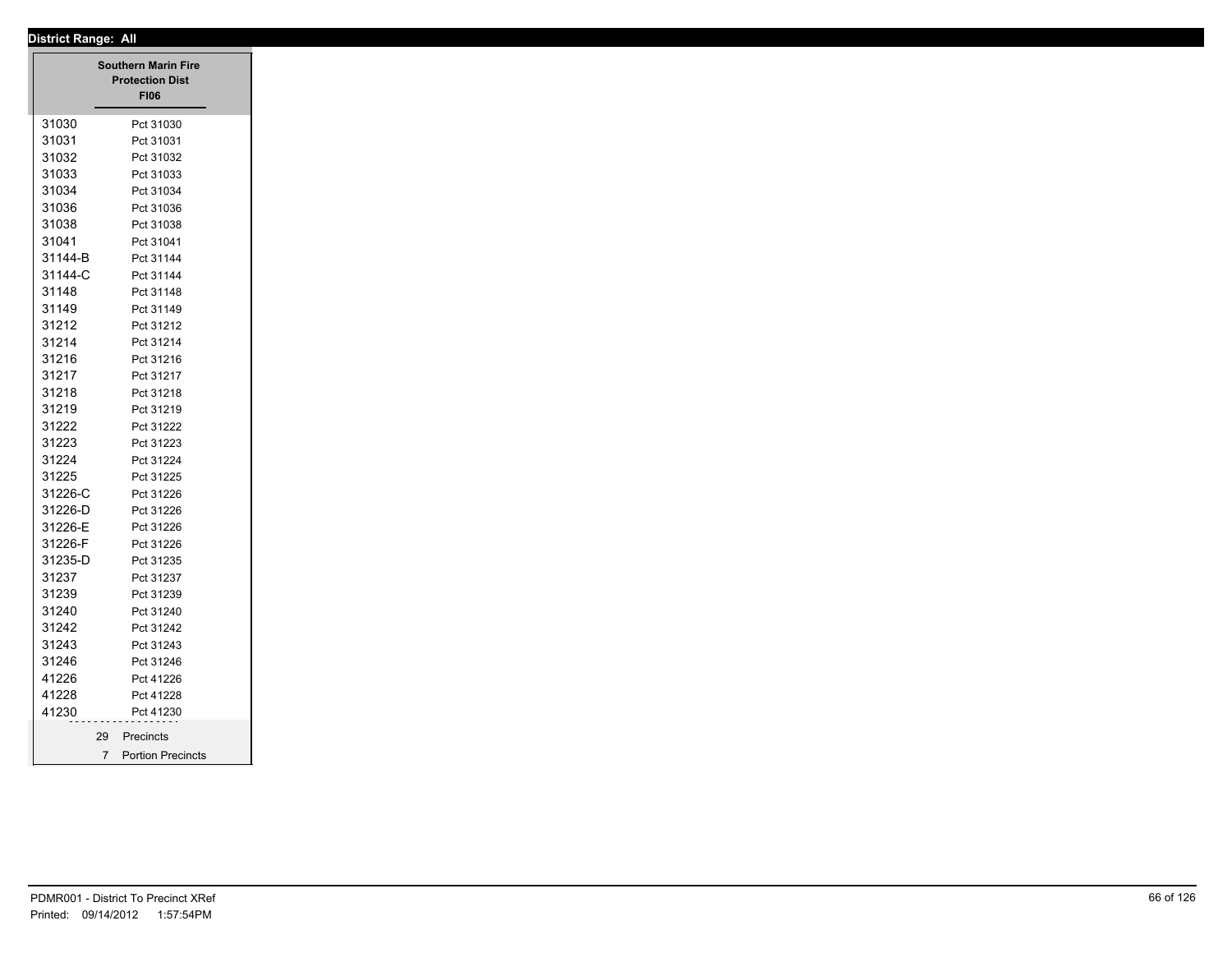|         |                 | <b>Southern Marin Fire</b><br><b>Protection Dist</b><br><b>FI06</b> |
|---------|-----------------|---------------------------------------------------------------------|
| 31030   |                 | Pct 31030                                                           |
| 31031   |                 | Pct 31031                                                           |
| 31032   |                 | Pct 31032                                                           |
| 31033   |                 | Pct 31033                                                           |
| 31034   |                 | Pct 31034                                                           |
| 31036   |                 | Pct 31036                                                           |
| 31038   |                 | Pct 31038                                                           |
| 31041   |                 | Pct 31041                                                           |
| 31144-B |                 | Pct 31144                                                           |
| 31144-C |                 | Pct 31144                                                           |
| 31148   |                 | Pct 31148                                                           |
| 31149   |                 | Pct 31149                                                           |
| 31212   |                 | Pct 31212                                                           |
| 31214   |                 | Pct 31214                                                           |
| 31216   |                 | Pct 31216                                                           |
| 31217   |                 | Pct 31217                                                           |
| 31218   |                 | Pct 31218                                                           |
| 31219   |                 | Pct 31219                                                           |
| 31222   |                 | Pct 31222                                                           |
| 31223   |                 | Pct 31223                                                           |
| 31224   |                 | Pct 31224                                                           |
| 31225   |                 | Pct 31225                                                           |
| 31226-C |                 | Pct 31226                                                           |
| 31226-D |                 | Pct 31226                                                           |
| 31226-E |                 | Pct 31226                                                           |
| 31226-F |                 | Pct 31226                                                           |
| 31235-D |                 | Pct 31235                                                           |
| 31237   |                 | Pct 31237                                                           |
| 31239   |                 | Pct 31239                                                           |
| 31240   |                 | Pct 31240                                                           |
| 31242   |                 | Pct 31242                                                           |
| 31243   |                 | Pct 31243                                                           |
| 31246   |                 | Pct 31246                                                           |
| 41226   |                 | Pct 41226                                                           |
| 41228   |                 | Pct 41228                                                           |
| 41230   |                 | Pct 41230                                                           |
|         |                 |                                                                     |
|         | 29              | Precincts                                                           |
|         | $7\overline{ }$ | <b>Portion Precincts</b>                                            |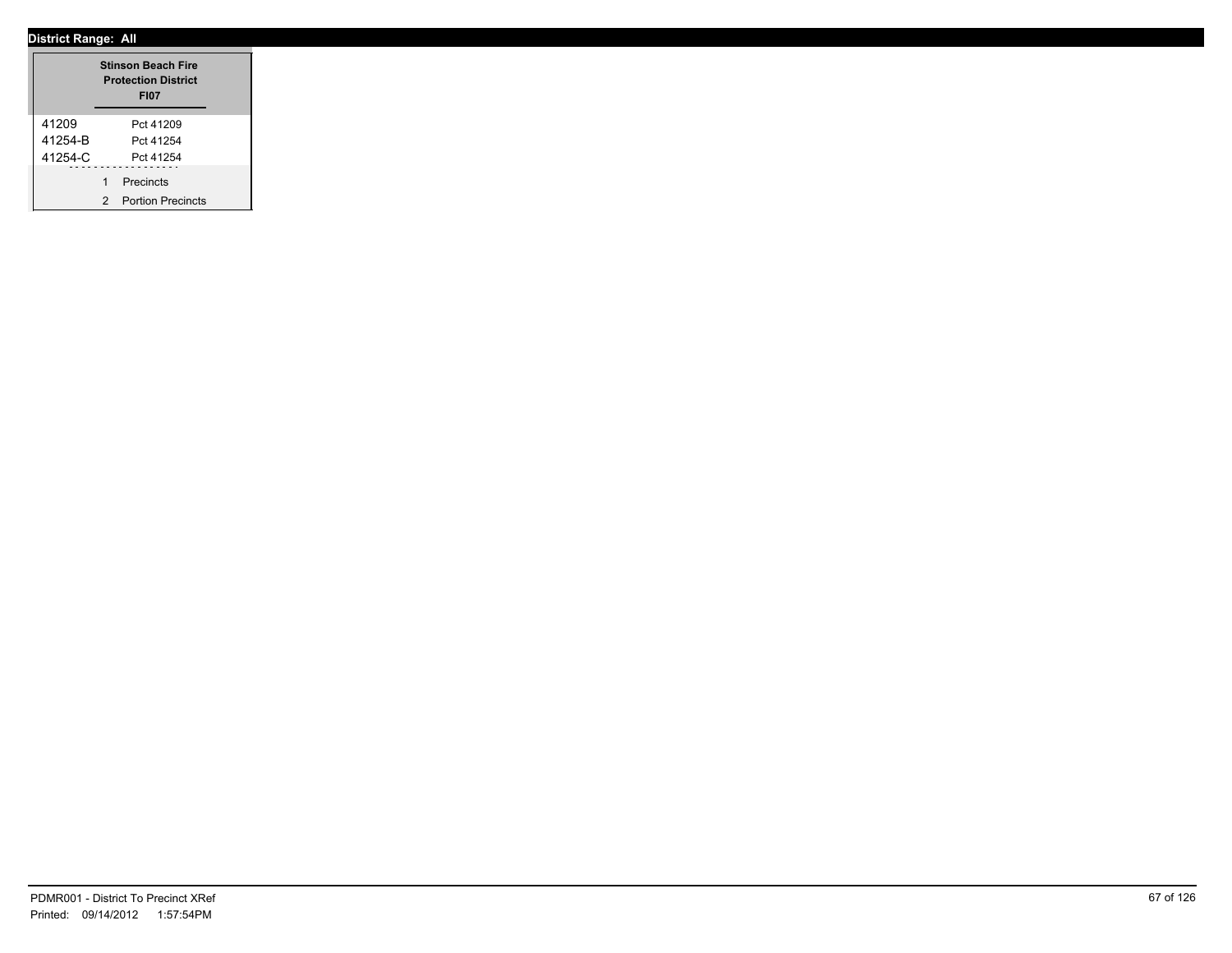|             |   | <b>Stinson Beach Fire</b><br><b>Protection District</b><br><b>FI07</b> |  |
|-------------|---|------------------------------------------------------------------------|--|
| 41209       |   | Pct 41209                                                              |  |
| 41254-B     |   | Pct 41254                                                              |  |
| $41254 - C$ |   | Pct 41254                                                              |  |
|             | 1 | Precincts                                                              |  |
|             | 2 | <b>Portion Precincts</b>                                               |  |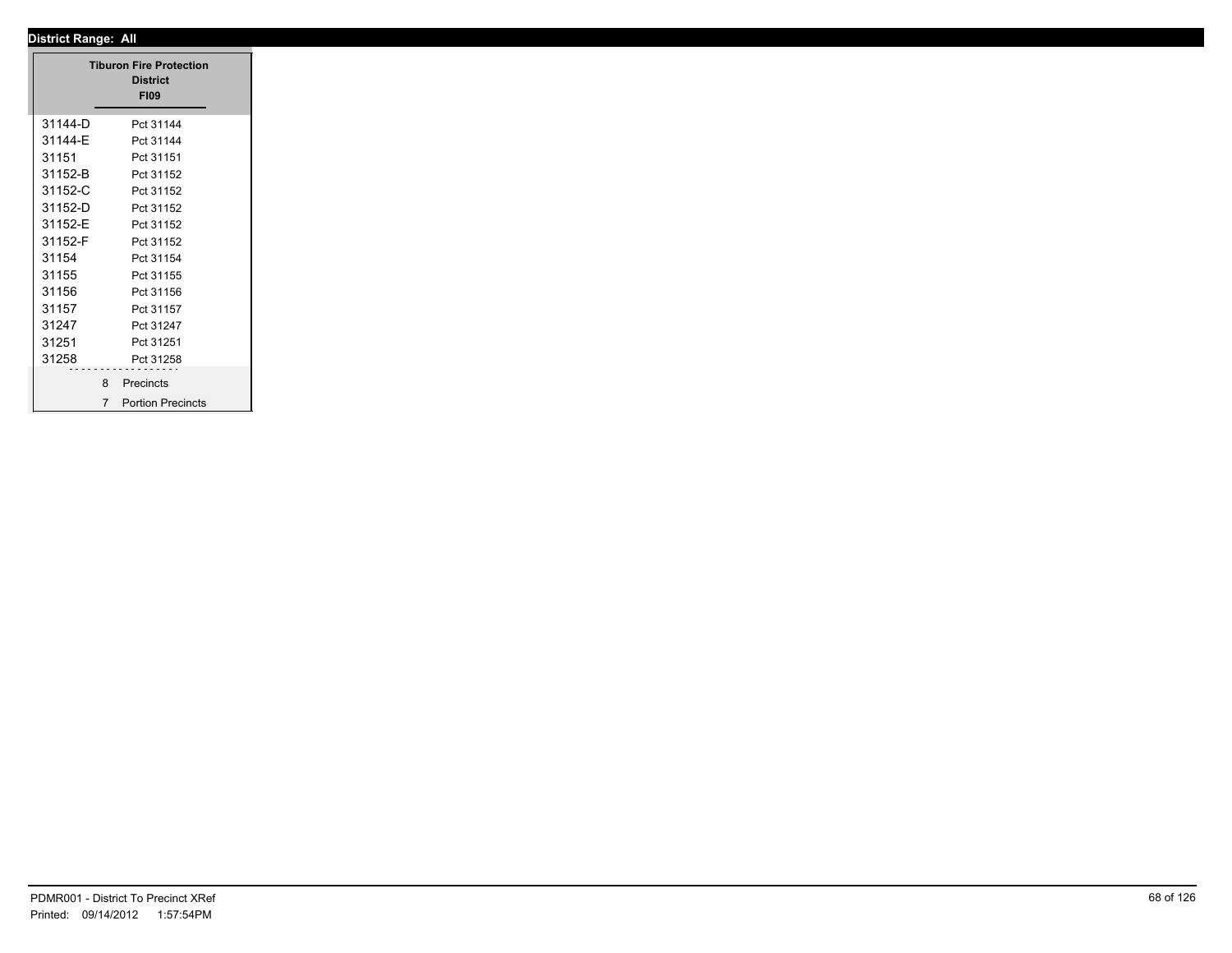|         | <b>Tiburon Fire Protection</b>             |
|---------|--------------------------------------------|
|         | <b>District</b>                            |
|         | <b>FI09</b>                                |
| 31144-D | Pct 31144                                  |
| 31144-E | Pct 31144                                  |
| 31151   | Pct 31151                                  |
| 31152-B | Pct 31152                                  |
| 31152-C | Pct 31152                                  |
| 31152-D | Pct 31152                                  |
| 31152-E | Pct 31152                                  |
| 31152-F | Pct 31152                                  |
| 31154   | Pct 31154                                  |
| 31155   | Pct 31155                                  |
| 31156   | Pct 31156                                  |
| 31157   | Pct 31157                                  |
| 31247   | Pct 31247                                  |
| 31251   | Pct 31251                                  |
| 31258   | Pct 31258                                  |
|         |                                            |
|         | 8 Precincts                                |
|         | <b>Portion Precincts</b><br>$\overline{7}$ |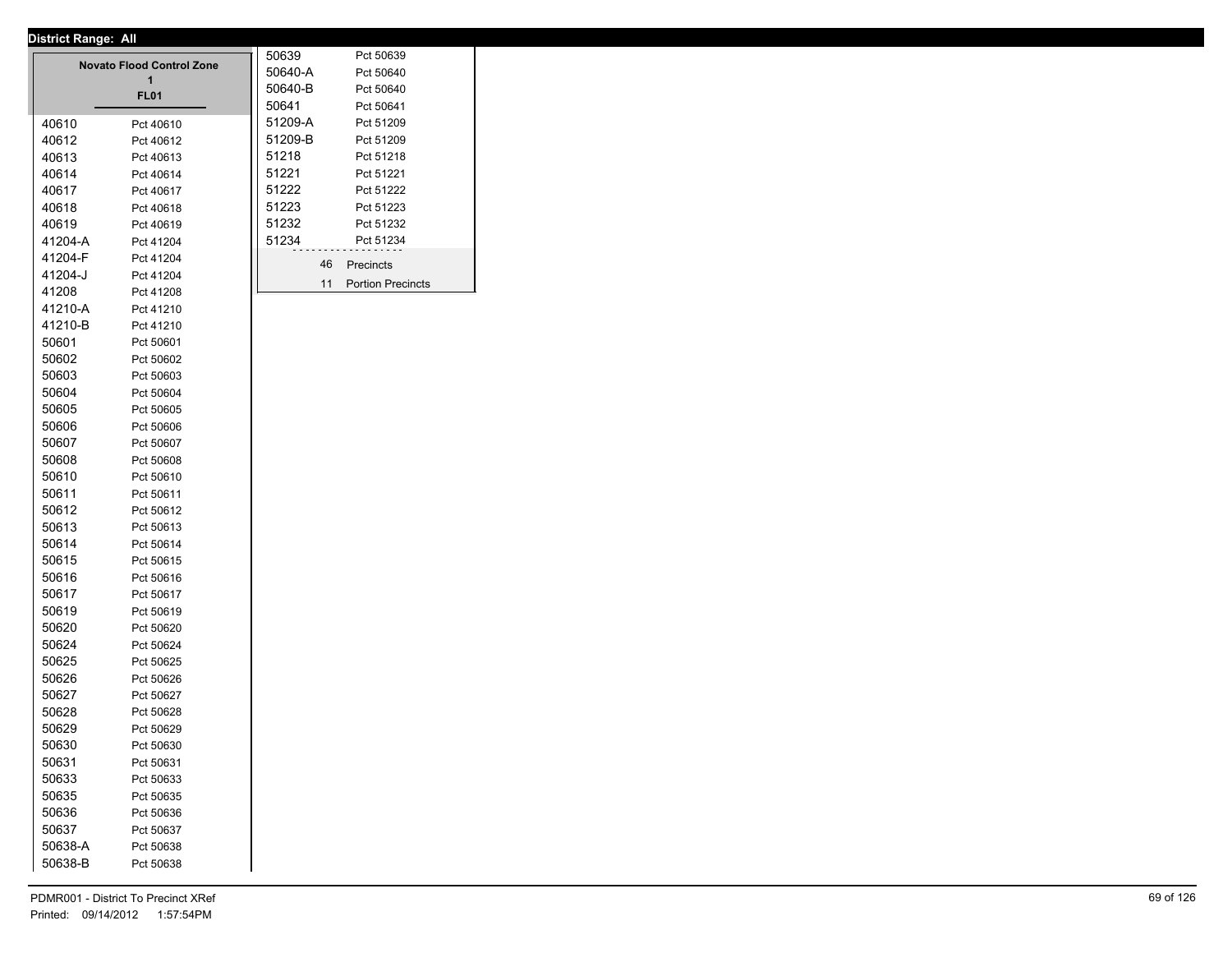|         | <b>Novato Flood Control Zone</b><br>1<br><b>FL01</b> | 50639<br>50640-A<br>50640-B<br>50641 | Pct 50639<br>Pct 50640<br>Pct 50640<br>Pct 50641 |
|---------|------------------------------------------------------|--------------------------------------|--------------------------------------------------|
| 40610   |                                                      | 51209-A                              | Pct 51209                                        |
| 40612   | Pct 40610<br>Pct 40612                               | 51209-B                              | Pct 51209                                        |
| 40613   | Pct 40613                                            | 51218                                | Pct 51218                                        |
| 40614   | Pct 40614                                            | 51221                                | Pct 51221                                        |
| 40617   | Pct 40617                                            | 51222                                | Pct 51222                                        |
| 40618   | Pct 40618                                            | 51223                                | Pct 51223                                        |
| 40619   | Pct 40619                                            | 51232                                | Pct 51232                                        |
| 41204-A | Pct 41204                                            | 51234                                | Pct 51234                                        |
| 41204-F | Pct 41204                                            |                                      |                                                  |
| 41204-J | Pct 41204                                            | 46                                   | Precincts                                        |
| 41208   | Pct 41208                                            | 11                                   | <b>Portion Precincts</b>                         |
| 41210-A | Pct 41210                                            |                                      |                                                  |
| 41210-B | Pct 41210                                            |                                      |                                                  |
| 50601   | Pct 50601                                            |                                      |                                                  |
| 50602   | Pct 50602                                            |                                      |                                                  |
| 50603   | Pct 50603                                            |                                      |                                                  |
| 50604   | Pct 50604                                            |                                      |                                                  |
| 50605   | Pct 50605                                            |                                      |                                                  |
| 50606   | Pct 50606                                            |                                      |                                                  |
| 50607   | Pct 50607                                            |                                      |                                                  |
| 50608   | Pct 50608                                            |                                      |                                                  |
| 50610   | Pct 50610                                            |                                      |                                                  |
| 50611   | Pct 50611                                            |                                      |                                                  |
| 50612   | Pct 50612                                            |                                      |                                                  |
| 50613   | Pct 50613                                            |                                      |                                                  |
| 50614   | Pct 50614                                            |                                      |                                                  |
| 50615   | Pct 50615                                            |                                      |                                                  |
| 50616   | Pct 50616                                            |                                      |                                                  |
| 50617   | Pct 50617                                            |                                      |                                                  |
| 50619   | Pct 50619                                            |                                      |                                                  |
| 50620   | Pct 50620                                            |                                      |                                                  |
| 50624   | Pct 50624                                            |                                      |                                                  |
| 50625   | Pct 50625                                            |                                      |                                                  |
| 50626   | Pct 50626                                            |                                      |                                                  |
| 50627   | Pct 50627                                            |                                      |                                                  |
| 50628   | Pct 50628                                            |                                      |                                                  |
| 50629   | Pct 50629                                            |                                      |                                                  |
| 50630   | Pct 50630                                            |                                      |                                                  |
| 50631   | Pct 50631                                            |                                      |                                                  |
| 50633   | Pct 50633                                            |                                      |                                                  |
| 50635   | Pct 50635                                            |                                      |                                                  |
| 50636   | Pct 50636                                            |                                      |                                                  |
| 50637   | Pct 50637                                            |                                      |                                                  |
| 50638-A | Pct 50638                                            |                                      |                                                  |
| 50638-B | Pct 50638                                            |                                      |                                                  |
|         |                                                      |                                      |                                                  |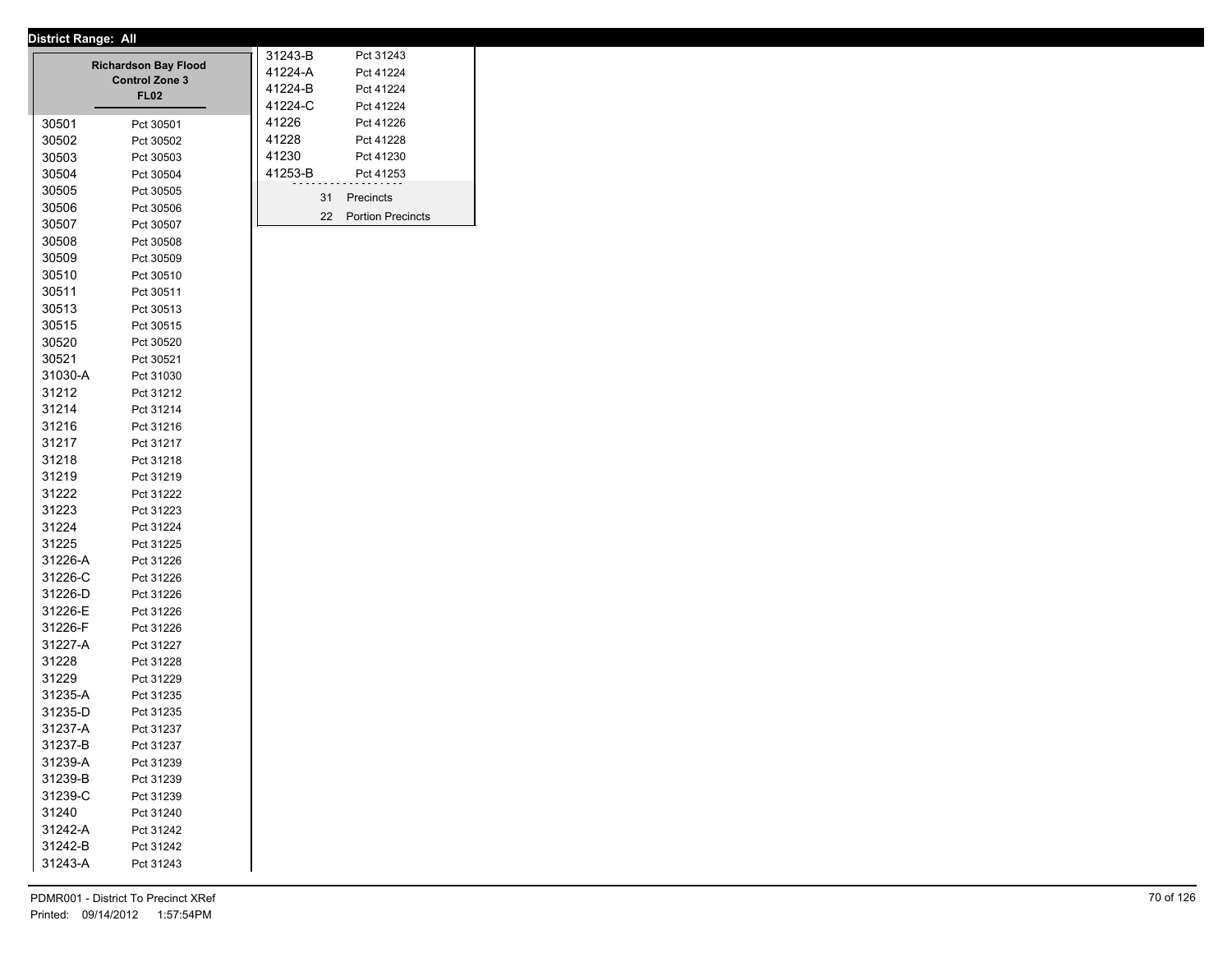| Pct 41226<br>30501<br>Pct 30501<br>41228<br>30502<br>Pct 41228<br>Pct 30502<br>41230<br>Pct 41230<br>30503<br>Pct 30503<br>41253-B<br>Pct 41253<br>30504<br>Pct 30504<br>30505<br>Pct 30505<br>31<br>Precincts<br>30506<br>Pct 30506<br>22<br><b>Portion Precincts</b><br>30507<br>Pct 30507<br>30508<br>Pct 30508<br>30509<br>Pct 30509<br>30510<br>Pct 30510<br>30511<br>Pct 30511<br>30513<br>Pct 30513<br>30515<br>Pct 30515<br>30520<br>Pct 30520<br>30521<br>Pct 30521<br>31030-A<br>Pct 31030<br>31212<br>Pct 31212<br>31214<br>Pct 31214<br>31216<br>Pct 31216<br>31217<br>Pct 31217<br>31218<br>Pct 31218<br>31219<br>Pct 31219<br>31222<br>Pct 31222<br>31223<br>Pct 31223<br>31224<br>Pct 31224<br>31225<br>Pct 31225<br>31226-A<br>Pct 31226<br>31226-C<br>Pct 31226<br>31226-D<br>Pct 31226<br>31226-E<br>Pct 31226<br>31226-F<br>Pct 31226<br>31227-A<br>Pct 31227<br>31228<br>Pct 31228<br>31229<br>Pct 31229<br>31235-A<br>Pct 31235<br>31235-D<br>Pct 31235<br>31237-A<br>Pct 31237<br>31237-B<br>Pct 31237<br>31239-A<br>Pct 31239<br>31239-B<br>Pct 31239<br>31239-C<br>Pct 31239<br>31240<br>Pct 31240<br>31242-A<br>Pct 31242<br>31242-B<br>Pct 31242<br>31243-A<br>Pct 31243 |  | <b>Richardson Bay Flood</b><br><b>Control Zone 3</b><br><b>FL02</b> | 31243-B<br>41224-A<br>41224-B<br>41224-C | Pct 31243<br>Pct 41224<br>Pct 41224<br>Pct 41224 |
|----------------------------------------------------------------------------------------------------------------------------------------------------------------------------------------------------------------------------------------------------------------------------------------------------------------------------------------------------------------------------------------------------------------------------------------------------------------------------------------------------------------------------------------------------------------------------------------------------------------------------------------------------------------------------------------------------------------------------------------------------------------------------------------------------------------------------------------------------------------------------------------------------------------------------------------------------------------------------------------------------------------------------------------------------------------------------------------------------------------------------------------------------------------------------------------------------|--|---------------------------------------------------------------------|------------------------------------------|--------------------------------------------------|
|                                                                                                                                                                                                                                                                                                                                                                                                                                                                                                                                                                                                                                                                                                                                                                                                                                                                                                                                                                                                                                                                                                                                                                                                    |  |                                                                     | 41226                                    |                                                  |
|                                                                                                                                                                                                                                                                                                                                                                                                                                                                                                                                                                                                                                                                                                                                                                                                                                                                                                                                                                                                                                                                                                                                                                                                    |  |                                                                     |                                          |                                                  |
|                                                                                                                                                                                                                                                                                                                                                                                                                                                                                                                                                                                                                                                                                                                                                                                                                                                                                                                                                                                                                                                                                                                                                                                                    |  |                                                                     |                                          |                                                  |
|                                                                                                                                                                                                                                                                                                                                                                                                                                                                                                                                                                                                                                                                                                                                                                                                                                                                                                                                                                                                                                                                                                                                                                                                    |  |                                                                     |                                          |                                                  |
|                                                                                                                                                                                                                                                                                                                                                                                                                                                                                                                                                                                                                                                                                                                                                                                                                                                                                                                                                                                                                                                                                                                                                                                                    |  |                                                                     |                                          |                                                  |
|                                                                                                                                                                                                                                                                                                                                                                                                                                                                                                                                                                                                                                                                                                                                                                                                                                                                                                                                                                                                                                                                                                                                                                                                    |  |                                                                     |                                          |                                                  |
|                                                                                                                                                                                                                                                                                                                                                                                                                                                                                                                                                                                                                                                                                                                                                                                                                                                                                                                                                                                                                                                                                                                                                                                                    |  |                                                                     |                                          |                                                  |
|                                                                                                                                                                                                                                                                                                                                                                                                                                                                                                                                                                                                                                                                                                                                                                                                                                                                                                                                                                                                                                                                                                                                                                                                    |  |                                                                     |                                          |                                                  |
|                                                                                                                                                                                                                                                                                                                                                                                                                                                                                                                                                                                                                                                                                                                                                                                                                                                                                                                                                                                                                                                                                                                                                                                                    |  |                                                                     |                                          |                                                  |
|                                                                                                                                                                                                                                                                                                                                                                                                                                                                                                                                                                                                                                                                                                                                                                                                                                                                                                                                                                                                                                                                                                                                                                                                    |  |                                                                     |                                          |                                                  |
|                                                                                                                                                                                                                                                                                                                                                                                                                                                                                                                                                                                                                                                                                                                                                                                                                                                                                                                                                                                                                                                                                                                                                                                                    |  |                                                                     |                                          |                                                  |
|                                                                                                                                                                                                                                                                                                                                                                                                                                                                                                                                                                                                                                                                                                                                                                                                                                                                                                                                                                                                                                                                                                                                                                                                    |  |                                                                     |                                          |                                                  |
|                                                                                                                                                                                                                                                                                                                                                                                                                                                                                                                                                                                                                                                                                                                                                                                                                                                                                                                                                                                                                                                                                                                                                                                                    |  |                                                                     |                                          |                                                  |
|                                                                                                                                                                                                                                                                                                                                                                                                                                                                                                                                                                                                                                                                                                                                                                                                                                                                                                                                                                                                                                                                                                                                                                                                    |  |                                                                     |                                          |                                                  |
|                                                                                                                                                                                                                                                                                                                                                                                                                                                                                                                                                                                                                                                                                                                                                                                                                                                                                                                                                                                                                                                                                                                                                                                                    |  |                                                                     |                                          |                                                  |
|                                                                                                                                                                                                                                                                                                                                                                                                                                                                                                                                                                                                                                                                                                                                                                                                                                                                                                                                                                                                                                                                                                                                                                                                    |  |                                                                     |                                          |                                                  |
|                                                                                                                                                                                                                                                                                                                                                                                                                                                                                                                                                                                                                                                                                                                                                                                                                                                                                                                                                                                                                                                                                                                                                                                                    |  |                                                                     |                                          |                                                  |
|                                                                                                                                                                                                                                                                                                                                                                                                                                                                                                                                                                                                                                                                                                                                                                                                                                                                                                                                                                                                                                                                                                                                                                                                    |  |                                                                     |                                          |                                                  |
|                                                                                                                                                                                                                                                                                                                                                                                                                                                                                                                                                                                                                                                                                                                                                                                                                                                                                                                                                                                                                                                                                                                                                                                                    |  |                                                                     |                                          |                                                  |
|                                                                                                                                                                                                                                                                                                                                                                                                                                                                                                                                                                                                                                                                                                                                                                                                                                                                                                                                                                                                                                                                                                                                                                                                    |  |                                                                     |                                          |                                                  |
|                                                                                                                                                                                                                                                                                                                                                                                                                                                                                                                                                                                                                                                                                                                                                                                                                                                                                                                                                                                                                                                                                                                                                                                                    |  |                                                                     |                                          |                                                  |
|                                                                                                                                                                                                                                                                                                                                                                                                                                                                                                                                                                                                                                                                                                                                                                                                                                                                                                                                                                                                                                                                                                                                                                                                    |  |                                                                     |                                          |                                                  |
|                                                                                                                                                                                                                                                                                                                                                                                                                                                                                                                                                                                                                                                                                                                                                                                                                                                                                                                                                                                                                                                                                                                                                                                                    |  |                                                                     |                                          |                                                  |
|                                                                                                                                                                                                                                                                                                                                                                                                                                                                                                                                                                                                                                                                                                                                                                                                                                                                                                                                                                                                                                                                                                                                                                                                    |  |                                                                     |                                          |                                                  |
|                                                                                                                                                                                                                                                                                                                                                                                                                                                                                                                                                                                                                                                                                                                                                                                                                                                                                                                                                                                                                                                                                                                                                                                                    |  |                                                                     |                                          |                                                  |
|                                                                                                                                                                                                                                                                                                                                                                                                                                                                                                                                                                                                                                                                                                                                                                                                                                                                                                                                                                                                                                                                                                                                                                                                    |  |                                                                     |                                          |                                                  |
|                                                                                                                                                                                                                                                                                                                                                                                                                                                                                                                                                                                                                                                                                                                                                                                                                                                                                                                                                                                                                                                                                                                                                                                                    |  |                                                                     |                                          |                                                  |
|                                                                                                                                                                                                                                                                                                                                                                                                                                                                                                                                                                                                                                                                                                                                                                                                                                                                                                                                                                                                                                                                                                                                                                                                    |  |                                                                     |                                          |                                                  |
|                                                                                                                                                                                                                                                                                                                                                                                                                                                                                                                                                                                                                                                                                                                                                                                                                                                                                                                                                                                                                                                                                                                                                                                                    |  |                                                                     |                                          |                                                  |
|                                                                                                                                                                                                                                                                                                                                                                                                                                                                                                                                                                                                                                                                                                                                                                                                                                                                                                                                                                                                                                                                                                                                                                                                    |  |                                                                     |                                          |                                                  |
|                                                                                                                                                                                                                                                                                                                                                                                                                                                                                                                                                                                                                                                                                                                                                                                                                                                                                                                                                                                                                                                                                                                                                                                                    |  |                                                                     |                                          |                                                  |
|                                                                                                                                                                                                                                                                                                                                                                                                                                                                                                                                                                                                                                                                                                                                                                                                                                                                                                                                                                                                                                                                                                                                                                                                    |  |                                                                     |                                          |                                                  |
|                                                                                                                                                                                                                                                                                                                                                                                                                                                                                                                                                                                                                                                                                                                                                                                                                                                                                                                                                                                                                                                                                                                                                                                                    |  |                                                                     |                                          |                                                  |
|                                                                                                                                                                                                                                                                                                                                                                                                                                                                                                                                                                                                                                                                                                                                                                                                                                                                                                                                                                                                                                                                                                                                                                                                    |  |                                                                     |                                          |                                                  |
|                                                                                                                                                                                                                                                                                                                                                                                                                                                                                                                                                                                                                                                                                                                                                                                                                                                                                                                                                                                                                                                                                                                                                                                                    |  |                                                                     |                                          |                                                  |
|                                                                                                                                                                                                                                                                                                                                                                                                                                                                                                                                                                                                                                                                                                                                                                                                                                                                                                                                                                                                                                                                                                                                                                                                    |  |                                                                     |                                          |                                                  |
|                                                                                                                                                                                                                                                                                                                                                                                                                                                                                                                                                                                                                                                                                                                                                                                                                                                                                                                                                                                                                                                                                                                                                                                                    |  |                                                                     |                                          |                                                  |
|                                                                                                                                                                                                                                                                                                                                                                                                                                                                                                                                                                                                                                                                                                                                                                                                                                                                                                                                                                                                                                                                                                                                                                                                    |  |                                                                     |                                          |                                                  |
|                                                                                                                                                                                                                                                                                                                                                                                                                                                                                                                                                                                                                                                                                                                                                                                                                                                                                                                                                                                                                                                                                                                                                                                                    |  |                                                                     |                                          |                                                  |
|                                                                                                                                                                                                                                                                                                                                                                                                                                                                                                                                                                                                                                                                                                                                                                                                                                                                                                                                                                                                                                                                                                                                                                                                    |  |                                                                     |                                          |                                                  |
|                                                                                                                                                                                                                                                                                                                                                                                                                                                                                                                                                                                                                                                                                                                                                                                                                                                                                                                                                                                                                                                                                                                                                                                                    |  |                                                                     |                                          |                                                  |
|                                                                                                                                                                                                                                                                                                                                                                                                                                                                                                                                                                                                                                                                                                                                                                                                                                                                                                                                                                                                                                                                                                                                                                                                    |  |                                                                     |                                          |                                                  |
|                                                                                                                                                                                                                                                                                                                                                                                                                                                                                                                                                                                                                                                                                                                                                                                                                                                                                                                                                                                                                                                                                                                                                                                                    |  |                                                                     |                                          |                                                  |
|                                                                                                                                                                                                                                                                                                                                                                                                                                                                                                                                                                                                                                                                                                                                                                                                                                                                                                                                                                                                                                                                                                                                                                                                    |  |                                                                     |                                          |                                                  |
|                                                                                                                                                                                                                                                                                                                                                                                                                                                                                                                                                                                                                                                                                                                                                                                                                                                                                                                                                                                                                                                                                                                                                                                                    |  |                                                                     |                                          |                                                  |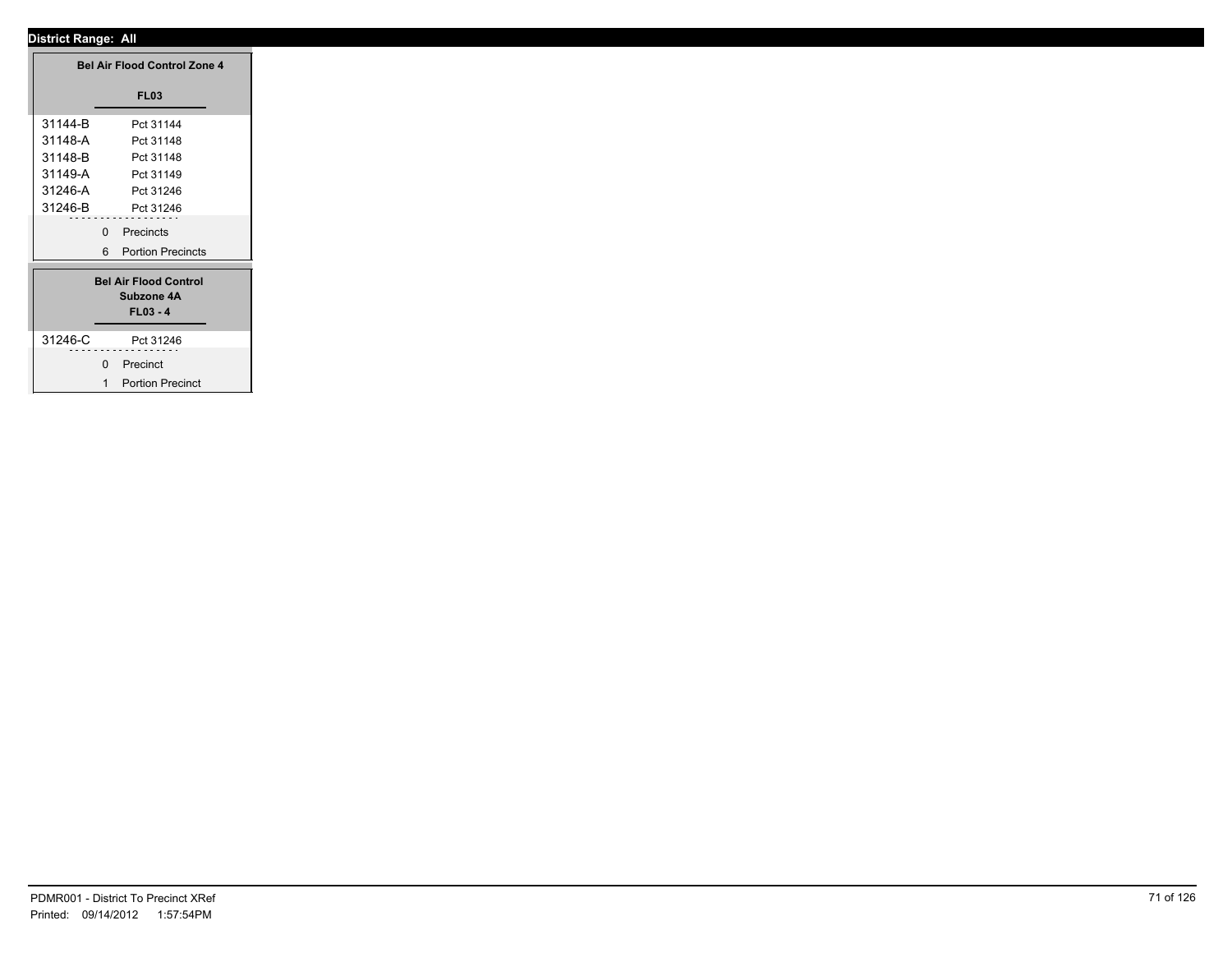|          | <b>Bel Air Flood Control Zone 4</b> |  |
|----------|-------------------------------------|--|
|          | <b>FL03</b>                         |  |
| 31144-B  | Pct 31144                           |  |
| 31148-A  | Pct 31148                           |  |
| 31148-B  | Pct 31148                           |  |
| 31149-A  | Pct 31149                           |  |
| 31246-A  | Pct 31246                           |  |
| 31246-B  | Pct 31246                           |  |
|          | Precincts<br>$\mathbf 0$            |  |
|          | 6 Portion Precincts                 |  |
|          |                                     |  |
|          | <b>Bel Air Flood Control</b>        |  |
|          | Subzone 4A                          |  |
|          | $FL03 - 4$                          |  |
| 31246-C  | Pct 31246                           |  |
| -------- | .                                   |  |
|          | 0 Precinct                          |  |
|          | 1 Portion Precinct                  |  |
|          |                                     |  |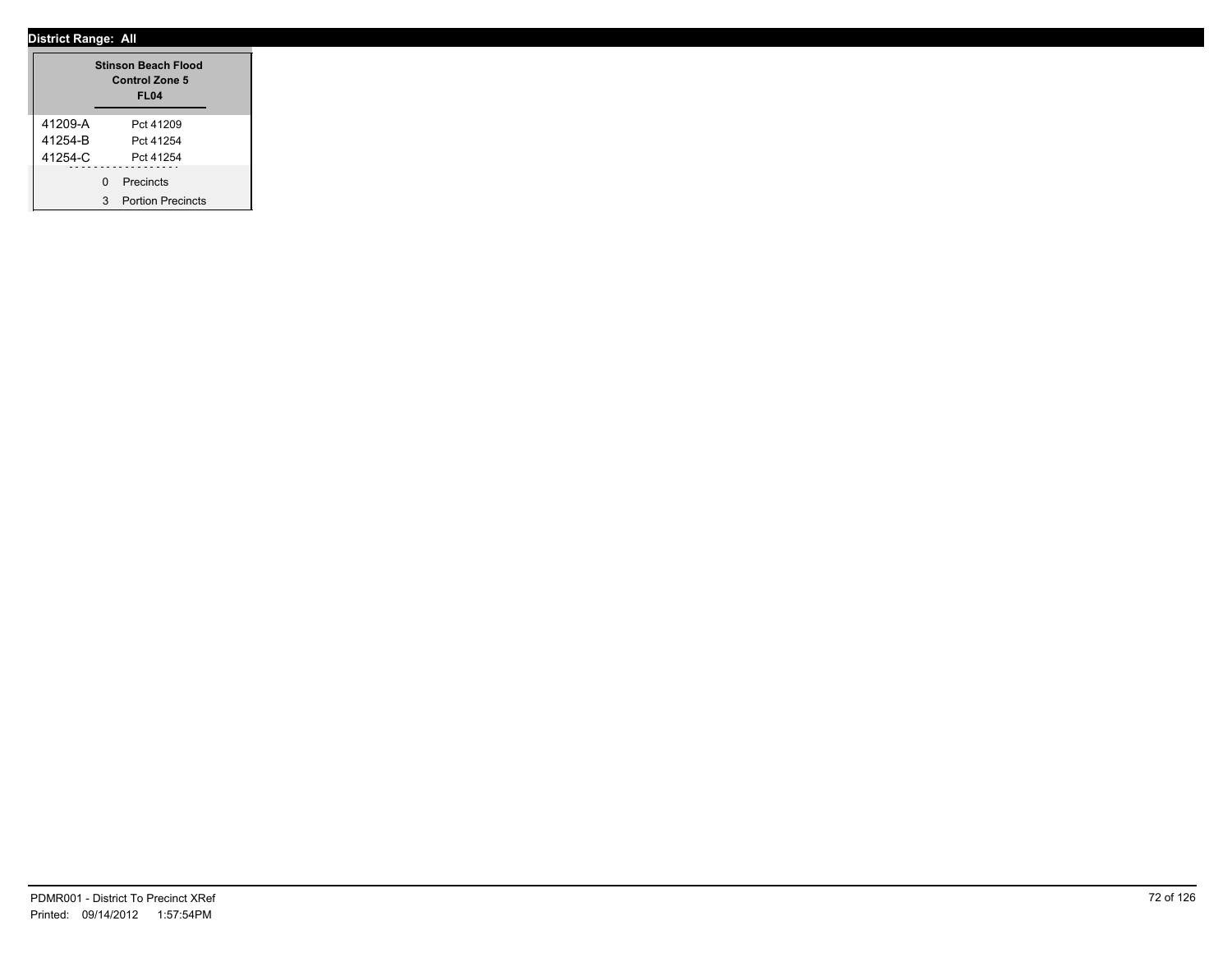|         |   | <b>Stinson Beach Flood</b><br>Control Zone 5<br><b>FL04</b> |  |
|---------|---|-------------------------------------------------------------|--|
| 41209-A |   | Pct 41209                                                   |  |
| 41254-B |   | Pct 41254                                                   |  |
| 41254-C |   | Pct 41254                                                   |  |
|         | ŋ | Precincts                                                   |  |
|         | З | <b>Portion Precincts</b>                                    |  |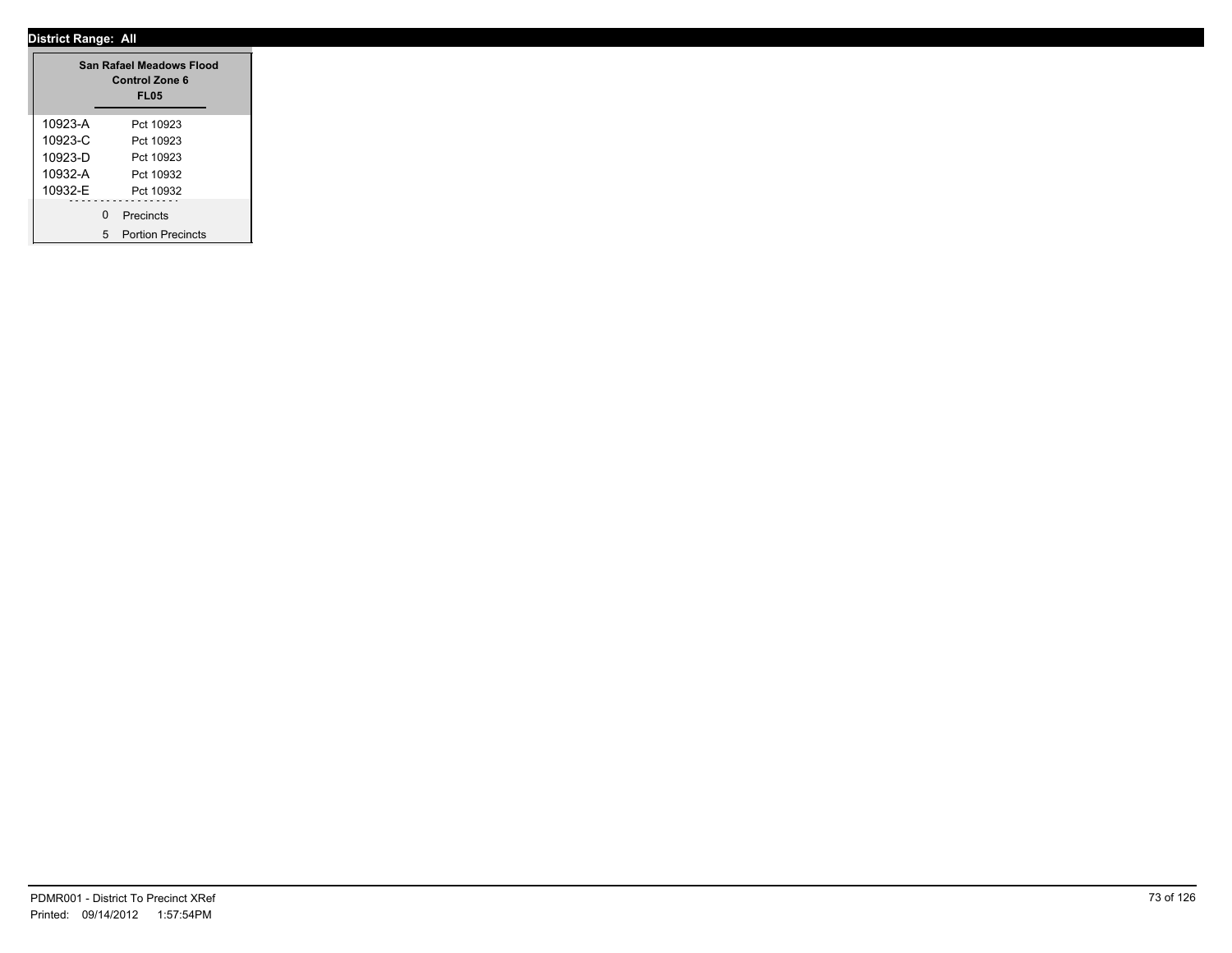|             |   | San Rafael Meadows Flood<br><b>Control Zone 6</b><br><b>FL05</b> |
|-------------|---|------------------------------------------------------------------|
| 10923-A     |   | Pct 10923                                                        |
| $10923 - C$ |   | Pct 10923                                                        |
| 10923-D     |   | Pct 10923                                                        |
| 10932-A     |   | Pct 10932                                                        |
| 10932-F     |   | Pct 10932                                                        |
|             | U | Precincts                                                        |
|             | 5 | <b>Portion Precincts</b>                                         |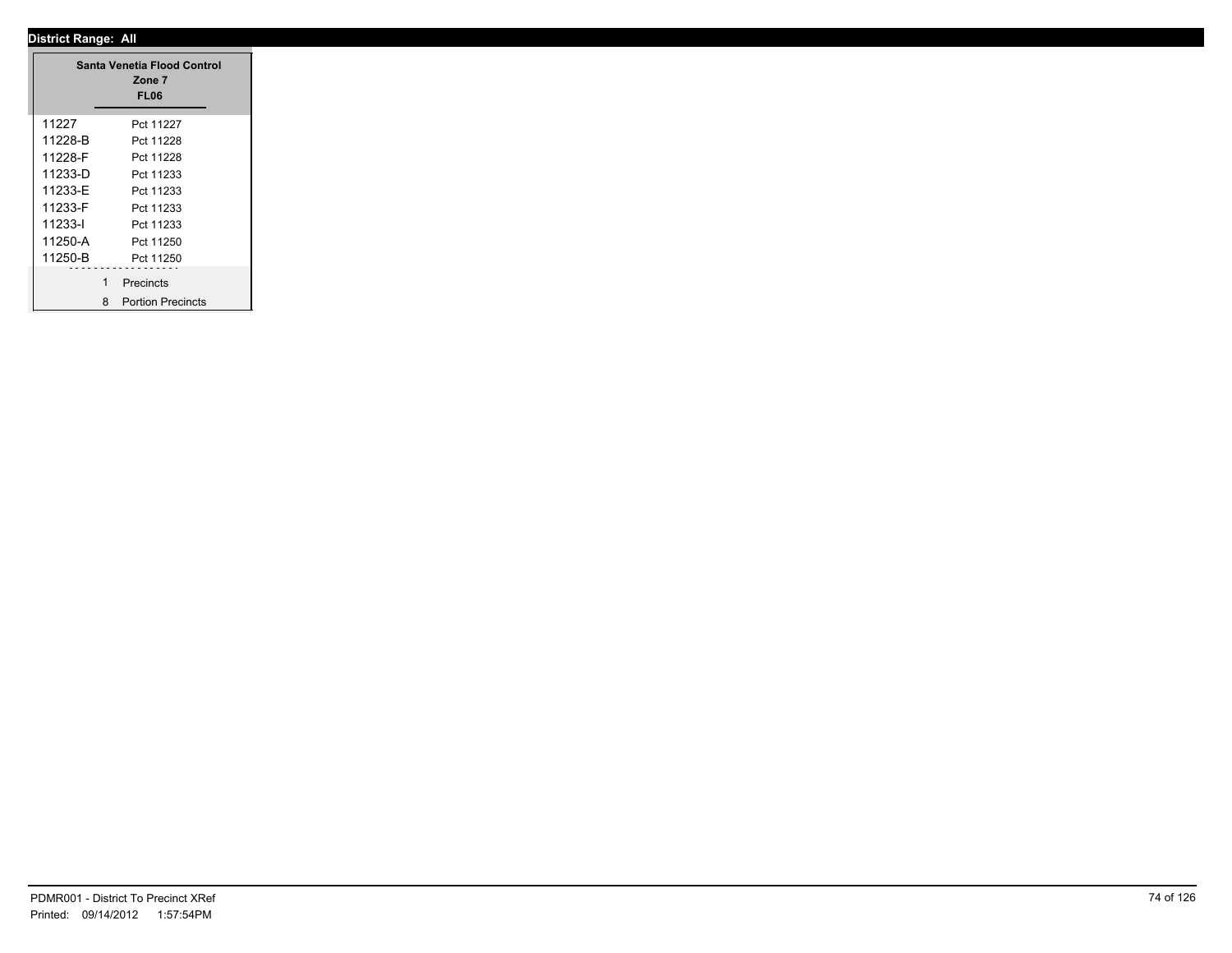|         |   | Santa Venetia Flood Control<br>Zone 7<br>FL06 |
|---------|---|-----------------------------------------------|
| 11227   |   | Pct 11227                                     |
| 11228-B |   | Pct 11228                                     |
| 11228-F |   | Pct 11228                                     |
| 11233-D |   | Pct 11233                                     |
| 11233-E |   | Pct 11233                                     |
| 11233-F |   | Pct 11233                                     |
| 11233-l |   | Pct 11233                                     |
| 11250-A |   | Pct 11250                                     |
| 11250-B |   | Pct 11250                                     |
|         | 1 | Precincts                                     |
|         | 8 | <b>Portion Precincts</b>                      |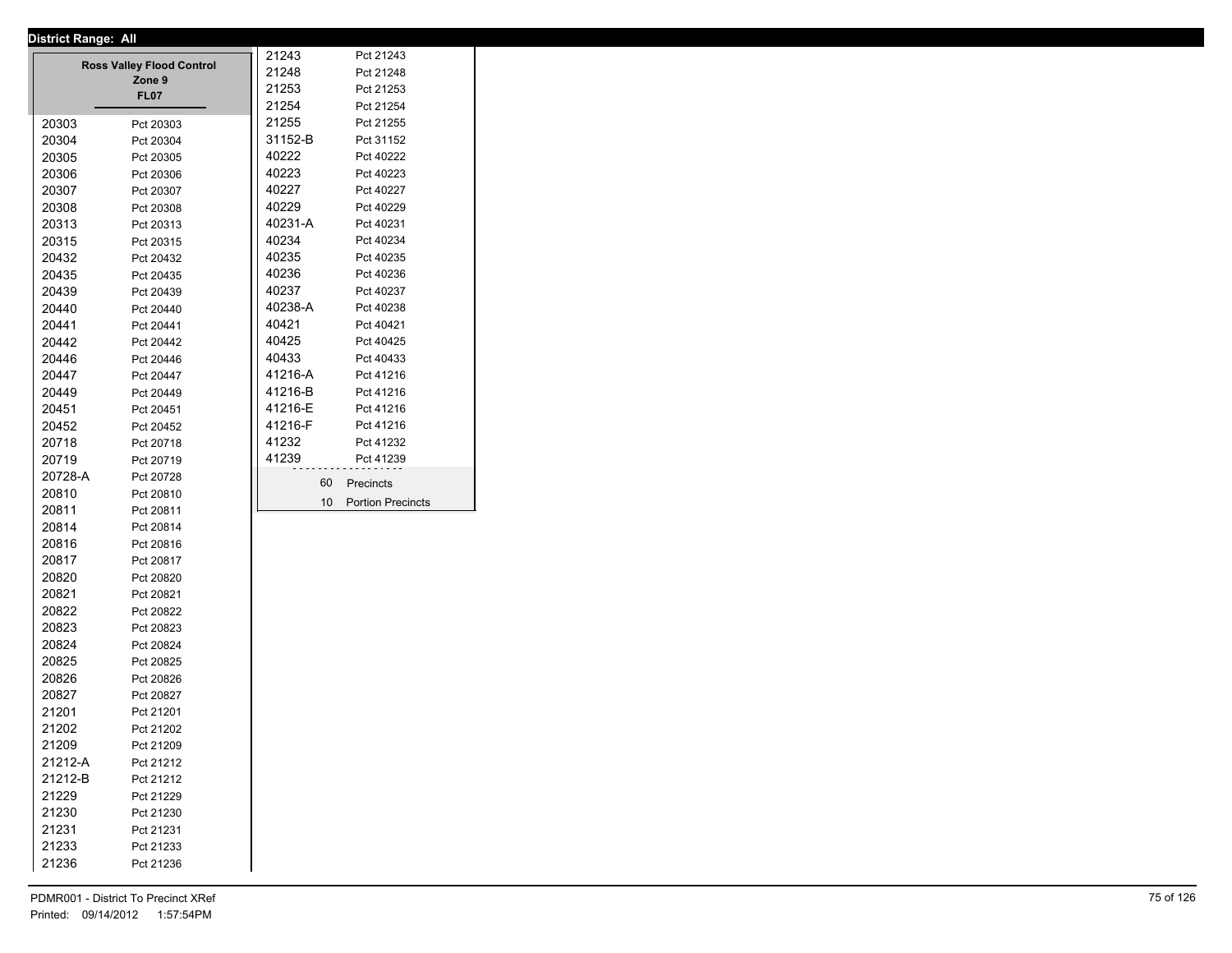|         | District Range: All              |         |                          |
|---------|----------------------------------|---------|--------------------------|
|         | <b>Ross Valley Flood Control</b> | 21243   | Pct 21243                |
|         | Zone 9                           | 21248   | Pct 21248                |
|         | FL07                             | 21253   | Pct 21253                |
|         |                                  | 21254   | Pct 21254                |
| 20303   | Pct 20303                        | 21255   | Pct 21255                |
| 20304   | Pct 20304                        | 31152-B | Pct 31152                |
| 20305   | Pct 20305                        | 40222   | Pct 40222                |
| 20306   | Pct 20306                        | 40223   | Pct 40223                |
| 20307   | Pct 20307                        | 40227   | Pct 40227                |
| 20308   | Pct 20308                        | 40229   | Pct 40229                |
| 20313   | Pct 20313                        | 40231-A | Pct 40231                |
| 20315   | Pct 20315                        | 40234   | Pct 40234                |
| 20432   | Pct 20432                        | 40235   | Pct 40235                |
| 20435   | Pct 20435                        | 40236   | Pct 40236                |
| 20439   | Pct 20439                        | 40237   | Pct 40237                |
| 20440   | Pct 20440                        | 40238-A | Pct 40238                |
| 20441   | Pct 20441                        | 40421   | Pct 40421                |
| 20442   | Pct 20442                        | 40425   | Pct 40425                |
| 20446   | Pct 20446                        | 40433   | Pct 40433                |
| 20447   | Pct 20447                        | 41216-A | Pct 41216                |
| 20449   |                                  | 41216-B | Pct 41216                |
| 20451   | Pct 20449                        | 41216-E | Pct 41216                |
|         | Pct 20451                        | 41216-F | Pct 41216                |
| 20452   | Pct 20452                        | 41232   |                          |
| 20718   | Pct 20718                        |         | Pct 41232                |
| 20719   | Pct 20719                        | 41239   | Pct 41239                |
| 20728-A | Pct 20728                        | 60      | Precincts                |
| 20810   | Pct 20810                        | 10      | <b>Portion Precincts</b> |
| 20811   | Pct 20811                        |         |                          |
| 20814   | Pct 20814                        |         |                          |
| 20816   | Pct 20816                        |         |                          |
| 20817   | Pct 20817                        |         |                          |
| 20820   | Pct 20820                        |         |                          |
| 20821   | Pct 20821                        |         |                          |
| 20822   | Pct 20822                        |         |                          |
| 20823   | Pct 20823                        |         |                          |
| 20824   | Pct 20824                        |         |                          |
| 20825   | Pct 20825                        |         |                          |
| 20826   | Pct 20826                        |         |                          |
| 20827   | Pct 20827                        |         |                          |
| 21201   | Pct 21201                        |         |                          |
| 21202   | Pct 21202                        |         |                          |
| 21209   | Pct 21209                        |         |                          |
| 21212-A | Pct 21212                        |         |                          |
| 21212-B | Pct 21212                        |         |                          |
| 21229   | Pct 21229                        |         |                          |
| 21230   | Pct 21230                        |         |                          |
| 21231   | Pct 21231                        |         |                          |
| 21233   | Pct 21233                        |         |                          |
| 21236   |                                  |         |                          |
|         | Pct 21236                        |         |                          |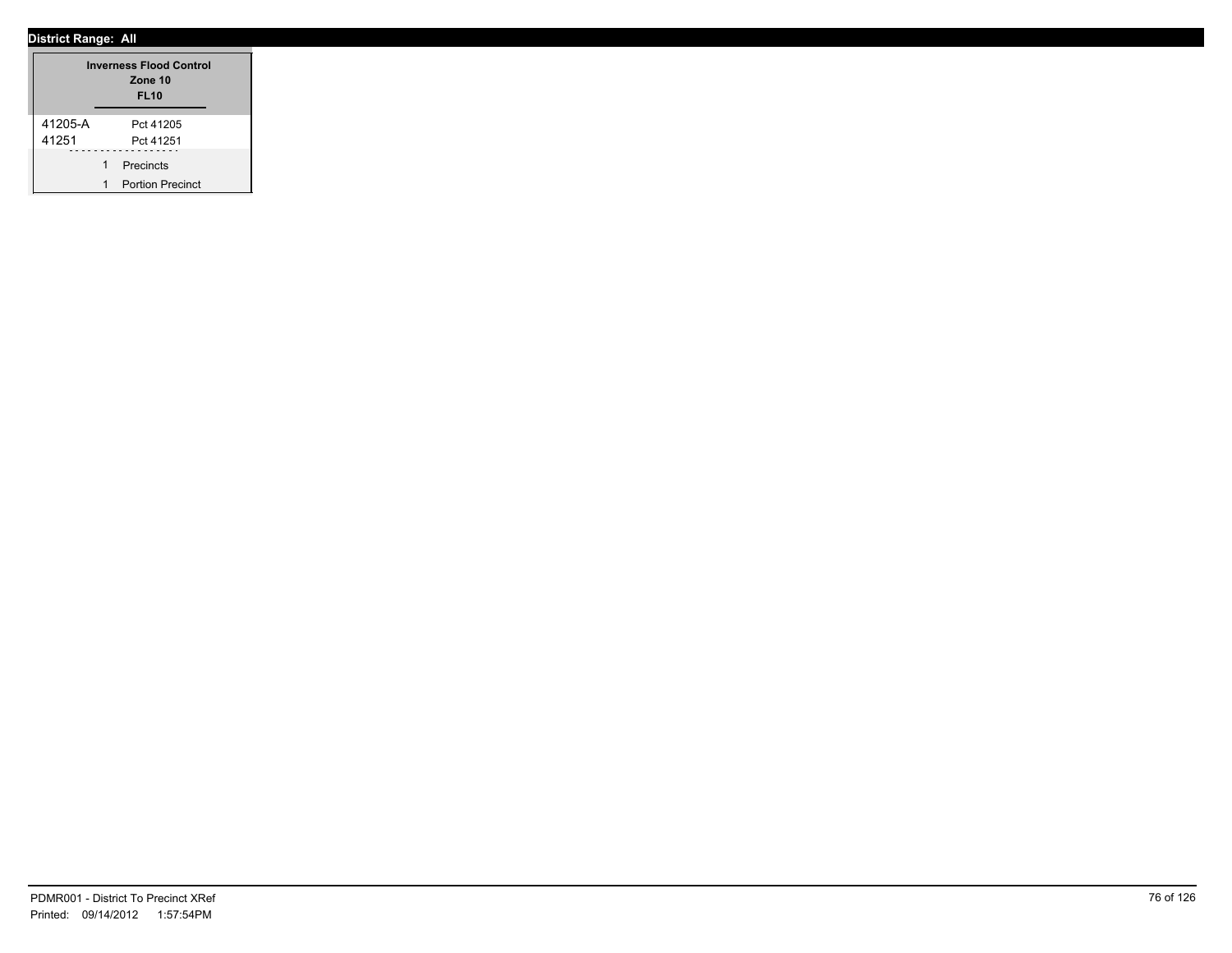|         |   | <b>Inverness Flood Control</b><br>Zone 10<br><b>FL10</b> |
|---------|---|----------------------------------------------------------|
| 41205-A |   | Pct 41205                                                |
| 41251   |   | Pct 41251                                                |
|         | 1 | Precincts                                                |
|         |   | <b>Portion Precinct</b>                                  |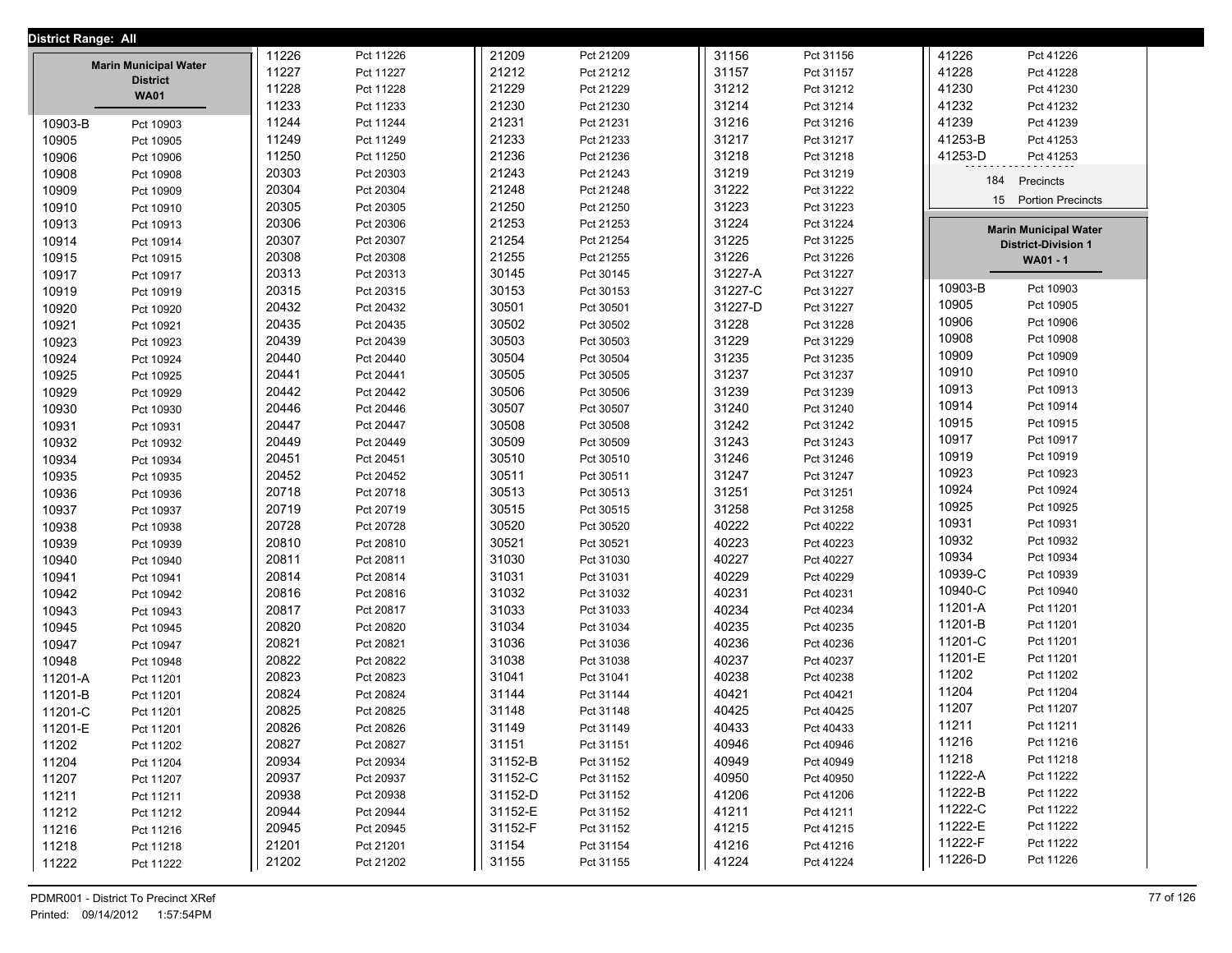| District Range: All |                                                 |       |           |         |           |         |           |                              |
|---------------------|-------------------------------------------------|-------|-----------|---------|-----------|---------|-----------|------------------------------|
|                     |                                                 | 11226 | Pct 11226 | 21209   | Pct 21209 | 31156   | Pct 31156 | 41226<br>Pct 41226           |
|                     | <b>Marin Municipal Water</b><br><b>District</b> | 11227 | Pct 11227 | 21212   | Pct 21212 | 31157   | Pct 31157 | 41228<br>Pct 41228           |
|                     | <b>WA01</b>                                     | 11228 | Pct 11228 | 21229   | Pct 21229 | 31212   | Pct 31212 | 41230<br>Pct 41230           |
|                     |                                                 | 11233 | Pct 11233 | 21230   | Pct 21230 | 31214   | Pct 31214 | 41232<br>Pct 41232           |
| 10903-B             | Pct 10903                                       | 11244 | Pct 11244 | 21231   | Pct 21231 | 31216   | Pct 31216 | 41239<br>Pct 41239           |
| 10905               | Pct 10905                                       | 11249 | Pct 11249 | 21233   | Pct 21233 | 31217   | Pct 31217 | 41253-B<br>Pct 41253         |
| 10906               | Pct 10906                                       | 11250 | Pct 11250 | 21236   | Pct 21236 | 31218   | Pct 31218 | 41253-D<br>Pct 41253         |
| 10908               | Pct 10908                                       | 20303 | Pct 20303 | 21243   | Pct 21243 | 31219   | Pct 31219 | 184                          |
| 10909               | Pct 10909                                       | 20304 | Pct 20304 | 21248   | Pct 21248 | 31222   | Pct 31222 | Precincts                    |
| 10910               | Pct 10910                                       | 20305 | Pct 20305 | 21250   | Pct 21250 | 31223   | Pct 31223 | 15 Portion Precincts         |
| 10913               | Pct 10913                                       | 20306 | Pct 20306 | 21253   | Pct 21253 | 31224   | Pct 31224 | <b>Marin Municipal Water</b> |
| 10914               | Pct 10914                                       | 20307 | Pct 20307 | 21254   | Pct 21254 | 31225   | Pct 31225 | <b>District-Division 1</b>   |
| 10915               | Pct 10915                                       | 20308 | Pct 20308 | 21255   | Pct 21255 | 31226   | Pct 31226 | <b>WA01 - 1</b>              |
| 10917               | Pct 10917                                       | 20313 | Pct 20313 | 30145   | Pct 30145 | 31227-A | Pct 31227 |                              |
| 10919               | Pct 10919                                       | 20315 | Pct 20315 | 30153   | Pct 30153 | 31227-C | Pct 31227 | 10903-B<br>Pct 10903         |
| 10920               | Pct 10920                                       | 20432 | Pct 20432 | 30501   | Pct 30501 | 31227-D | Pct 31227 | 10905<br>Pct 10905           |
| 10921               | Pct 10921                                       | 20435 | Pct 20435 | 30502   | Pct 30502 | 31228   | Pct 31228 | 10906<br>Pct 10906           |
| 10923               | Pct 10923                                       | 20439 | Pct 20439 | 30503   | Pct 30503 | 31229   | Pct 31229 | 10908<br>Pct 10908           |
| 10924               | Pct 10924                                       | 20440 | Pct 20440 | 30504   | Pct 30504 | 31235   | Pct 31235 | 10909<br>Pct 10909           |
| 10925               | Pct 10925                                       | 20441 | Pct 20441 | 30505   | Pct 30505 | 31237   | Pct 31237 | 10910<br>Pct 10910           |
| 10929               | Pct 10929                                       | 20442 | Pct 20442 | 30506   | Pct 30506 | 31239   | Pct 31239 | 10913<br>Pct 10913           |
| 10930               | Pct 10930                                       | 20446 | Pct 20446 | 30507   | Pct 30507 | 31240   | Pct 31240 | 10914<br>Pct 10914           |
| 10931               | Pct 10931                                       | 20447 | Pct 20447 | 30508   | Pct 30508 | 31242   | Pct 31242 | 10915<br>Pct 10915           |
| 10932               | Pct 10932                                       | 20449 | Pct 20449 | 30509   | Pct 30509 | 31243   | Pct 31243 | 10917<br>Pct 10917           |
| 10934               | Pct 10934                                       | 20451 | Pct 20451 | 30510   | Pct 30510 | 31246   | Pct 31246 | 10919<br>Pct 10919           |
| 10935               | Pct 10935                                       | 20452 | Pct 20452 | 30511   | Pct 30511 | 31247   | Pct 31247 | 10923<br>Pct 10923           |
| 10936               | Pct 10936                                       | 20718 | Pct 20718 | 30513   | Pct 30513 | 31251   | Pct 31251 | 10924<br>Pct 10924           |
| 10937               | Pct 10937                                       | 20719 | Pct 20719 | 30515   | Pct 30515 | 31258   | Pct 31258 | 10925<br>Pct 10925           |
| 10938               | Pct 10938                                       | 20728 | Pct 20728 | 30520   | Pct 30520 | 40222   | Pct 40222 | 10931<br>Pct 10931           |
| 10939               | Pct 10939                                       | 20810 | Pct 20810 | 30521   | Pct 30521 | 40223   | Pct 40223 | 10932<br>Pct 10932           |
| 10940               | Pct 10940                                       | 20811 | Pct 20811 | 31030   | Pct 31030 | 40227   | Pct 40227 | 10934<br>Pct 10934           |
| 10941               | Pct 10941                                       | 20814 | Pct 20814 | 31031   | Pct 31031 | 40229   | Pct 40229 | 10939-C<br>Pct 10939         |
| 10942               | Pct 10942                                       | 20816 | Pct 20816 | 31032   | Pct 31032 | 40231   | Pct 40231 | 10940-C<br>Pct 10940         |
| 10943               | Pct 10943                                       | 20817 | Pct 20817 | 31033   | Pct 31033 | 40234   | Pct 40234 | 11201-A<br>Pct 11201         |
| 10945               | Pct 10945                                       | 20820 | Pct 20820 | 31034   | Pct 31034 | 40235   | Pct 40235 | 11201-B<br>Pct 11201         |
| 10947               | Pct 10947                                       | 20821 | Pct 20821 | 31036   | Pct 31036 | 40236   | Pct 40236 | 11201-C<br>Pct 11201         |
| 10948               | Pct 10948                                       | 20822 | Pct 20822 | 31038   | Pct 31038 | 40237   | Pct 40237 | 11201-E<br>Pct 11201         |
| 11201-A             | Pct 11201                                       | 20823 | Pct 20823 | 31041   | Pct 31041 | 40238   | Pct 40238 | 11202<br>Pct 11202           |
| 11201-B             | Pct 11201                                       | 20824 | Pct 20824 | 31144   | Pct 31144 | 40421   | Pct 40421 | 11204<br>Pct 11204           |
| 11201-C             | Pct 11201                                       | 20825 | Pct 20825 | 31148   | Pct 31148 | 40425   | Pct 40425 | 11207<br>Pct 11207           |
| 11201-E             | Pct 11201                                       | 20826 | Pct 20826 | 31149   | Pct 31149 | 40433   | Pct 40433 | 11211<br>Pct 11211           |
| 11202               | Pct 11202                                       | 20827 | Pct 20827 | 31151   | Pct 31151 | 40946   | Pct 40946 | 11216<br>Pct 11216           |
| 11204               | Pct 11204                                       | 20934 | Pct 20934 | 31152-B | Pct 31152 | 40949   | Pct 40949 | 11218<br>Pct 11218           |
| 11207               | Pct 11207                                       | 20937 | Pct 20937 | 31152-C | Pct 31152 | 40950   | Pct 40950 | 11222-A<br>Pct 11222         |
| 11211               | Pct 11211                                       | 20938 | Pct 20938 | 31152-D | Pct 31152 | 41206   | Pct 41206 | 11222-B<br>Pct 11222         |
| 11212               | Pct 11212                                       | 20944 | Pct 20944 | 31152-E | Pct 31152 | 41211   | Pct 41211 | 11222-C<br>Pct 11222         |
| 11216               | Pct 11216                                       | 20945 | Pct 20945 | 31152-F | Pct 31152 | 41215   | Pct 41215 | 11222-E<br>Pct 11222         |
| 11218               | Pct 11218                                       | 21201 | Pct 21201 | 31154   | Pct 31154 | 41216   | Pct 41216 | 11222-F<br>Pct 11222         |
| 11222               | Pct 11222                                       | 21202 | Pct 21202 | 31155   | Pct 31155 | 41224   | Pct 41224 | 11226-D<br>Pct 11226         |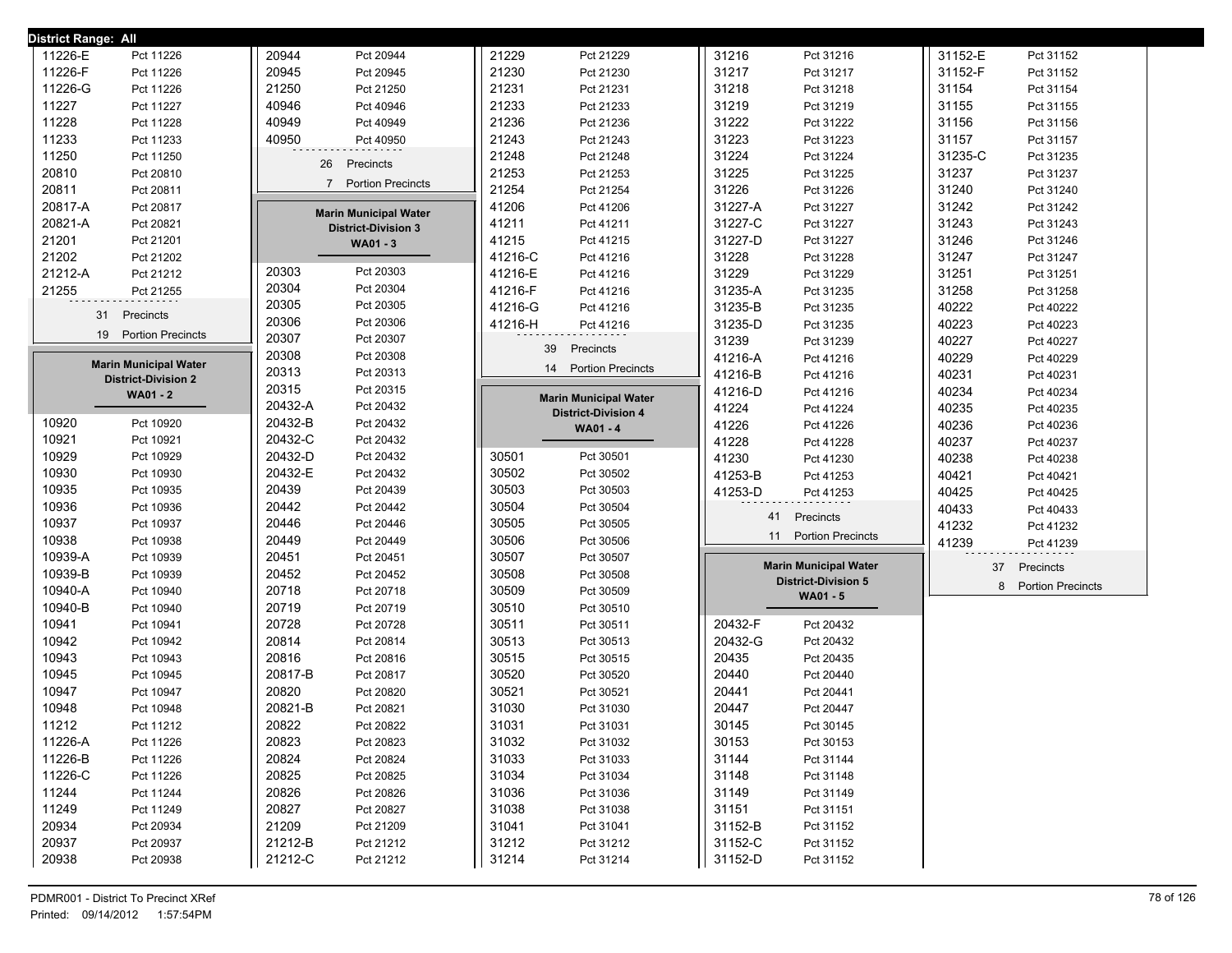| <b>District Range: All</b>   |                              |                              |                              |                          |
|------------------------------|------------------------------|------------------------------|------------------------------|--------------------------|
| 11226-E                      | 20944                        | 21229                        | 31216                        | 31152-E                  |
| Pct 11226                    | Pct 20944                    | Pct 21229                    | Pct 31216                    | Pct 31152                |
| 11226-F                      | 20945                        | 21230                        | 31217                        | 31152-F                  |
| Pct 11226                    | Pct 20945                    | Pct 21230                    | Pct 31217                    | Pct 31152                |
| 11226-G                      | 21250                        | 21231                        | 31218                        | 31154                    |
| Pct 11226                    | Pct 21250                    | Pct 21231                    | Pct 31218                    | Pct 31154                |
| 11227                        | 40946                        | 21233                        | 31219                        | 31155                    |
| Pct 11227                    | Pct 40946                    | Pct 21233                    | Pct 31219                    | Pct 31155                |
| 11228                        | 40949                        | 21236                        | 31222                        | 31156                    |
| Pct 11228                    | Pct 40949                    | Pct 21236                    | Pct 31222                    | Pct 31156                |
| 11233                        | 40950                        | 21243                        | 31223                        | 31157                    |
| Pct 11233                    | Pct 40950                    | Pct 21243                    | Pct 31223                    | Pct 31157                |
| 11250                        |                              | 21248                        | 31224                        | 31235-C                  |
| Pct 11250                    |                              | Pct 21248                    | Pct 31224                    | Pct 31235                |
| 20810                        | Precincts                    | 21253                        | 31225                        | 31237                    |
| Pct 20810                    | 26                           | Pct 21253                    | Pct 31225                    | Pct 31237                |
| 20811                        | <b>Portion Precincts</b>     | 21254                        | 31226                        | 31240                    |
| Pct 20811                    | $\overline{7}$               | Pct 21254                    | Pct 31226                    | Pct 31240                |
| 20817-A                      | <b>Marin Municipal Water</b> | 41206                        | 31227-A                      | 31242                    |
| Pct 20817                    |                              | Pct 41206                    | Pct 31227                    | Pct 31242                |
| 20821-A                      | <b>District-Division 3</b>   | 41211                        | 31227-C                      | 31243                    |
| Pct 20821                    |                              | Pct 41211                    | Pct 31227                    | Pct 31243                |
| 21201                        | WA01 - 3                     | 41215                        | 31227-D                      | 31246                    |
| Pct 21201                    |                              | Pct 41215                    | Pct 31227                    | Pct 31246                |
| 21202                        |                              | 41216-C                      | 31228                        | 31247                    |
| Pct 21202                    |                              | Pct 41216                    | Pct 31228                    | Pct 31247                |
| 21212-A                      | 20303                        | 41216-E                      | 31229                        | 31251                    |
| Pct 21212                    | Pct 20303                    | Pct 41216                    | Pct 31229                    | Pct 31251                |
| 21255                        | 20304                        | 41216-F                      | 31235-A                      | 31258                    |
| Pct 21255                    | Pct 20304                    | Pct 41216                    | Pct 31235                    | Pct 31258                |
|                              | 20305                        | 41216-G                      | 31235-B                      | 40222                    |
|                              | Pct 20305                    | Pct 41216                    | Pct 31235                    | Pct 40222                |
| 31                           | 20306                        | 41216-H                      | 31235-D                      | 40223                    |
| Precincts                    | Pct 20306                    | Pct 41216                    | Pct 31235                    | Pct 40223                |
| 19                           | 20307                        |                              | 31239                        | 40227                    |
| <b>Portion Precincts</b>     | Pct 20307                    |                              | Pct 31239                    | Pct 40227                |
|                              | 20308                        | 39                           | 41216-A                      | 40229                    |
|                              | Pct 20308                    | Precincts                    | Pct 41216                    | Pct 40229                |
| <b>Marin Municipal Water</b> | 20313                        | 14 Portion Precincts         | 41216-B                      | 40231                    |
| <b>District-Division 2</b>   | Pct 20313                    |                              | Pct 41216                    | Pct 40231                |
| <b>WA01 - 2</b>              | 20315<br>Pct 20315           |                              | 41216-D<br>Pct 41216         | 40234<br>Pct 40234       |
|                              | 20432-A                      | <b>Marin Municipal Water</b> | Pct 41224                    | 40235                    |
|                              | Pct 20432                    | <b>District-Division 4</b>   | 41224                        | Pct 40235                |
| 10920                        | 20432-B                      | <b>WA01 - 4</b>              | 41226                        | 40236                    |
| Pct 10920                    | Pct 20432                    |                              | Pct 41226                    | Pct 40236                |
| 10921                        | 20432-C                      |                              | 41228                        | 40237                    |
| Pct 10921                    | Pct 20432                    |                              | Pct 41228                    | Pct 40237                |
| 10929                        | 20432-D                      | 30501                        | 41230                        | 40238                    |
| Pct 10929                    | Pct 20432                    | Pct 30501                    | Pct 41230                    | Pct 40238                |
| 10930                        | 20432-E                      | 30502                        | 41253-B                      | 40421                    |
| Pct 10930                    | Pct 20432                    | Pct 30502                    | Pct 41253                    | Pct 40421                |
| 10935                        | 20439                        | 30503                        | 41253-D                      | 40425                    |
| Pct 10935                    | Pct 20439                    | Pct 30503                    | Pct 41253                    | Pct 40425                |
| 10936                        | 20442                        | 30504                        |                              | 40433                    |
| Pct 10936                    | Pct 20442                    | Pct 30504                    |                              | Pct 40433                |
| 10937                        | 20446                        | 30505                        | 41                           | 41232                    |
| Pct 10937                    | Pct 20446                    | Pct 30505                    | Precincts                    | Pct 41232                |
| 10938                        | 20449                        | 30506                        | <b>Portion Precincts</b>     | 41239                    |
| Pct 10938                    | Pct 20449                    | Pct 30506                    | 11                           | Pct 41239                |
| 10939-A<br>Pct 10939         | 20451<br>Pct 20451           | 30507<br>Pct 30507           |                              |                          |
| 10939-B                      | 20452                        | 30508                        | <b>Marin Municipal Water</b> | 37                       |
| Pct 10939                    | Pct 20452                    | Pct 30508                    | <b>District-Division 5</b>   | Precincts                |
| 10940-A                      | 20718                        | 30509                        | WA01 - 5                     | <b>Portion Precincts</b> |
| Pct 10940                    | Pct 20718                    | Pct 30509                    |                              | 8                        |
| 10940-B<br>Pct 10940         | 20719<br>Pct 20719           | 30510<br>Pct 30510           |                              |                          |
| 10941                        | 20728                        | 30511                        | 20432-F                      |                          |
| Pct 10941                    | Pct 20728                    | Pct 30511                    | Pct 20432                    |                          |
| 10942                        | 20814                        | 30513                        | 20432-G                      |                          |
| Pct 10942                    | Pct 20814                    | Pct 30513                    | Pct 20432                    |                          |
| 10943                        | 20816                        | 30515                        | 20435                        |                          |
| Pct 10943                    | Pct 20816                    | Pct 30515                    | Pct 20435                    |                          |
| 10945                        | 20817-B                      | 30520                        | 20440                        |                          |
| Pct 10945                    | Pct 20817                    | Pct 30520                    | Pct 20440                    |                          |
| 10947                        | 20820                        | 30521                        | 20441                        |                          |
| Pct 10947                    | Pct 20820                    | Pct 30521                    | Pct 20441                    |                          |
| 10948                        | 20821-B                      | 31030                        | 20447                        |                          |
| Pct 10948                    | Pct 20821                    | Pct 31030                    | Pct 20447                    |                          |
| 11212                        | 20822                        | 31031                        | 30145                        |                          |
| Pct 11212                    | Pct 20822                    | Pct 31031                    | Pct 30145                    |                          |
| 11226-A                      | 20823                        | 31032                        | 30153                        |                          |
| Pct 11226                    | Pct 20823                    | Pct 31032                    | Pct 30153                    |                          |
| 11226-B                      | 20824                        | 31033                        | 31144                        |                          |
| Pct 11226                    | Pct 20824                    | Pct 31033                    | Pct 31144                    |                          |
| 11226-C                      | 20825                        | 31034                        | 31148                        |                          |
| Pct 11226                    | Pct 20825                    | Pct 31034                    | Pct 31148                    |                          |
| 11244                        | 20826                        | 31036                        | 31149                        |                          |
| Pct 11244                    | Pct 20826                    | Pct 31036                    | Pct 31149                    |                          |
| 11249                        | 20827                        | 31038                        | 31151                        |                          |
| Pct 11249                    | Pct 20827                    | Pct 31038                    | Pct 31151                    |                          |
| 20934                        | 21209                        | 31041                        | 31152-B                      |                          |
| Pct 20934                    | Pct 21209                    | Pct 31041                    | Pct 31152                    |                          |
| 20937                        | 21212-B                      | 31212                        | 31152-C                      |                          |
| Pct 20937                    | Pct 21212                    | Pct 31212                    | Pct 31152                    |                          |
| 20938                        | 21212-C                      | 31214                        | 31152-D                      |                          |
| Pct 20938                    | Pct 21212                    | Pct 31214                    | Pct 31152                    |                          |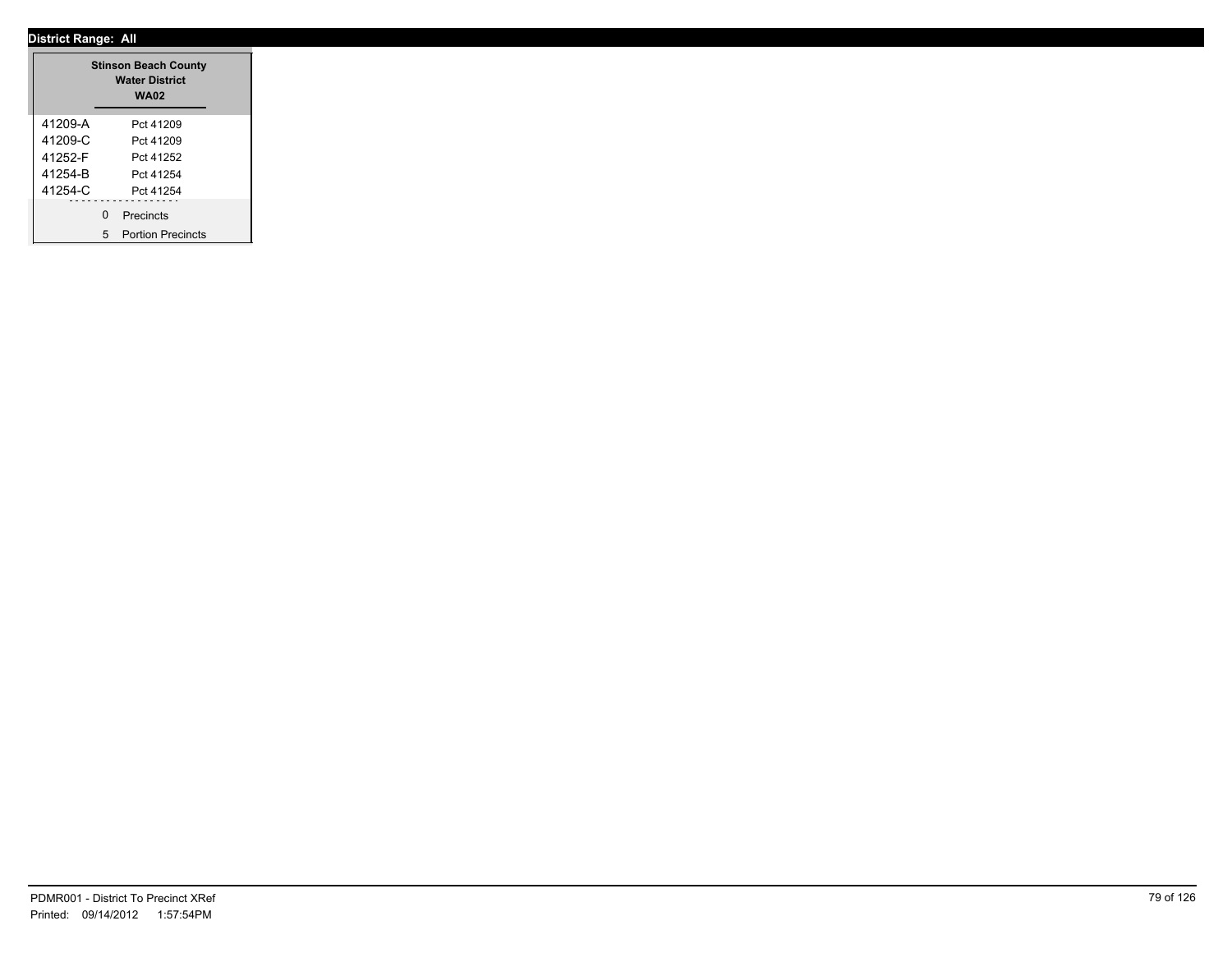|         | <b>Stinson Beach County</b><br><b>Water District</b><br><b>WA02</b> |
|---------|---------------------------------------------------------------------|
| 41209-A | Pct 41209                                                           |
| 41209-C | Pct 41209                                                           |
| 41252-F | Pct 41252                                                           |
| 41254-B | Pct 41254                                                           |
| 41254-C | Pct 41254                                                           |
|         | ------------------<br>0 Precincts<br>5 Portion Precincts            |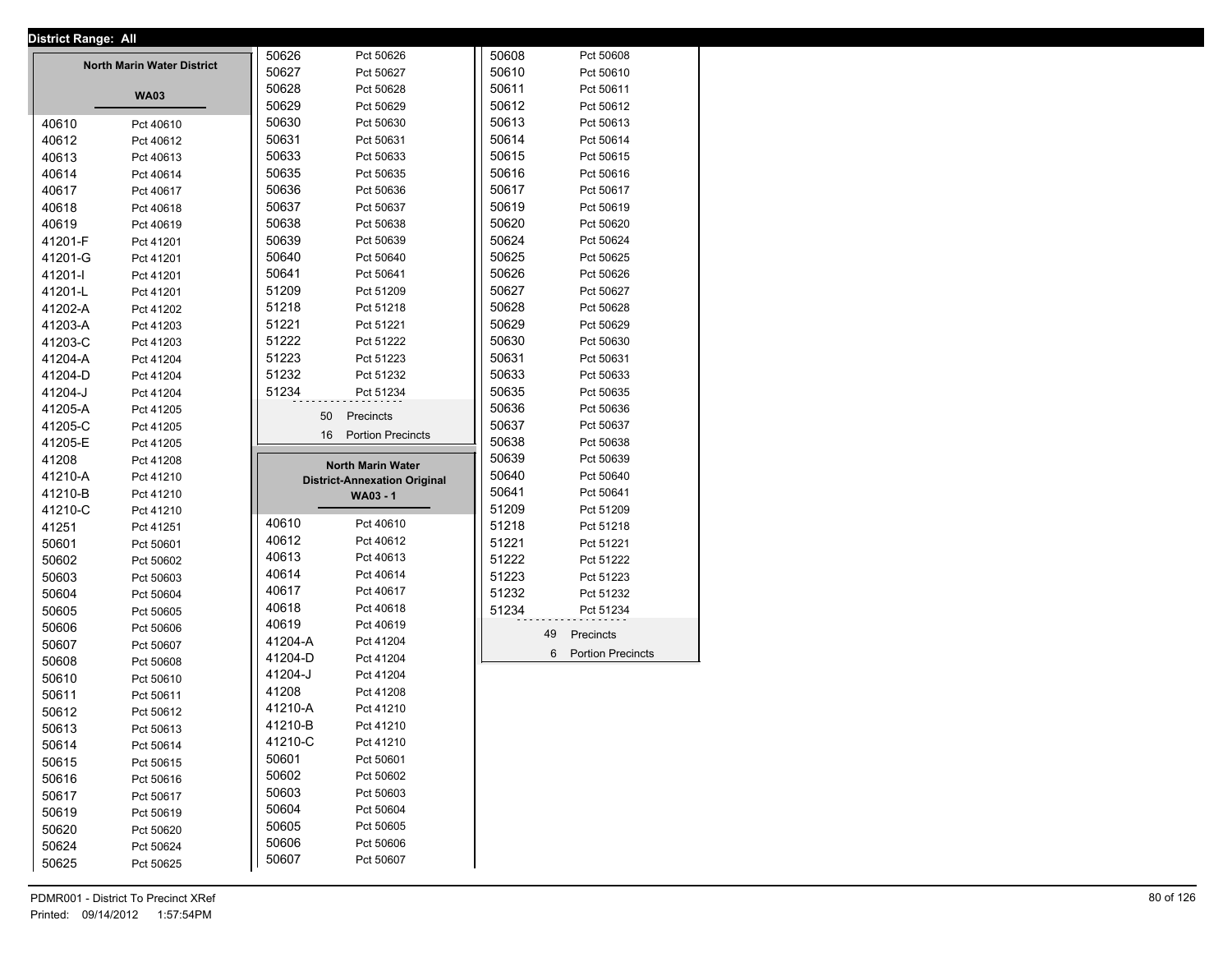|         | <b>District Range: All</b>        |         |                                     |       |                     |
|---------|-----------------------------------|---------|-------------------------------------|-------|---------------------|
|         |                                   | 50626   | Pct 50626                           | 50608 | Pct 50608           |
|         | <b>North Marin Water District</b> | 50627   | Pct 50627                           | 50610 | Pct 50610           |
|         |                                   | 50628   | Pct 50628                           | 50611 | Pct 50611           |
|         | <b>WA03</b>                       | 50629   | Pct 50629                           | 50612 | Pct 50612           |
| 40610   | Pct 40610                         | 50630   | Pct 50630                           | 50613 | Pct 50613           |
| 40612   | Pct 40612                         | 50631   | Pct 50631                           | 50614 | Pct 50614           |
| 40613   | Pct 40613                         | 50633   | Pct 50633                           | 50615 | Pct 50615           |
| 40614   | Pct 40614                         | 50635   | Pct 50635                           | 50616 | Pct 50616           |
| 40617   | Pct 40617                         | 50636   | Pct 50636                           | 50617 | Pct 50617           |
| 40618   | Pct 40618                         | 50637   | Pct 50637                           | 50619 | Pct 50619           |
| 40619   | Pct 40619                         | 50638   | Pct 50638                           | 50620 | Pct 50620           |
| 41201-F | Pct 41201                         | 50639   | Pct 50639                           | 50624 | Pct 50624           |
| 41201-G | Pct 41201                         | 50640   | Pct 50640                           | 50625 | Pct 50625           |
| 41201-l | Pct 41201                         | 50641   | Pct 50641                           | 50626 | Pct 50626           |
|         |                                   | 51209   | Pct 51209                           | 50627 | Pct 50627           |
| 41201-L | Pct 41201                         | 51218   |                                     | 50628 |                     |
| 41202-A | Pct 41202                         |         | Pct 51218                           |       | Pct 50628           |
| 41203-A | Pct 41203                         | 51221   | Pct 51221                           | 50629 | Pct 50629           |
| 41203-C | Pct 41203                         | 51222   | Pct 51222                           | 50630 | Pct 50630           |
| 41204-A | Pct 41204                         | 51223   | Pct 51223                           | 50631 | Pct 50631           |
| 41204-D | Pct 41204                         | 51232   | Pct 51232                           | 50633 | Pct 50633           |
| 41204-J | Pct 41204                         | 51234   | Pct 51234                           | 50635 | Pct 50635           |
| 41205-A | Pct 41205                         |         | 50<br>Precincts                     | 50636 | Pct 50636           |
| 41205-C | Pct 41205                         |         | 16 Portion Precincts                | 50637 | Pct 50637           |
| 41205-E | Pct 41205                         |         |                                     | 50638 | Pct 50638           |
| 41208   | Pct 41208                         |         | <b>North Marin Water</b>            | 50639 | Pct 50639           |
| 41210-A | Pct 41210                         |         | <b>District-Annexation Original</b> | 50640 | Pct 50640           |
| 41210-B | Pct 41210                         |         | <b>WA03 - 1</b>                     | 50641 | Pct 50641           |
| 41210-C | Pct 41210                         |         |                                     | 51209 | Pct 51209           |
| 41251   | Pct 41251                         | 40610   | Pct 40610                           | 51218 | Pct 51218           |
| 50601   | Pct 50601                         | 40612   | Pct 40612                           | 51221 | Pct 51221           |
| 50602   | Pct 50602                         | 40613   | Pct 40613                           | 51222 | Pct 51222           |
| 50603   | Pct 50603                         | 40614   | Pct 40614                           | 51223 | Pct 51223           |
| 50604   | Pct 50604                         | 40617   | Pct 40617                           | 51232 | Pct 51232           |
| 50605   | Pct 50605                         | 40618   | Pct 40618                           | 51234 | Pct 51234           |
| 50606   | Pct 50606                         | 40619   | Pct 40619                           |       |                     |
|         |                                   | 41204-A | Pct 41204                           |       | 49<br>Precincts     |
| 50607   | Pct 50607                         | 41204-D | Pct 41204                           |       | 6 Portion Precincts |
| 50608   | Pct 50608                         | 41204-J | Pct 41204                           |       |                     |
| 50610   | Pct 50610                         | 41208   |                                     |       |                     |
| 50611   | Pct 50611                         |         | Pct 41208                           |       |                     |
| 50612   | Pct 50612                         | 41210-A | Pct 41210                           |       |                     |
| 50613   | Pct 50613                         | 41210-B | Pct 41210                           |       |                     |
| 50614   | Pct 50614                         | 41210-C | Pct 41210                           |       |                     |
| 50615   | Pct 50615                         | 50601   | Pct 50601                           |       |                     |
| 50616   | Pct 50616                         | 50602   | Pct 50602                           |       |                     |
| 50617   | Pct 50617                         | 50603   | Pct 50603                           |       |                     |
| 50619   | Pct 50619                         | 50604   | Pct 50604                           |       |                     |
| 50620   | Pct 50620                         | 50605   | Pct 50605                           |       |                     |
| 50624   | Pct 50624                         | 50606   | Pct 50606                           |       |                     |
| 50625   | Pct 50625                         | 50607   | Pct 50607                           |       |                     |
|         |                                   |         |                                     |       |                     |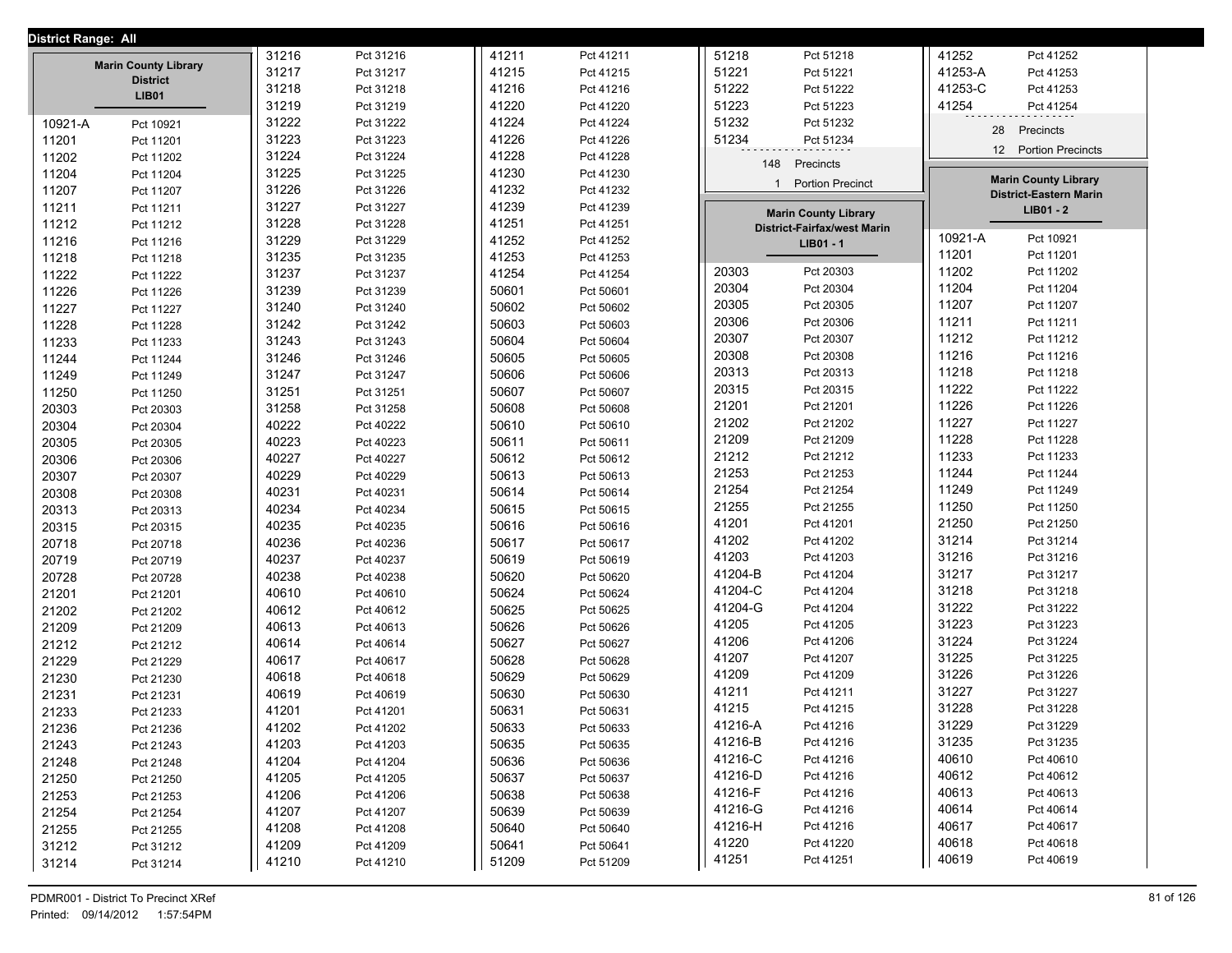| District Range: All |                             |       |           |       |           |              |                                                                   |         |                                                              |
|---------------------|-----------------------------|-------|-----------|-------|-----------|--------------|-------------------------------------------------------------------|---------|--------------------------------------------------------------|
|                     |                             | 31216 | Pct 31216 | 41211 | Pct 41211 | 51218        | Pct 51218                                                         | 41252   | Pct 41252                                                    |
|                     | <b>Marin County Library</b> | 31217 | Pct 31217 | 41215 | Pct 41215 | 51221        | Pct 51221                                                         | 41253-A | Pct 41253                                                    |
|                     | <b>District</b>             | 31218 | Pct 31218 | 41216 | Pct 41216 | 51222        | Pct 51222                                                         | 41253-C | Pct 41253                                                    |
|                     | <b>LIB01</b>                | 31219 | Pct 31219 | 41220 | Pct 41220 | 51223        | Pct 51223                                                         | 41254   | Pct 41254                                                    |
| 10921-A             | Pct 10921                   | 31222 | Pct 31222 | 41224 | Pct 41224 | 51232        | Pct 51232                                                         |         |                                                              |
| 11201               | Pct 11201                   | 31223 | Pct 31223 | 41226 | Pct 41226 | 51234        | Pct 51234                                                         | 28      | Precincts                                                    |
| 11202               | Pct 11202                   | 31224 | Pct 31224 | 41228 | Pct 41228 |              |                                                                   |         | 12 Portion Precincts                                         |
| 11204               | Pct 11204                   | 31225 | Pct 31225 | 41230 | Pct 41230 | 148          | Precincts                                                         |         |                                                              |
| 11207               | Pct 11207                   | 31226 | Pct 31226 | 41232 | Pct 41232 | $\mathbf{1}$ | <b>Portion Precinct</b>                                           |         | <b>Marin County Library</b><br><b>District-Eastern Marin</b> |
| 11211               | Pct 11211                   | 31227 | Pct 31227 | 41239 | Pct 41239 |              |                                                                   |         | $LIB01 - 2$                                                  |
| 11212               | Pct 11212                   | 31228 | Pct 31228 | 41251 | Pct 41251 |              | <b>Marin County Library</b><br><b>District-Fairfax/west Marin</b> |         |                                                              |
| 11216               | Pct 11216                   | 31229 | Pct 31229 | 41252 | Pct 41252 |              | LIB01 - 1                                                         | 10921-A | Pct 10921                                                    |
| 11218               | Pct 11218                   | 31235 | Pct 31235 | 41253 | Pct 41253 |              |                                                                   | 11201   | Pct 11201                                                    |
| 11222               | Pct 11222                   | 31237 | Pct 31237 | 41254 | Pct 41254 | 20303        | Pct 20303                                                         | 11202   | Pct 11202                                                    |
| 11226               | Pct 11226                   | 31239 | Pct 31239 | 50601 | Pct 50601 | 20304        | Pct 20304                                                         | 11204   | Pct 11204                                                    |
| 11227               | Pct 11227                   | 31240 | Pct 31240 | 50602 | Pct 50602 | 20305        | Pct 20305                                                         | 11207   | Pct 11207                                                    |
| 11228               | Pct 11228                   | 31242 | Pct 31242 | 50603 | Pct 50603 | 20306        | Pct 20306                                                         | 11211   | Pct 11211                                                    |
| 11233               | Pct 11233                   | 31243 | Pct 31243 | 50604 | Pct 50604 | 20307        | Pct 20307                                                         | 11212   | Pct 11212                                                    |
| 11244               | Pct 11244                   | 31246 | Pct 31246 | 50605 | Pct 50605 | 20308        | Pct 20308                                                         | 11216   | Pct 11216                                                    |
| 11249               | Pct 11249                   | 31247 | Pct 31247 | 50606 | Pct 50606 | 20313        | Pct 20313                                                         | 11218   | Pct 11218                                                    |
| 11250               | Pct 11250                   | 31251 | Pct 31251 | 50607 | Pct 50607 | 20315        | Pct 20315                                                         | 11222   | Pct 11222                                                    |
| 20303               | Pct 20303                   | 31258 | Pct 31258 | 50608 | Pct 50608 | 21201        | Pct 21201                                                         | 11226   | Pct 11226                                                    |
| 20304               | Pct 20304                   | 40222 | Pct 40222 | 50610 | Pct 50610 | 21202        | Pct 21202                                                         | 11227   | Pct 11227                                                    |
| 20305               | Pct 20305                   | 40223 | Pct 40223 | 50611 | Pct 50611 | 21209        | Pct 21209                                                         | 11228   | Pct 11228                                                    |
| 20306               | Pct 20306                   | 40227 | Pct 40227 | 50612 | Pct 50612 | 21212        | Pct 21212                                                         | 11233   | Pct 11233                                                    |
| 20307               | Pct 20307                   | 40229 | Pct 40229 | 50613 | Pct 50613 | 21253        | Pct 21253                                                         | 11244   | Pct 11244                                                    |
| 20308               | Pct 20308                   | 40231 | Pct 40231 | 50614 | Pct 50614 | 21254        | Pct 21254                                                         | 11249   | Pct 11249                                                    |
| 20313               | Pct 20313                   | 40234 | Pct 40234 | 50615 | Pct 50615 | 21255        | Pct 21255                                                         | 11250   | Pct 11250                                                    |
| 20315               | Pct 20315                   | 40235 | Pct 40235 | 50616 | Pct 50616 | 41201        | Pct 41201                                                         | 21250   | Pct 21250                                                    |
| 20718               | Pct 20718                   | 40236 | Pct 40236 | 50617 | Pct 50617 | 41202        | Pct 41202                                                         | 31214   | Pct 31214                                                    |
| 20719               | Pct 20719                   | 40237 | Pct 40237 | 50619 | Pct 50619 | 41203        | Pct 41203                                                         | 31216   | Pct 31216                                                    |
| 20728               | Pct 20728                   | 40238 | Pct 40238 | 50620 | Pct 50620 | 41204-B      | Pct 41204                                                         | 31217   | Pct 31217                                                    |
| 21201               | Pct 21201                   | 40610 | Pct 40610 | 50624 | Pct 50624 | 41204-C      | Pct 41204                                                         | 31218   | Pct 31218                                                    |
| 21202               | Pct 21202                   | 40612 | Pct 40612 | 50625 | Pct 50625 | 41204-G      | Pct 41204                                                         | 31222   | Pct 31222                                                    |
| 21209               | Pct 21209                   | 40613 | Pct 40613 | 50626 | Pct 50626 | 41205        | Pct 41205                                                         | 31223   | Pct 31223                                                    |
| 21212               | Pct 21212                   | 40614 | Pct 40614 | 50627 | Pct 50627 | 41206        | Pct 41206                                                         | 31224   | Pct 31224                                                    |
| 21229               | Pct 21229                   | 40617 | Pct 40617 | 50628 | Pct 50628 | 41207        | Pct 41207                                                         | 31225   | Pct 31225                                                    |
| 21230               | Pct 21230                   | 40618 | Pct 40618 | 50629 | Pct 50629 | 41209        | Pct 41209                                                         | 31226   | Pct 31226                                                    |
| 21231               | Pct 21231                   | 40619 | Pct 40619 | 50630 | Pct 50630 | 41211        | Pct 41211                                                         | 31227   | Pct 31227                                                    |
| 21233               | Pct 21233                   | 41201 | Pct 41201 | 50631 | Pct 50631 | 41215        | Pct 41215                                                         | 31228   | Pct 31228                                                    |
| 21236               | Pct 21236                   | 41202 | Pct 41202 | 50633 | Pct 50633 | 41216-A      | Pct 41216                                                         | 31229   | Pct 31229                                                    |
| 21243               | Pct 21243                   | 41203 | Pct 41203 | 50635 | Pct 50635 | 41216-B      | Pct 41216                                                         | 31235   | Pct 31235                                                    |
| 21248               | Pct 21248                   | 41204 | Pct 41204 | 50636 | Pct 50636 | 41216-C      | Pct 41216                                                         | 40610   | Pct 40610                                                    |
| 21250               | Pct 21250                   | 41205 | Pct 41205 | 50637 | Pct 50637 | 41216-D      | Pct 41216                                                         | 40612   | Pct 40612                                                    |
| 21253               | Pct 21253                   | 41206 | Pct 41206 | 50638 | Pct 50638 | 41216-F      | Pct 41216                                                         | 40613   | Pct 40613                                                    |
| 21254               | Pct 21254                   | 41207 | Pct 41207 | 50639 | Pct 50639 | 41216-G      | Pct 41216                                                         | 40614   | Pct 40614                                                    |
| 21255               | Pct 21255                   | 41208 | Pct 41208 | 50640 | Pct 50640 | 41216-H      | Pct 41216                                                         | 40617   | Pct 40617                                                    |
| 31212               | Pct 31212                   | 41209 | Pct 41209 | 50641 | Pct 50641 | 41220        | Pct 41220                                                         | 40618   | Pct 40618                                                    |
| 31214               | Pct 31214                   | 41210 | Pct 41210 | 51209 | Pct 51209 | 41251        | Pct 41251                                                         | 40619   | Pct 40619                                                    |
|                     |                             |       |           |       |           |              |                                                                   |         |                                                              |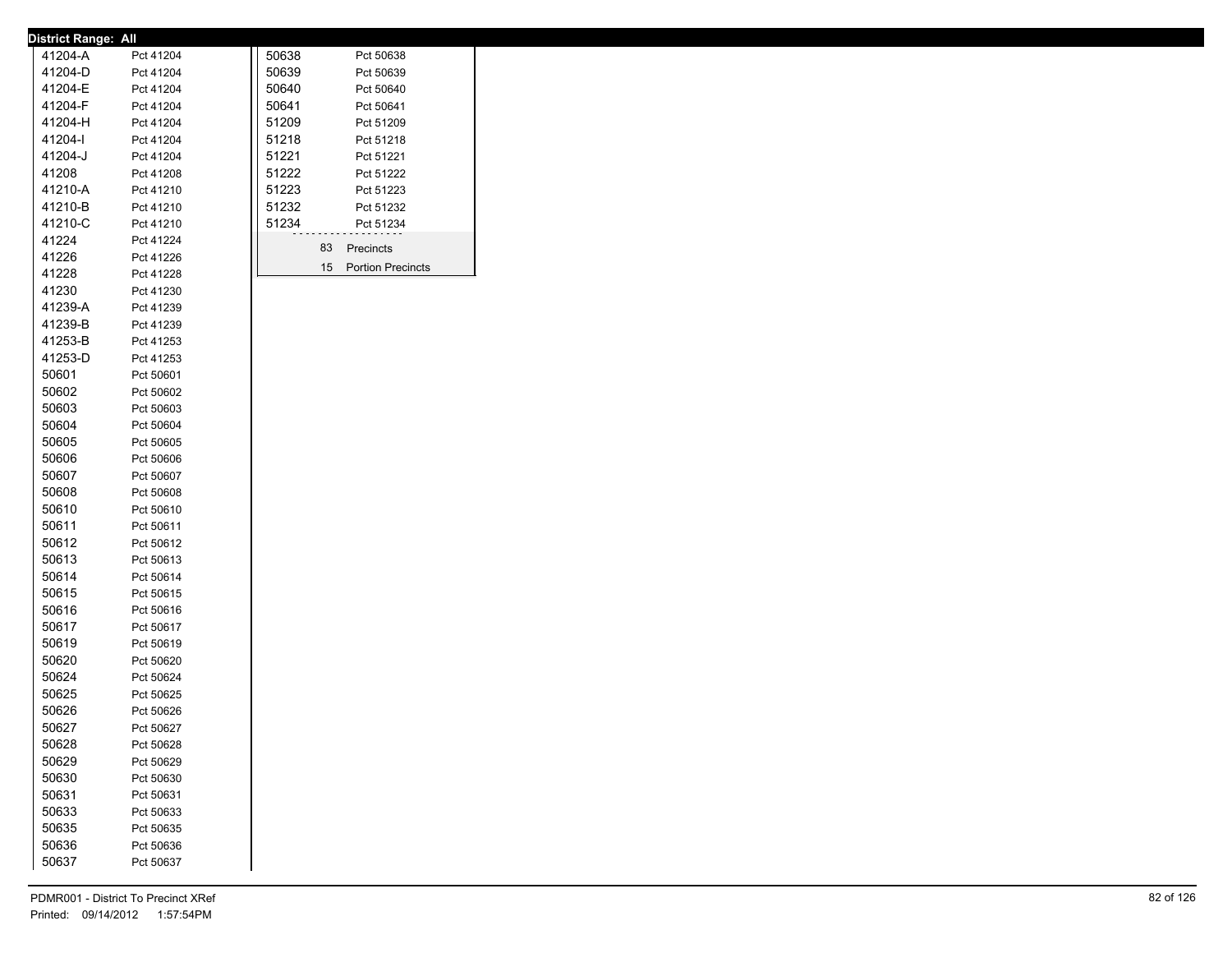| <b>District Range: All</b> |                        |       |       |                      |
|----------------------------|------------------------|-------|-------|----------------------|
| 41204-A                    | Pct 41204              |       | 50638 | Pct 50638            |
| 41204-D                    | Pct 41204              | 50639 |       | Pct 50639            |
| 41204-E                    | Pct 41204              | 50640 |       | Pct 50640            |
| 41204-F                    | Pct 41204              | 50641 |       | Pct 50641            |
| 41204-H                    | Pct 41204              |       | 51209 | Pct 51209            |
| 41204-l                    | Pct 41204              | 51218 |       | Pct 51218            |
| 41204-J                    | Pct 41204              | 51221 |       | Pct 51221            |
| 41208                      | Pct 41208              | 51222 |       | Pct 51222            |
| 41210-A                    | Pct 41210              | 51223 |       | Pct 51223            |
| 41210-B                    | Pct 41210              | 51232 |       | Pct 51232            |
| 41210-C                    | Pct 41210              |       | 51234 | Pct 51234            |
| 41224                      |                        |       |       |                      |
| 41226                      | Pct 41224<br>Pct 41226 |       |       | Precincts<br>83      |
| 41228                      |                        |       |       | 15 Portion Precincts |
|                            | Pct 41228              |       |       |                      |
| 41230                      | Pct 41230              |       |       |                      |
| 41239-A                    | Pct 41239              |       |       |                      |
| 41239-B                    | Pct 41239              |       |       |                      |
| 41253-B                    | Pct 41253              |       |       |                      |
| 41253-D                    | Pct 41253              |       |       |                      |
| 50601                      | Pct 50601              |       |       |                      |
| 50602                      | Pct 50602              |       |       |                      |
| 50603                      | Pct 50603              |       |       |                      |
| 50604                      | Pct 50604              |       |       |                      |
| 50605                      | Pct 50605              |       |       |                      |
| 50606                      | Pct 50606              |       |       |                      |
| 50607                      | Pct 50607              |       |       |                      |
| 50608                      | Pct 50608              |       |       |                      |
| 50610                      | Pct 50610              |       |       |                      |
| 50611                      | Pct 50611              |       |       |                      |
| 50612                      | Pct 50612              |       |       |                      |
| 50613                      | Pct 50613              |       |       |                      |
| 50614                      | Pct 50614              |       |       |                      |
| 50615                      | Pct 50615              |       |       |                      |
| 50616                      | Pct 50616              |       |       |                      |
| 50617                      | Pct 50617              |       |       |                      |
| 50619                      | Pct 50619              |       |       |                      |
| 50620                      | Pct 50620              |       |       |                      |
| 50624                      | Pct 50624              |       |       |                      |
| 50625                      | Pct 50625              |       |       |                      |
| 50626                      | Pct 50626              |       |       |                      |
| 50627                      | Pct 50627              |       |       |                      |
| 50628                      | Pct 50628              |       |       |                      |
| 50629                      | Pct 50629              |       |       |                      |
| 50630                      | Pct 50630              |       |       |                      |
| 50631                      |                        |       |       |                      |
|                            | Pct 50631              |       |       |                      |
| 50633                      | Pct 50633              |       |       |                      |
| 50635                      | Pct 50635              |       |       |                      |
| 50636                      | Pct 50636              |       |       |                      |
| 50637                      | Pct 50637              |       |       |                      |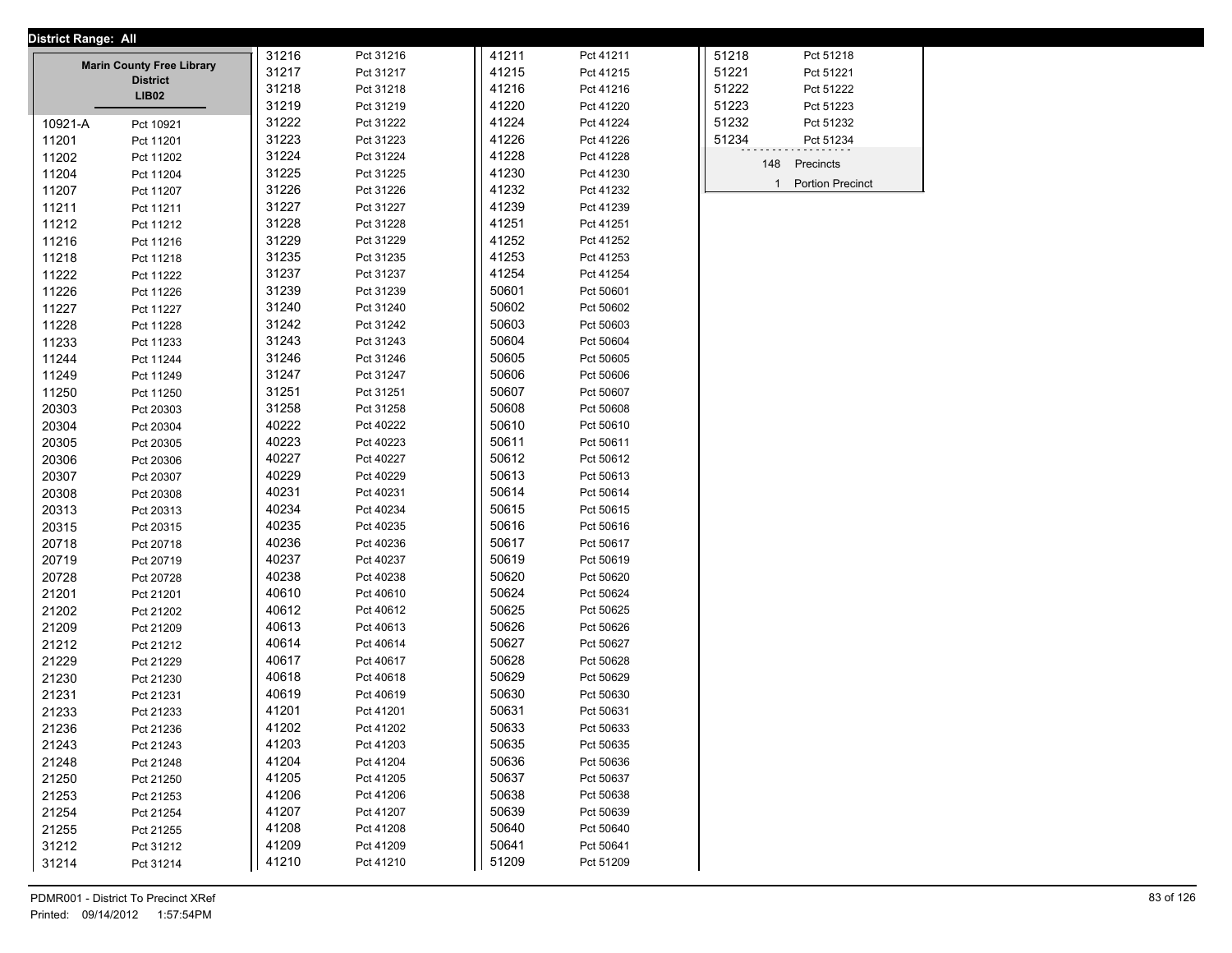| <b>District Range: All</b> |                                                     |       |           |       |           |              |                         |  |
|----------------------------|-----------------------------------------------------|-------|-----------|-------|-----------|--------------|-------------------------|--|
|                            |                                                     | 31216 | Pct 31216 | 41211 | Pct 41211 | 51218        | Pct 51218               |  |
|                            | <b>Marin County Free Library</b><br><b>District</b> | 31217 | Pct 31217 | 41215 | Pct 41215 | 51221        | Pct 51221               |  |
|                            | LIB02                                               | 31218 | Pct 31218 | 41216 | Pct 41216 | 51222        | Pct 51222               |  |
|                            |                                                     | 31219 | Pct 31219 | 41220 | Pct 41220 | 51223        | Pct 51223               |  |
| 10921-A                    | Pct 10921                                           | 31222 | Pct 31222 | 41224 | Pct 41224 | 51232        | Pct 51232               |  |
| 11201                      | Pct 11201                                           | 31223 | Pct 31223 | 41226 | Pct 41226 | 51234        | Pct 51234               |  |
| 11202                      | Pct 11202                                           | 31224 | Pct 31224 | 41228 | Pct 41228 |              |                         |  |
| 11204                      | Pct 11204                                           | 31225 | Pct 31225 | 41230 | Pct 41230 | 148          | Precincts               |  |
| 11207                      | Pct 11207                                           | 31226 | Pct 31226 | 41232 | Pct 41232 | $\mathbf{1}$ | <b>Portion Precinct</b> |  |
| 11211                      | Pct 11211                                           | 31227 | Pct 31227 | 41239 | Pct 41239 |              |                         |  |
| 11212                      | Pct 11212                                           | 31228 | Pct 31228 | 41251 | Pct 41251 |              |                         |  |
| 11216                      | Pct 11216                                           | 31229 | Pct 31229 | 41252 | Pct 41252 |              |                         |  |
| 11218                      | Pct 11218                                           | 31235 | Pct 31235 | 41253 | Pct 41253 |              |                         |  |
| 11222                      | Pct 11222                                           | 31237 | Pct 31237 | 41254 | Pct 41254 |              |                         |  |
| 11226                      | Pct 11226                                           | 31239 | Pct 31239 | 50601 | Pct 50601 |              |                         |  |
| 11227                      | Pct 11227                                           | 31240 | Pct 31240 | 50602 | Pct 50602 |              |                         |  |
| 11228                      | Pct 11228                                           | 31242 | Pct 31242 | 50603 | Pct 50603 |              |                         |  |
| 11233                      | Pct 11233                                           | 31243 | Pct 31243 | 50604 | Pct 50604 |              |                         |  |
| 11244                      | Pct 11244                                           | 31246 | Pct 31246 | 50605 | Pct 50605 |              |                         |  |
| 11249                      | Pct 11249                                           | 31247 | Pct 31247 | 50606 | Pct 50606 |              |                         |  |
| 11250                      | Pct 11250                                           | 31251 | Pct 31251 | 50607 | Pct 50607 |              |                         |  |
| 20303                      | Pct 20303                                           | 31258 | Pct 31258 | 50608 | Pct 50608 |              |                         |  |
| 20304                      | Pct 20304                                           | 40222 | Pct 40222 | 50610 | Pct 50610 |              |                         |  |
| 20305                      | Pct 20305                                           | 40223 | Pct 40223 | 50611 | Pct 50611 |              |                         |  |
| 20306                      | Pct 20306                                           | 40227 | Pct 40227 | 50612 | Pct 50612 |              |                         |  |
| 20307                      | Pct 20307                                           | 40229 | Pct 40229 | 50613 | Pct 50613 |              |                         |  |
| 20308                      | Pct 20308                                           | 40231 | Pct 40231 | 50614 | Pct 50614 |              |                         |  |
| 20313                      | Pct 20313                                           | 40234 | Pct 40234 | 50615 | Pct 50615 |              |                         |  |
| 20315                      | Pct 20315                                           | 40235 | Pct 40235 | 50616 | Pct 50616 |              |                         |  |
| 20718                      | Pct 20718                                           | 40236 | Pct 40236 | 50617 | Pct 50617 |              |                         |  |
| 20719                      | Pct 20719                                           | 40237 | Pct 40237 | 50619 | Pct 50619 |              |                         |  |
| 20728                      | Pct 20728                                           | 40238 | Pct 40238 | 50620 | Pct 50620 |              |                         |  |
| 21201                      | Pct 21201                                           | 40610 | Pct 40610 | 50624 | Pct 50624 |              |                         |  |
| 21202                      | Pct 21202                                           | 40612 | Pct 40612 | 50625 | Pct 50625 |              |                         |  |
| 21209                      | Pct 21209                                           | 40613 | Pct 40613 | 50626 | Pct 50626 |              |                         |  |
| 21212                      | Pct 21212                                           | 40614 | Pct 40614 | 50627 | Pct 50627 |              |                         |  |
| 21229                      | Pct 21229                                           | 40617 | Pct 40617 | 50628 | Pct 50628 |              |                         |  |
| 21230                      | Pct 21230                                           | 40618 | Pct 40618 | 50629 | Pct 50629 |              |                         |  |
| 21231                      | Pct 21231                                           | 40619 | Pct 40619 | 50630 | Pct 50630 |              |                         |  |
| 21233                      | Pct 21233                                           | 41201 | Pct 41201 | 50631 | Pct 50631 |              |                         |  |
| 21236                      | Pct 21236                                           | 41202 | Pct 41202 | 50633 | Pct 50633 |              |                         |  |
| 21243                      | Pct 21243                                           | 41203 | Pct 41203 | 50635 | Pct 50635 |              |                         |  |
| 21248                      | Pct 21248                                           | 41204 | Pct 41204 | 50636 | Pct 50636 |              |                         |  |
| 21250                      | Pct 21250                                           | 41205 | Pct 41205 | 50637 | Pct 50637 |              |                         |  |
| 21253                      | Pct 21253                                           | 41206 | Pct 41206 | 50638 | Pct 50638 |              |                         |  |
| 21254                      | Pct 21254                                           | 41207 | Pct 41207 | 50639 | Pct 50639 |              |                         |  |
| 21255                      | Pct 21255                                           | 41208 | Pct 41208 | 50640 | Pct 50640 |              |                         |  |
| 31212                      | Pct 31212                                           | 41209 | Pct 41209 | 50641 | Pct 50641 |              |                         |  |
| 31214                      | Pct 31214                                           | 41210 | Pct 41210 | 51209 | Pct 51209 |              |                         |  |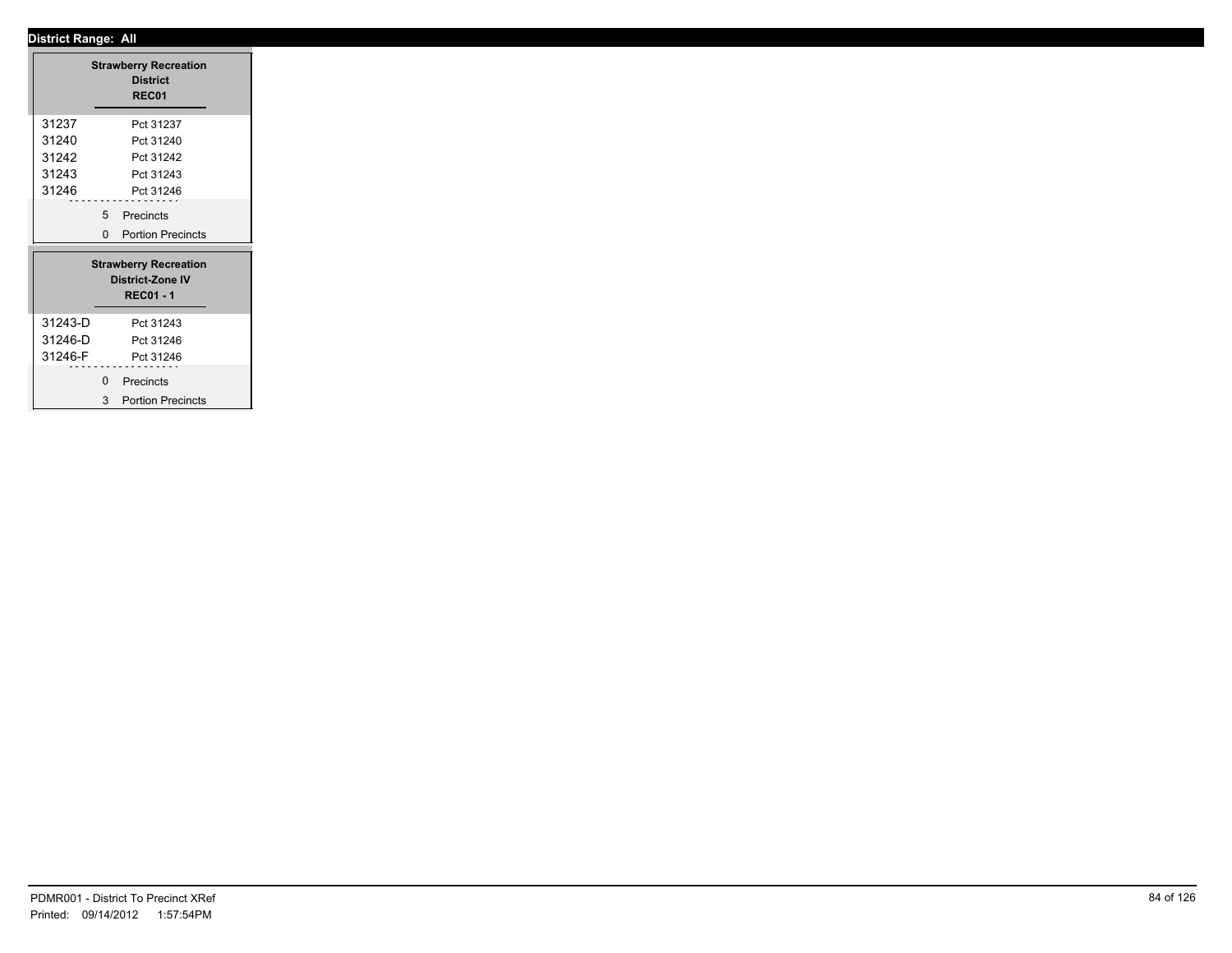┱

|         |             | <b>Strawberry Recreation</b><br><b>District</b><br>REC01                    |
|---------|-------------|-----------------------------------------------------------------------------|
| 31237   |             | Pct 31237                                                                   |
| 31240   |             | Pct 31240                                                                   |
| 31242   |             | Pct 31242                                                                   |
| 31243   |             | Pct 31243                                                                   |
| 31246   |             | Pct 31246                                                                   |
|         |             | 5 Precincts                                                                 |
|         |             | 0 Portion Precincts                                                         |
|         |             | <b>Strawberry Recreation</b><br><b>District-Zone IV</b><br><b>REC01 - 1</b> |
| 31243-D |             | Pct 31243                                                                   |
| 31246-D |             | Pct 31246                                                                   |
| 31246-F |             | Pct 31246                                                                   |
|         | $\mathbf 0$ | Precincts                                                                   |
|         | 3           | <b>Portion Precincts</b>                                                    |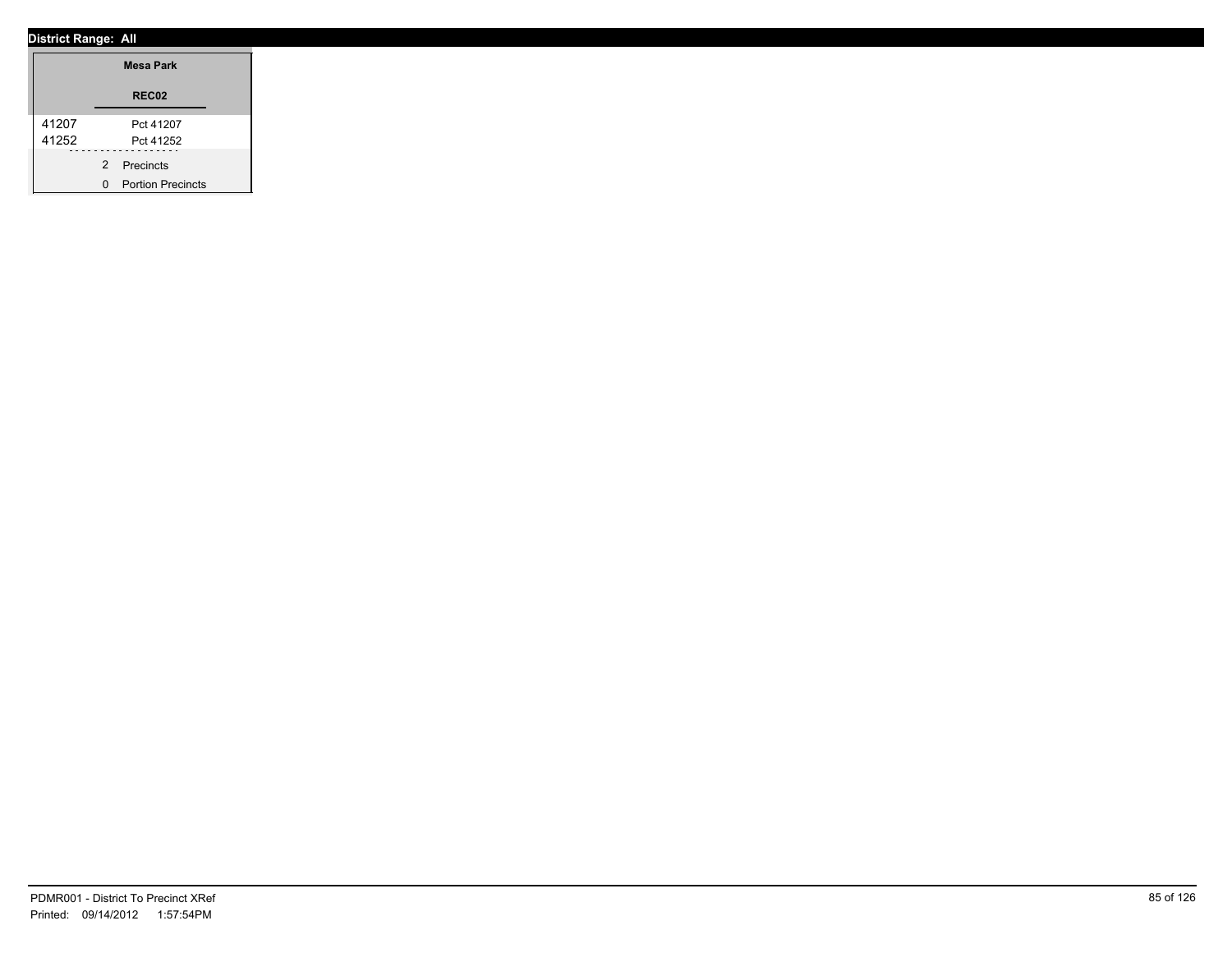|       | <b>Mesa Park</b>    |
|-------|---------------------|
|       | REC02               |
| 41207 | Pct 41207           |
| 41252 | Pct 41252           |
|       | 2 Precincts         |
|       | 0 Portion Precincts |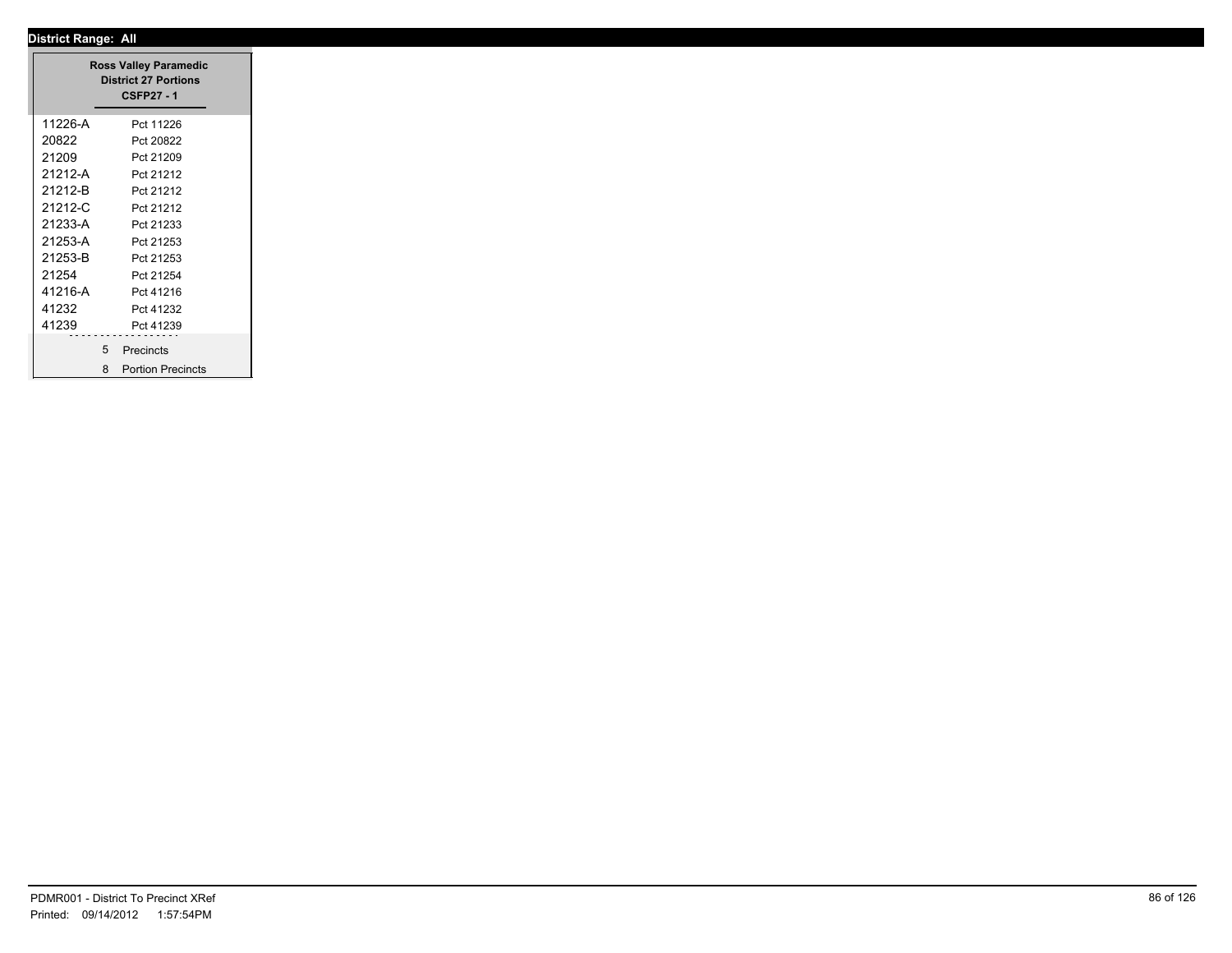|         | <b>Ross Valley Paramedic</b><br><b>District 27 Portions</b><br><b>CSFP27 - 1</b> |
|---------|----------------------------------------------------------------------------------|
| 11226-A | Pct 11226                                                                        |
| 20822   | Pct 20822                                                                        |
| 21209   | Pct 21209                                                                        |
| 21212-A | Pct 21212                                                                        |
| 21212-B | Pct 21212                                                                        |
| 21212-C | Pct 21212                                                                        |
| 21233-A | Pct 21233                                                                        |
| 21253-A | Pct 21253                                                                        |
| 21253-B | Pct 21253                                                                        |
| 21254   | Pct 21254                                                                        |
| 41216-A | Pct 41216                                                                        |
| 41232   | Pct 41232                                                                        |
| 41239   | Pct 41239                                                                        |
|         |                                                                                  |
|         | 5 Precincts                                                                      |
|         | 8 Portion Precincts                                                              |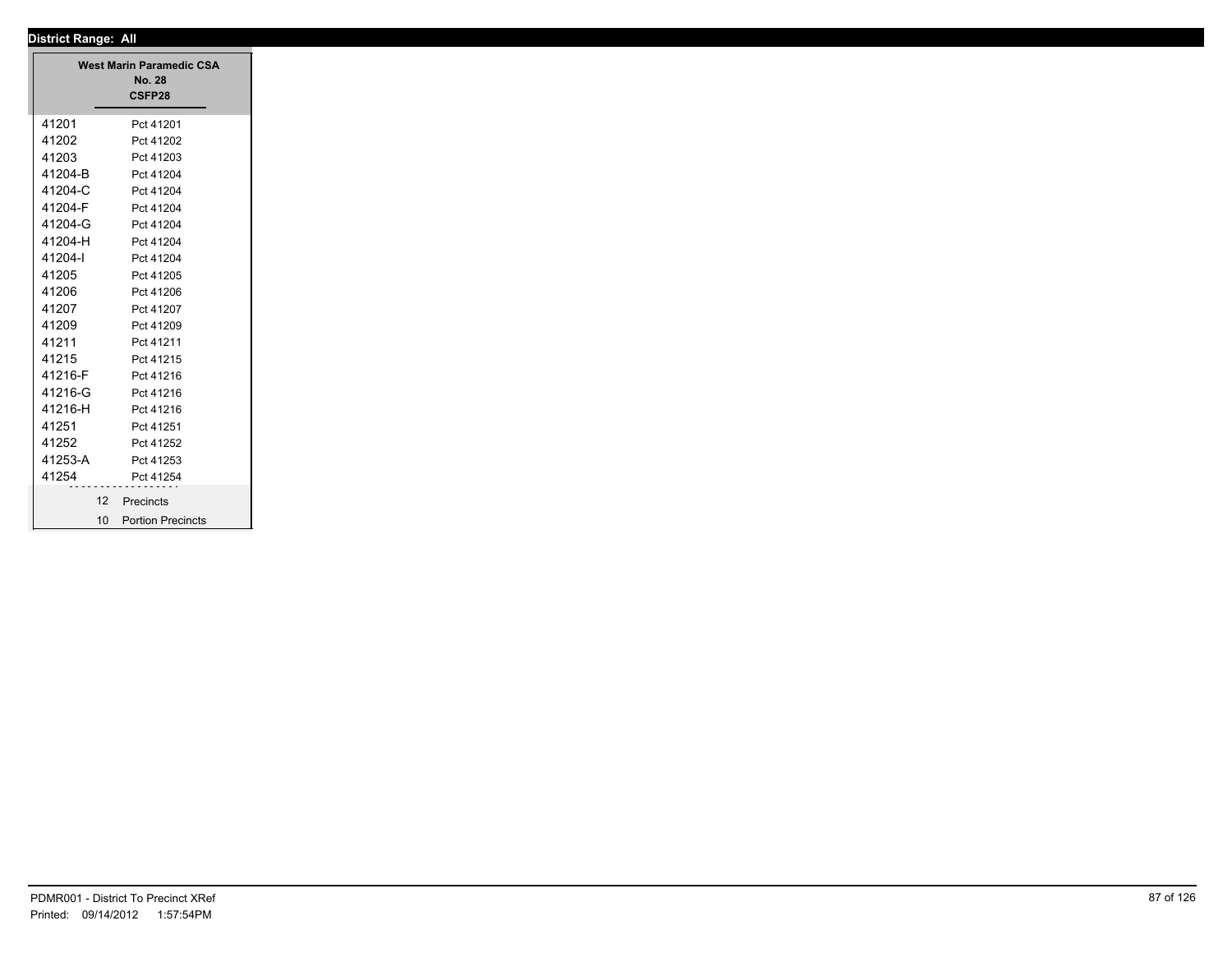| <b>District Range: All</b>      |
|---------------------------------|
| <b>West Marin Paramedic CSA</b> |
| <b>No. 28</b>                   |
| CSFP28                          |
| Pct 41201                       |
| Pct 41202                       |
| Pct 41203                       |
| Pct 41204                       |
| Pct 41204                       |
| Pct 41204                       |
| Pct 41204                       |
| Pct 41204                       |
| Pct 41204                       |
| Pct 41205                       |
| Pct 41206                       |
| Pct 41207                       |
| Pct 41209                       |
| Pct 41211                       |
| Pct 41215                       |
| Pct 41216                       |
| Pct 41216                       |
| Pct 41216                       |
| Pct 41251                       |
| Pct 41252                       |
| Pct 41253                       |
| Pct 41254                       |
| 12<br>Precincts                 |
| 10 Portion Precincts            |
|                                 |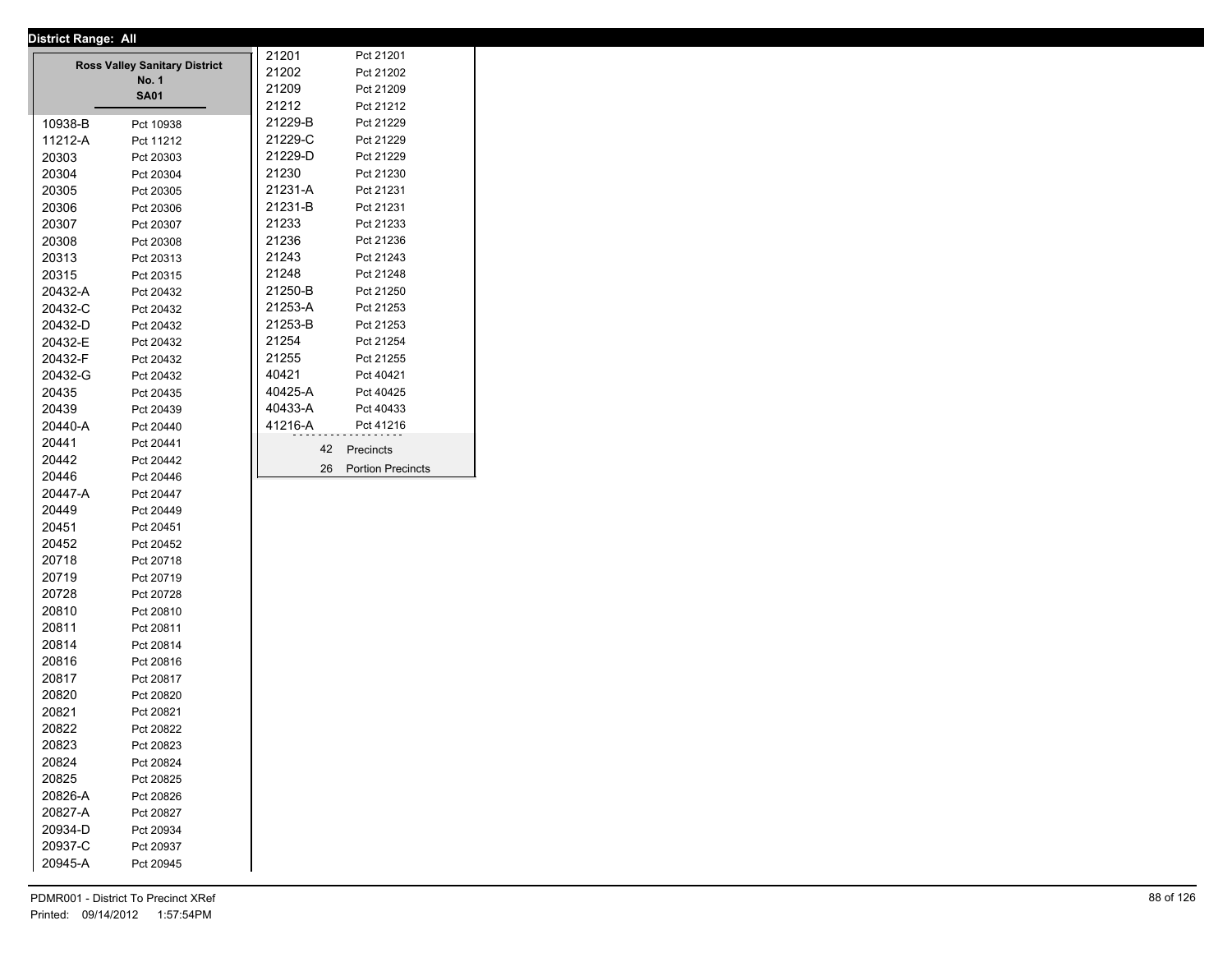| <u>Pisulot Kungo. All</u> |                                      | 21201   | Pct 21201                |
|---------------------------|--------------------------------------|---------|--------------------------|
|                           | <b>Ross Valley Sanitary District</b> | 21202   | Pct 21202                |
|                           | <b>No. 1</b>                         | 21209   | Pct 21209                |
|                           | <b>SA01</b>                          | 21212   | Pct 21212                |
| 10938-B                   | Pct 10938                            | 21229-B | Pct 21229                |
| 11212-A                   | Pct 11212                            | 21229-C | Pct 21229                |
| 20303                     | Pct 20303                            | 21229-D | Pct 21229                |
| 20304                     | Pct 20304                            | 21230   | Pct 21230                |
| 20305                     | Pct 20305                            | 21231-A | Pct 21231                |
| 20306                     | Pct 20306                            | 21231-B | Pct 21231                |
| 20307                     | Pct 20307                            | 21233   | Pct 21233                |
| 20308                     | Pct 20308                            | 21236   | Pct 21236                |
| 20313                     | Pct 20313                            | 21243   | Pct 21243                |
| 20315                     | Pct 20315                            | 21248   | Pct 21248                |
| 20432-A                   | Pct 20432                            | 21250-B | Pct 21250                |
| 20432-C                   | Pct 20432                            | 21253-A | Pct 21253                |
| 20432-D                   | Pct 20432                            | 21253-B | Pct 21253                |
| 20432-E                   | Pct 20432                            | 21254   | Pct 21254                |
| 20432-F                   | Pct 20432                            | 21255   | Pct 21255                |
| 20432-G                   | Pct 20432                            | 40421   | Pct 40421                |
| 20435                     | Pct 20435                            | 40425-A | Pct 40425                |
| 20439                     | Pct 20439                            | 40433-A | Pct 40433                |
| 20440-A                   | Pct 20440                            | 41216-A | Pct 41216                |
| 20441                     | Pct 20441                            |         |                          |
| 20442                     | Pct 20442                            | 42      | Precincts                |
| 20446                     | Pct 20446                            | 26      | <b>Portion Precincts</b> |
| 20447-A                   | Pct 20447                            |         |                          |
| 20449                     | Pct 20449                            |         |                          |
| 20451                     | Pct 20451                            |         |                          |
| 20452                     |                                      |         |                          |
| 20718                     | Pct 20452                            |         |                          |
| 20719                     | Pct 20718                            |         |                          |
| 20728                     | Pct 20719                            |         |                          |
|                           | Pct 20728                            |         |                          |
| 20810                     | Pct 20810                            |         |                          |
| 20811                     | Pct 20811                            |         |                          |
| 20814                     | Pct 20814                            |         |                          |
| 20816                     | Pct 20816                            |         |                          |
| 20817                     | Pct 20817                            |         |                          |
| 20820                     | Pct 20820                            |         |                          |
| 20821                     | Pct 20821                            |         |                          |
| 20822                     | Pct 20822                            |         |                          |
| 20823                     | Pct 20823                            |         |                          |
| 20824                     | Pct 20824                            |         |                          |
| 20825                     | Pct 20825                            |         |                          |
| 20826-A                   | Pct 20826                            |         |                          |
| 20827-A                   | Pct 20827                            |         |                          |
| 20934-D                   | Pct 20934                            |         |                          |
| 20937-C                   | Pct 20937                            |         |                          |
| 20945-A                   | Pct 20945                            |         |                          |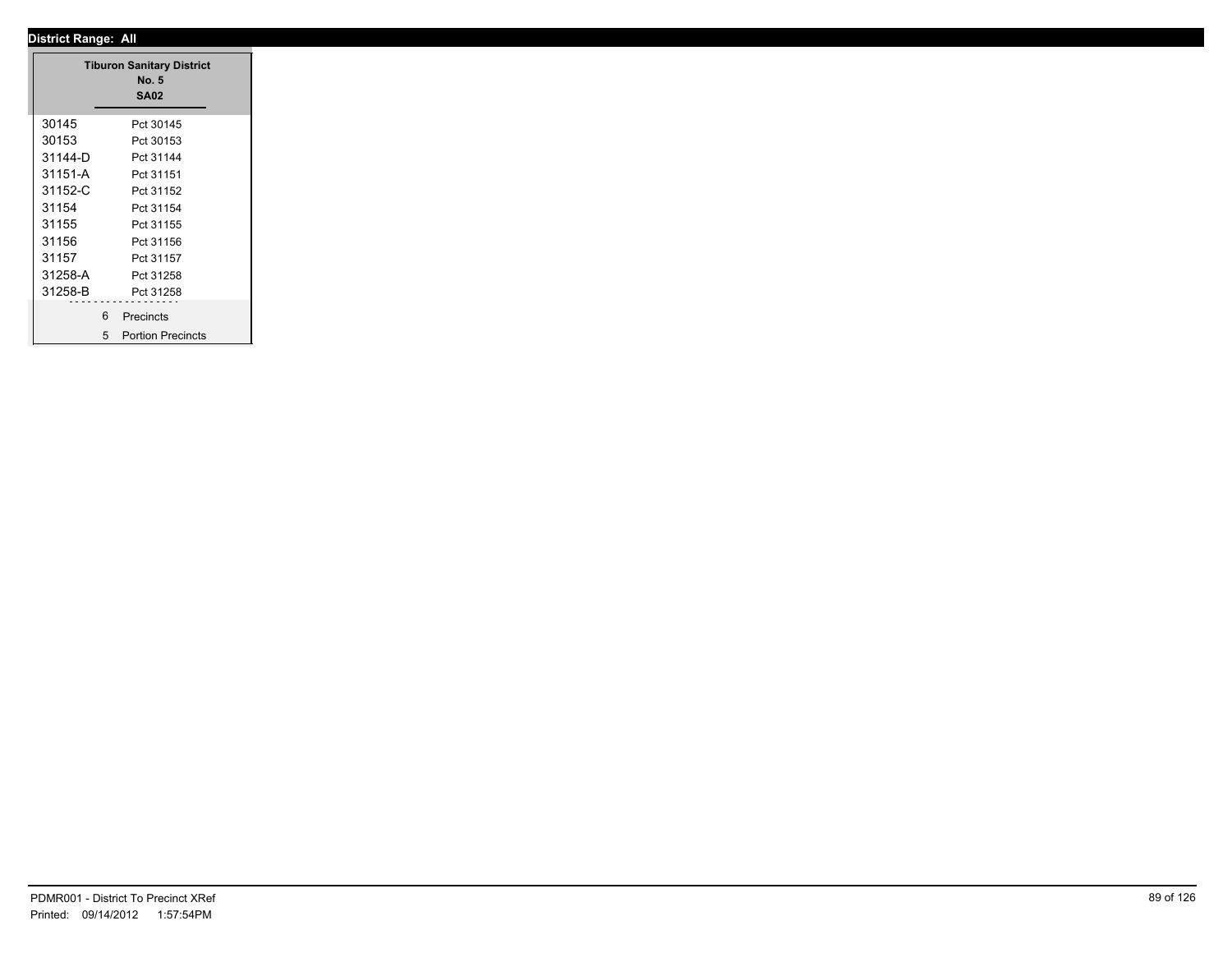### **District Range: All SA02 Tiburon Sanitary District No. 5** 30145 Pct 30145<br>30153 Pct 30153 30153 Pct 30153 31144-D Pct 31144 31151-A Pct 31151 31152-C Pct 31152 31154 Pct 31154 31155 Pct 31155 31156 Pct 31156 31157 Pct 31157 31258-A Pct 31258 31258-B Pct 31258 6 Precincts 5 Portion Precincts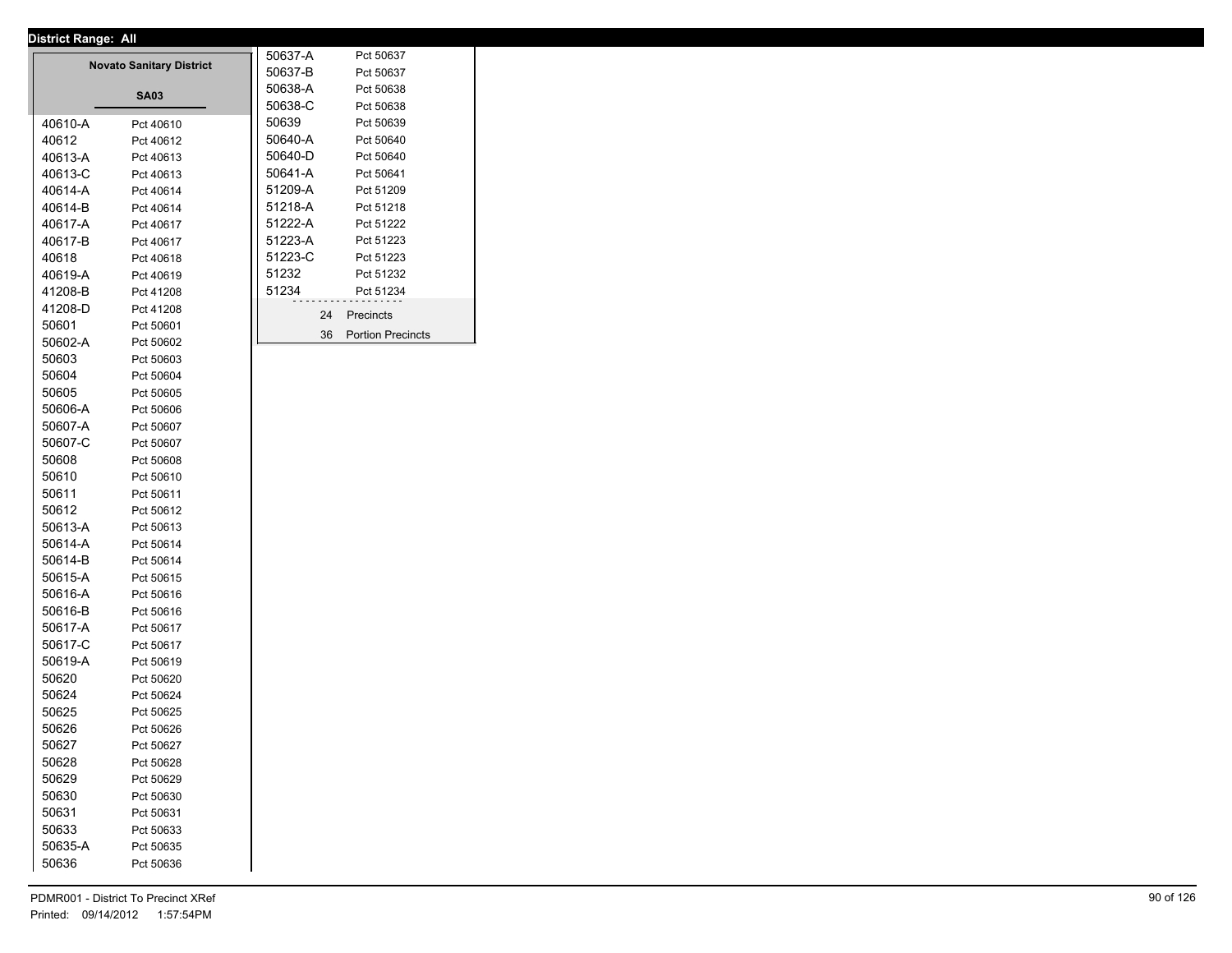|         | <b>Novato Sanitary District</b> | 50637-A<br>50637-B | Pct 50637<br>Pct 50637   |
|---------|---------------------------------|--------------------|--------------------------|
|         |                                 | 50638-A            |                          |
|         | SA03                            | 50638-C            | Pct 50638<br>Pct 50638   |
| 40610-A | Pct 40610                       | 50639              | Pct 50639                |
| 40612   | Pct 40612                       | 50640-A            | Pct 50640                |
| 40613-A | Pct 40613                       | 50640-D            | Pct 50640                |
| 40613-C | Pct 40613                       | 50641-A            | Pct 50641                |
| 40614-A | Pct 40614                       | 51209-A            | Pct 51209                |
| 40614-B | Pct 40614                       | 51218-A            | Pct 51218                |
| 40617-A | Pct 40617                       | 51222-A            | Pct 51222                |
| 40617-B | Pct 40617                       | 51223-A            | Pct 51223                |
| 40618   | Pct 40618                       | 51223-C            | Pct 51223                |
| 40619-A | Pct 40619                       | 51232              | Pct 51232                |
| 41208-B | Pct 41208                       | 51234              | Pct 51234                |
| 41208-D | Pct 41208                       |                    |                          |
| 50601   | Pct 50601                       | 24                 | Precincts                |
| 50602-A | Pct 50602                       | 36                 | <b>Portion Precincts</b> |
| 50603   | Pct 50603                       |                    |                          |
| 50604   | Pct 50604                       |                    |                          |
| 50605   | Pct 50605                       |                    |                          |
| 50606-A | Pct 50606                       |                    |                          |
| 50607-A | Pct 50607                       |                    |                          |
| 50607-C | Pct 50607                       |                    |                          |
| 50608   | Pct 50608                       |                    |                          |
| 50610   | Pct 50610                       |                    |                          |
| 50611   | Pct 50611                       |                    |                          |
| 50612   | Pct 50612                       |                    |                          |
| 50613-A | Pct 50613                       |                    |                          |
| 50614-A | Pct 50614                       |                    |                          |
| 50614-B | Pct 50614                       |                    |                          |
| 50615-A | Pct 50615                       |                    |                          |
| 50616-A | Pct 50616                       |                    |                          |
| 50616-B | Pct 50616                       |                    |                          |
| 50617-A | Pct 50617                       |                    |                          |
| 50617-C | Pct 50617                       |                    |                          |
| 50619-A | Pct 50619                       |                    |                          |
| 50620   | Pct 50620                       |                    |                          |
| 50624   | Pct 50624                       |                    |                          |
| 50625   | Pct 50625                       |                    |                          |
| 50626   | Pct 50626                       |                    |                          |
| 50627   | Pct 50627                       |                    |                          |
| 50628   | Pct 50628                       |                    |                          |
| 50629   | Pct 50629                       |                    |                          |
| 50630   | Pct 50630                       |                    |                          |
| 50631   | Pct 50631                       |                    |                          |
| 50633   | Pct 50633                       |                    |                          |
| 50635-A | Pct 50635                       |                    |                          |
| 50636   | Pct 50636                       |                    |                          |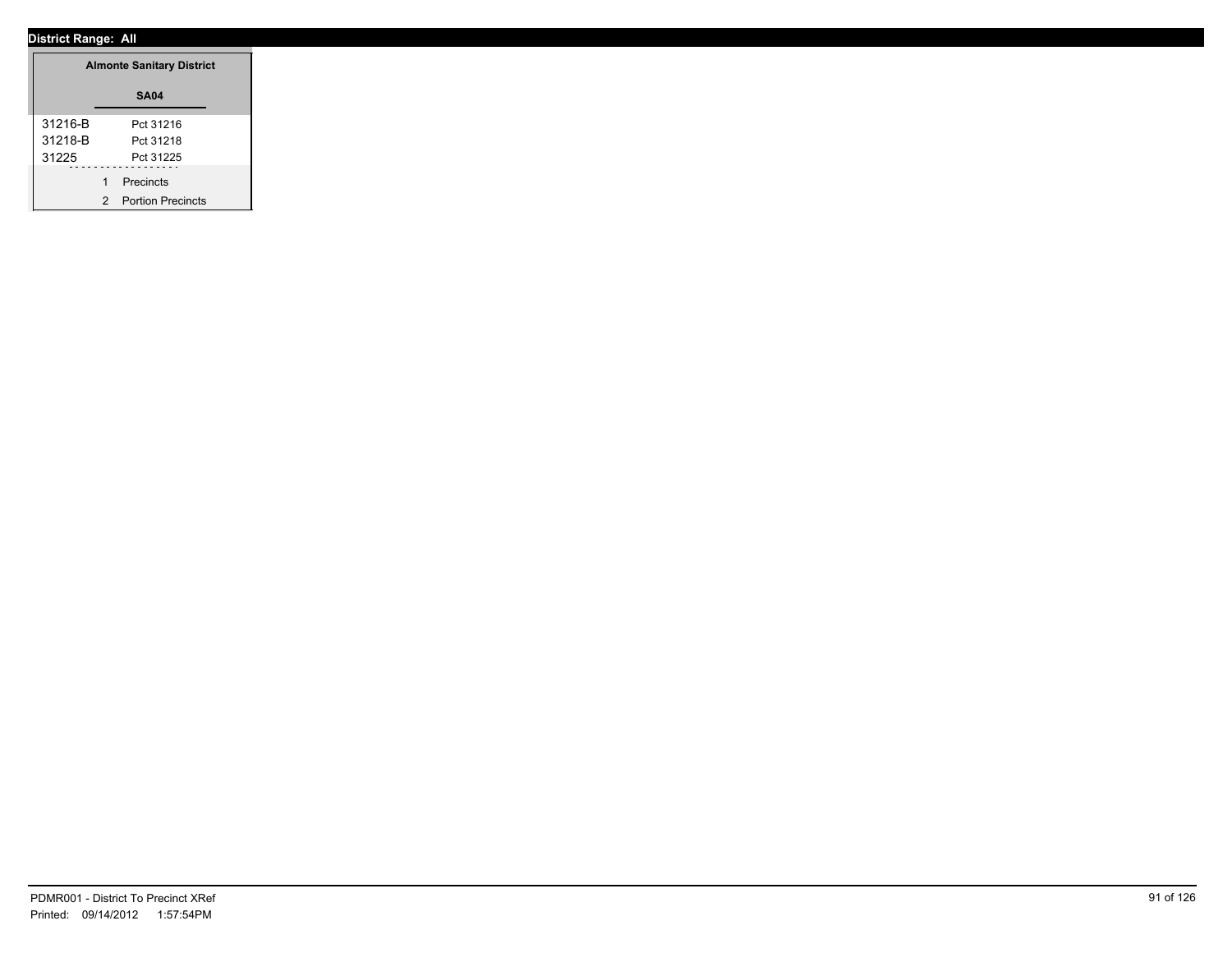|         | <b>Almonte Sanitary District</b> |
|---------|----------------------------------|
|         | <b>SA04</b>                      |
| 31216-B | Pct 31216                        |
| 31218-B | Pct 31218                        |
| 31225   | Pct 31225                        |
|         | Precincts                        |
|         | 2 Portion Precincts              |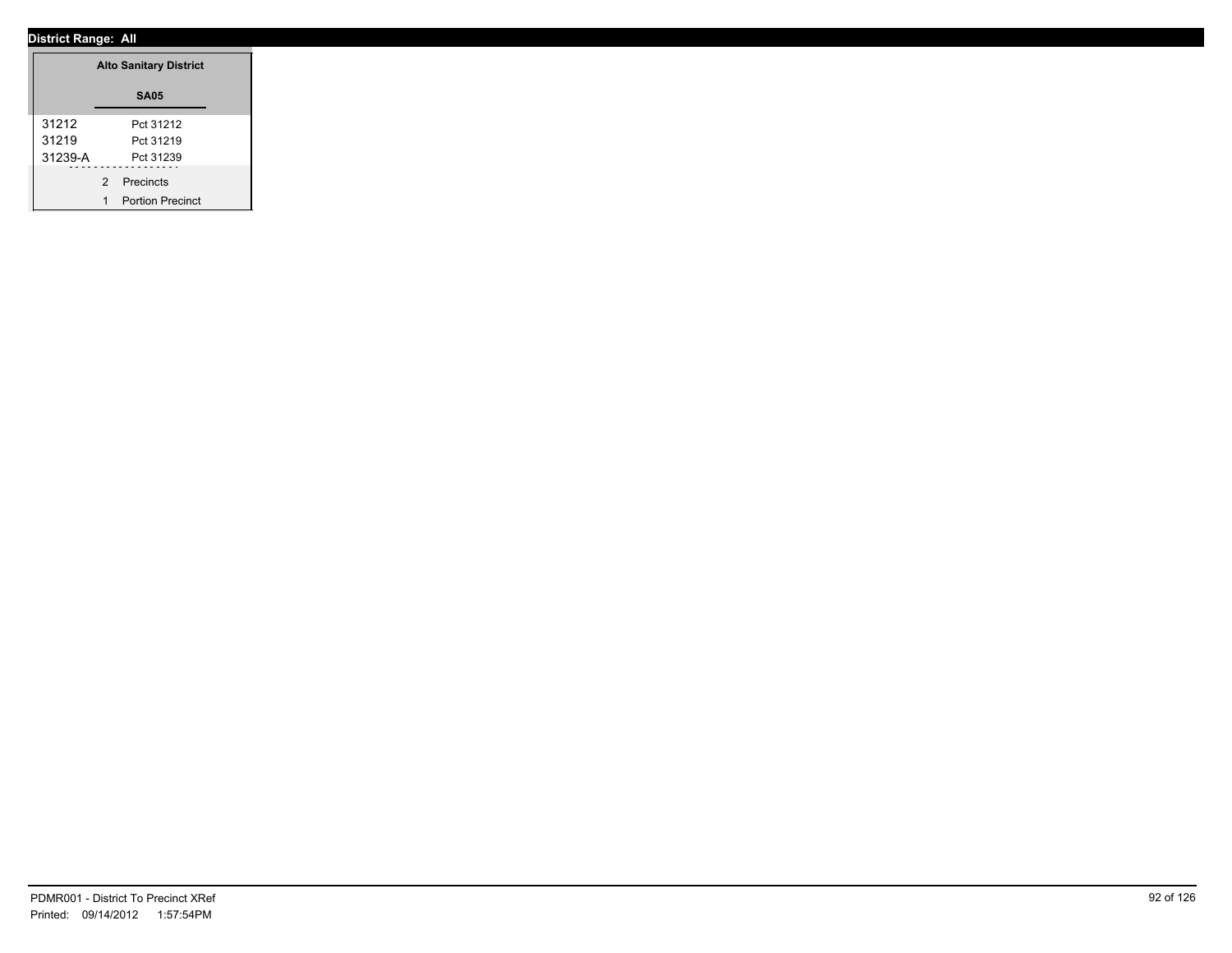|         |             | <b>Alto Sanitary District</b> |
|---------|-------------|-------------------------------|
|         |             | <b>SA05</b>                   |
| 31212   |             | Pct 31212                     |
| 31219   |             | Pct 31219                     |
| 31239-A |             | Pct 31239                     |
|         | 2 Precincts |                               |
|         |             | <b>Portion Precinct</b>       |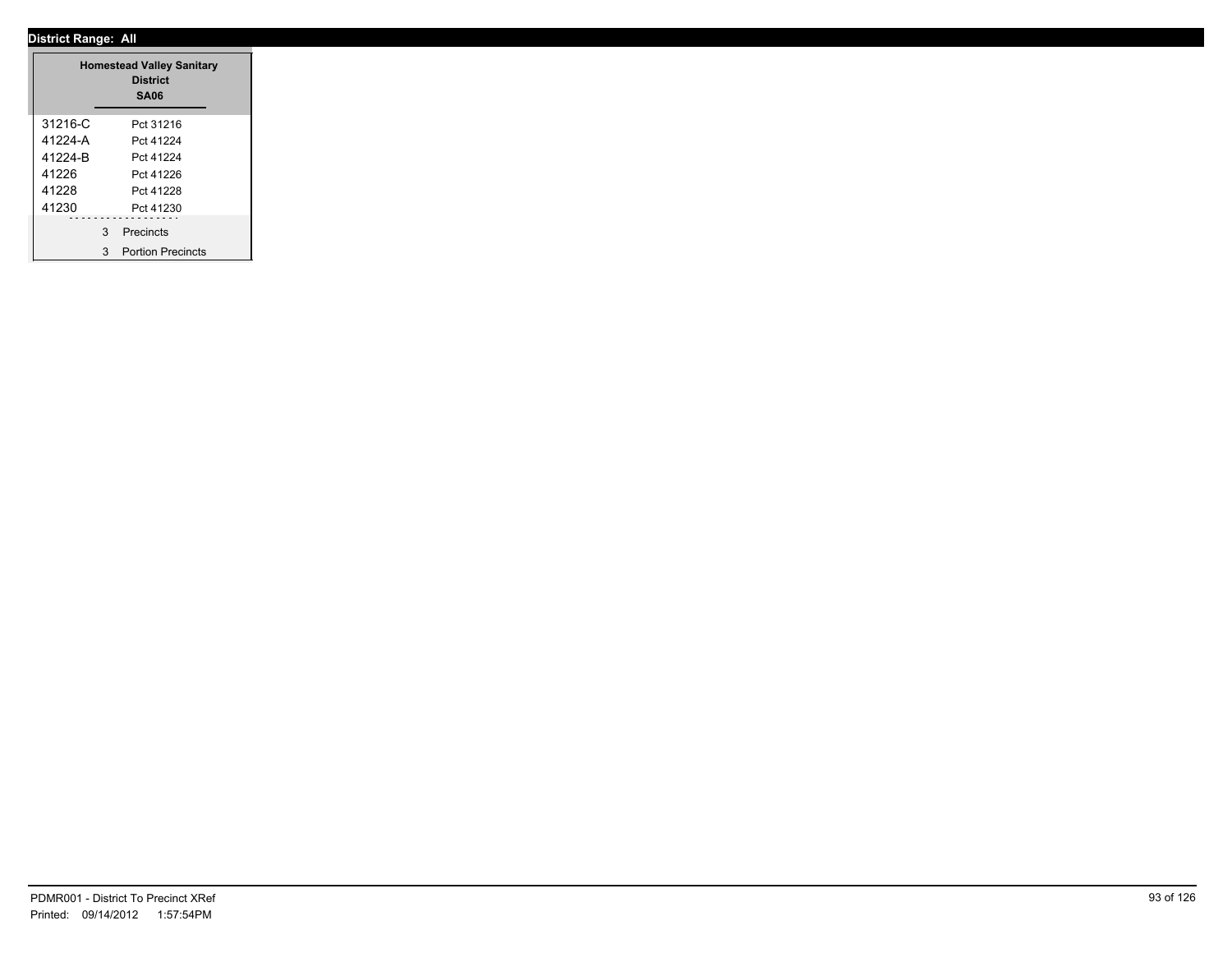|         | <b>Homestead Valley Sanitary</b><br><b>District</b><br><b>SA06</b> |
|---------|--------------------------------------------------------------------|
| 31216-C | Pct 31216                                                          |
| 41224-A | Pct 41224                                                          |
| 41224-B | Pct 41224                                                          |
| 41226   | Pct 41226                                                          |
| 41228   | Pct 41228                                                          |
| 41230   | Pct 41230                                                          |
|         | 3 Precincts                                                        |
|         | 3 Portion Precincts                                                |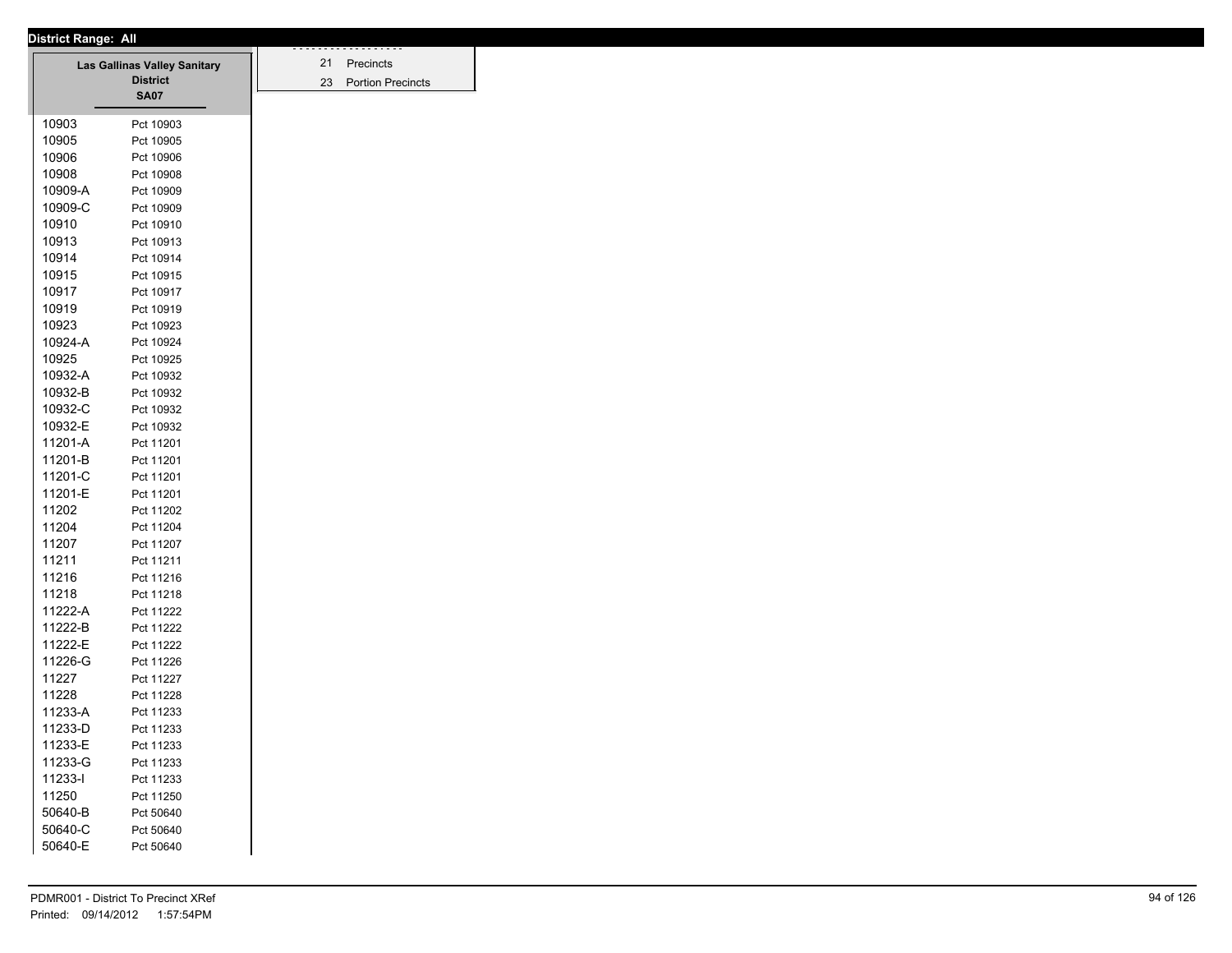| District Range: All |                                     |  |
|---------------------|-------------------------------------|--|
|                     | <b>Las Gallinas Valley Sanitary</b> |  |
|                     | <b>District</b>                     |  |
|                     | <b>SA07</b>                         |  |
|                     |                                     |  |
| 10903               | Pct 10903                           |  |
| 10905               | Pct 10905                           |  |
| 10906               | Pct 10906                           |  |
| 10908               | Pct 10908                           |  |
| 10909-A             | Pct 10909                           |  |
| 10909-C             | Pct 10909                           |  |
| 10910               | Pct 10910                           |  |
| 10913               | Pct 10913                           |  |
| 10914               | Pct 10914                           |  |
| 10915               | Pct 10915                           |  |
| 10917               | Pct 10917                           |  |
| 10919               | Pct 10919                           |  |
| 10923               | Pct 10923                           |  |
| 10924-A             | Pct 10924                           |  |
| 10925               | Pct 10925                           |  |
| 10932-A             | Pct 10932                           |  |
| 10932-B             | Pct 10932                           |  |
| 10932-C             | Pct 10932                           |  |
| 10932-E             | Pct 10932                           |  |
| 11201-A             | Pct 11201                           |  |
| 11201-B             | Pct 11201                           |  |
| 11201-C             | Pct 11201                           |  |
| 11201-E             | Pct 11201                           |  |
| 11202               |                                     |  |
|                     | Pct 11202                           |  |
| 11204               | Pct 11204                           |  |
| 11207               | Pct 11207                           |  |
| 11211               | Pct 11211                           |  |
| 11216               | Pct 11216                           |  |
| 11218               | Pct 11218                           |  |
| 11222-A             | Pct 11222                           |  |
| 11222-B             | Pct 11222                           |  |
| 11222-E             | Pct 11222                           |  |
| 11226-G             | Pct 11226                           |  |
| 11227               | Pct 11227                           |  |
| 11228               | Pct 11228                           |  |
| 11233-A             | Pct 11233                           |  |
| 11233-D             | Pct 11233                           |  |
| 11233-E             | Pct 11233                           |  |
| 11233-G             | Pct 11233                           |  |
| 11233-l             | Pct 11233                           |  |
| 11250               | Pct 11250                           |  |
| 50640-B             | Pct 50640                           |  |
| 50640-C             | Pct 50640                           |  |
| 50640-E             |                                     |  |
|                     | Pct 50640                           |  |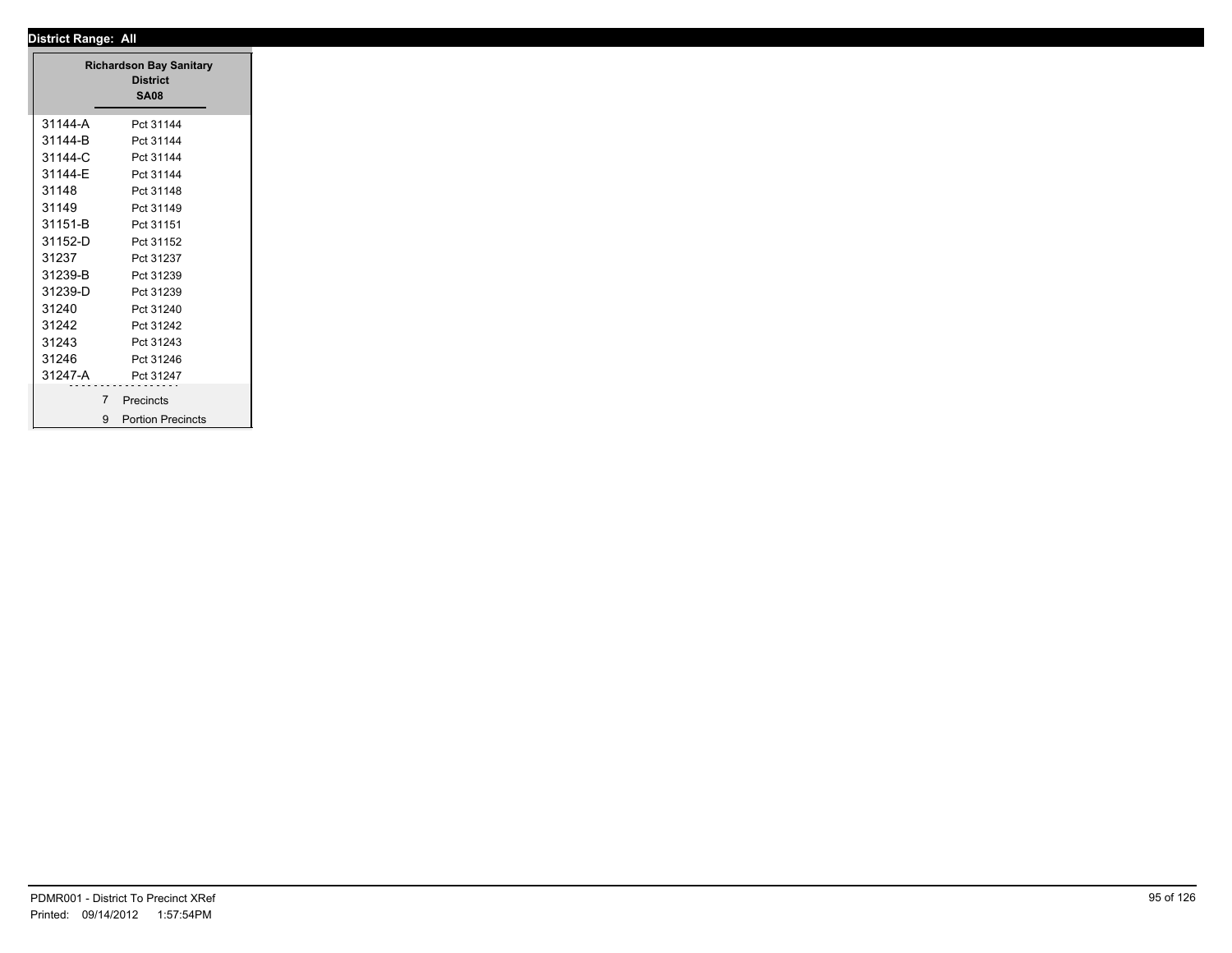|             | <b>Richardson Bay Sanitary</b><br><b>District</b><br><b>SA08</b> |
|-------------|------------------------------------------------------------------|
| 31144-A     | Pct 31144                                                        |
| 31144-B     | Pct 31144                                                        |
| 31144-C     | Pct 31144                                                        |
| 31144-E     | Pct 31144                                                        |
| 31148       | Pct 31148                                                        |
| 31149       | Pct 31149                                                        |
| 31151-B     | Pct 31151                                                        |
| 31152-D     | Pct 31152                                                        |
| 31237       | Pct 31237                                                        |
| 31239-B     | Pct 31239                                                        |
| 31239-D     | Pct 31239                                                        |
|             |                                                                  |
| 31240       | Pct 31240                                                        |
| 31242       | Pct 31242                                                        |
| 31243       | Pct 31243                                                        |
| 31246       | Pct 31246                                                        |
| 31247-A     | Pct 31247                                                        |
| $7^{\circ}$ | Precincts                                                        |
|             | 9 Portion Precincts                                              |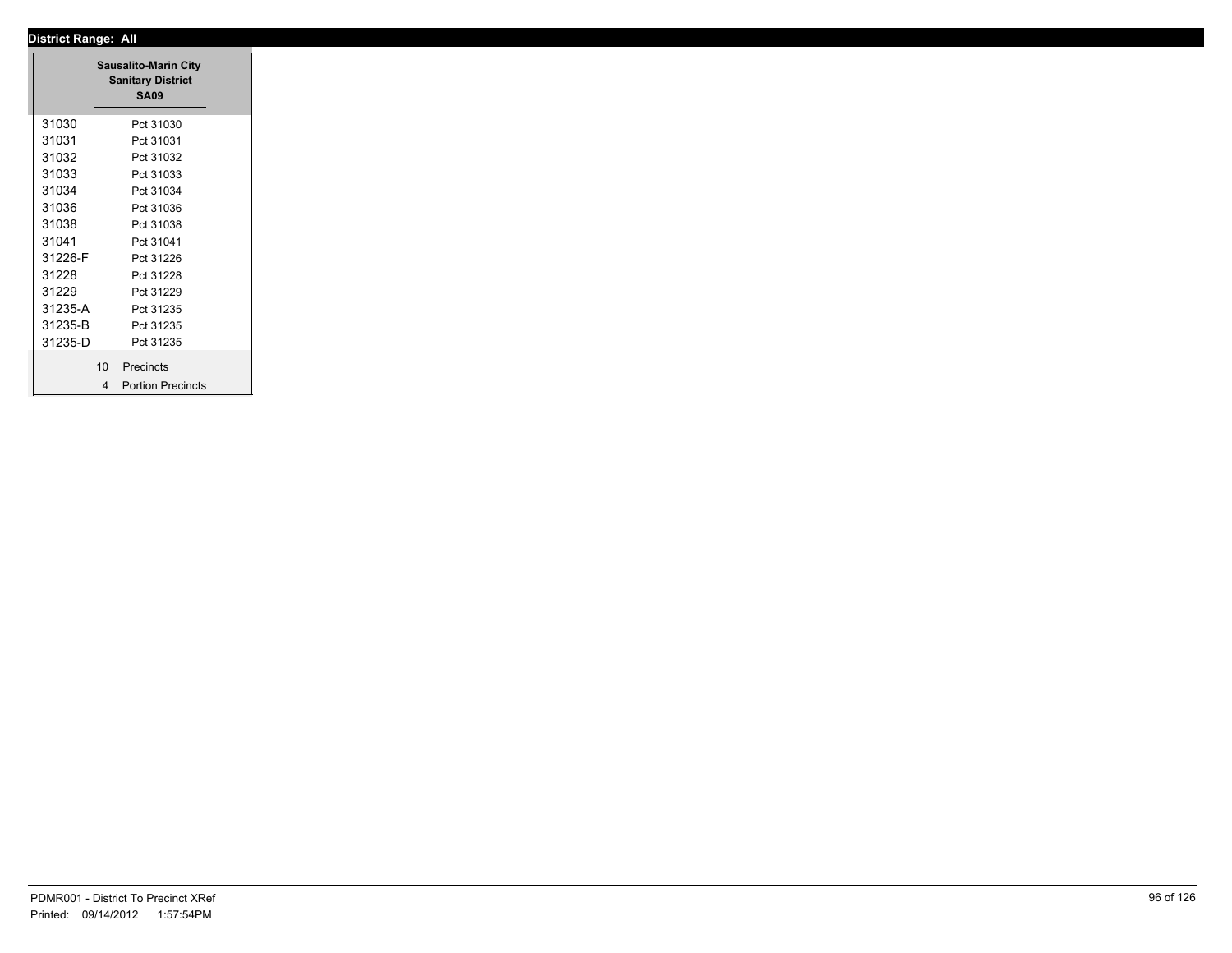|         | <b>Sausalito-Marin City</b><br><b>Sanitary District</b><br><b>SA09</b> |
|---------|------------------------------------------------------------------------|
| 31030   | Pct 31030                                                              |
| 31031   | Pct 31031                                                              |
| 31032   | Pct 31032                                                              |
| 31033   | Pct 31033                                                              |
| 31034   | Pct 31034                                                              |
| 31036   | Pct 31036                                                              |
| 31038   | Pct 31038                                                              |
| 31041   | Pct 31041                                                              |
| 31226-F | Pct 31226                                                              |
| 31228   | Pct 31228                                                              |
| 31229   | Pct 31229                                                              |
| 31235-A | Pct 31235                                                              |
| 31235-B | Pct 31235                                                              |
| 31235-D | Pct 31235                                                              |
|         |                                                                        |
|         | 10 <sup>°</sup><br>Precincts                                           |
|         | 4 Portion Precincts                                                    |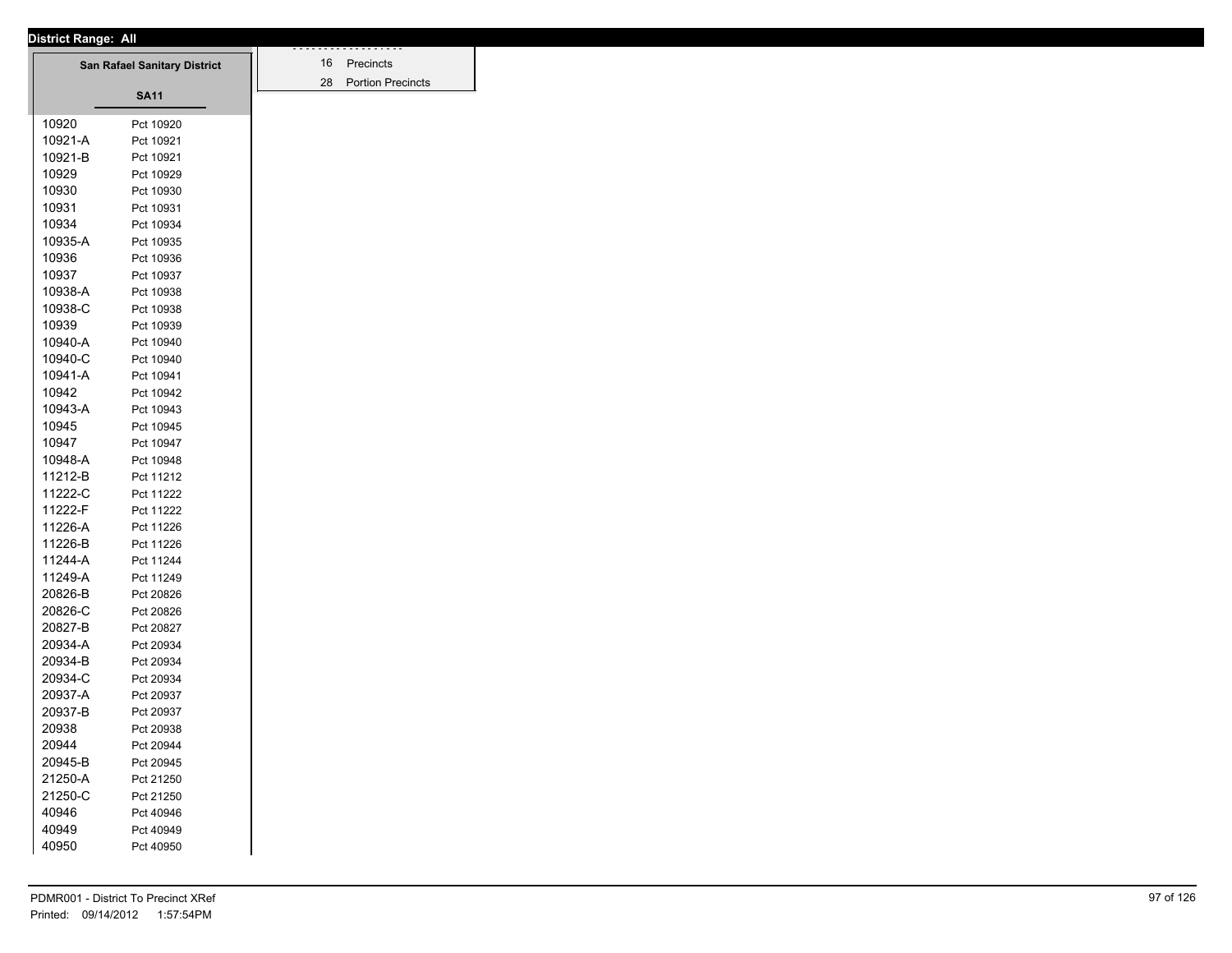| District Range: All |         |                                     |
|---------------------|---------|-------------------------------------|
|                     |         | <b>San Rafael Sanitary District</b> |
|                     |         |                                     |
|                     |         | <b>SA11</b>                         |
|                     | 10920   |                                     |
|                     | 10921-A | Pct 10920                           |
|                     | 10921-B | Pct 10921                           |
|                     | 10929   | Pct 10921                           |
|                     | 10930   | Pct 10929                           |
|                     | 10931   | Pct 10930                           |
|                     | 10934   | Pct 10931<br>Pct 10934              |
|                     | 10935-A |                                     |
|                     |         | Pct 10935                           |
|                     | 10936   | Pct 10936                           |
|                     | 10937   | Pct 10937                           |
|                     | 10938-A | Pct 10938                           |
|                     | 10938-C | Pct 10938                           |
|                     | 10939   | Pct 10939                           |
|                     | 10940-A | Pct 10940                           |
|                     | 10940-C | Pct 10940                           |
|                     | 10941-A | Pct 10941                           |
|                     | 10942   | Pct 10942                           |
|                     | 10943-A | Pct 10943                           |
|                     | 10945   | Pct 10945                           |
|                     | 10947   | Pct 10947                           |
|                     | 10948-A | Pct 10948                           |
|                     | 11212-B | Pct 11212                           |
|                     | 11222-C | Pct 11222                           |
|                     | 11222-F | Pct 11222                           |
|                     | 11226-A | Pct 11226                           |
|                     | 11226-B | Pct 11226                           |
|                     | 11244-A | Pct 11244                           |
|                     | 11249-A | Pct 11249                           |
|                     | 20826-B | Pct 20826                           |
|                     | 20826-C | Pct 20826                           |
|                     | 20827-B | Pct 20827                           |
|                     | 20934-A | Pct 20934                           |
|                     | 20934-B | Pct 20934                           |
|                     | 20934-C | Pct 20934                           |
|                     | 20937-A | Pct 20937                           |
|                     | 20937-B | Pct 20937                           |
|                     | 20938   | Pct 20938                           |
|                     | 20944   | Pct 20944                           |
|                     | 20945-B | Pct 20945                           |
|                     | 21250-A | Pct 21250                           |
|                     | 21250-C | Pct 21250                           |
|                     | 40946   | Pct 40946                           |
|                     | 40949   | Pct 40949                           |
|                     | 40950   | Pct 40950                           |
|                     |         |                                     |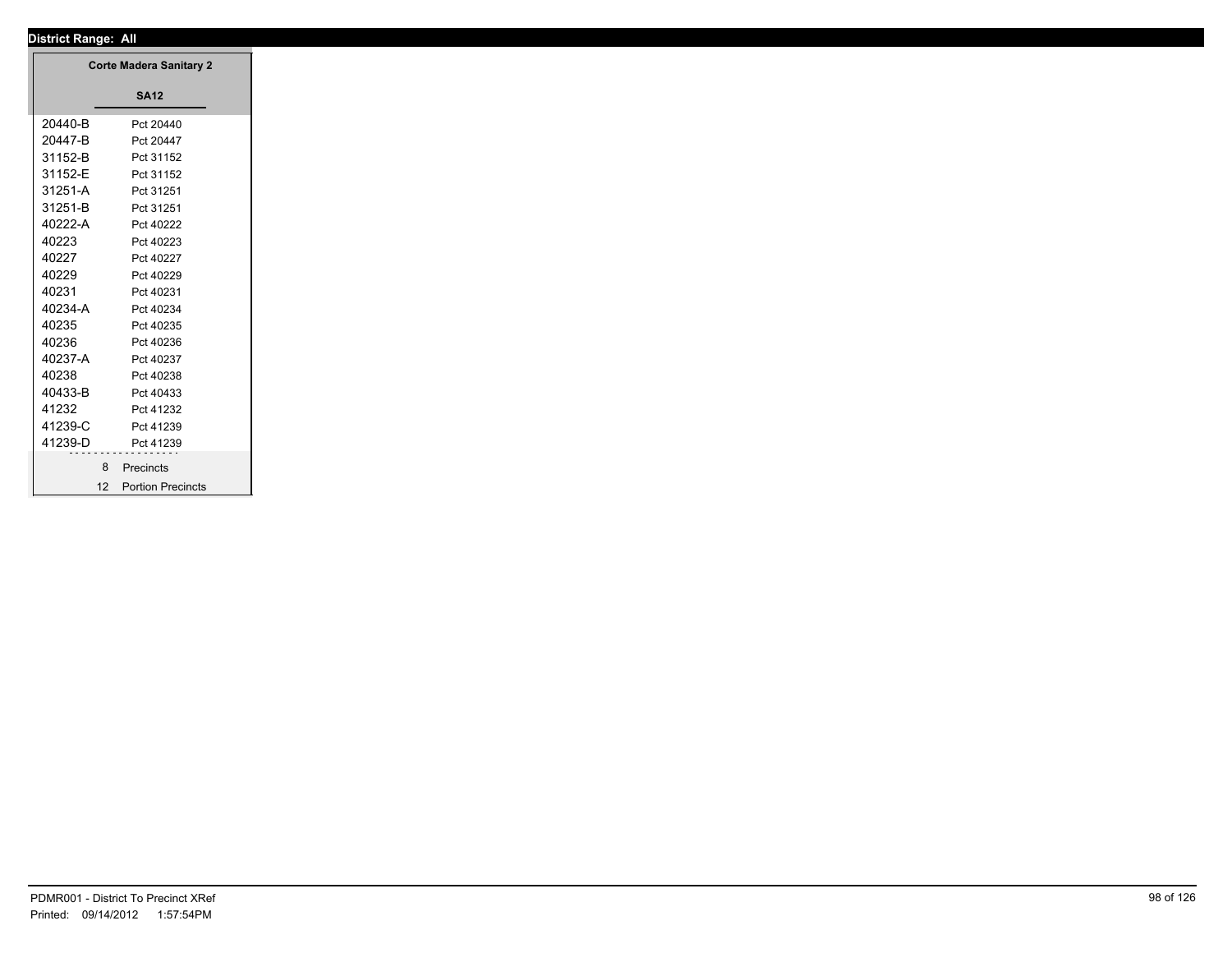┱

| <b>Corte Madera Sanitary 2</b> |                          |
|--------------------------------|--------------------------|
|                                | <b>SA12</b>              |
| 20440-B                        | Pct 20440                |
| 20447-B                        | Pct 20447                |
| 31152-B                        | Pct 31152                |
| 31152-E                        | Pct 31152                |
| 31251-A                        | Pct 31251                |
| 31251-B                        | Pct 31251                |
| 40222-A                        | Pct 40222                |
| 40223                          | Pct 40223                |
| 40227                          | Pct 40227                |
| 40229                          | Pct 40229                |
| 40231                          | Pct 40231                |
| 40234-A                        | Pct 40234                |
| 40235                          | Pct 40235                |
| 40236                          | Pct 40236                |
| 40237-A                        | Pct 40237                |
| 40238                          | Pct 40238                |
| 40433-B                        | Pct 40433                |
| 41232                          | Pct 41232                |
| 41239-C                        | Pct 41239                |
| 41239-D                        | Pct 41239                |
| 8                              | Precincts                |
| 12                             | <b>Portion Precincts</b> |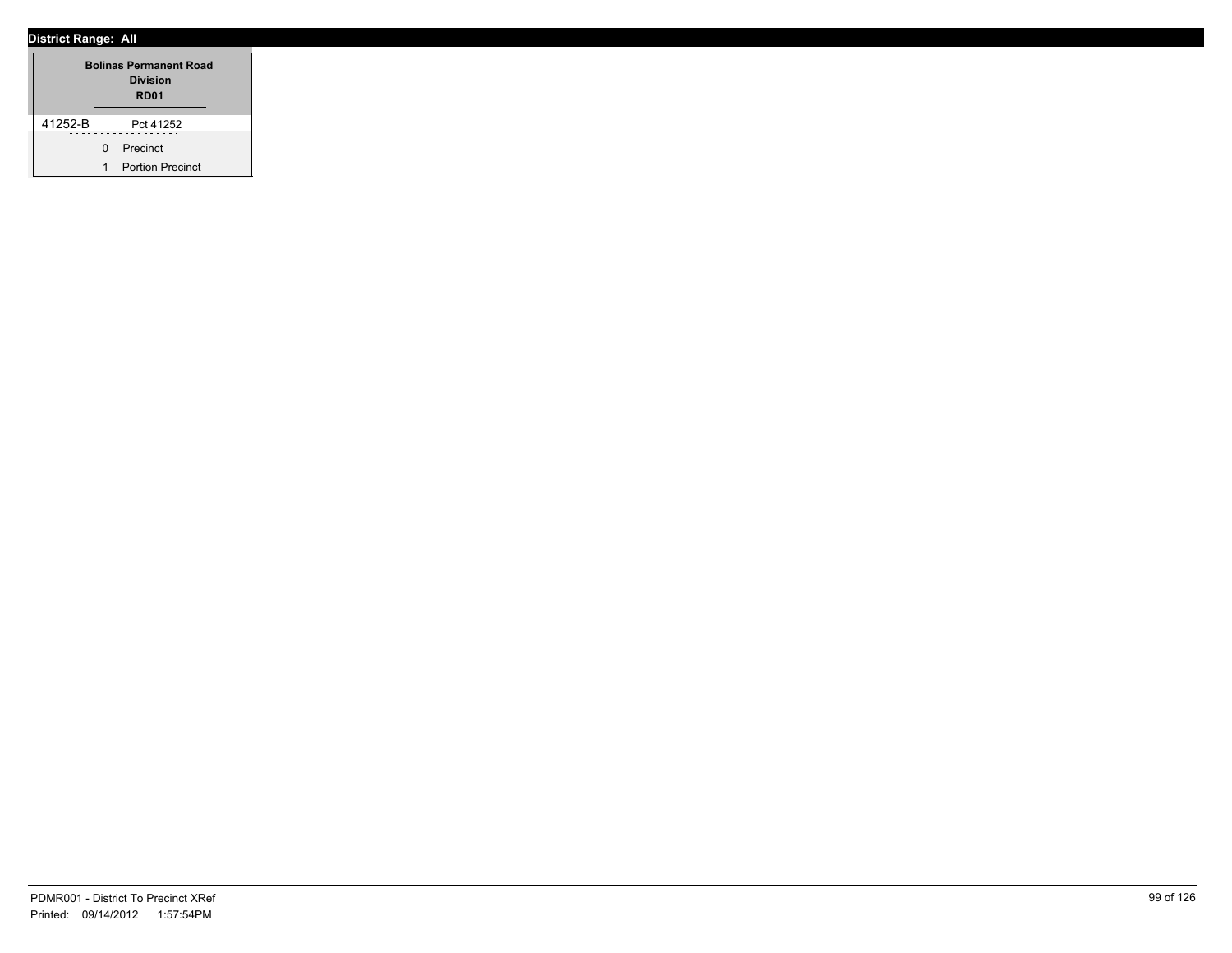| <b>Bolinas Permanent Road</b><br><b>Division</b><br>RD <sub>01</sub> |              |                         |  |
|----------------------------------------------------------------------|--------------|-------------------------|--|
| 41252-B                                                              |              | Pct 41252               |  |
|                                                                      | <sup>n</sup> | Precinct                |  |
|                                                                      | 1            | <b>Portion Precinct</b> |  |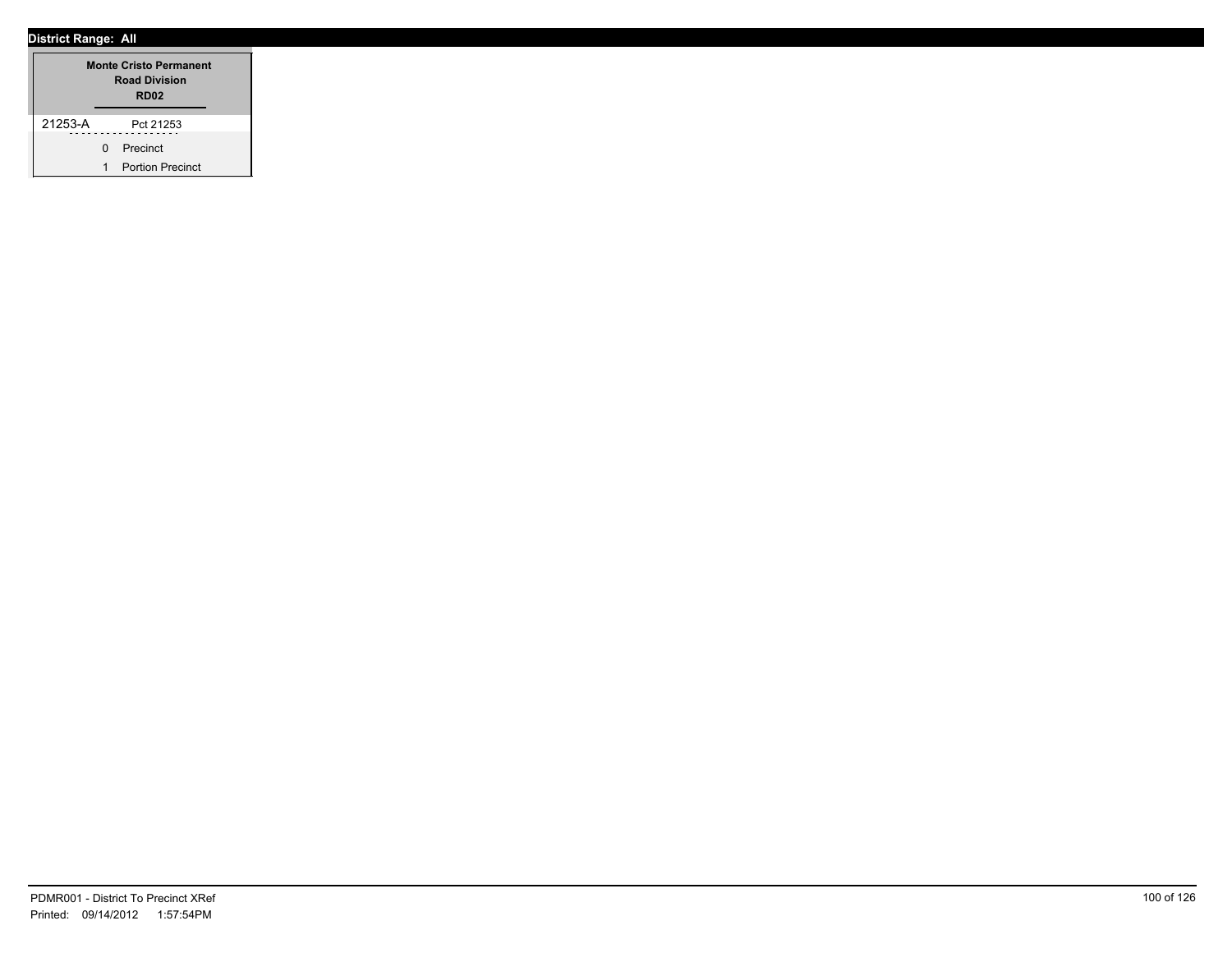|         | <b>Monte Cristo Permanent</b><br><b>Road Division</b><br>RD <sub>02</sub> |  |  |
|---------|---------------------------------------------------------------------------|--|--|
| 21253-A | Pct 21253                                                                 |  |  |
|         | 0 Precinct                                                                |  |  |
|         | <b>Portion Precinct</b>                                                   |  |  |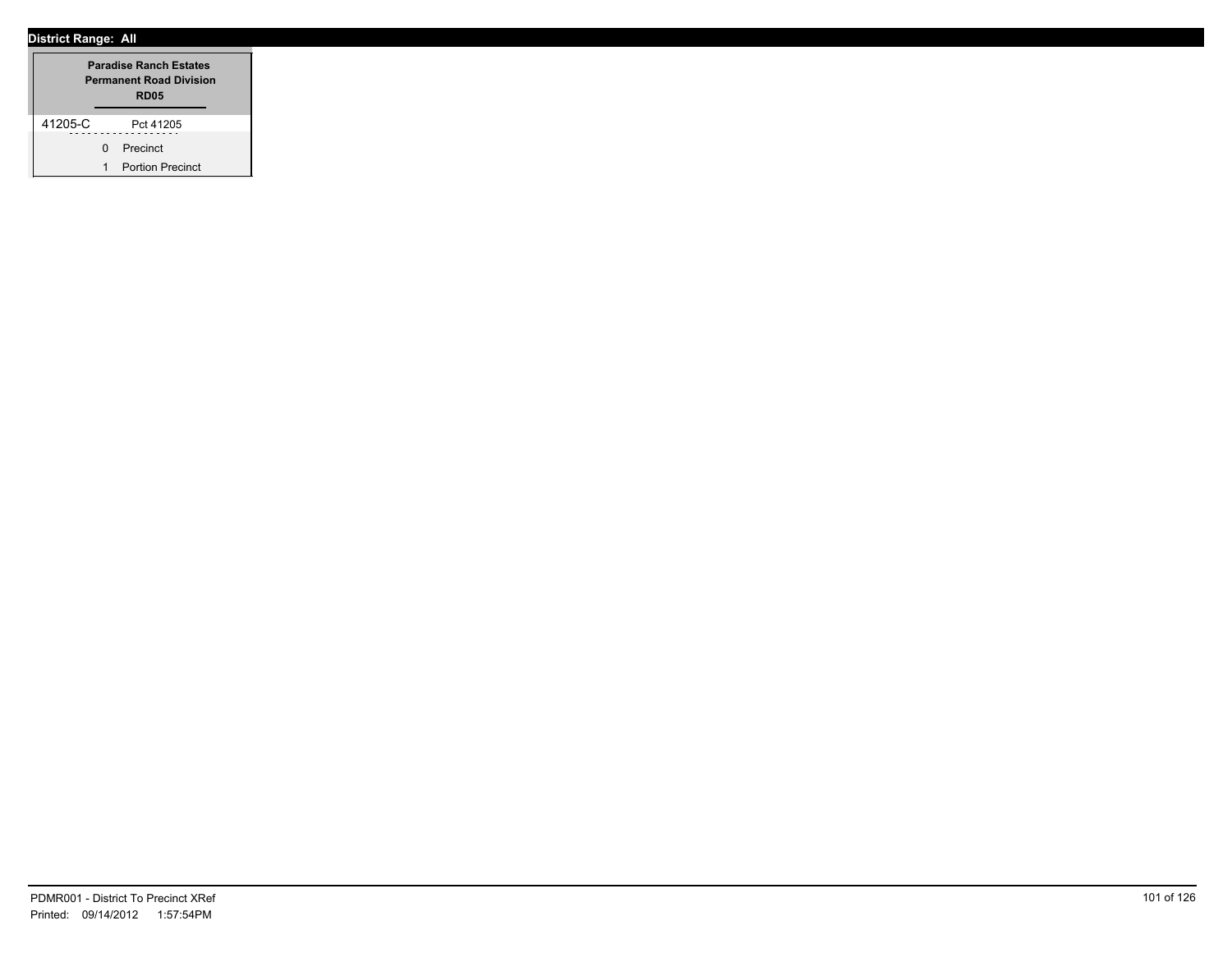|         |              | <b>Paradise Ranch Estates</b><br><b>Permanent Road Division</b><br><b>RD05</b> |  |  |
|---------|--------------|--------------------------------------------------------------------------------|--|--|
| 41205-C |              | Pct 41205                                                                      |  |  |
|         | <sup>n</sup> | Precinct                                                                       |  |  |
|         | 1            | <b>Portion Precinct</b>                                                        |  |  |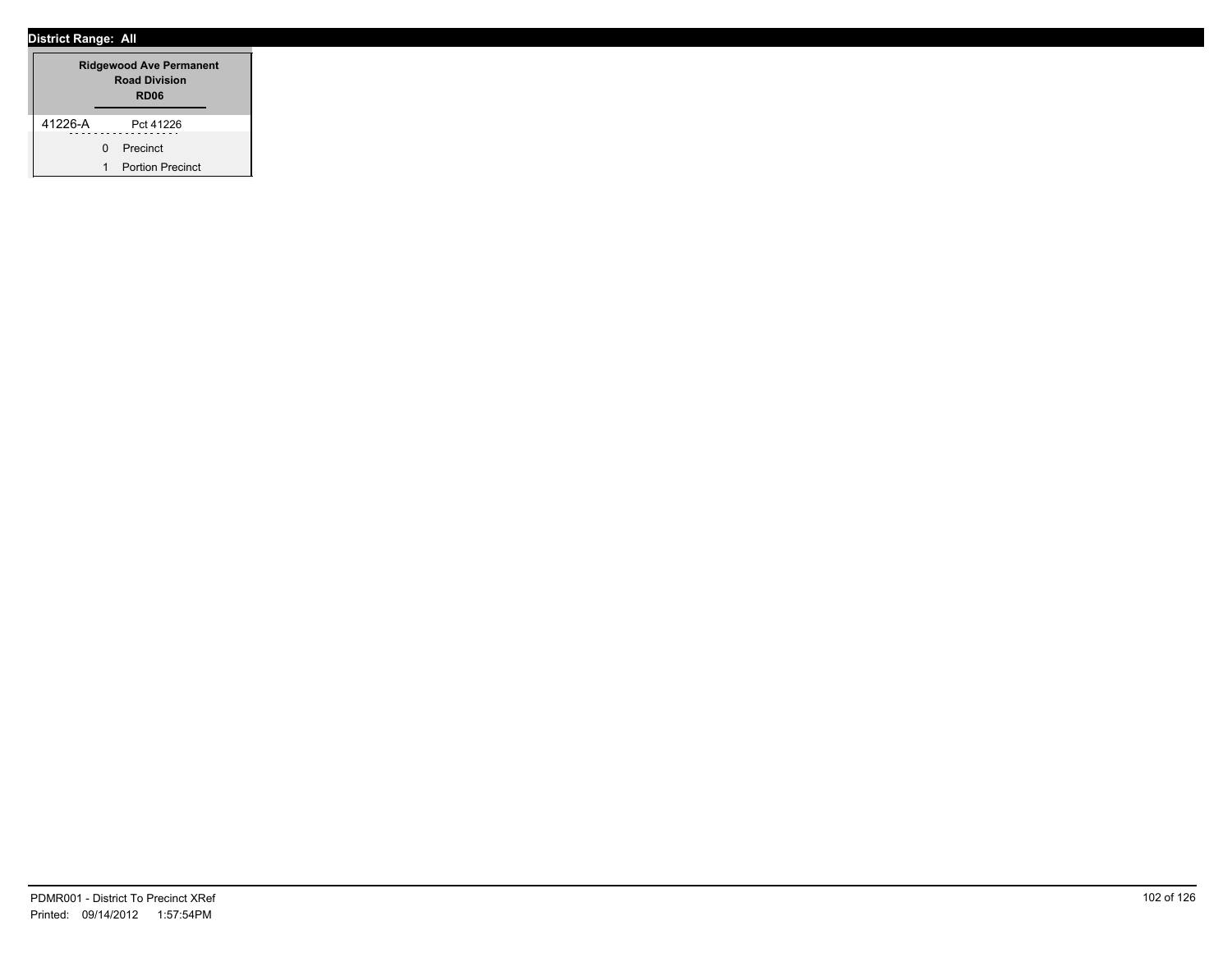| <b>Ridgewood Ave Permanent</b><br><b>Road Division</b><br>RD <sub>06</sub> |              |                         |  |
|----------------------------------------------------------------------------|--------------|-------------------------|--|
| 41226-A                                                                    |              | Pct 41226               |  |
|                                                                            | <sup>n</sup> | Precinct                |  |
|                                                                            | 1            | <b>Portion Precinct</b> |  |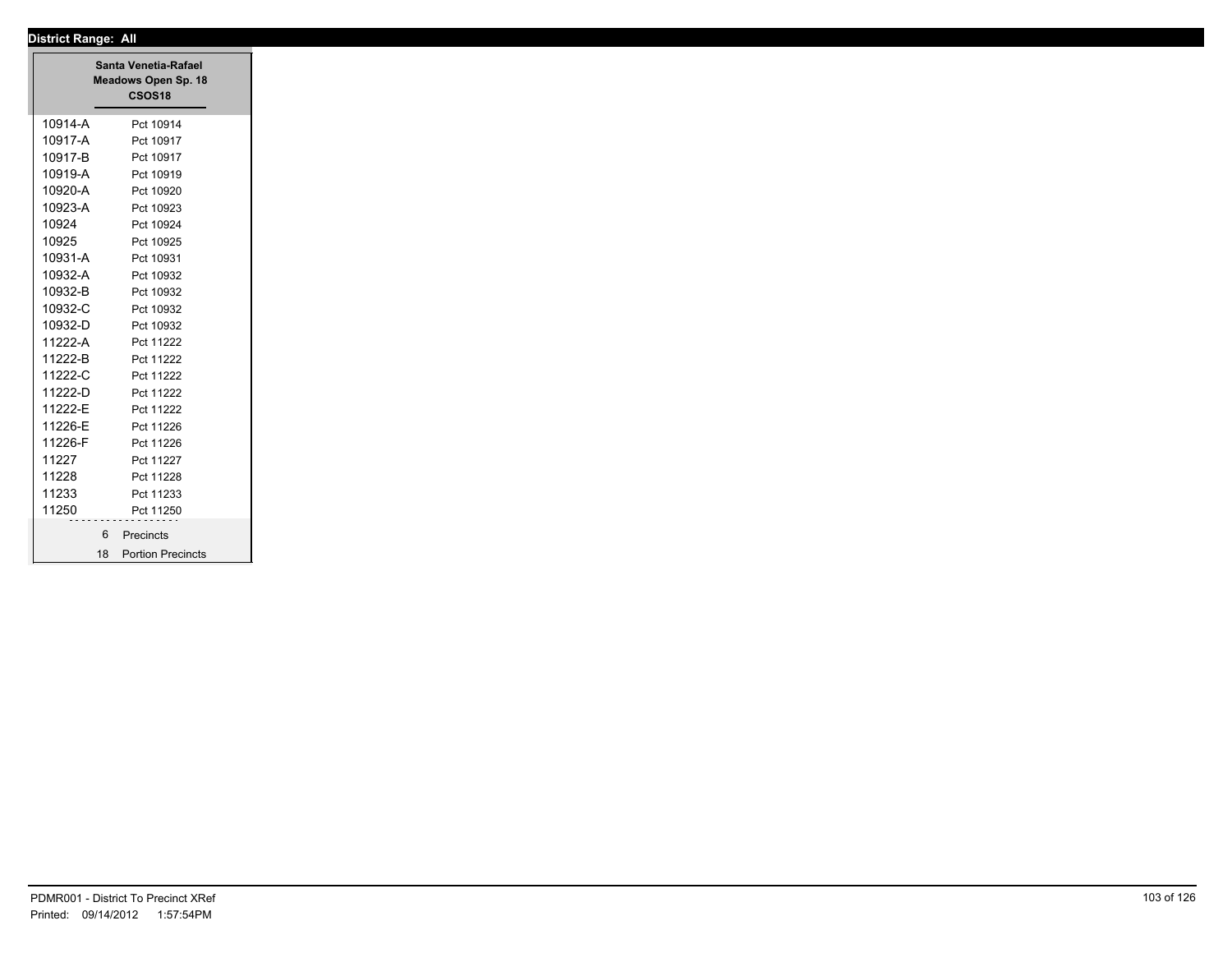|         | Santa Venetia-Rafael<br>Meadows Open Sp. 18<br><b>CSOS18</b> |
|---------|--------------------------------------------------------------|
| 10914-A | Pct 10914                                                    |
| 10917-A | Pct 10917                                                    |
| 10917-B | Pct 10917                                                    |
| 10919-A | Pct 10919                                                    |
| 10920-A | Pct 10920                                                    |
| 10923-A | Pct 10923                                                    |
| 10924   | Pct 10924                                                    |
| 10925   | Pct 10925                                                    |
| 10931-A | Pct 10931                                                    |
| 10932-A | Pct 10932                                                    |
| 10932-B | Pct 10932                                                    |
| 10932-C | Pct 10932                                                    |
| 10932-D | Pct 10932                                                    |
| 11222-A | Pct 11222                                                    |
| 11222-B | Pct 11222                                                    |
| 11222-C | Pct 11222                                                    |
| 11222-D | Pct 11222                                                    |
| 11222-E | Pct 11222                                                    |
| 11226-E | Pct 11226                                                    |
| 11226-F | Pct 11226                                                    |
| 11227   | Pct 11227                                                    |
| 11228   | Pct 11228                                                    |
| 11233   | Pct 11233                                                    |
| 11250   | Pct 11250                                                    |
|         | 6 Precincts                                                  |
|         | 18 Portion Precincts                                         |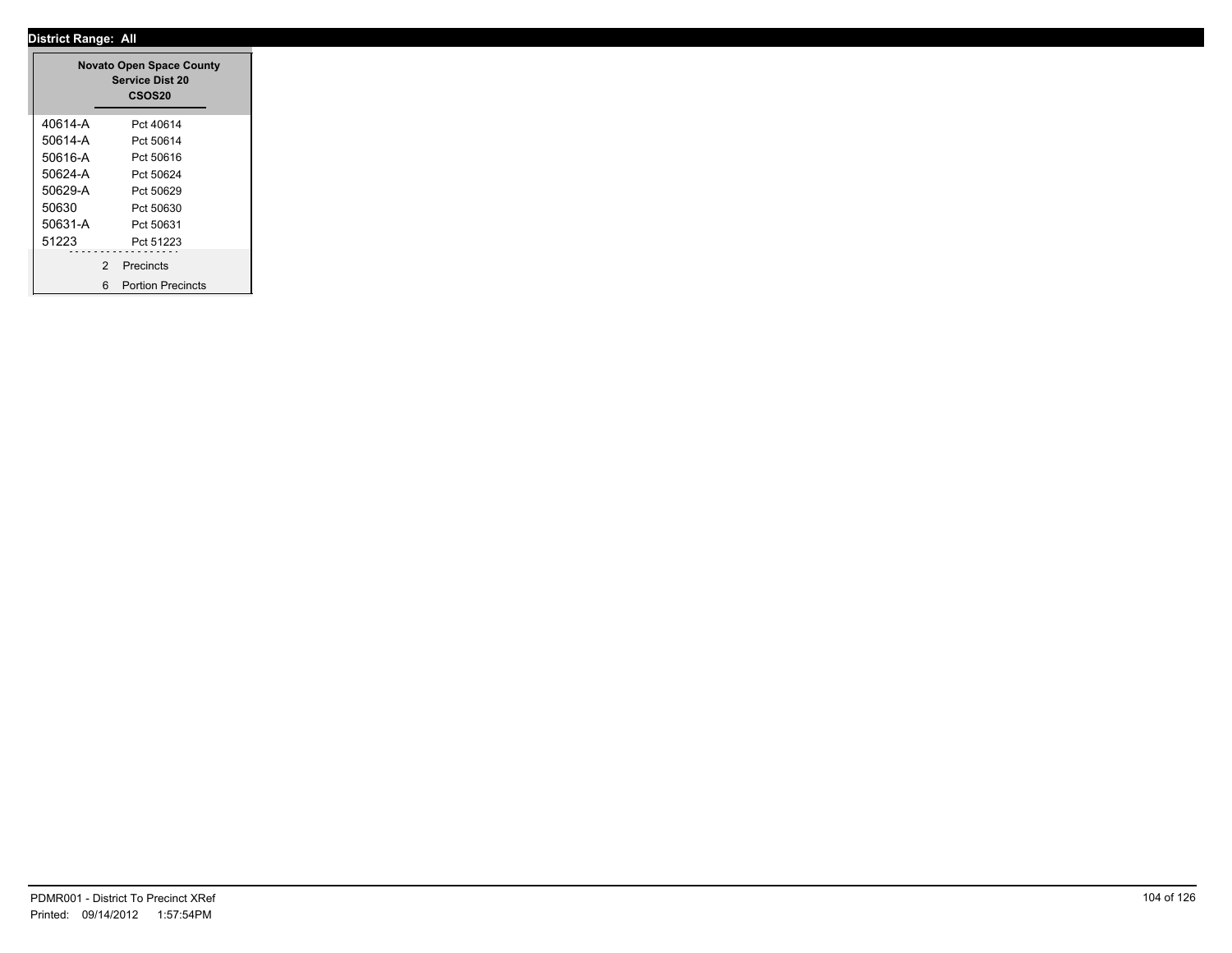|         |                | <b>Novato Open Space County</b><br><b>Service Dist 20</b><br><b>CSOS20</b> |
|---------|----------------|----------------------------------------------------------------------------|
| 40614-A |                | Pct 40614                                                                  |
| 50614-A |                | Pct 50614                                                                  |
| 50616-A |                | Pct 50616                                                                  |
| 50624-A |                | Pct 50624                                                                  |
| 50629-A |                | Pct 50629                                                                  |
| 50630   |                | Pct 50630                                                                  |
| 50631-A |                | Pct 50631                                                                  |
| 51223   |                | Pct 51223                                                                  |
| .       | $\overline{2}$ | .<br>Precincts                                                             |
|         | 6              | <b>Portion Precincts</b>                                                   |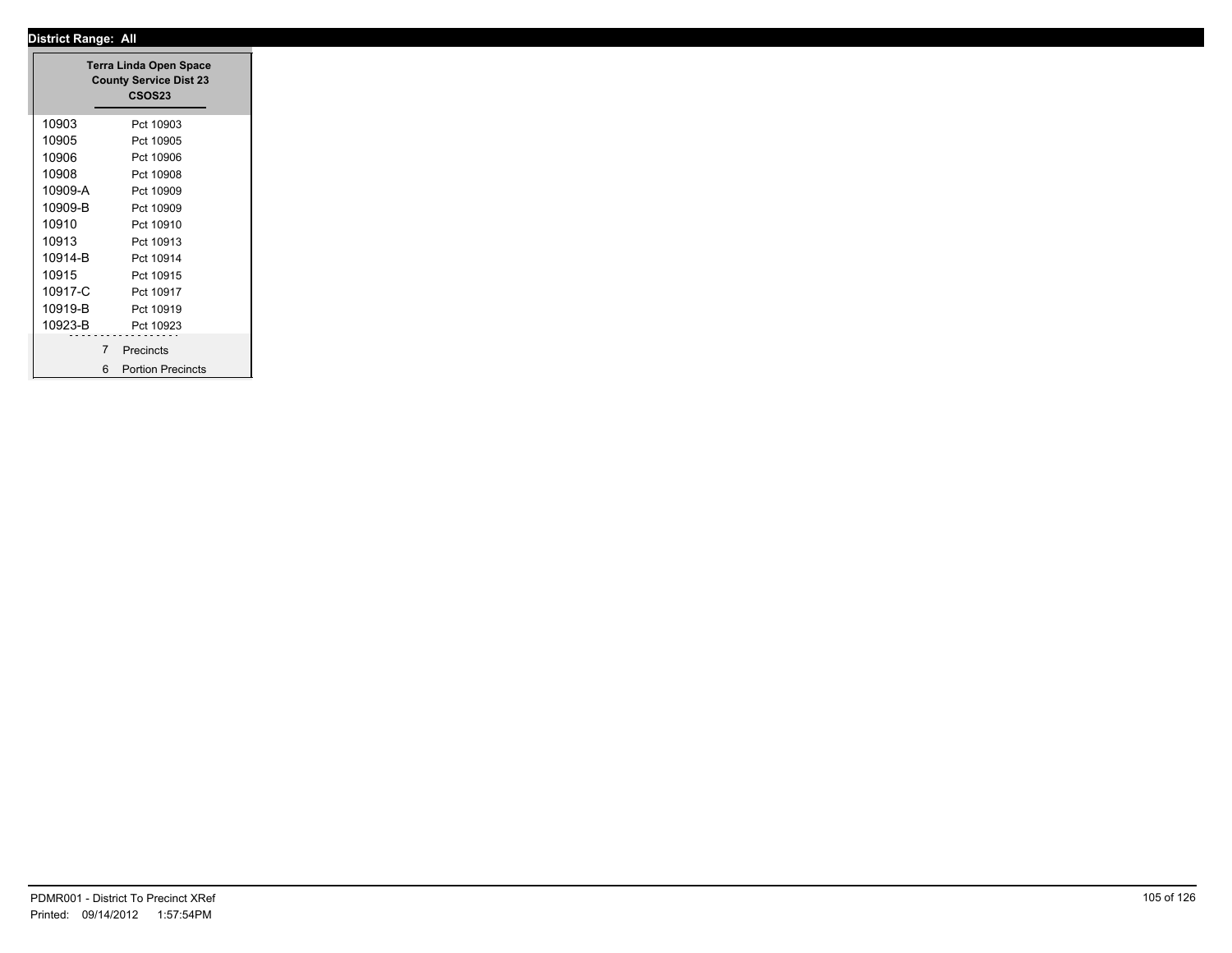|         |                | <b>Terra Linda Open Space</b><br><b>County Service Dist 23</b><br><b>CSOS23</b> |
|---------|----------------|---------------------------------------------------------------------------------|
| 10903   |                | Pct 10903                                                                       |
| 10905   |                | Pct 10905                                                                       |
| 10906   |                | Pct 10906                                                                       |
| 10908   |                | Pct 10908                                                                       |
| 10909-A |                | Pct 10909                                                                       |
| 10909-B |                | Pct 10909                                                                       |
| 10910   |                | Pct 10910                                                                       |
| 10913   |                | Pct 10913                                                                       |
| 10914-B |                | Pct 10914                                                                       |
| 10915   |                | Pct 10915                                                                       |
| 10917-C |                | Pct 10917                                                                       |
| 10919-B |                | Pct 10919                                                                       |
| 10923-B |                | Pct 10923                                                                       |
|         | $\overline{7}$ | Precincts                                                                       |
|         |                |                                                                                 |
|         | 6              | <b>Portion Precincts</b>                                                        |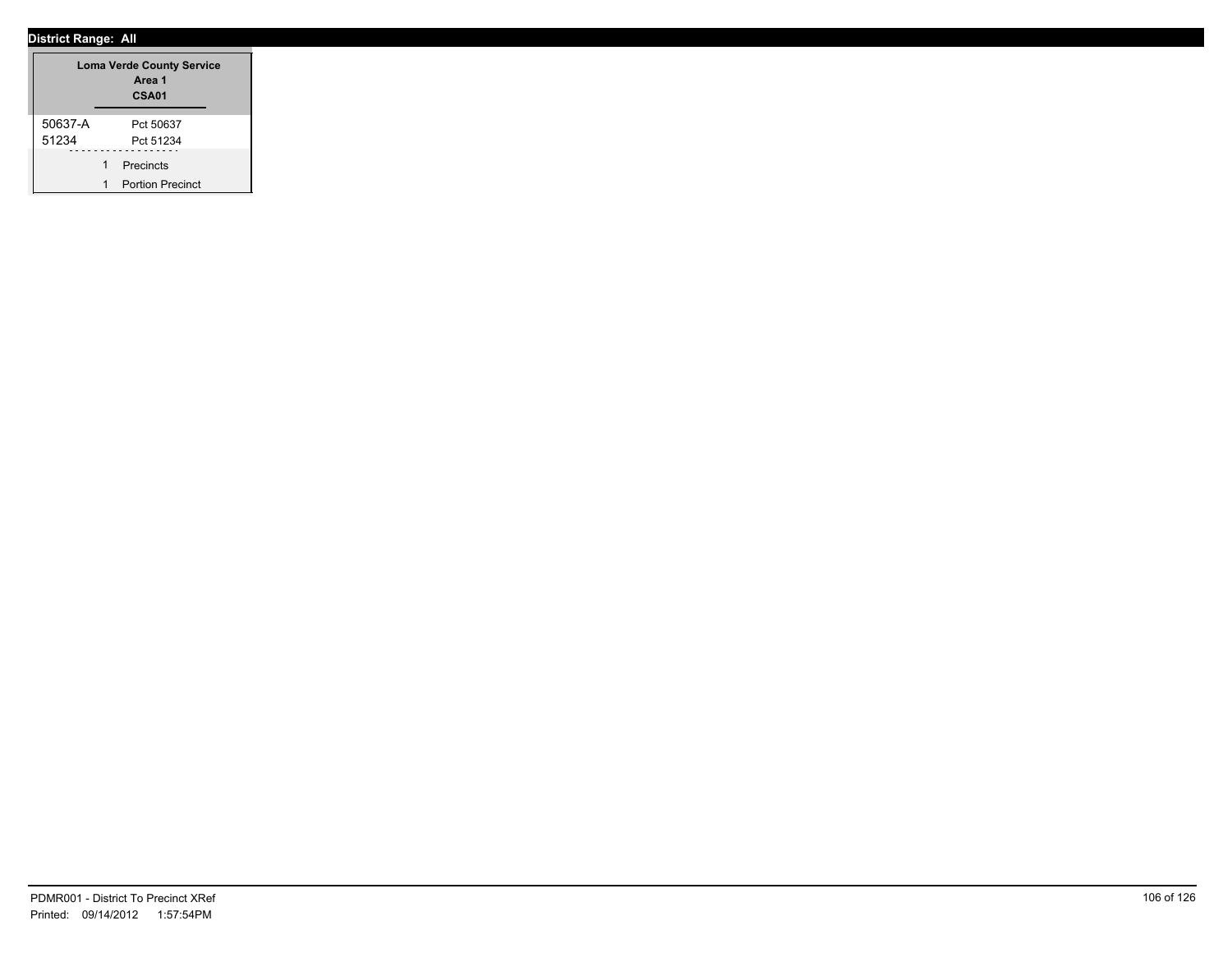| <b>Loma Verde County Service</b><br>Area 1<br>CSA01 |  |                         |  |  |
|-----------------------------------------------------|--|-------------------------|--|--|
| 50637-A                                             |  | Pct 50637               |  |  |
| 51234                                               |  | Pct 51234               |  |  |
|                                                     |  | Precincts               |  |  |
|                                                     |  | <b>Portion Precinct</b> |  |  |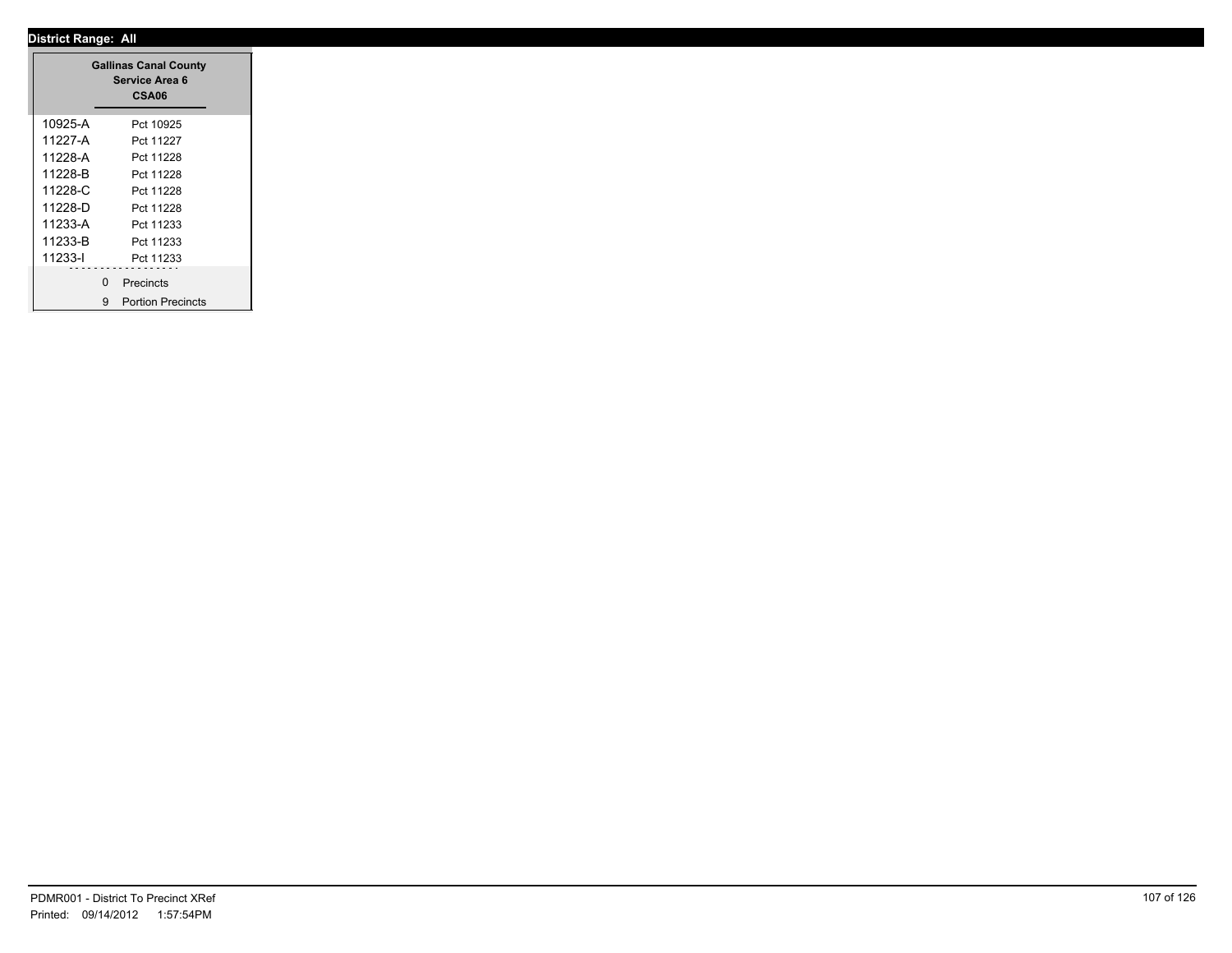|         |              | <b>Gallinas Canal County</b><br>Service Area 6<br>CSA06 |  |
|---------|--------------|---------------------------------------------------------|--|
| 10925-A |              | Pct 10925                                               |  |
| 11227-A |              | Pct 11227                                               |  |
| 11228-A |              | Pct 11228                                               |  |
| 11228-B |              | Pct 11228                                               |  |
| 11228-C |              | Pct 11228                                               |  |
| 11228-D |              | Pct 11228                                               |  |
| 11233-A |              | Pct 11233                                               |  |
| 11233-B |              | Pct 11233                                               |  |
| 11233-l |              | Pct 11233                                               |  |
|         | <sup>0</sup> | Precincts                                               |  |
|         | 9            | <b>Portion Precincts</b>                                |  |

÷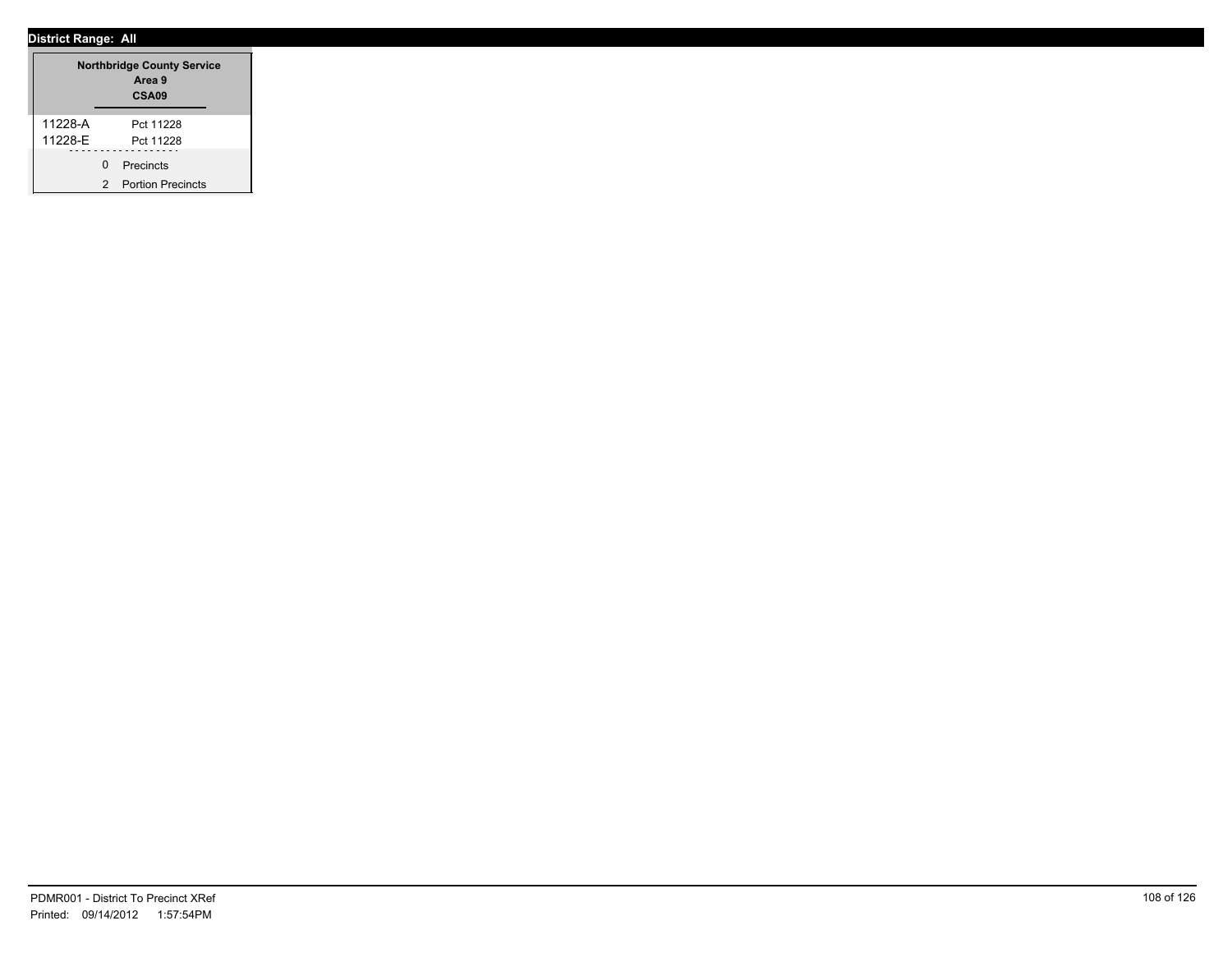| <b>Northbridge County Service</b><br>Area 9<br>CSA <sub>09</sub> |   |                          |  |  |  |
|------------------------------------------------------------------|---|--------------------------|--|--|--|
| 11228-A                                                          |   | Pct 11228                |  |  |  |
| 11228-E                                                          |   | Pct 11228                |  |  |  |
|                                                                  | U | Precincts                |  |  |  |
|                                                                  | 2 | <b>Portion Precincts</b> |  |  |  |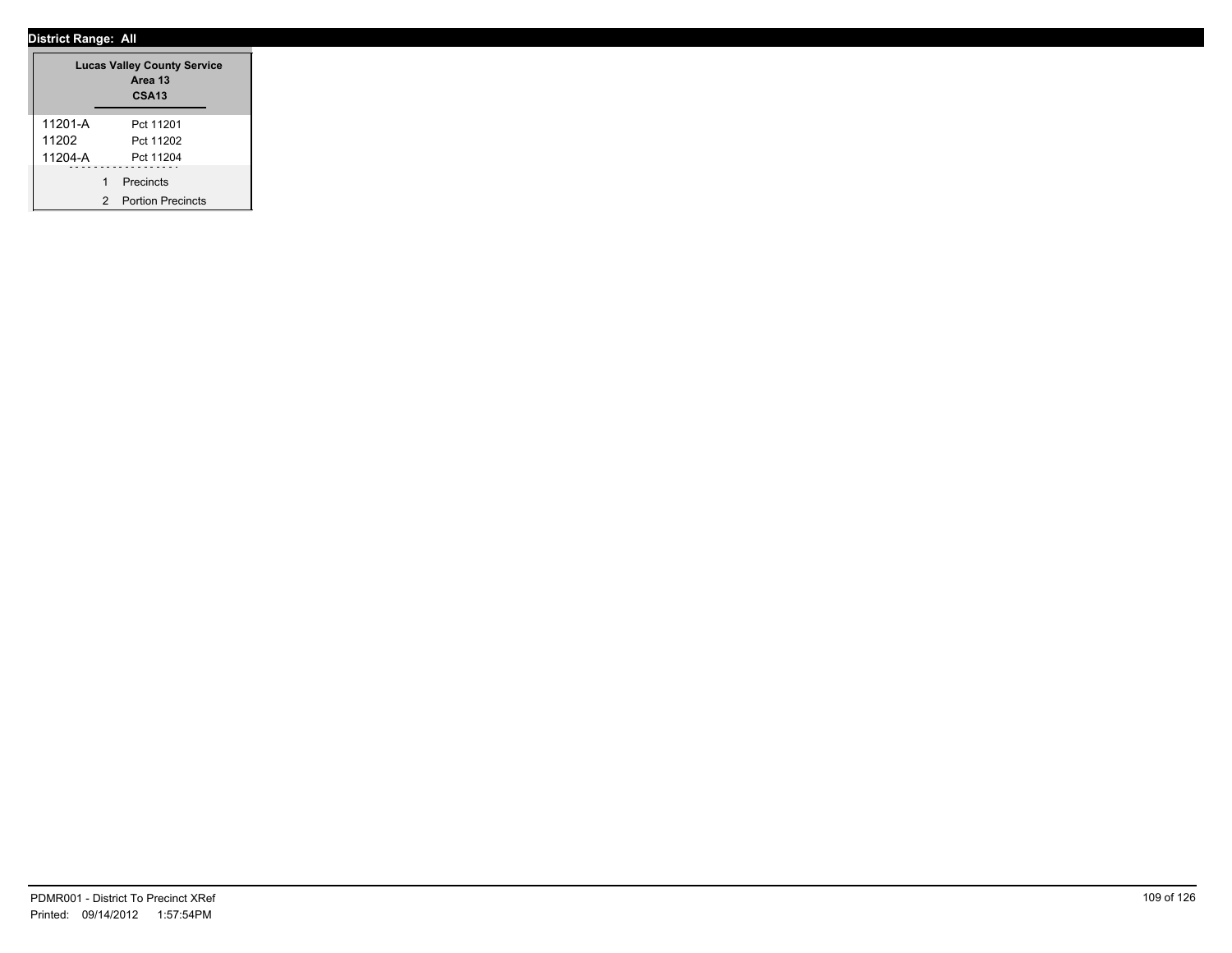|         |   | <b>Lucas Valley County Service</b><br>Area 13<br><b>CSA13</b> |
|---------|---|---------------------------------------------------------------|
| 11201-A |   | Pct 11201                                                     |
| 11202   |   | Pct 11202                                                     |
| 11204-A |   | Pct 11204                                                     |
|         | 1 | Precincts                                                     |
|         | 2 | <b>Portion Precincts</b>                                      |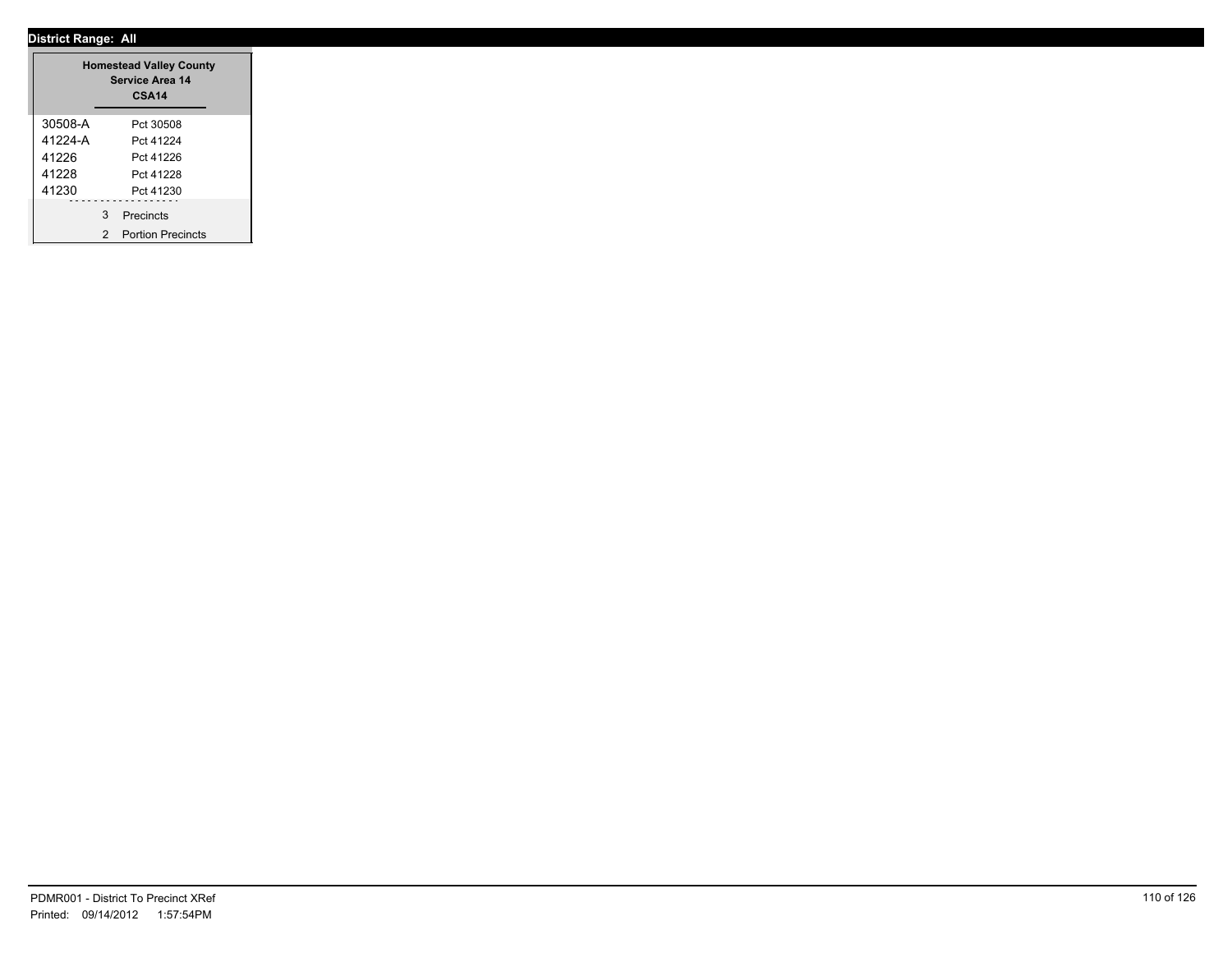|         |   | <b>Homestead Valley County</b><br><b>Service Area 14</b><br><b>CSA14</b> |  |
|---------|---|--------------------------------------------------------------------------|--|
| 30508-A |   | Pct 30508                                                                |  |
| 41224-A |   | Pct 41224                                                                |  |
| 41226   |   | Pct 41226                                                                |  |
| 41228   |   | Pct 41228                                                                |  |
| 41230   |   | Pct 41230                                                                |  |
|         | 3 | Precincts                                                                |  |
|         | 2 | <b>Portion Precincts</b>                                                 |  |

÷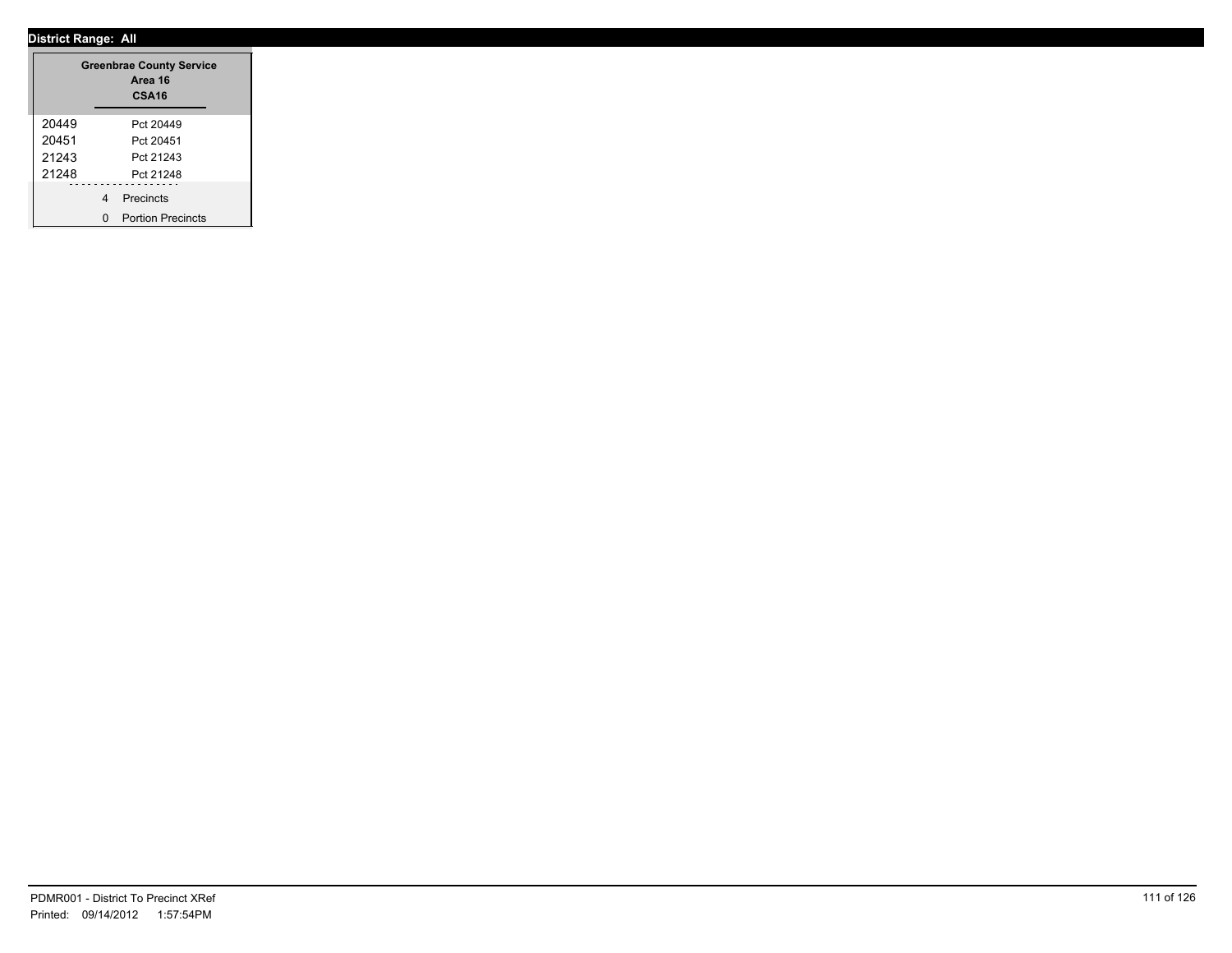|       |   | <b>Greenbrae County Service</b><br>Area 16<br>CSA <sub>16</sub> |
|-------|---|-----------------------------------------------------------------|
| 20449 |   | Pct 20449                                                       |
| 20451 |   | Pct 20451                                                       |
| 21243 |   | Pct 21243                                                       |
| 21248 |   | Pct 21248                                                       |
|       | 4 | Precincts                                                       |
|       | n | <b>Portion Precincts</b>                                        |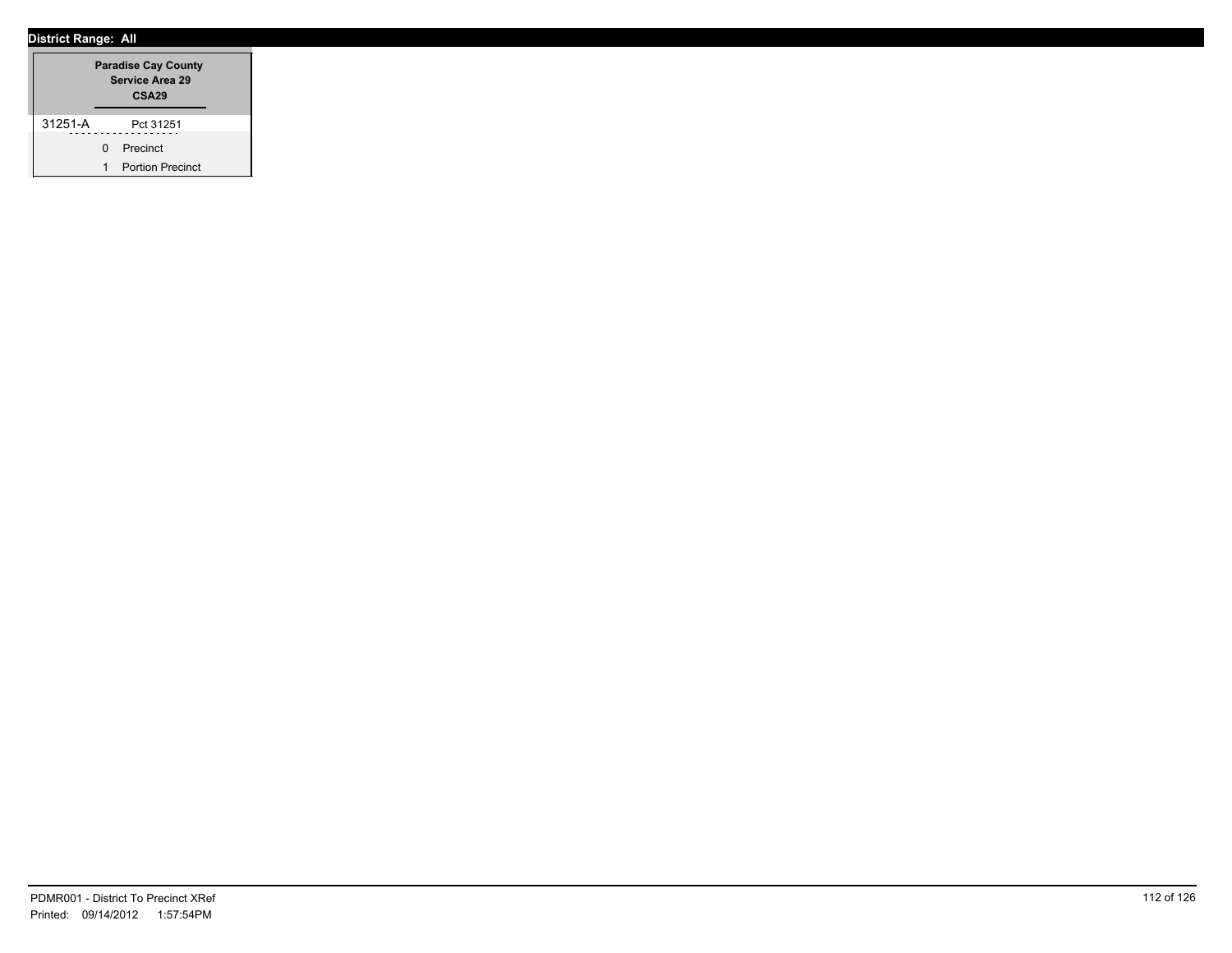|         |              | <b>Paradise Cay County</b><br><b>Service Area 29</b><br>CSA <sub>29</sub> |  |
|---------|--------------|---------------------------------------------------------------------------|--|
| 31251-A |              | Pct 31251                                                                 |  |
|         | <sup>n</sup> | Precinct                                                                  |  |
|         |              | <b>Portion Precinct</b>                                                   |  |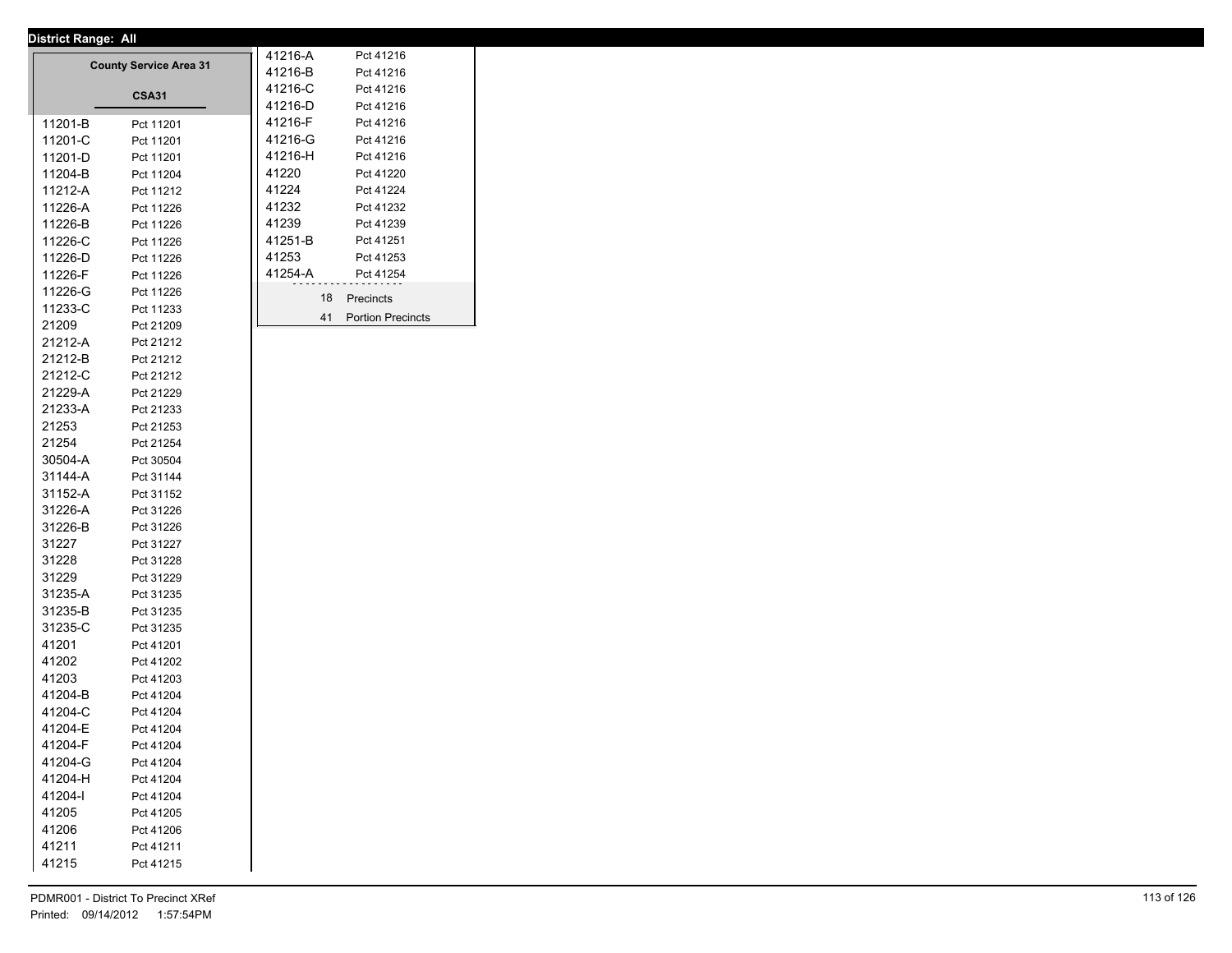|         | <b>County Service Area 31</b> | 41216-A |    | Pct 41216                |  |
|---------|-------------------------------|---------|----|--------------------------|--|
|         |                               | 41216-B |    | Pct 41216                |  |
|         | <b>CSA31</b>                  | 41216-C |    | Pct 41216                |  |
|         |                               | 41216-D |    | Pct 41216                |  |
| 11201-B | Pct 11201                     | 41216-F |    | Pct 41216                |  |
| 11201-C | Pct 11201                     | 41216-G |    | Pct 41216                |  |
| 11201-D | Pct 11201                     | 41216-H |    | Pct 41216                |  |
| 11204-B | Pct 11204                     | 41220   |    | Pct 41220                |  |
| 11212-A | Pct 11212                     | 41224   |    | Pct 41224                |  |
| 11226-A | Pct 11226                     | 41232   |    | Pct 41232                |  |
| 11226-B | Pct 11226                     | 41239   |    | Pct 41239                |  |
| 11226-C | Pct 11226                     | 41251-B |    | Pct 41251                |  |
| 11226-D | Pct 11226                     | 41253   |    | Pct 41253                |  |
| 11226-F | Pct 11226                     | 41254-A |    | Pct 41254                |  |
| 11226-G | Pct 11226                     |         | 18 | Precincts                |  |
| 11233-C | Pct 11233                     |         |    |                          |  |
| 21209   | Pct 21209                     |         | 41 | <b>Portion Precincts</b> |  |
| 21212-A | Pct 21212                     |         |    |                          |  |
| 21212-B | Pct 21212                     |         |    |                          |  |
| 21212-C | Pct 21212                     |         |    |                          |  |
| 21229-A | Pct 21229                     |         |    |                          |  |
| 21233-A | Pct 21233                     |         |    |                          |  |
| 21253   | Pct 21253                     |         |    |                          |  |
| 21254   | Pct 21254                     |         |    |                          |  |
| 30504-A | Pct 30504                     |         |    |                          |  |
| 31144-A | Pct 31144                     |         |    |                          |  |
| 31152-A | Pct 31152                     |         |    |                          |  |
| 31226-A | Pct 31226                     |         |    |                          |  |
| 31226-B | Pct 31226                     |         |    |                          |  |
| 31227   | Pct 31227                     |         |    |                          |  |
| 31228   | Pct 31228                     |         |    |                          |  |
| 31229   | Pct 31229                     |         |    |                          |  |
| 31235-A | Pct 31235                     |         |    |                          |  |
| 31235-B | Pct 31235                     |         |    |                          |  |
| 31235-C | Pct 31235                     |         |    |                          |  |
| 41201   | Pct 41201                     |         |    |                          |  |
| 41202   | Pct 41202                     |         |    |                          |  |
| 41203   | Pct 41203                     |         |    |                          |  |
| 41204-B | Pct 41204                     |         |    |                          |  |
| 41204-C | Pct 41204                     |         |    |                          |  |
| 41204-E | Pct 41204                     |         |    |                          |  |
| 41204-F | Pct 41204                     |         |    |                          |  |
| 41204-G | Pct 41204                     |         |    |                          |  |
| 41204-H | Pct 41204                     |         |    |                          |  |
| 41204-l | Pct 41204                     |         |    |                          |  |
| 41205   | Pct 41205                     |         |    |                          |  |
| 41206   | Pct 41206                     |         |    |                          |  |
| 41211   | Pct 41211                     |         |    |                          |  |
| 41215   | Pct 41215                     |         |    |                          |  |
|         |                               |         |    |                          |  |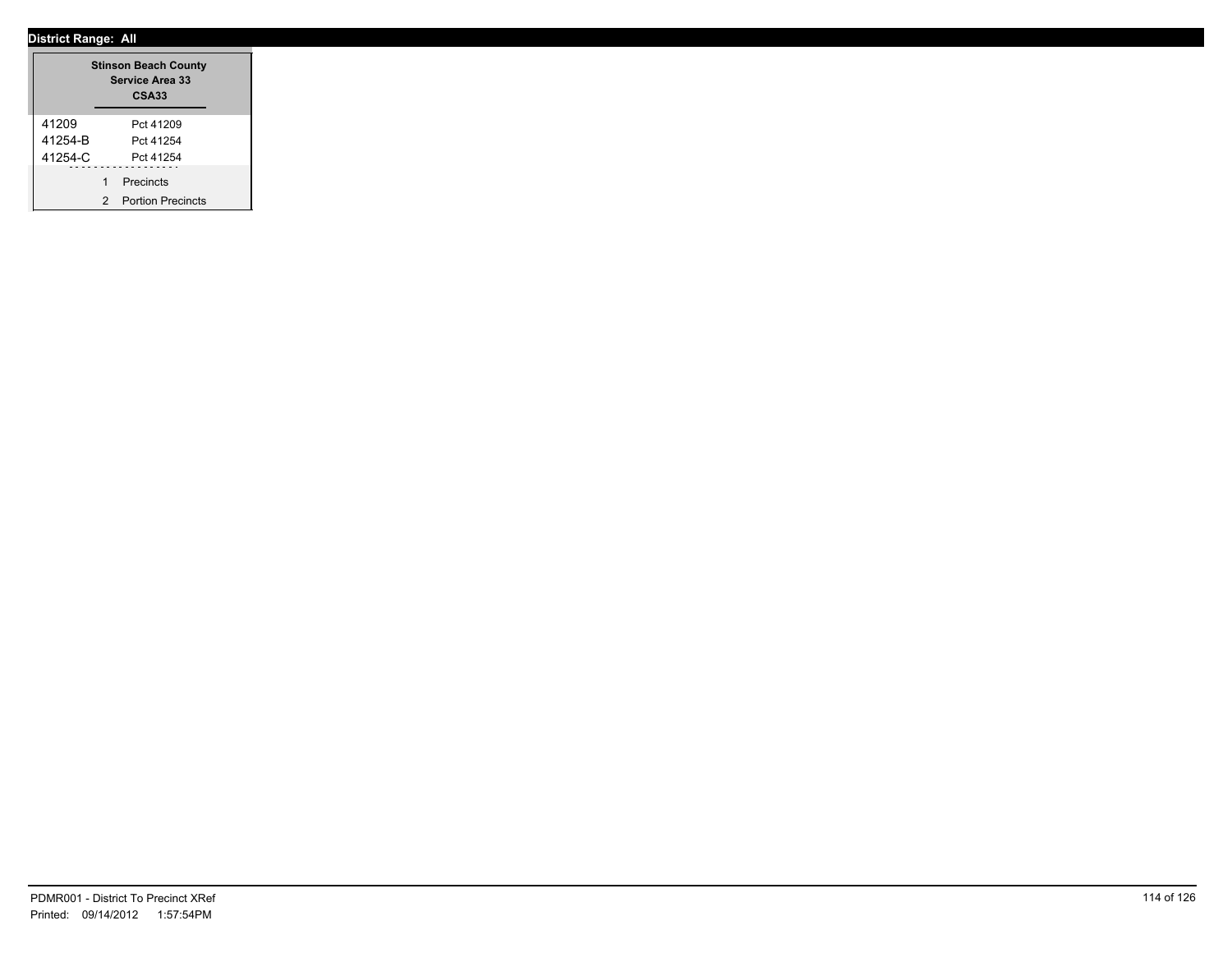|         |   | <b>Stinson Beach County</b><br><b>Service Area 33</b><br><b>CSA33</b> |
|---------|---|-----------------------------------------------------------------------|
| 41209   |   | Pct 41209                                                             |
| 41254-B |   | Pct 41254                                                             |
| 41254-C |   | Pct 41254                                                             |
|         | 1 | Precincts                                                             |
|         | 2 | <b>Portion Precincts</b>                                              |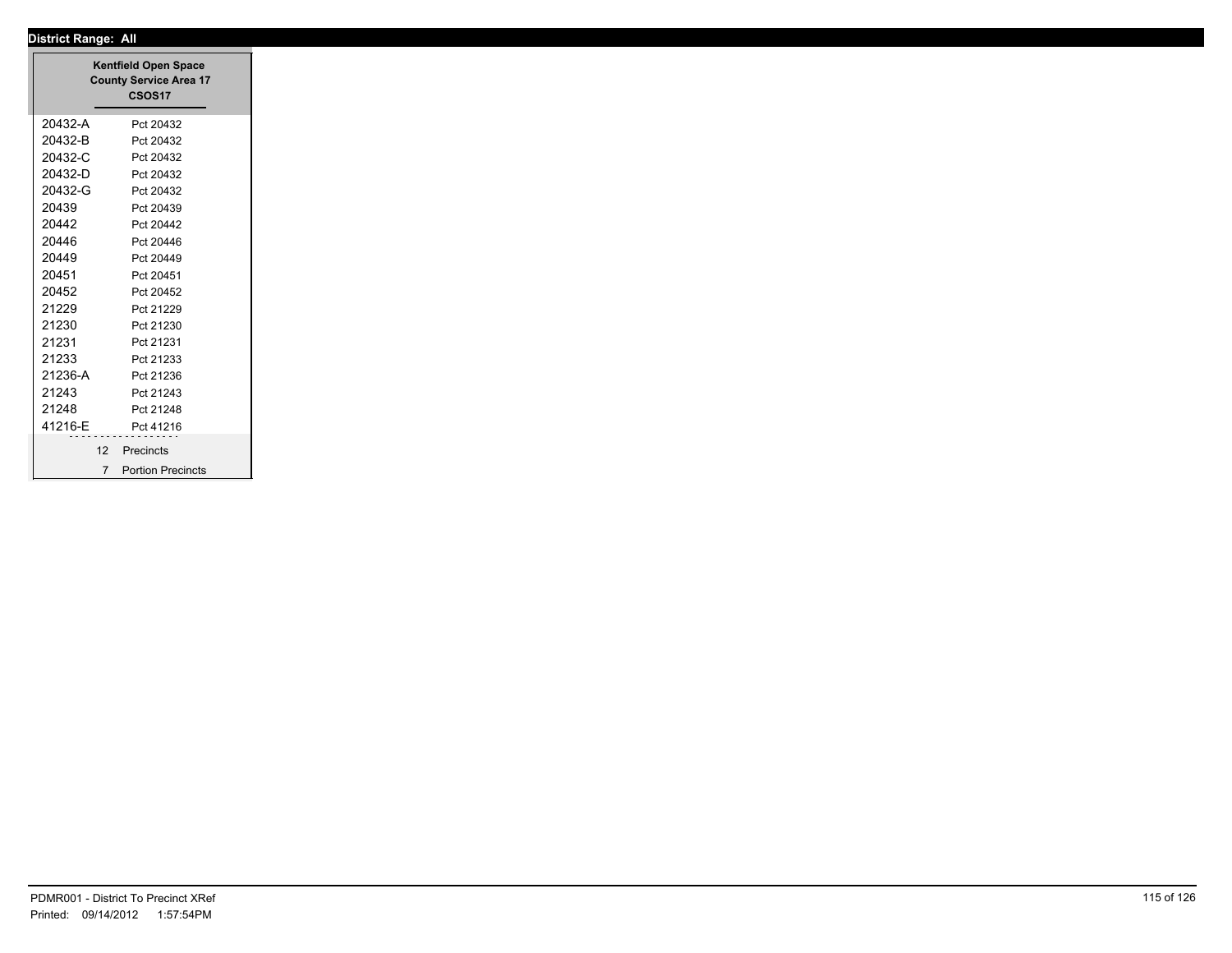|         | <b>County Service Area 17</b><br>CSOS17 |
|---------|-----------------------------------------|
| 20432-A | Pct 20432                               |
| 20432-B | Pct 20432                               |
| 20432-C | Pct 20432                               |
| 20432-D | Pct 20432                               |
| 20432-G | Pct 20432                               |
| 20439   | Pct 20439                               |
| 20442   | Pct 20442                               |
| 20446   | Pct 20446                               |
| 20449   | Pct 20449                               |
| 20451   | Pct 20451                               |
| 20452   | Pct 20452                               |
| 21229   | Pct 21229                               |
| 21230   | Pct 21230                               |
| 21231   | Pct 21231                               |
| 21233   | Pct 21233                               |
| 21236-A | Pct 21236                               |
| 21243   | Pct 21243                               |
| 21248   | Pct 21248                               |
| 41216-E | Pct 41216                               |
|         |                                         |
| 12      | Precincts                               |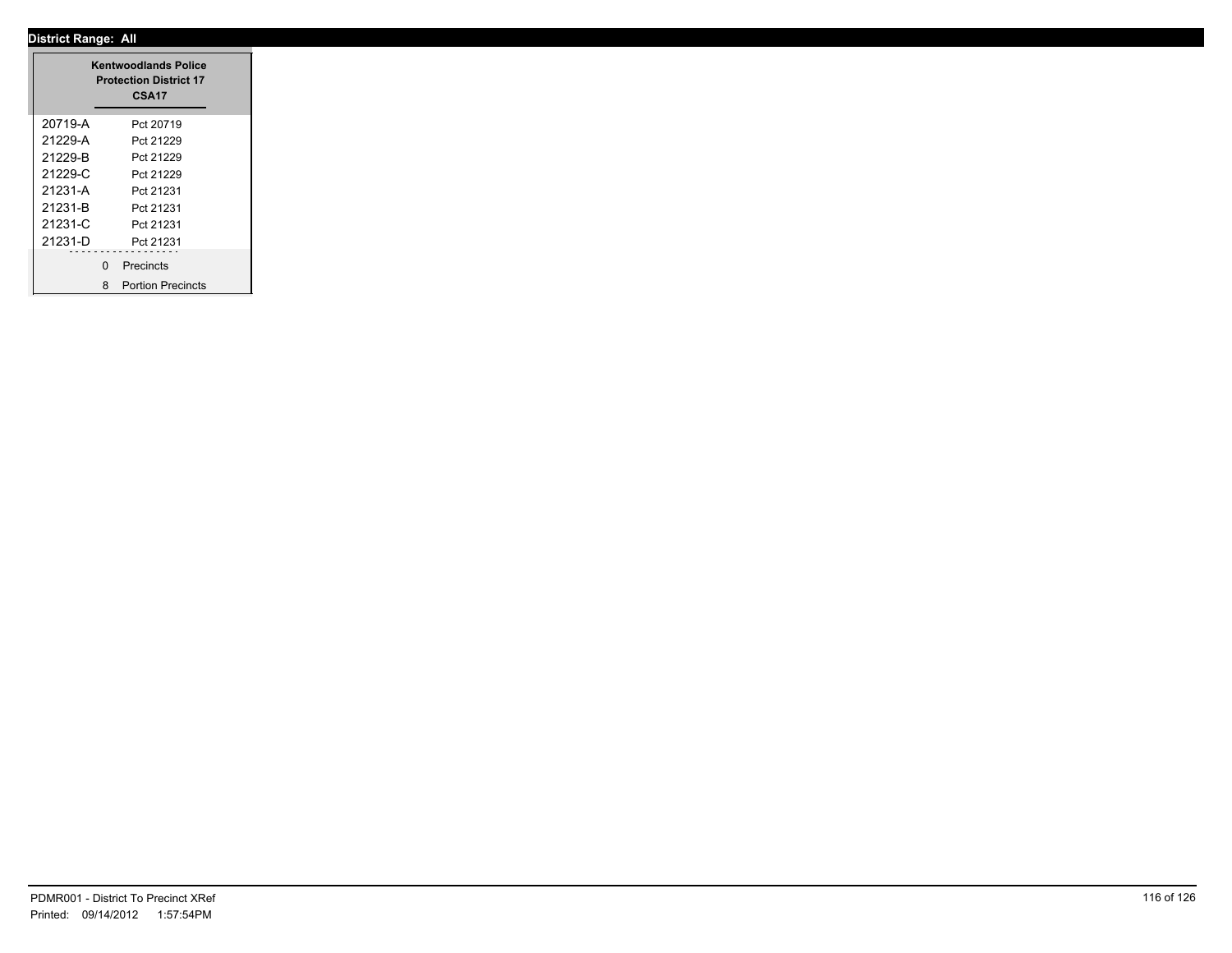|         |   | <b>Kentwoodlands Police</b><br><b>Protection District 17</b><br>CSA17 |
|---------|---|-----------------------------------------------------------------------|
| 20719-A |   | Pct 20719                                                             |
| 21229-A |   | Pct 21229                                                             |
| 21229-B |   | Pct 21229                                                             |
| 21229-C |   | Pct 21229                                                             |
| 21231-A |   | Pct 21231                                                             |
| 21231-B |   | Pct 21231                                                             |
| 21231-C |   | Pct 21231                                                             |
| 21231-D |   | Pct 21231                                                             |
|         | 0 | .<br>Precincts                                                        |
|         |   | 8 Portion Precincts                                                   |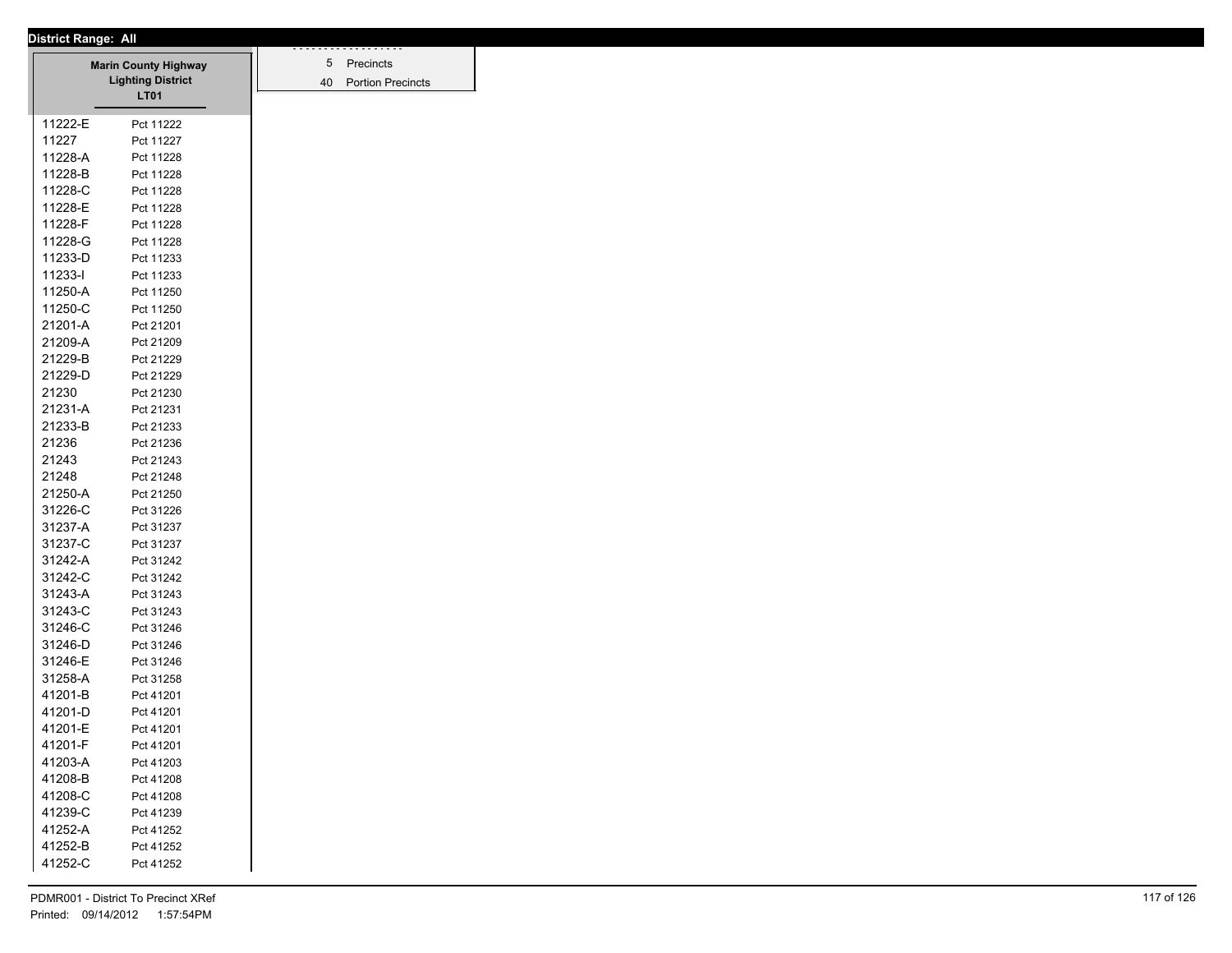|         | <b>District Range: All</b>                              |
|---------|---------------------------------------------------------|
|         |                                                         |
|         | <b>Marin County Highway</b><br><b>Lighting District</b> |
|         | <b>LT01</b>                                             |
|         |                                                         |
| 11222-E | Pct 11222                                               |
| 11227   | Pct 11227                                               |
| 11228-A | Pct 11228                                               |
| 11228-B | Pct 11228                                               |
| 11228-C | Pct 11228                                               |
| 11228-E | Pct 11228                                               |
| 11228-F | Pct 11228                                               |
| 11228-G | Pct 11228                                               |
| 11233-D | Pct 11233                                               |
| 11233-l | Pct 11233                                               |
| 11250-A | Pct 11250                                               |
| 11250-C | Pct 11250                                               |
| 21201-A | Pct 21201                                               |
| 21209-A | Pct 21209                                               |
| 21229-B | Pct 21229                                               |
| 21229-D | Pct 21229                                               |
| 21230   | Pct 21230                                               |
| 21231-A | Pct 21231                                               |
| 21233-B | Pct 21233                                               |
| 21236   | Pct 21236                                               |
| 21243   | Pct 21243                                               |
| 21248   | Pct 21248                                               |
| 21250-A | Pct 21250                                               |
| 31226-C | Pct 31226                                               |
| 31237-A | Pct 31237                                               |
| 31237-C |                                                         |
| 31242-A | Pct 31237                                               |
| 31242-C | Pct 31242                                               |
|         | Pct 31242                                               |
| 31243-A | Pct 31243                                               |
| 31243-C | Pct 31243                                               |
| 31246-C | Pct 31246                                               |
| 31246-D | Pct 31246                                               |
| 31246-E | Pct 31246                                               |
| 31258-A | Pct 31258                                               |
| 41201-B | Pct 41201                                               |
| 41201-D | Pct 41201                                               |
| 41201-E | Pct 41201                                               |
| 41201-F | Pct 41201                                               |
| 41203-A | Pct 41203                                               |
| 41208-B | Pct 41208                                               |
| 41208-C | Pct 41208                                               |
| 41239-C | Pct 41239                                               |
| 41252-A | Pct 41252                                               |
| 41252-B | Pct 41252                                               |
| 41252-C | Pct 41252                                               |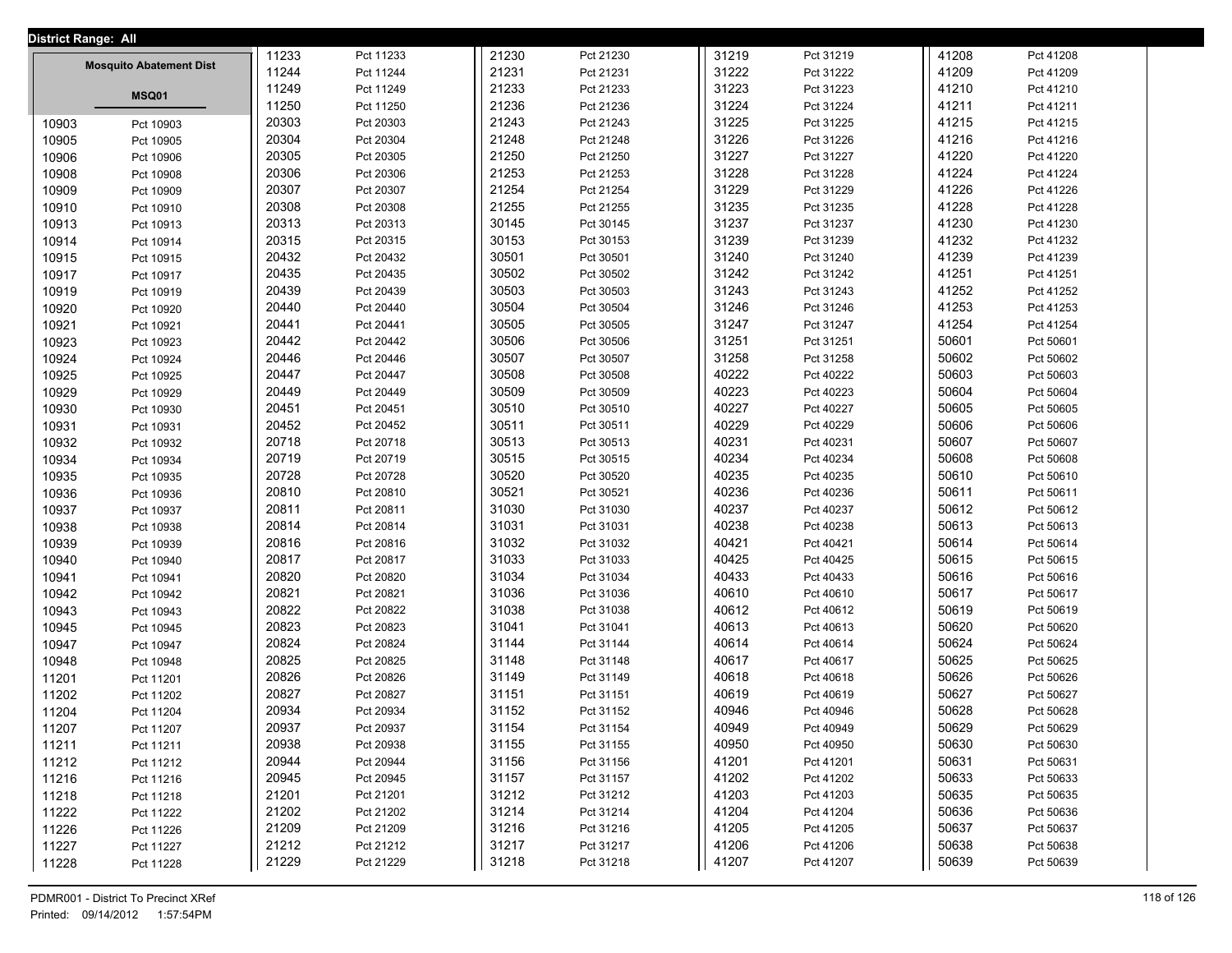| <b>District Range: All</b> |                                |       |           |       |           |       |           |       |           |  |
|----------------------------|--------------------------------|-------|-----------|-------|-----------|-------|-----------|-------|-----------|--|
|                            |                                | 11233 | Pct 11233 | 21230 | Pct 21230 | 31219 | Pct 31219 | 41208 | Pct 41208 |  |
|                            | <b>Mosquito Abatement Dist</b> | 11244 | Pct 11244 | 21231 | Pct 21231 | 31222 | Pct 31222 | 41209 | Pct 41209 |  |
|                            | MSQ01                          | 11249 | Pct 11249 | 21233 | Pct 21233 | 31223 | Pct 31223 | 41210 | Pct 41210 |  |
|                            |                                | 11250 | Pct 11250 | 21236 | Pct 21236 | 31224 | Pct 31224 | 41211 | Pct 41211 |  |
| 10903                      | Pct 10903                      | 20303 | Pct 20303 | 21243 | Pct 21243 | 31225 | Pct 31225 | 41215 | Pct 41215 |  |
| 10905                      | Pct 10905                      | 20304 | Pct 20304 | 21248 | Pct 21248 | 31226 | Pct 31226 | 41216 | Pct 41216 |  |
| 10906                      | Pct 10906                      | 20305 | Pct 20305 | 21250 | Pct 21250 | 31227 | Pct 31227 | 41220 | Pct 41220 |  |
| 10908                      | Pct 10908                      | 20306 | Pct 20306 | 21253 | Pct 21253 | 31228 | Pct 31228 | 41224 | Pct 41224 |  |
| 10909                      | Pct 10909                      | 20307 | Pct 20307 | 21254 | Pct 21254 | 31229 | Pct 31229 | 41226 | Pct 41226 |  |
| 10910                      | Pct 10910                      | 20308 | Pct 20308 | 21255 | Pct 21255 | 31235 | Pct 31235 | 41228 | Pct 41228 |  |
| 10913                      | Pct 10913                      | 20313 | Pct 20313 | 30145 | Pct 30145 | 31237 | Pct 31237 | 41230 | Pct 41230 |  |
| 10914                      | Pct 10914                      | 20315 | Pct 20315 | 30153 | Pct 30153 | 31239 | Pct 31239 | 41232 | Pct 41232 |  |
| 10915                      | Pct 10915                      | 20432 | Pct 20432 | 30501 | Pct 30501 | 31240 | Pct 31240 | 41239 | Pct 41239 |  |
| 10917                      | Pct 10917                      | 20435 | Pct 20435 | 30502 | Pct 30502 | 31242 | Pct 31242 | 41251 | Pct 41251 |  |
| 10919                      | Pct 10919                      | 20439 | Pct 20439 | 30503 | Pct 30503 | 31243 | Pct 31243 | 41252 | Pct 41252 |  |
| 10920                      | Pct 10920                      | 20440 | Pct 20440 | 30504 | Pct 30504 | 31246 | Pct 31246 | 41253 | Pct 41253 |  |
| 10921                      | Pct 10921                      | 20441 | Pct 20441 | 30505 | Pct 30505 | 31247 | Pct 31247 | 41254 | Pct 41254 |  |
| 10923                      | Pct 10923                      | 20442 | Pct 20442 | 30506 | Pct 30506 | 31251 | Pct 31251 | 50601 | Pct 50601 |  |
| 10924                      | Pct 10924                      | 20446 | Pct 20446 | 30507 | Pct 30507 | 31258 | Pct 31258 | 50602 | Pct 50602 |  |
| 10925                      | Pct 10925                      | 20447 | Pct 20447 | 30508 | Pct 30508 | 40222 | Pct 40222 | 50603 | Pct 50603 |  |
| 10929                      | Pct 10929                      | 20449 | Pct 20449 | 30509 | Pct 30509 | 40223 | Pct 40223 | 50604 | Pct 50604 |  |
| 10930                      | Pct 10930                      | 20451 | Pct 20451 | 30510 | Pct 30510 | 40227 | Pct 40227 | 50605 | Pct 50605 |  |
| 10931                      | Pct 10931                      | 20452 | Pct 20452 | 30511 | Pct 30511 | 40229 | Pct 40229 | 50606 | Pct 50606 |  |
| 10932                      | Pct 10932                      | 20718 | Pct 20718 | 30513 | Pct 30513 | 40231 | Pct 40231 | 50607 | Pct 50607 |  |
| 10934                      | Pct 10934                      | 20719 | Pct 20719 | 30515 | Pct 30515 | 40234 | Pct 40234 | 50608 | Pct 50608 |  |
| 10935                      | Pct 10935                      | 20728 | Pct 20728 | 30520 | Pct 30520 | 40235 | Pct 40235 | 50610 | Pct 50610 |  |
| 10936                      | Pct 10936                      | 20810 | Pct 20810 | 30521 | Pct 30521 | 40236 | Pct 40236 | 50611 | Pct 50611 |  |
| 10937                      | Pct 10937                      | 20811 | Pct 20811 | 31030 | Pct 31030 | 40237 | Pct 40237 | 50612 | Pct 50612 |  |
| 10938                      | Pct 10938                      | 20814 | Pct 20814 | 31031 | Pct 31031 | 40238 | Pct 40238 | 50613 | Pct 50613 |  |
| 10939                      | Pct 10939                      | 20816 | Pct 20816 | 31032 | Pct 31032 | 40421 | Pct 40421 | 50614 | Pct 50614 |  |
| 10940                      | Pct 10940                      | 20817 | Pct 20817 | 31033 | Pct 31033 | 40425 | Pct 40425 | 50615 | Pct 50615 |  |
| 10941                      | Pct 10941                      | 20820 | Pct 20820 | 31034 | Pct 31034 | 40433 | Pct 40433 | 50616 | Pct 50616 |  |
| 10942                      | Pct 10942                      | 20821 | Pct 20821 | 31036 | Pct 31036 | 40610 | Pct 40610 | 50617 | Pct 50617 |  |
| 10943                      | Pct 10943                      | 20822 | Pct 20822 | 31038 | Pct 31038 | 40612 | Pct 40612 | 50619 | Pct 50619 |  |
| 10945                      | Pct 10945                      | 20823 | Pct 20823 | 31041 | Pct 31041 | 40613 | Pct 40613 | 50620 | Pct 50620 |  |
| 10947                      | Pct 10947                      | 20824 | Pct 20824 | 31144 | Pct 31144 | 40614 | Pct 40614 | 50624 | Pct 50624 |  |
| 10948                      | Pct 10948                      | 20825 | Pct 20825 | 31148 | Pct 31148 | 40617 | Pct 40617 | 50625 | Pct 50625 |  |
| 11201                      | Pct 11201                      | 20826 | Pct 20826 | 31149 | Pct 31149 | 40618 | Pct 40618 | 50626 | Pct 50626 |  |
| 11202                      | Pct 11202                      | 20827 | Pct 20827 | 31151 | Pct 31151 | 40619 | Pct 40619 | 50627 | Pct 50627 |  |
| 11204                      | Pct 11204                      | 20934 | Pct 20934 | 31152 | Pct 31152 | 40946 | Pct 40946 | 50628 | Pct 50628 |  |
| 11207                      | Pct 11207                      | 20937 | Pct 20937 | 31154 | Pct 31154 | 40949 | Pct 40949 | 50629 | Pct 50629 |  |
| 11211                      | Pct 11211                      | 20938 | Pct 20938 | 31155 | Pct 31155 | 40950 | Pct 40950 | 50630 | Pct 50630 |  |
| 11212                      | Pct 11212                      | 20944 | Pct 20944 | 31156 | Pct 31156 | 41201 | Pct 41201 | 50631 | Pct 50631 |  |
| 11216                      | Pct 11216                      | 20945 | Pct 20945 | 31157 | Pct 31157 | 41202 | Pct 41202 | 50633 | Pct 50633 |  |
| 11218                      | Pct 11218                      | 21201 | Pct 21201 | 31212 | Pct 31212 | 41203 | Pct 41203 | 50635 | Pct 50635 |  |
| 11222                      | Pct 11222                      | 21202 | Pct 21202 | 31214 | Pct 31214 | 41204 | Pct 41204 | 50636 | Pct 50636 |  |
| 11226                      | Pct 11226                      | 21209 | Pct 21209 | 31216 | Pct 31216 | 41205 | Pct 41205 | 50637 | Pct 50637 |  |
| 11227                      | Pct 11227                      | 21212 | Pct 21212 | 31217 | Pct 31217 | 41206 | Pct 41206 | 50638 | Pct 50638 |  |
| 11228                      | Pct 11228                      | 21229 | Pct 21229 | 31218 | Pct 31218 | 41207 | Pct 41207 | 50639 | Pct 50639 |  |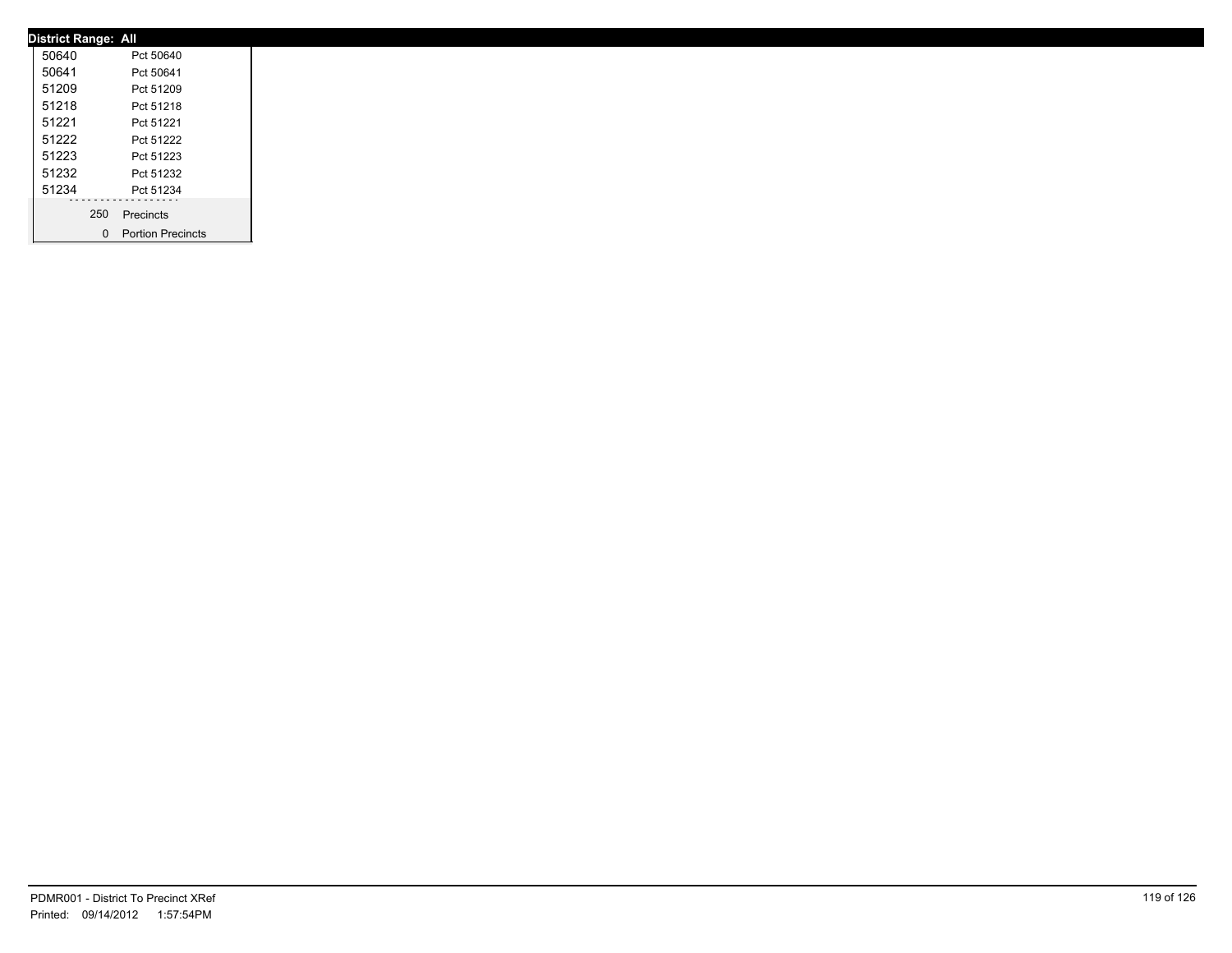| <b>District Range: All</b> |     |                     |
|----------------------------|-----|---------------------|
| 50640                      |     | Pct 50640           |
| 50641                      |     | Pct 50641           |
| 51209                      |     | Pct 51209           |
| 51218                      |     | Pct 51218           |
| 51221                      |     | Pct 51221           |
| 51222                      |     | Pct 51222           |
| 51223                      |     | Pct 51223           |
| 51232                      |     | Pct 51232           |
| 51234                      |     | Pct 51234           |
|                            | 250 | Precincts           |
|                            |     | 0 Portion Precincts |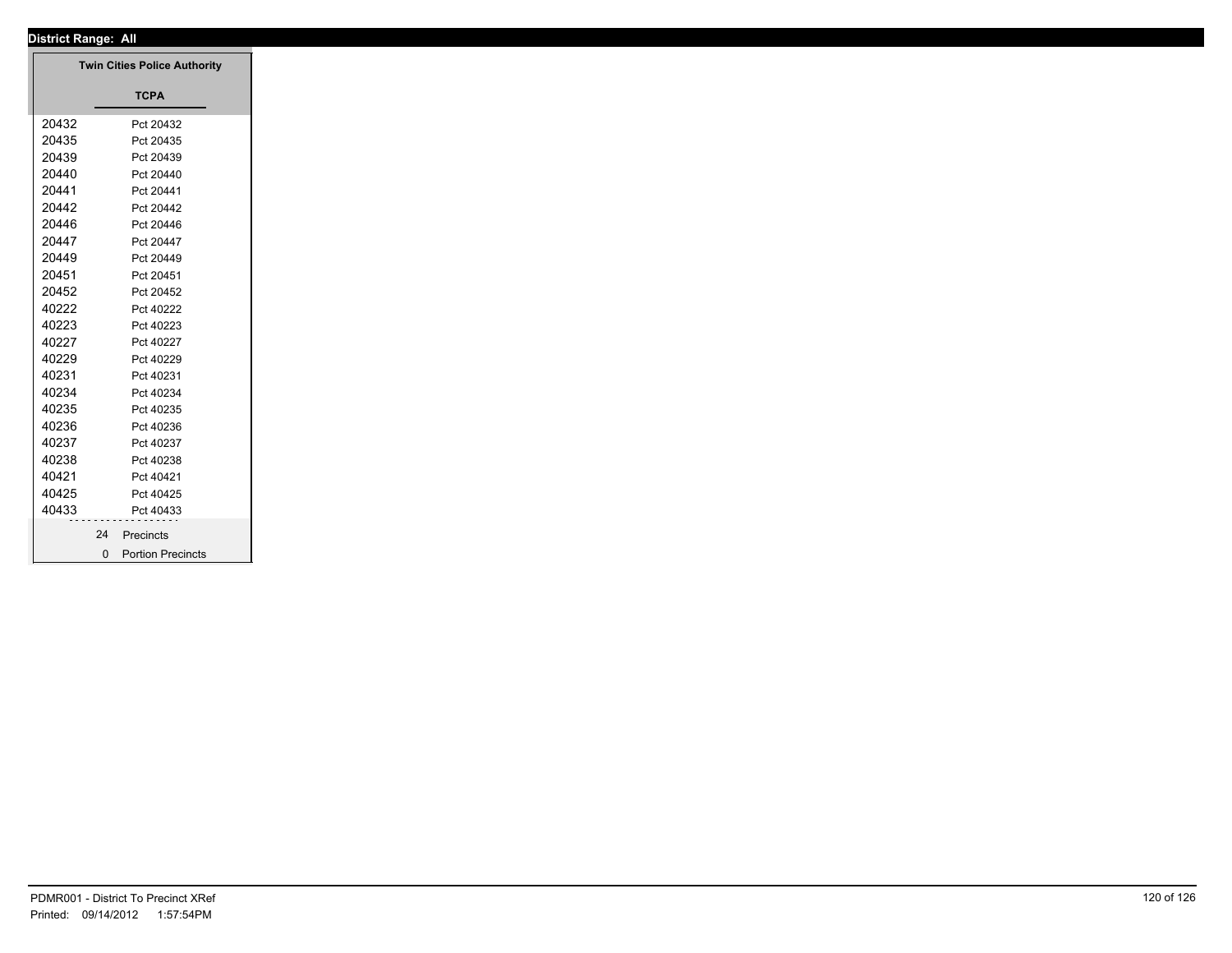| District Range: All |                                     |
|---------------------|-------------------------------------|
|                     | <b>Twin Cities Police Authority</b> |
|                     |                                     |
|                     | <b>TCPA</b>                         |
| 20432               | Pct 20432                           |
| 20435               | Pct 20435                           |
| 20439               | Pct 20439                           |
| 20440               | Pct 20440                           |
| 20441               | Pct 20441                           |
| 20442               | Pct 20442                           |
| 20446               | Pct 20446                           |
| 20447               | Pct 20447                           |
| 20449               | Pct 20449                           |
| 20451               | Pct 20451                           |
| 20452               | Pct 20452                           |
| 40222               | Pct 40222                           |
| 40223               | Pct 40223                           |
| 40227               | Pct 40227                           |
| 40229               | Pct 40229                           |
| 40231               | Pct 40231                           |
| 40234               | Pct 40234                           |
| 40235               | Pct 40235                           |
| 40236               | Pct 40236                           |
| 40237               | Pct 40237                           |
| 40238               | Pct 40238                           |
| 40421               | Pct 40421                           |
| 40425               | Pct 40425                           |
| 40433               | Pct 40433                           |
| 24                  | Precincts                           |
|                     | 0 Portion Precincts                 |
|                     |                                     |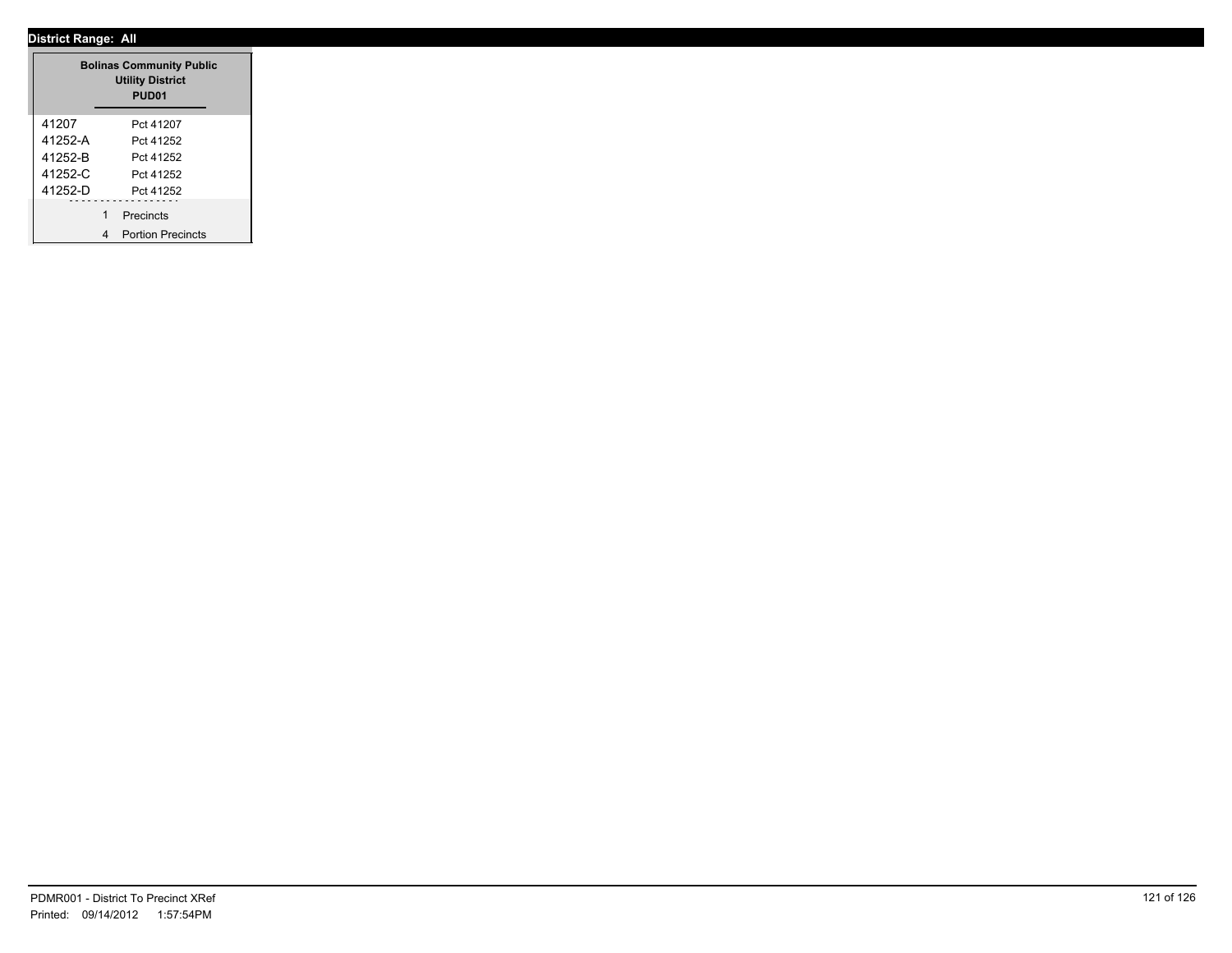| <b>Bolinas Community Public</b><br><b>Utility District</b><br>PUD <sub>01</sub> |                               |  |  |  |  |
|---------------------------------------------------------------------------------|-------------------------------|--|--|--|--|
| 41207                                                                           | Pct 41207                     |  |  |  |  |
| 41252-A                                                                         | Pct 41252                     |  |  |  |  |
| 41252-B                                                                         | Pct 41252                     |  |  |  |  |
| 41252-C                                                                         | Pct 41252                     |  |  |  |  |
| 41252-D                                                                         | Pct 41252                     |  |  |  |  |
|                                                                                 | 1<br>Precincts                |  |  |  |  |
|                                                                                 | <b>Portion Precincts</b><br>4 |  |  |  |  |

┱.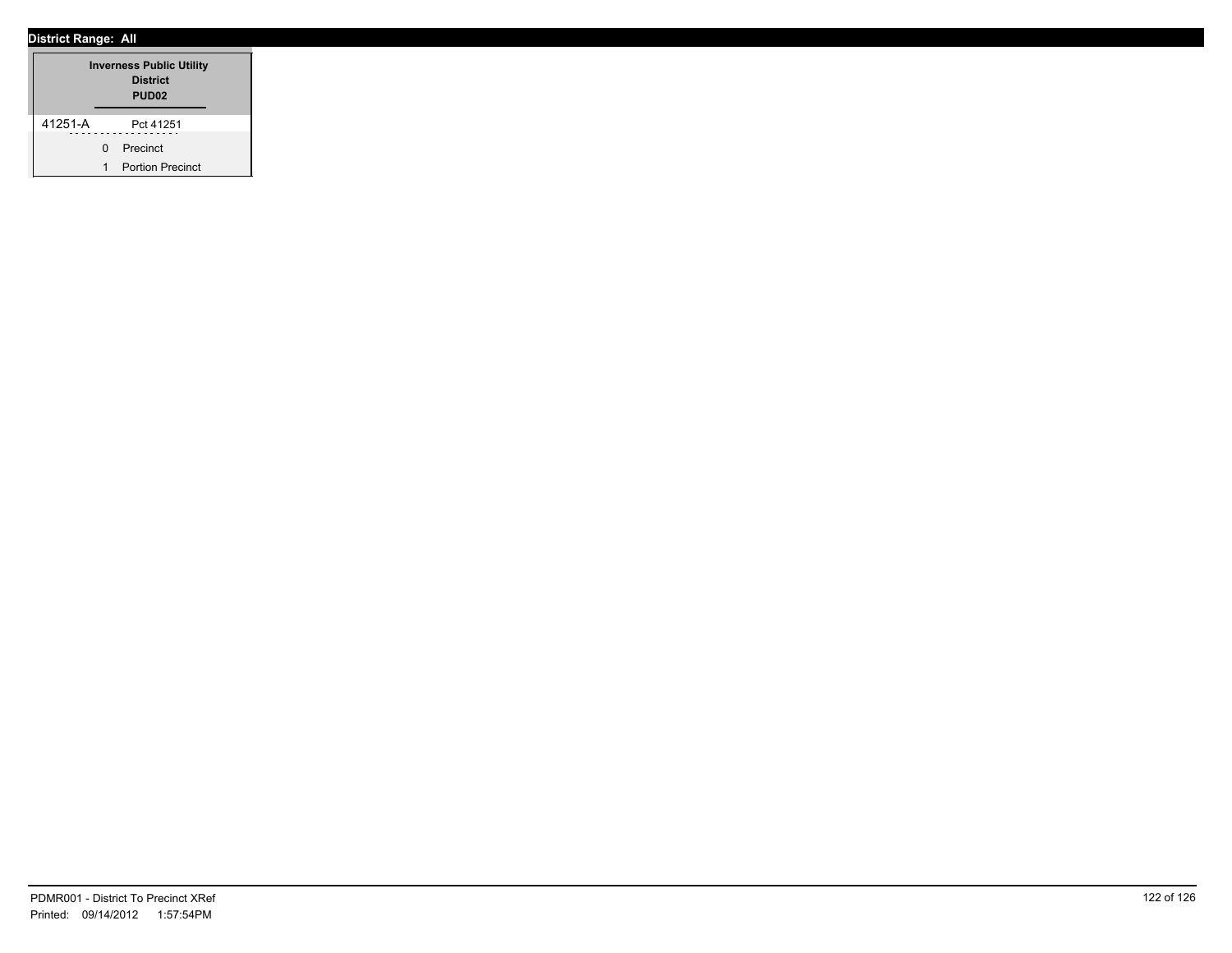| <b>Inverness Public Utility</b><br><b>District</b><br>PUD <sub>02</sub> |   |                         |  |  |  |  |
|-------------------------------------------------------------------------|---|-------------------------|--|--|--|--|
| 41251-A                                                                 |   | Pct 41251               |  |  |  |  |
|                                                                         | U | Precinct                |  |  |  |  |
|                                                                         | 1 | <b>Portion Precinct</b> |  |  |  |  |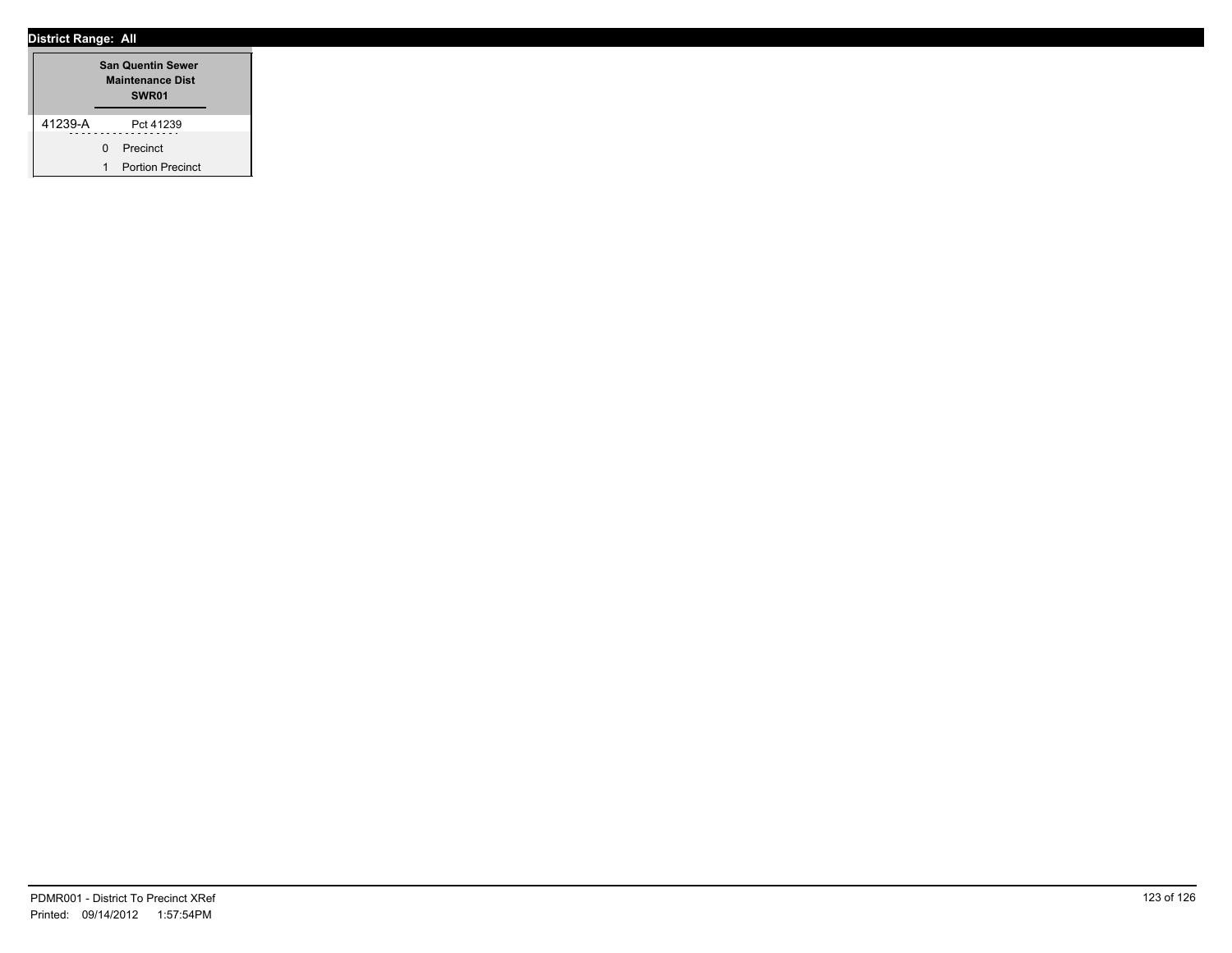| <b>San Quentin Sewer</b><br><b>Maintenance Dist</b><br>SWR <sub>01</sub> |   |                         |  |  |
|--------------------------------------------------------------------------|---|-------------------------|--|--|
| 41239-A                                                                  |   | Pct 41239               |  |  |
|                                                                          | U | Precinct                |  |  |
|                                                                          | 1 | <b>Portion Precinct</b> |  |  |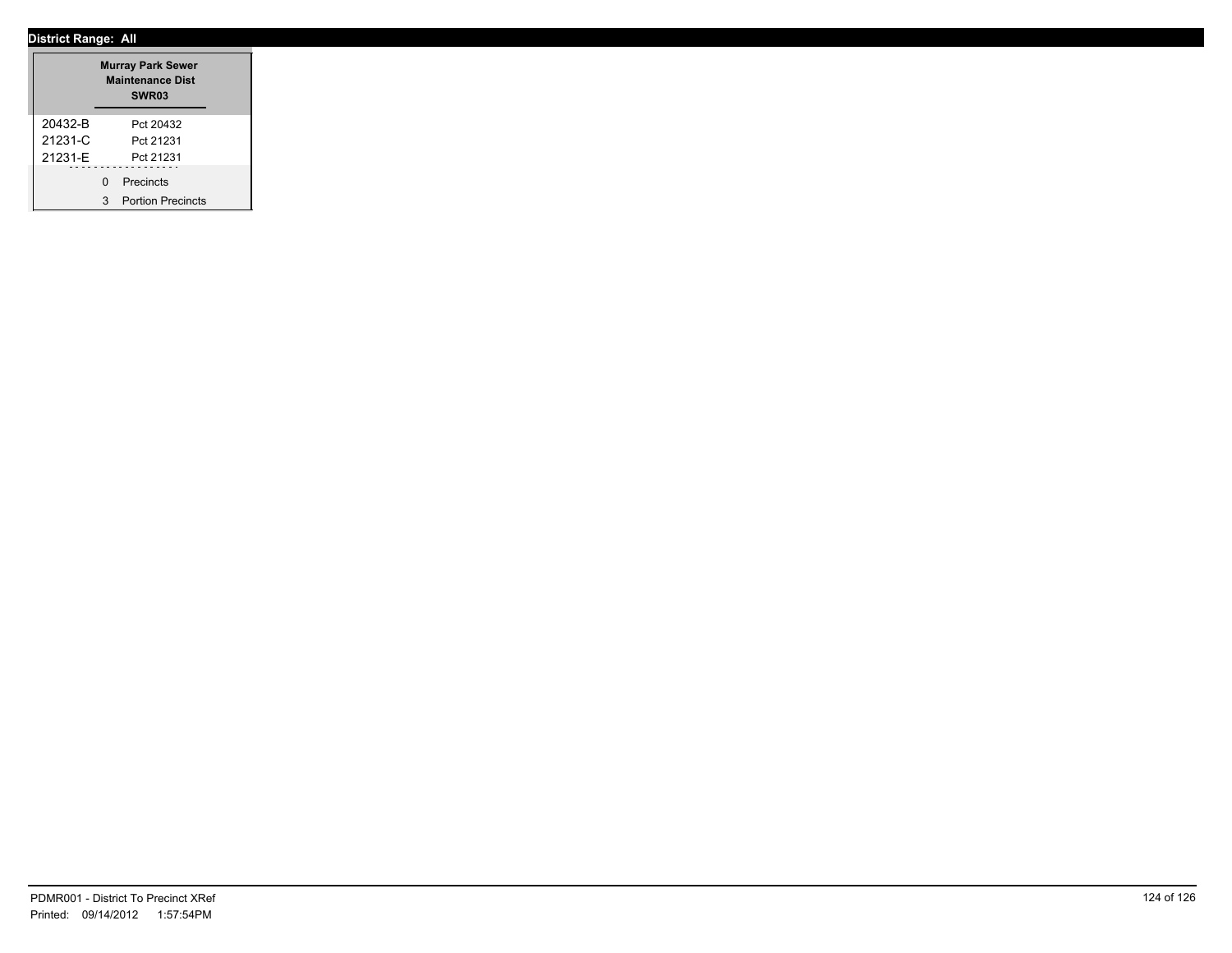|             | <b>Murray Park Sewer</b><br><b>Maintenance Dist</b><br>SWR <sub>03</sub> |                          |  |  |
|-------------|--------------------------------------------------------------------------|--------------------------|--|--|
| 20432-B     |                                                                          | Pct 20432                |  |  |
| $21231 - C$ |                                                                          | Pct 21231                |  |  |
| 21231-F     |                                                                          | Pct 21231                |  |  |
|             | U                                                                        | Precincts                |  |  |
|             | 3                                                                        | <b>Portion Precincts</b> |  |  |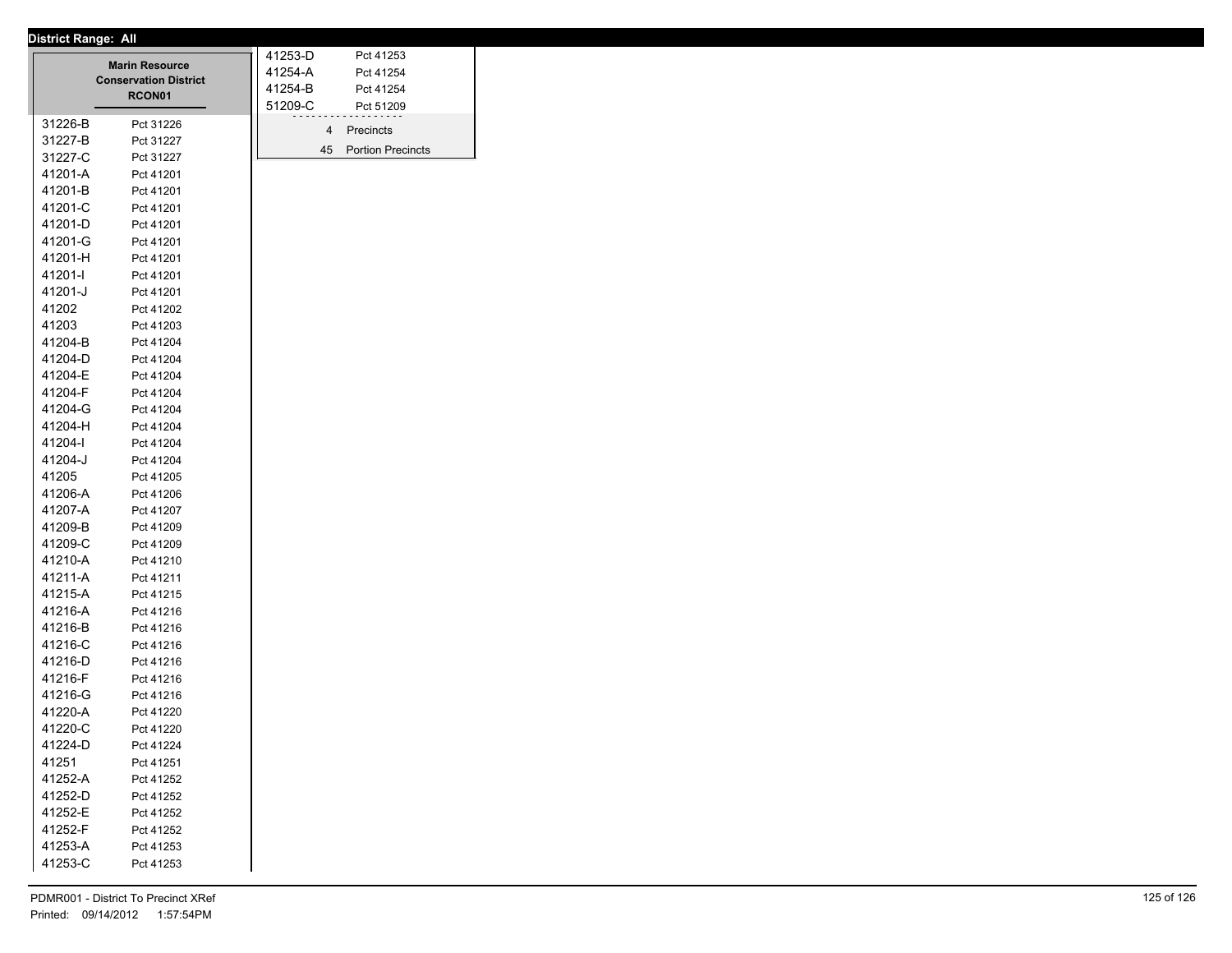|         |                                        | 41253-D<br>Pct 41253           |  |
|---------|----------------------------------------|--------------------------------|--|
|         | <b>Marin Resource</b>                  | 41254-A<br>Pct 41254           |  |
|         | <b>Conservation District</b><br>RCON01 | 41254-B<br>Pct 41254           |  |
|         |                                        | 51209-C<br>Pct 51209           |  |
| 31226-B | Pct 31226                              | 4<br>Precincts                 |  |
| 31227-B | Pct 31227                              | <b>Portion Precincts</b><br>45 |  |
| 31227-C | Pct 31227                              |                                |  |
| 41201-A | Pct 41201                              |                                |  |
| 41201-B | Pct 41201                              |                                |  |
| 41201-C | Pct 41201                              |                                |  |
| 41201-D | Pct 41201                              |                                |  |
| 41201-G | Pct 41201                              |                                |  |
| 41201-H | Pct 41201                              |                                |  |
| 41201-l | Pct 41201                              |                                |  |
| 41201-J | Pct 41201                              |                                |  |
| 41202   | Pct 41202                              |                                |  |
| 41203   | Pct 41203                              |                                |  |
| 41204-B | Pct 41204                              |                                |  |
| 41204-D | Pct 41204                              |                                |  |
| 41204-E | Pct 41204                              |                                |  |
| 41204-F | Pct 41204                              |                                |  |
| 41204-G | Pct 41204                              |                                |  |
| 41204-H | Pct 41204                              |                                |  |
| 41204-l | Pct 41204                              |                                |  |
| 41204-J | Pct 41204                              |                                |  |
| 41205   | Pct 41205                              |                                |  |
| 41206-A | Pct 41206                              |                                |  |
| 41207-A | Pct 41207                              |                                |  |
| 41209-B | Pct 41209                              |                                |  |
| 41209-C | Pct 41209                              |                                |  |
| 41210-A | Pct 41210                              |                                |  |
| 41211-A | Pct 41211                              |                                |  |
| 41215-A | Pct 41215                              |                                |  |
| 41216-A | Pct 41216                              |                                |  |
| 41216-B | Pct 41216                              |                                |  |
| 41216-C | Pct 41216                              |                                |  |
| 41216-D | Pct 41216                              |                                |  |
| 41216-F | Pct 41216                              |                                |  |
| 41216-G | Pct 41216                              |                                |  |
| 41220-A | Pct 41220                              |                                |  |
| 41220-C | Pct 41220                              |                                |  |
| 41224-D | Pct 41224                              |                                |  |
| 41251   | Pct 41251                              |                                |  |
| 41252-A | Pct 41252                              |                                |  |
| 41252-D | Pct 41252                              |                                |  |
| 41252-E | Pct 41252                              |                                |  |
| 41252-F | Pct 41252                              |                                |  |
| 41253-A | Pct 41253                              |                                |  |
| 41253-C | Pct 41253                              |                                |  |
|         |                                        |                                |  |